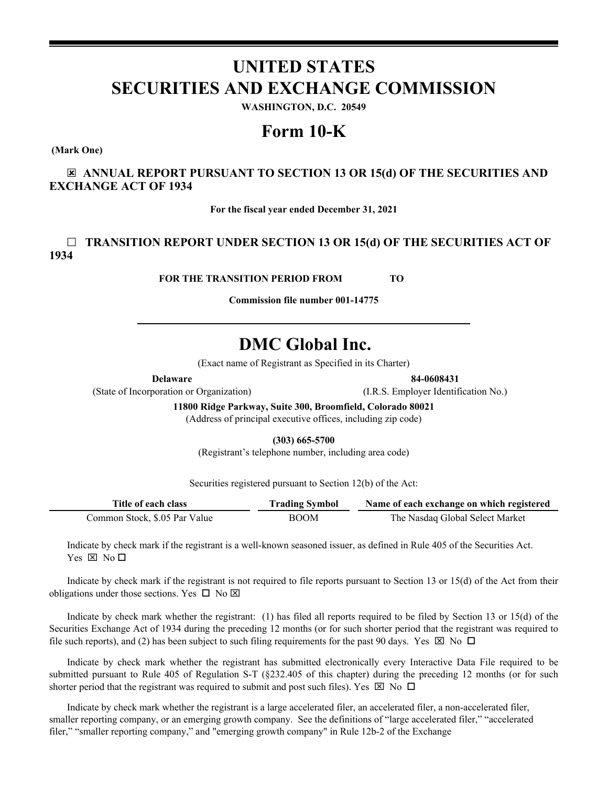# **UNITED STATES SECURITIES AND EXCHANGE COMMISSION**

**WASHINGTON, D.C. 20549**

# **Form 10-K**

**(Mark One)**

☒ **ANNUAL REPORT PURSUANT TO SECTION 13 OR 15(d) OF THE SECURITIES AND EXCHANGE ACT OF 1934**

**For the fiscal year ended December 31, 2021**

# ☐ **TRANSITION REPORT UNDER SECTION 13 OR 15(d) OF THE SECURITIES ACT OF 1934**

**FOR THE TRANSITION PERIOD FROM TO** 

**Commission file number 001-14775**

# **DMC Global Inc.**

(Exact name of Registrant as Specified in its Charter)

(State of Incorporation or Organization) (I.R.S. Employer Identification No.)

**11800 Ridge Parkway, Suite 300, Broomfield, Colorado 80021** (Address of principal executive offices, including zip code)

**(303) 665-5700**

(Registrant's telephone number, including area code)

Securities registered pursuant to Section 12(b) of the Act:

| Title of each class           | <b>Trading Symbol</b> | Name of each exchange on which registered |  |  |
|-------------------------------|-----------------------|-------------------------------------------|--|--|
| Common Stock, \$.05 Par Value | <b>BOOM</b>           | The Nasdaq Global Select Market           |  |  |

Indicate by check mark if the registrant is a well-known seasoned issuer, as defined in Rule 405 of the Securities Act. Yes  $\boxtimes$  No  $\square$ 

Indicate by check mark if the registrant is not required to file reports pursuant to Section 13 or 15(d) of the Act from their obligations under those sections. Yes  $\Box$  No  $\boxtimes$ 

Indicate by check mark whether the registrant: (1) has filed all reports required to be filed by Section 13 or 15(d) of the Securities Exchange Act of 1934 during the preceding 12 months (or for such shorter period that the registrant was required to file such reports), and (2) has been subject to such filing requirements for the past 90 days. Yes  $\boxtimes$  No  $\Box$ 

Indicate by check mark whether the registrant has submitted electronically every Interactive Data File required to be submitted pursuant to Rule 405 of Regulation S-T (§232.405 of this chapter) during the preceding 12 months (or for such shorter period that the registrant was required to submit and post such files). Yes  $\boxtimes$  No  $\Box$ 

Indicate by check mark whether the registrant is a large accelerated filer, an accelerated filer, a non-accelerated filer, smaller reporting company, or an emerging growth company. See the definitions of "large accelerated filer," "accelerated filer," "smaller reporting company," and "emerging growth company" in Rule 12b-2 of the Exchange

**Delaware 84-0608431**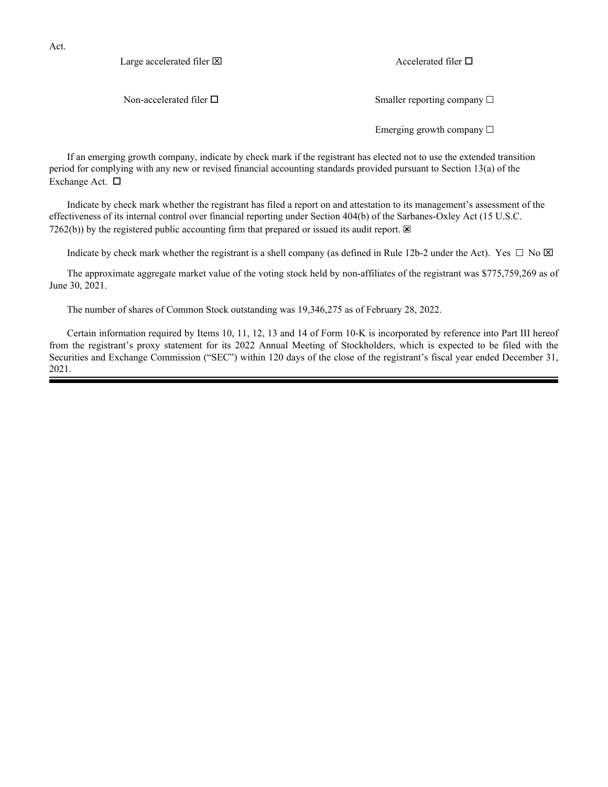Act.

Large accelerated filer  $\boxtimes$  Accelerated filer  $\Box$ 

Non-accelerated filer  $\square$ 

Emerging growth company  $\Box$ 

If an emerging growth company, indicate by check mark if the registrant has elected not to use the extended transition period for complying with any new or revised financial accounting standards provided pursuant to Section 13(a) of the Exchange Act.  $\square$ 

Indicate by check mark whether the registrant has filed a report on and attestation to its management's assessment of the effectiveness of its internal control over financial reporting under Section 404(b) of the Sarbanes-Oxley Act (15 U.S.C. 7262(b)) by the registered public accounting firm that prepared or issued its audit report.  $\boxtimes$ 

Indicate by check mark whether the registrant is a shell company (as defined in Rule 12b-2 under the Act). Yes  $\Box$  No  $\boxtimes$ 

The approximate aggregate market value of the voting stock held by non-affiliates of the registrant was \$775,759,269 as of June 30, 2021.

The number of shares of Common Stock outstanding was 19,346,275 as of February 28, 2022.

Certain information required by Items 10, 11, 12, 13 and 14 of Form 10-K is incorporated by reference into Part III hereof from the registrant's proxy statement for its 2022 Annual Meeting of Stockholders, which is expected to be filed with the Securities and Exchange Commission ("SEC") within 120 days of the close of the registrant's fiscal year ended December 31, 2021.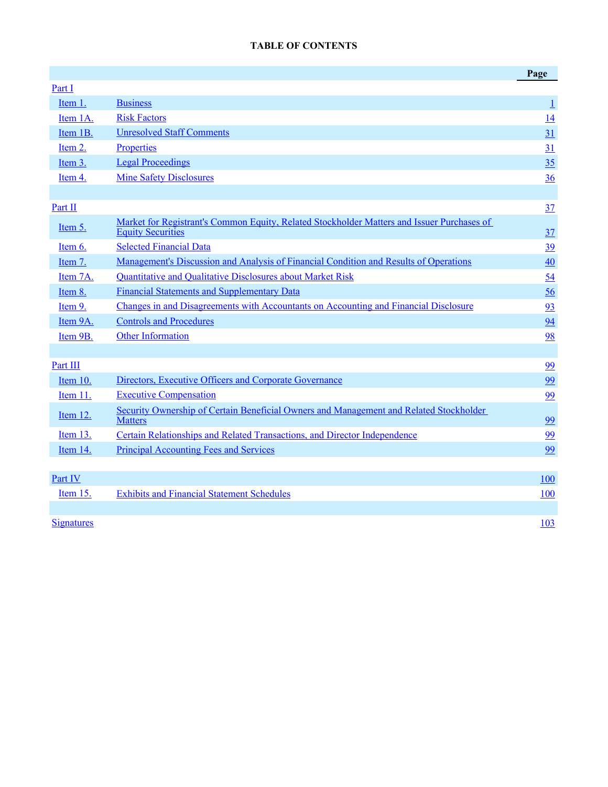# **TABLE OF CONTENTS**

<span id="page-2-0"></span>

|                   |                                                                                                                        | Page                     |
|-------------------|------------------------------------------------------------------------------------------------------------------------|--------------------------|
| Part I            |                                                                                                                        |                          |
| Item 1.           | <b>Business</b>                                                                                                        | $\mathbf{\underline{1}}$ |
| Item 1A.          | <b>Risk Factors</b>                                                                                                    | 14                       |
| Item 1B.          | <b>Unresolved Staff Comments</b>                                                                                       | 31                       |
| Item 2.           | Properties                                                                                                             | 31                       |
| Item 3.           | <b>Legal Proceedings</b>                                                                                               | 35                       |
| Item 4.           | <b>Mine Safety Disclosures</b>                                                                                         | 36                       |
|                   |                                                                                                                        |                          |
| Part II           |                                                                                                                        | 37                       |
| Item $5.$         | Market for Registrant's Common Equity, Related Stockholder Matters and Issuer Purchases of<br><b>Equity Securities</b> | 37                       |
| Item 6.           | <b>Selected Financial Data</b>                                                                                         | 39                       |
| Item 7.           | Management's Discussion and Analysis of Financial Condition and Results of Operations                                  | 40                       |
| Item 7A.          | <b>Ouantitative and Oualitative Disclosures about Market Risk</b>                                                      | $\frac{54}{5}$           |
| Item 8.           | <b>Financial Statements and Supplementary Data</b>                                                                     | 56                       |
| Item 9.           | Changes in and Disagreements with Accountants on Accounting and Financial Disclosure                                   | 93                       |
| Item 9A.          | <b>Controls and Procedures</b>                                                                                         | 94                       |
| Item 9B.          | <b>Other Information</b>                                                                                               | 98                       |
|                   |                                                                                                                        |                          |
| Part III          |                                                                                                                        | 99                       |
| Item 10.          | Directors, Executive Officers and Corporate Governance                                                                 | 99                       |
| Item 11.          | <b>Executive Compensation</b>                                                                                          | 99                       |
| Item 12.          | Security Ownership of Certain Beneficial Owners and Management and Related Stockholder<br><b>Matters</b>               | 99                       |
| Item 13.          | Certain Relationships and Related Transactions, and Director Independence                                              | 99                       |
| Item 14.          | <b>Principal Accounting Fees and Services</b>                                                                          | 99                       |
|                   |                                                                                                                        |                          |
| Part IV           |                                                                                                                        | <b>100</b>               |
| Item 15.          | <b>Exhibits and Financial Statement Schedules</b>                                                                      | 100                      |
|                   |                                                                                                                        |                          |
| <b>Signatures</b> |                                                                                                                        | 103                      |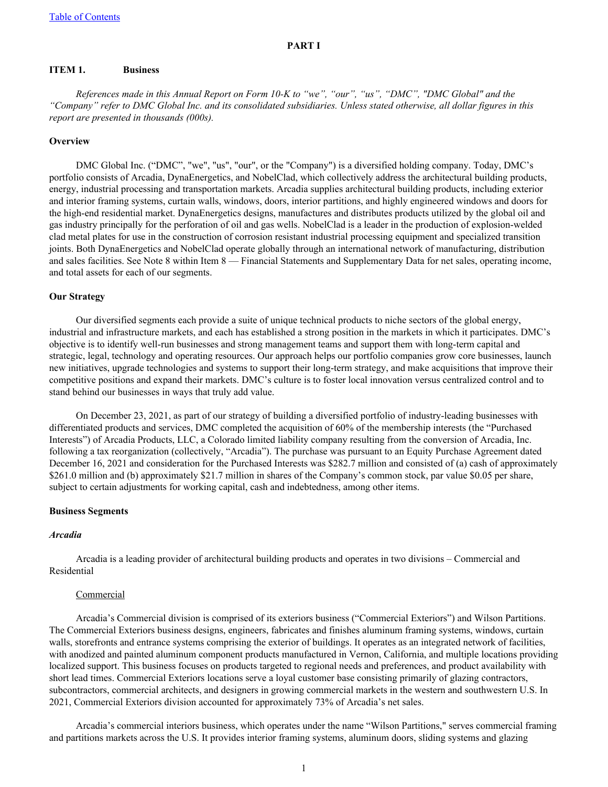## **PART I**

#### <span id="page-3-0"></span>**ITEM 1. Business**

*References made in this Annual Report on Form 10-K to "we", "our", "us", "DMC", "DMC Global" and the "Company" refer to DMC Global Inc. and its consolidated subsidiaries. Unless stated otherwise, all dollar figures in this report are presented in thousands (000s).*

#### **Overview**

DMC Global Inc. ("DMC", "we", "us", "our", or the "Company") is a diversified holding company. Today, DMC's portfolio consists of Arcadia, DynaEnergetics, and NobelClad, which collectively address the architectural building products, energy, industrial processing and transportation markets. Arcadia supplies architectural building products, including exterior and interior framing systems, curtain walls, windows, doors, interior partitions, and highly engineered windows and doors for the high-end residential market. DynaEnergetics designs, manufactures and distributes products utilized by the global oil and gas industry principally for the perforation of oil and gas wells. NobelClad is a leader in the production of explosion-welded clad metal plates for use in the construction of corrosion resistant industrial processing equipment and specialized transition joints. Both DynaEnergetics and NobelClad operate globally through an international network of manufacturing, distribution and sales facilities. See Note 8 within Item 8 — Financial Statements and Supplementary Data for net sales, operating income, and total assets for each of our segments.

#### **Our Strategy**

Our diversified segments each provide a suite of unique technical products to niche sectors of the global energy, industrial and infrastructure markets, and each has established a strong position in the markets in which it participates. DMC's objective is to identify well-run businesses and strong management teams and support them with long-term capital and strategic, legal, technology and operating resources. Our approach helps our portfolio companies grow core businesses, launch new initiatives, upgrade technologies and systems to support their long-term strategy, and make acquisitions that improve their competitive positions and expand their markets. DMC's culture is to foster local innovation versus centralized control and to stand behind our businesses in ways that truly add value.

On December 23, 2021, as part of our strategy of building a diversified portfolio of industry-leading businesses with differentiated products and services, DMC completed the acquisition of 60% of the membership interests (the "Purchased Interests") of Arcadia Products, LLC, a Colorado limited liability company resulting from the conversion of Arcadia, Inc. following a tax reorganization (collectively, "Arcadia"). The purchase was pursuant to an Equity Purchase Agreement dated December 16, 2021 and consideration for the Purchased Interests was \$282.7 million and consisted of (a) cash of approximately \$261.0 million and (b) approximately \$21.7 million in shares of the Company's common stock, par value \$0.05 per share, subject to certain adjustments for working capital, cash and indebtedness, among other items.

#### **Business Segments**

#### *Arcadia*

Arcadia is a leading provider of architectural building products and operates in two divisions – Commercial and Residential

#### **Commercial**

Arcadia's Commercial division is comprised of its exteriors business ("Commercial Exteriors") and Wilson Partitions. The Commercial Exteriors business designs, engineers, fabricates and finishes aluminum framing systems, windows, curtain walls, storefronts and entrance systems comprising the exterior of buildings. It operates as an integrated network of facilities, with anodized and painted aluminum component products manufactured in Vernon, California, and multiple locations providing localized support. This business focuses on products targeted to regional needs and preferences, and product availability with short lead times. Commercial Exteriors locations serve a loyal customer base consisting primarily of glazing contractors, subcontractors, commercial architects, and designers in growing commercial markets in the western and southwestern U.S. In 2021, Commercial Exteriors division accounted for approximately 73% of Arcadia's net sales.

Arcadia's commercial interiors business, which operates under the name "Wilson Partitions," serves commercial framing and partitions markets across the U.S. It provides interior framing systems, aluminum doors, sliding systems and glazing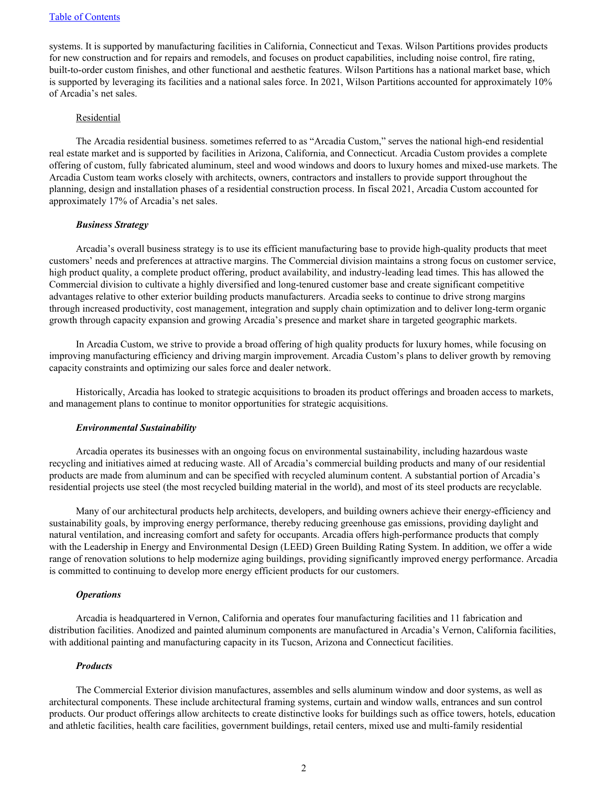systems. It is supported by manufacturing facilities in California, Connecticut and Texas. Wilson Partitions provides products for new construction and for repairs and remodels, and focuses on product capabilities, including noise control, fire rating, built-to-order custom finishes, and other functional and aesthetic features. Wilson Partitions has a national market base, which is supported by leveraging its facilities and a national sales force. In 2021, Wilson Partitions accounted for approximately 10% of Arcadia's net sales.

#### Residential

The Arcadia residential business. sometimes referred to as "Arcadia Custom," serves the national high-end residential real estate market and is supported by facilities in Arizona, California, and Connecticut. Arcadia Custom provides a complete offering of custom, fully fabricated aluminum, steel and wood windows and doors to luxury homes and mixed-use markets. The Arcadia Custom team works closely with architects, owners, contractors and installers to provide support throughout the planning, design and installation phases of a residential construction process. In fiscal 2021, Arcadia Custom accounted for approximately 17% of Arcadia's net sales.

#### *Business Strategy*

Arcadia's overall business strategy is to use its efficient manufacturing base to provide high-quality products that meet customers' needs and preferences at attractive margins. The Commercial division maintains a strong focus on customer service, high product quality, a complete product offering, product availability, and industry-leading lead times. This has allowed the Commercial division to cultivate a highly diversified and long-tenured customer base and create significant competitive advantages relative to other exterior building products manufacturers. Arcadia seeks to continue to drive strong margins through increased productivity, cost management, integration and supply chain optimization and to deliver long-term organic growth through capacity expansion and growing Arcadia's presence and market share in targeted geographic markets.

In Arcadia Custom, we strive to provide a broad offering of high quality products for luxury homes, while focusing on improving manufacturing efficiency and driving margin improvement. Arcadia Custom's plans to deliver growth by removing capacity constraints and optimizing our sales force and dealer network.

Historically, Arcadia has looked to strategic acquisitions to broaden its product offerings and broaden access to markets, and management plans to continue to monitor opportunities for strategic acquisitions.

#### *Environmental Sustainability*

Arcadia operates its businesses with an ongoing focus on environmental sustainability, including hazardous waste recycling and initiatives aimed at reducing waste. All of Arcadia's commercial building products and many of our residential products are made from aluminum and can be specified with recycled aluminum content. A substantial portion of Arcadia's residential projects use steel (the most recycled building material in the world), and most of its steel products are recyclable.

Many of our architectural products help architects, developers, and building owners achieve their energy-efficiency and sustainability goals, by improving energy performance, thereby reducing greenhouse gas emissions, providing daylight and natural ventilation, and increasing comfort and safety for occupants. Arcadia offers high-performance products that comply with the Leadership in Energy and Environmental Design (LEED) Green Building Rating System. In addition, we offer a wide range of renovation solutions to help modernize aging buildings, providing significantly improved energy performance. Arcadia is committed to continuing to develop more energy efficient products for our customers.

#### *Operations*

Arcadia is headquartered in Vernon, California and operates four manufacturing facilities and 11 fabrication and distribution facilities. Anodized and painted aluminum components are manufactured in Arcadia's Vernon, California facilities, with additional painting and manufacturing capacity in its Tucson, Arizona and Connecticut facilities.

#### *Products*

The Commercial Exterior division manufactures, assembles and sells aluminum window and door systems, as well as architectural components. These include architectural framing systems, curtain and window walls, entrances and sun control products. Our product offerings allow architects to create distinctive looks for buildings such as office towers, hotels, education and athletic facilities, health care facilities, government buildings, retail centers, mixed use and multi-family residential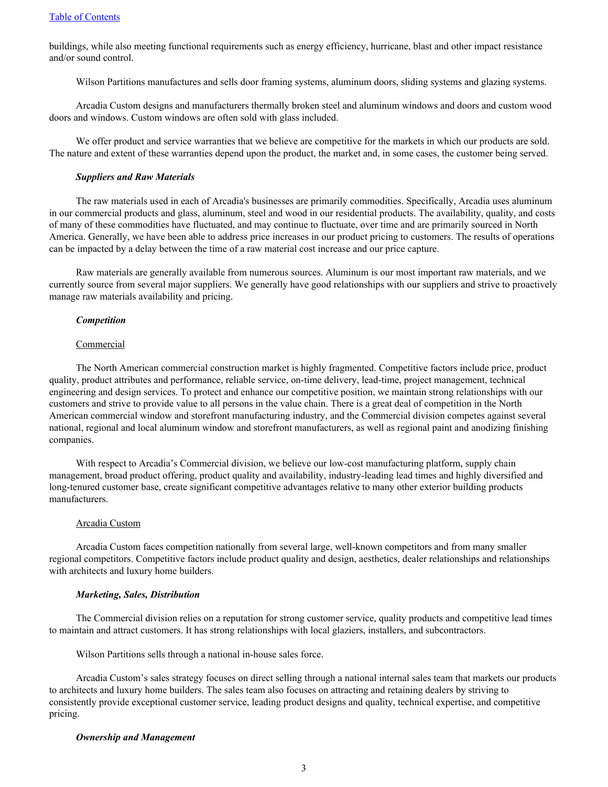buildings, while also meeting functional requirements such as energy efficiency, hurricane, blast and other impact resistance and/or sound control.

Wilson Partitions manufactures and sells door framing systems, aluminum doors, sliding systems and glazing systems.

Arcadia Custom designs and manufacturers thermally broken steel and aluminum windows and doors and custom wood doors and windows. Custom windows are often sold with glass included.

We offer product and service warranties that we believe are competitive for the markets in which our products are sold. The nature and extent of these warranties depend upon the product, the market and, in some cases, the customer being served.

#### *Suppliers and Raw Materials*

The raw materials used in each of Arcadia's businesses are primarily commodities. Specifically, Arcadia uses aluminum in our commercial products and glass, aluminum, steel and wood in our residential products. The availability, quality, and costs of many of these commodities have fluctuated, and may continue to fluctuate, over time and are primarily sourced in North America. Generally, we have been able to address price increases in our product pricing to customers. The results of operations can be impacted by a delay between the time of a raw material cost increase and our price capture.

Raw materials are generally available from numerous sources. Aluminum is our most important raw materials, and we currently source from several major suppliers. We generally have good relationships with our suppliers and strive to proactively manage raw materials availability and pricing.

#### *Competition*

#### **Commercial**

The North American commercial construction market is highly fragmented. Competitive factors include price, product quality, product attributes and performance, reliable service, on-time delivery, lead-time, project management, technical engineering and design services. To protect and enhance our competitive position, we maintain strong relationships with our customers and strive to provide value to all persons in the value chain. There is a great deal of competition in the North American commercial window and storefront manufacturing industry, and the Commercial division competes against several national, regional and local aluminum window and storefront manufacturers, as well as regional paint and anodizing finishing companies.

With respect to Arcadia's Commercial division, we believe our low-cost manufacturing platform, supply chain management, broad product offering, product quality and availability, industry-leading lead times and highly diversified and long-tenured customer base, create significant competitive advantages relative to many other exterior building products manufacturers.

#### Arcadia Custom

Arcadia Custom faces competition nationally from several large, well-known competitors and from many smaller regional competitors. Competitive factors include product quality and design, aesthetics, dealer relationships and relationships with architects and luxury home builders.

#### *Marketing, Sales, Distribution*

The Commercial division relies on a reputation for strong customer service, quality products and competitive lead times to maintain and attract customers. It has strong relationships with local glaziers, installers, and subcontractors.

Wilson Partitions sells through a national in-house sales force.

Arcadia Custom's sales strategy focuses on direct selling through a national internal sales team that markets our products to architects and luxury home builders. The sales team also focuses on attracting and retaining dealers by striving to consistently provide exceptional customer service, leading product designs and quality, technical expertise, and competitive pricing.

#### *Ownership and Management*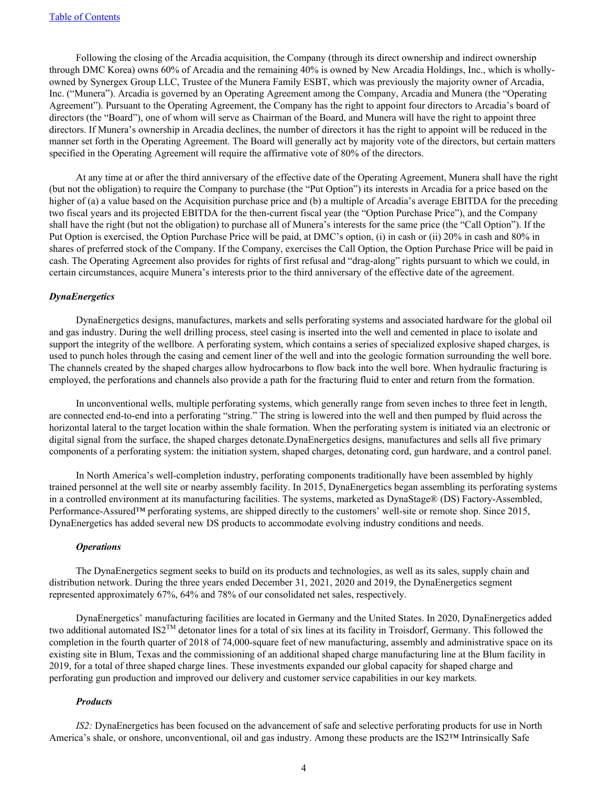Following the closing of the Arcadia acquisition, the Company (through its direct ownership and indirect ownership through DMC Korea) owns 60% of Arcadia and the remaining 40% is owned by New Arcadia Holdings, Inc., which is whollyowned by Synergex Group LLC, Trustee of the Munera Family ESBT, which was previously the majority owner of Arcadia, Inc. ("Munera"). Arcadia is governed by an Operating Agreement among the Company, Arcadia and Munera (the "Operating Agreement"). Pursuant to the Operating Agreement, the Company has the right to appoint four directors to Arcadia's board of directors (the "Board"), one of whom will serve as Chairman of the Board, and Munera will have the right to appoint three directors. If Munera's ownership in Arcadia declines, the number of directors it has the right to appoint will be reduced in the manner set forth in the Operating Agreement. The Board will generally act by majority vote of the directors, but certain matters specified in the Operating Agreement will require the affirmative vote of 80% of the directors.

At any time at or after the third anniversary of the effective date of the Operating Agreement, Munera shall have the right (but not the obligation) to require the Company to purchase (the "Put Option") its interests in Arcadia for a price based on the higher of (a) a value based on the Acquisition purchase price and (b) a multiple of Arcadia's average EBITDA for the preceding two fiscal years and its projected EBITDA for the then-current fiscal year (the "Option Purchase Price"), and the Company shall have the right (but not the obligation) to purchase all of Munera's interests for the same price (the "Call Option"). If the Put Option is exercised, the Option Purchase Price will be paid, at DMC's option, (i) in cash or (ii) 20% in cash and 80% in shares of preferred stock of the Company. If the Company, exercises the Call Option, the Option Purchase Price will be paid in cash. The Operating Agreement also provides for rights of first refusal and "drag-along" rights pursuant to which we could, in certain circumstances, acquire Munera's interests prior to the third anniversary of the effective date of the agreement.

#### *DynaEnergetics*

DynaEnergetics designs, manufactures, markets and sells perforating systems and associated hardware for the global oil and gas industry. During the well drilling process, steel casing is inserted into the well and cemented in place to isolate and support the integrity of the wellbore. A perforating system, which contains a series of specialized explosive shaped charges, is used to punch holes through the casing and cement liner of the well and into the geologic formation surrounding the well bore. The channels created by the shaped charges allow hydrocarbons to flow back into the well bore. When hydraulic fracturing is employed, the perforations and channels also provide a path for the fracturing fluid to enter and return from the formation.

In unconventional wells, multiple perforating systems, which generally range from seven inches to three feet in length, are connected end-to-end into a perforating "string." The string is lowered into the well and then pumped by fluid across the horizontal lateral to the target location within the shale formation. When the perforating system is initiated via an electronic or digital signal from the surface, the shaped charges detonate.DynaEnergetics designs, manufactures and sells all five primary components of a perforating system: the initiation system, shaped charges, detonating cord, gun hardware, and a control panel.

In North America's well-completion industry, perforating components traditionally have been assembled by highly trained personnel at the well site or nearby assembly facility. In 2015, DynaEnergetics began assembling its perforating systems in a controlled environment at its manufacturing facilities. The systems, marketed as DynaStage® (DS) Factory-Assembled, Performance-Assured™ perforating systems, are shipped directly to the customers' well-site or remote shop. Since 2015, DynaEnergetics has added several new DS products to accommodate evolving industry conditions and needs.

#### *Operations*

The DynaEnergetics segment seeks to build on its products and technologies, as well as its sales, supply chain and distribution network. During the three years ended December 31, 2021, 2020 and 2019, the DynaEnergetics segment represented approximately 67%, 64% and 78% of our consolidated net sales, respectively.

DynaEnergetics' manufacturing facilities are located in Germany and the United States. In 2020, DynaEnergetics added two additional automated IS2<sup>TM</sup> detonator lines for a total of six lines at its facility in Troisdorf, Germany. This followed the completion in the fourth quarter of 2018 of 74,000-square feet of new manufacturing, assembly and administrative space on its existing site in Blum, Texas and the commissioning of an additional shaped charge manufacturing line at the Blum facility in 2019, for a total of three shaped charge lines. These investments expanded our global capacity for shaped charge and perforating gun production and improved our delivery and customer service capabilities in our key markets.

#### *Products*

*IS2:* DynaEnergetics has been focused on the advancement of safe and selective perforating products for use in North America's shale, or onshore, unconventional, oil and gas industry. Among these products are the IS2™ Intrinsically Safe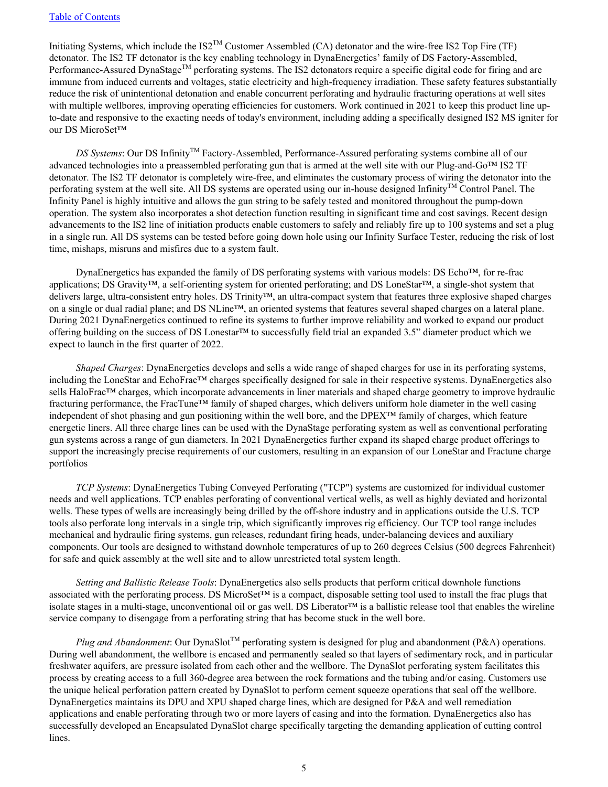Initiating Systems, which include the IS2TM Customer Assembled (CA) detonator and the wire-free IS2 Top Fire (TF) detonator. The IS2 TF detonator is the key enabling technology in DynaEnergetics' family of DS Factory-Assembled, Performance-Assured DynaStage<sup>TM</sup> perforating systems. The IS2 detonators require a specific digital code for firing and are immune from induced currents and voltages, static electricity and high-frequency irradiation. These safety features substantially reduce the risk of unintentional detonation and enable concurrent perforating and hydraulic fracturing operations at well sites with multiple wellbores, improving operating efficiencies for customers. Work continued in 2021 to keep this product line upto-date and responsive to the exacting needs of today's environment, including adding a specifically designed IS2 MS igniter for our DS MicroSet™

*DS Systems*: Our DS Infinity<sup>™</sup> Factory-Assembled, Performance-Assured perforating systems combine all of our advanced technologies into a preassembled perforating gun that is armed at the well site with our Plug-and-Go™ IS2 TF detonator. The IS2 TF detonator is completely wire-free, and eliminates the customary process of wiring the detonator into the perforating system at the well site. All DS systems are operated using our in-house designed Infinity<sup>TM</sup> Control Panel. The Infinity Panel is highly intuitive and allows the gun string to be safely tested and monitored throughout the pump-down operation. The system also incorporates a shot detection function resulting in significant time and cost savings. Recent design advancements to the IS2 line of initiation products enable customers to safely and reliably fire up to 100 systems and set a plug in a single run. All DS systems can be tested before going down hole using our Infinity Surface Tester, reducing the risk of lost time, mishaps, misruns and misfires due to a system fault.

DynaEnergetics has expanded the family of DS perforating systems with various models: DS Echo™, for re-frac applications; DS Gravity™, a self-orienting system for oriented perforating; and DS LoneStar™, a single-shot system that delivers large, ultra-consistent entry holes. DS Trinity™, an ultra-compact system that features three explosive shaped charges on a single or dual radial plane; and DS NLine™, an oriented systems that features several shaped charges on a lateral plane. During 2021 DynaEnergetics continued to refine its systems to further improve reliability and worked to expand our product offering building on the success of DS Lonestar™ to successfully field trial an expanded 3.5" diameter product which we expect to launch in the first quarter of 2022.

*Shaped Charges*: DynaEnergetics develops and sells a wide range of shaped charges for use in its perforating systems, including the LoneStar and EchoFrac™ charges specifically designed for sale in their respective systems. DynaEnergetics also sells HaloFrac<sup>™</sup> charges, which incorporate advancements in liner materials and shaped charge geometry to improve hydraulic fracturing performance, the FracTune™ family of shaped charges, which delivers uniform hole diameter in the well casing independent of shot phasing and gun positioning within the well bore, and the DPEX™ family of charges, which feature energetic liners. All three charge lines can be used with the DynaStage perforating system as well as conventional perforating gun systems across a range of gun diameters. In 2021 DynaEnergetics further expand its shaped charge product offerings to support the increasingly precise requirements of our customers, resulting in an expansion of our LoneStar and Fractune charge portfolios

*TCP Systems*: DynaEnergetics Tubing Conveyed Perforating ("TCP") systems are customized for individual customer needs and well applications. TCP enables perforating of conventional vertical wells, as well as highly deviated and horizontal wells. These types of wells are increasingly being drilled by the off-shore industry and in applications outside the U.S. TCP tools also perforate long intervals in a single trip, which significantly improves rig efficiency. Our TCP tool range includes mechanical and hydraulic firing systems, gun releases, redundant firing heads, under-balancing devices and auxiliary components. Our tools are designed to withstand downhole temperatures of up to 260 degrees Celsius (500 degrees Fahrenheit) for safe and quick assembly at the well site and to allow unrestricted total system length.

*Setting and Ballistic Release Tools*: DynaEnergetics also sells products that perform critical downhole functions associated with the perforating process. DS MicroSet™ is a compact, disposable setting tool used to install the frac plugs that isolate stages in a multi-stage, unconventional oil or gas well. DS Liberator™ is a ballistic release tool that enables the wireline service company to disengage from a perforating string that has become stuck in the well bore.

*Plug and Abandonment*: Our DynaSlot<sup>TM</sup> perforating system is designed for plug and abandonment (P&A) operations. During well abandonment, the wellbore is encased and permanently sealed so that layers of sedimentary rock, and in particular freshwater aquifers, are pressure isolated from each other and the wellbore. The DynaSlot perforating system facilitates this process by creating access to a full 360-degree area between the rock formations and the tubing and/or casing. Customers use the unique helical perforation pattern created by DynaSlot to perform cement squeeze operations that seal off the wellbore. DynaEnergetics maintains its DPU and XPU shaped charge lines, which are designed for P&A and well remediation applications and enable perforating through two or more layers of casing and into the formation. DynaEnergetics also has successfully developed an Encapsulated DynaSlot charge specifically targeting the demanding application of cutting control lines.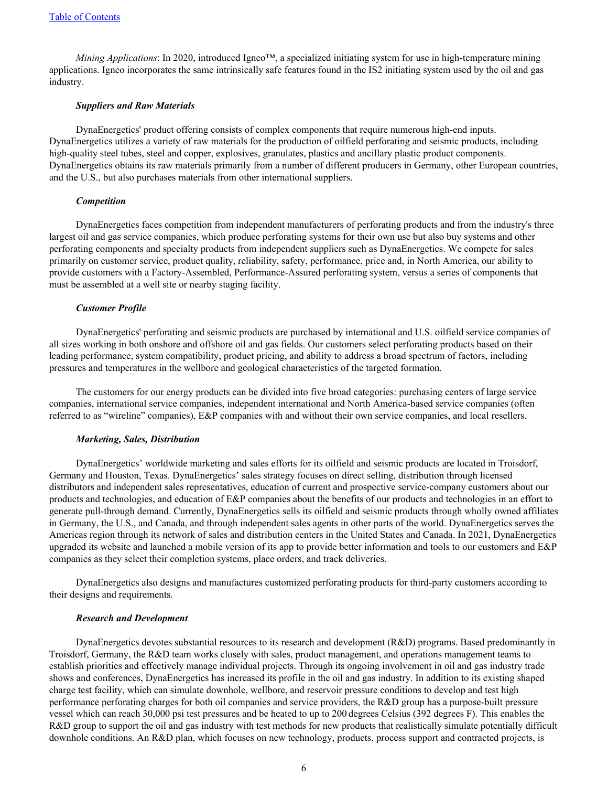*Mining Applications*: In 2020, introduced Igneo™, a specialized initiating system for use in high-temperature mining applications. Igneo incorporates the same intrinsically safe features found in the IS2 initiating system used by the oil and gas industry.

#### *Suppliers and Raw Materials*

DynaEnergetics' product offering consists of complex components that require numerous high-end inputs. DynaEnergetics utilizes a variety of raw materials for the production of oilfield perforating and seismic products, including high-quality steel tubes, steel and copper, explosives, granulates, plastics and ancillary plastic product components. DynaEnergetics obtains its raw materials primarily from a number of different producers in Germany, other European countries, and the U.S., but also purchases materials from other international suppliers.

#### *Competition*

DynaEnergetics faces competition from independent manufacturers of perforating products and from the industry's three largest oil and gas service companies, which produce perforating systems for their own use but also buy systems and other perforating components and specialty products from independent suppliers such as DynaEnergetics. We compete for sales primarily on customer service, product quality, reliability, safety, performance, price and, in North America, our ability to provide customers with a Factory-Assembled, Performance-Assured perforating system, versus a series of components that must be assembled at a well site or nearby staging facility.

#### *Customer Profile*

DynaEnergetics' perforating and seismic products are purchased by international and U.S. oilfield service companies of all sizes working in both onshore and offshore oil and gas fields. Our customers select perforating products based on their leading performance, system compatibility, product pricing, and ability to address a broad spectrum of factors, including pressures and temperatures in the wellbore and geological characteristics of the targeted formation.

The customers for our energy products can be divided into five broad categories: purchasing centers of large service companies, international service companies, independent international and North America-based service companies (often referred to as "wireline" companies), E&P companies with and without their own service companies, and local resellers.

#### *Marketing, Sales, Distribution*

DynaEnergetics' worldwide marketing and sales efforts for its oilfield and seismic products are located in Troisdorf, Germany and Houston, Texas. DynaEnergetics' sales strategy focuses on direct selling, distribution through licensed distributors and independent sales representatives, education of current and prospective service-company customers about our products and technologies, and education of E&P companies about the benefits of our products and technologies in an effort to generate pull-through demand. Currently, DynaEnergetics sells its oilfield and seismic products through wholly owned affiliates in Germany, the U.S., and Canada, and through independent sales agents in other parts of the world. DynaEnergetics serves the Americas region through its network of sales and distribution centers in the United States and Canada. In 2021, DynaEnergetics upgraded its website and launched a mobile version of its app to provide better information and tools to our customers and  $E\&P$ companies as they select their completion systems, place orders, and track deliveries.

DynaEnergetics also designs and manufactures customized perforating products for third-party customers according to their designs and requirements.

#### *Research and Development*

DynaEnergetics devotes substantial resources to its research and development (R&D) programs. Based predominantly in Troisdorf, Germany, the R&D team works closely with sales, product management, and operations management teams to establish priorities and effectively manage individual projects. Through its ongoing involvement in oil and gas industry trade shows and conferences, DynaEnergetics has increased its profile in the oil and gas industry. In addition to its existing shaped charge test facility, which can simulate downhole, wellbore, and reservoir pressure conditions to develop and test high performance perforating charges for both oil companies and service providers, the R&D group has a purpose-built pressure vessel which can reach 30,000 psi test pressures and be heated to up to 200 degrees Celsius (392 degrees F). This enables the R&D group to support the oil and gas industry with test methods for new products that realistically simulate potentially difficult downhole conditions. An R&D plan, which focuses on new technology, products, process support and contracted projects, is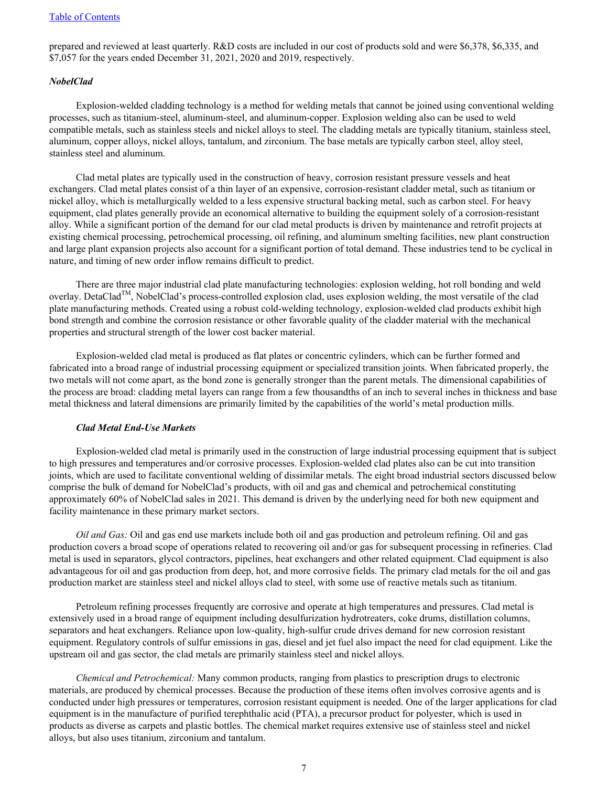prepared and reviewed at least quarterly. R&D costs are included in our cost of products sold and were \$6,378, \$6,335, and \$7,057 for the years ended December 31, 2021, 2020 and 2019, respectively.

#### *NobelClad*

Explosion-welded cladding technology is a method for welding metals that cannot be joined using conventional welding processes, such as titanium-steel, aluminum-steel, and aluminum-copper. Explosion welding also can be used to weld compatible metals, such as stainless steels and nickel alloys to steel. The cladding metals are typically titanium, stainless steel, aluminum, copper alloys, nickel alloys, tantalum, and zirconium. The base metals are typically carbon steel, alloy steel, stainless steel and aluminum.

Clad metal plates are typically used in the construction of heavy, corrosion resistant pressure vessels and heat exchangers. Clad metal plates consist of a thin layer of an expensive, corrosion-resistant cladder metal, such as titanium or nickel alloy, which is metallurgically welded to a less expensive structural backing metal, such as carbon steel. For heavy equipment, clad plates generally provide an economical alternative to building the equipment solely of a corrosion-resistant alloy. While a significant portion of the demand for our clad metal products is driven by maintenance and retrofit projects at existing chemical processing, petrochemical processing, oil refining, and aluminum smelting facilities, new plant construction and large plant expansion projects also account for a significant portion of total demand. These industries tend to be cyclical in nature, and timing of new order inflow remains difficult to predict.

There are three major industrial clad plate manufacturing technologies: explosion welding, hot roll bonding and weld overlay. DetaClad<sup>TM</sup>, NobelClad's process-controlled explosion clad, uses explosion welding, the most versatile of the clad plate manufacturing methods. Created using a robust cold-welding technology, explosion-welded clad products exhibit high bond strength and combine the corrosion resistance or other favorable quality of the cladder material with the mechanical properties and structural strength of the lower cost backer material.

Explosion-welded clad metal is produced as flat plates or concentric cylinders, which can be further formed and fabricated into a broad range of industrial processing equipment or specialized transition joints. When fabricated properly, the two metals will not come apart, as the bond zone is generally stronger than the parent metals. The dimensional capabilities of the process are broad: cladding metal layers can range from a few thousandths of an inch to several inches in thickness and base metal thickness and lateral dimensions are primarily limited by the capabilities of the world's metal production mills.

#### *Clad Metal End-Use Markets*

Explosion-welded clad metal is primarily used in the construction of large industrial processing equipment that is subject to high pressures and temperatures and/or corrosive processes. Explosion-welded clad plates also can be cut into transition joints, which are used to facilitate conventional welding of dissimilar metals. The eight broad industrial sectors discussed below comprise the bulk of demand for NobelClad's products, with oil and gas and chemical and petrochemical constituting approximately 60% of NobelClad sales in 2021. This demand is driven by the underlying need for both new equipment and facility maintenance in these primary market sectors.

*Oil and Gas:* Oil and gas end use markets include both oil and gas production and petroleum refining. Oil and gas production covers a broad scope of operations related to recovering oil and/or gas for subsequent processing in refineries. Clad metal is used in separators, glycol contractors, pipelines, heat exchangers and other related equipment. Clad equipment is also advantageous for oil and gas production from deep, hot, and more corrosive fields. The primary clad metals for the oil and gas production market are stainless steel and nickel alloys clad to steel, with some use of reactive metals such as titanium.

Petroleum refining processes frequently are corrosive and operate at high temperatures and pressures. Clad metal is extensively used in a broad range of equipment including desulfurization hydrotreaters, coke drums, distillation columns, separators and heat exchangers. Reliance upon low-quality, high-sulfur crude drives demand for new corrosion resistant equipment. Regulatory controls of sulfur emissions in gas, diesel and jet fuel also impact the need for clad equipment. Like the upstream oil and gas sector, the clad metals are primarily stainless steel and nickel alloys.

*Chemical and Petrochemical:* Many common products, ranging from plastics to prescription drugs to electronic materials, are produced by chemical processes. Because the production of these items often involves corrosive agents and is conducted under high pressures or temperatures, corrosion resistant equipment is needed. One of the larger applications for clad equipment is in the manufacture of purified terephthalic acid (PTA), a precursor product for polyester, which is used in products as diverse as carpets and plastic bottles. The chemical market requires extensive use of stainless steel and nickel alloys, but also uses titanium, zirconium and tantalum.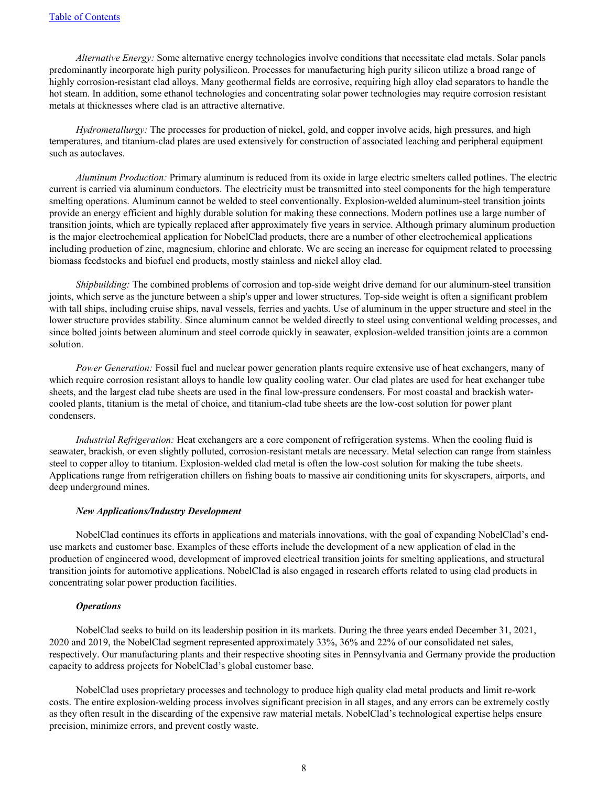*Alternative Energy:* Some alternative energy technologies involve conditions that necessitate clad metals. Solar panels predominantly incorporate high purity polysilicon. Processes for manufacturing high purity silicon utilize a broad range of highly corrosion-resistant clad alloys. Many geothermal fields are corrosive, requiring high alloy clad separators to handle the hot steam. In addition, some ethanol technologies and concentrating solar power technologies may require corrosion resistant metals at thicknesses where clad is an attractive alternative.

*Hydrometallurgy:* The processes for production of nickel, gold, and copper involve acids, high pressures, and high temperatures, and titanium-clad plates are used extensively for construction of associated leaching and peripheral equipment such as autoclaves.

*Aluminum Production:* Primary aluminum is reduced from its oxide in large electric smelters called potlines. The electric current is carried via aluminum conductors. The electricity must be transmitted into steel components for the high temperature smelting operations. Aluminum cannot be welded to steel conventionally. Explosion-welded aluminum-steel transition joints provide an energy efficient and highly durable solution for making these connections. Modern potlines use a large number of transition joints, which are typically replaced after approximately five years in service. Although primary aluminum production is the major electrochemical application for NobelClad products, there are a number of other electrochemical applications including production of zinc, magnesium, chlorine and chlorate. We are seeing an increase for equipment related to processing biomass feedstocks and biofuel end products, mostly stainless and nickel alloy clad.

*Shipbuilding:* The combined problems of corrosion and top-side weight drive demand for our aluminum-steel transition joints, which serve as the juncture between a ship's upper and lower structures. Top-side weight is often a significant problem with tall ships, including cruise ships, naval vessels, ferries and yachts. Use of aluminum in the upper structure and steel in the lower structure provides stability. Since aluminum cannot be welded directly to steel using conventional welding processes, and since bolted joints between aluminum and steel corrode quickly in seawater, explosion-welded transition joints are a common solution.

*Power Generation:* Fossil fuel and nuclear power generation plants require extensive use of heat exchangers, many of which require corrosion resistant alloys to handle low quality cooling water. Our clad plates are used for heat exchanger tube sheets, and the largest clad tube sheets are used in the final low-pressure condensers. For most coastal and brackish watercooled plants, titanium is the metal of choice, and titanium-clad tube sheets are the low-cost solution for power plant condensers.

*Industrial Refrigeration:* Heat exchangers are a core component of refrigeration systems. When the cooling fluid is seawater, brackish, or even slightly polluted, corrosion-resistant metals are necessary. Metal selection can range from stainless steel to copper alloy to titanium. Explosion-welded clad metal is often the low-cost solution for making the tube sheets. Applications range from refrigeration chillers on fishing boats to massive air conditioning units for skyscrapers, airports, and deep underground mines.

#### *New Applications/Industry Development*

NobelClad continues its efforts in applications and materials innovations, with the goal of expanding NobelClad's enduse markets and customer base. Examples of these efforts include the development of a new application of clad in the production of engineered wood, development of improved electrical transition joints for smelting applications, and structural transition joints for automotive applications. NobelClad is also engaged in research efforts related to using clad products in concentrating solar power production facilities.

#### *Operations*

NobelClad seeks to build on its leadership position in its markets. During the three years ended December 31, 2021, 2020 and 2019, the NobelClad segment represented approximately 33%, 36% and 22% of our consolidated net sales, respectively. Our manufacturing plants and their respective shooting sites in Pennsylvania and Germany provide the production capacity to address projects for NobelClad's global customer base.

NobelClad uses proprietary processes and technology to produce high quality clad metal products and limit re-work costs. The entire explosion-welding process involves significant precision in all stages, and any errors can be extremely costly as they often result in the discarding of the expensive raw material metals. NobelClad's technological expertise helps ensure precision, minimize errors, and prevent costly waste.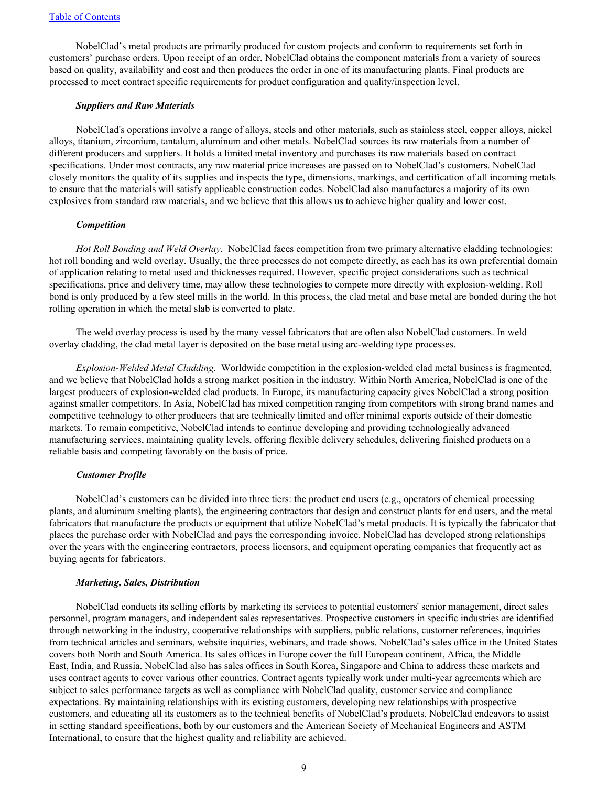NobelClad's metal products are primarily produced for custom projects and conform to requirements set forth in customers' purchase orders. Upon receipt of an order, NobelClad obtains the component materials from a variety of sources based on quality, availability and cost and then produces the order in one of its manufacturing plants. Final products are processed to meet contract specific requirements for product configuration and quality/inspection level.

#### *Suppliers and Raw Materials*

NobelClad's operations involve a range of alloys, steels and other materials, such as stainless steel, copper alloys, nickel alloys, titanium, zirconium, tantalum, aluminum and other metals. NobelClad sources its raw materials from a number of different producers and suppliers. It holds a limited metal inventory and purchases its raw materials based on contract specifications. Under most contracts, any raw material price increases are passed on to NobelClad's customers. NobelClad closely monitors the quality of its supplies and inspects the type, dimensions, markings, and certification of all incoming metals to ensure that the materials will satisfy applicable construction codes. NobelClad also manufactures a majority of its own explosives from standard raw materials, and we believe that this allows us to achieve higher quality and lower cost.

#### *Competition*

*Hot Roll Bonding and Weld Overlay.* NobelClad faces competition from two primary alternative cladding technologies: hot roll bonding and weld overlay. Usually, the three processes do not compete directly, as each has its own preferential domain of application relating to metal used and thicknesses required. However, specific project considerations such as technical specifications, price and delivery time, may allow these technologies to compete more directly with explosion-welding. Roll bond is only produced by a few steel mills in the world. In this process, the clad metal and base metal are bonded during the hot rolling operation in which the metal slab is converted to plate.

The weld overlay process is used by the many vessel fabricators that are often also NobelClad customers. In weld overlay cladding, the clad metal layer is deposited on the base metal using arc-welding type processes.

*Explosion-Welded Metal Cladding.* Worldwide competition in the explosion-welded clad metal business is fragmented, and we believe that NobelClad holds a strong market position in the industry. Within North America, NobelClad is one of the largest producers of explosion-welded clad products. In Europe, its manufacturing capacity gives NobelClad a strong position against smaller competitors. In Asia, NobelClad has mixed competition ranging from competitors with strong brand names and competitive technology to other producers that are technically limited and offer minimal exports outside of their domestic markets. To remain competitive, NobelClad intends to continue developing and providing technologically advanced manufacturing services, maintaining quality levels, offering flexible delivery schedules, delivering finished products on a reliable basis and competing favorably on the basis of price.

#### *Customer Profile*

NobelClad's customers can be divided into three tiers: the product end users (e.g., operators of chemical processing plants, and aluminum smelting plants), the engineering contractors that design and construct plants for end users, and the metal fabricators that manufacture the products or equipment that utilize NobelClad's metal products. It is typically the fabricator that places the purchase order with NobelClad and pays the corresponding invoice. NobelClad has developed strong relationships over the years with the engineering contractors, process licensors, and equipment operating companies that frequently act as buying agents for fabricators.

#### *Marketing, Sales, Distribution*

NobelClad conducts its selling efforts by marketing its services to potential customers' senior management, direct sales personnel, program managers, and independent sales representatives. Prospective customers in specific industries are identified through networking in the industry, cooperative relationships with suppliers, public relations, customer references, inquiries from technical articles and seminars, website inquiries, webinars, and trade shows. NobelClad's sales office in the United States covers both North and South America. Its sales offices in Europe cover the full European continent, Africa, the Middle East, India, and Russia. NobelClad also has sales offices in South Korea, Singapore and China to address these markets and uses contract agents to cover various other countries. Contract agents typically work under multi-year agreements which are subject to sales performance targets as well as compliance with NobelClad quality, customer service and compliance expectations. By maintaining relationships with its existing customers, developing new relationships with prospective customers, and educating all its customers as to the technical benefits of NobelClad's products, NobelClad endeavors to assist in setting standard specifications, both by our customers and the American Society of Mechanical Engineers and ASTM International, to ensure that the highest quality and reliability are achieved.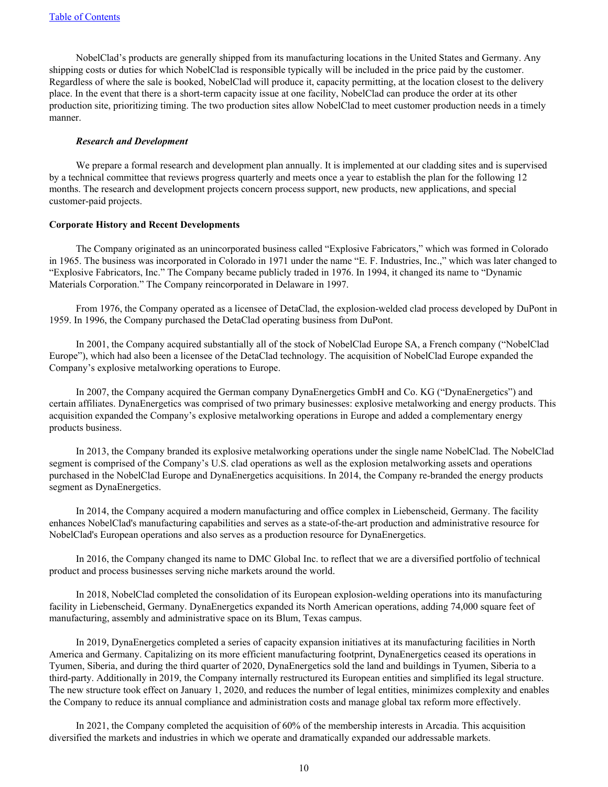NobelClad's products are generally shipped from its manufacturing locations in the United States and Germany. Any shipping costs or duties for which NobelClad is responsible typically will be included in the price paid by the customer. Regardless of where the sale is booked, NobelClad will produce it, capacity permitting, at the location closest to the delivery place. In the event that there is a short-term capacity issue at one facility, NobelClad can produce the order at its other production site, prioritizing timing. The two production sites allow NobelClad to meet customer production needs in a timely manner.

#### *Research and Development*

We prepare a formal research and development plan annually. It is implemented at our cladding sites and is supervised by a technical committee that reviews progress quarterly and meets once a year to establish the plan for the following 12 months. The research and development projects concern process support, new products, new applications, and special customer-paid projects.

#### **Corporate History and Recent Developments**

The Company originated as an unincorporated business called "Explosive Fabricators," which was formed in Colorado in 1965. The business was incorporated in Colorado in 1971 under the name "E. F. Industries, Inc.," which was later changed to "Explosive Fabricators, Inc." The Company became publicly traded in 1976. In 1994, it changed its name to "Dynamic Materials Corporation." The Company reincorporated in Delaware in 1997.

From 1976, the Company operated as a licensee of DetaClad, the explosion-welded clad process developed by DuPont in 1959. In 1996, the Company purchased the DetaClad operating business from DuPont.

In 2001, the Company acquired substantially all of the stock of NobelClad Europe SA, a French company ("NobelClad Europe"), which had also been a licensee of the DetaClad technology. The acquisition of NobelClad Europe expanded the Company's explosive metalworking operations to Europe.

In 2007, the Company acquired the German company DynaEnergetics GmbH and Co. KG ("DynaEnergetics") and certain affiliates. DynaEnergetics was comprised of two primary businesses: explosive metalworking and energy products. This acquisition expanded the Company's explosive metalworking operations in Europe and added a complementary energy products business.

In 2013, the Company branded its explosive metalworking operations under the single name NobelClad. The NobelClad segment is comprised of the Company's U.S. clad operations as well as the explosion metalworking assets and operations purchased in the NobelClad Europe and DynaEnergetics acquisitions. In 2014, the Company re-branded the energy products segment as DynaEnergetics.

In 2014, the Company acquired a modern manufacturing and office complex in Liebenscheid, Germany. The facility enhances NobelClad's manufacturing capabilities and serves as a state-of-the-art production and administrative resource for NobelClad's European operations and also serves as a production resource for DynaEnergetics.

In 2016, the Company changed its name to DMC Global Inc. to reflect that we are a diversified portfolio of technical product and process businesses serving niche markets around the world.

In 2018, NobelClad completed the consolidation of its European explosion-welding operations into its manufacturing facility in Liebenscheid, Germany. DynaEnergetics expanded its North American operations, adding 74,000 square feet of manufacturing, assembly and administrative space on its Blum, Texas campus.

In 2019, DynaEnergetics completed a series of capacity expansion initiatives at its manufacturing facilities in North America and Germany. Capitalizing on its more efficient manufacturing footprint, DynaEnergetics ceased its operations in Tyumen, Siberia, and during the third quarter of 2020, DynaEnergetics sold the land and buildings in Tyumen, Siberia to a third-party. Additionally in 2019, the Company internally restructured its European entities and simplified its legal structure. The new structure took effect on January 1, 2020, and reduces the number of legal entities, minimizes complexity and enables the Company to reduce its annual compliance and administration costs and manage global tax reform more effectively.

In 2021, the Company completed the acquisition of 60% of the membership interests in Arcadia. This acquisition diversified the markets and industries in which we operate and dramatically expanded our addressable markets.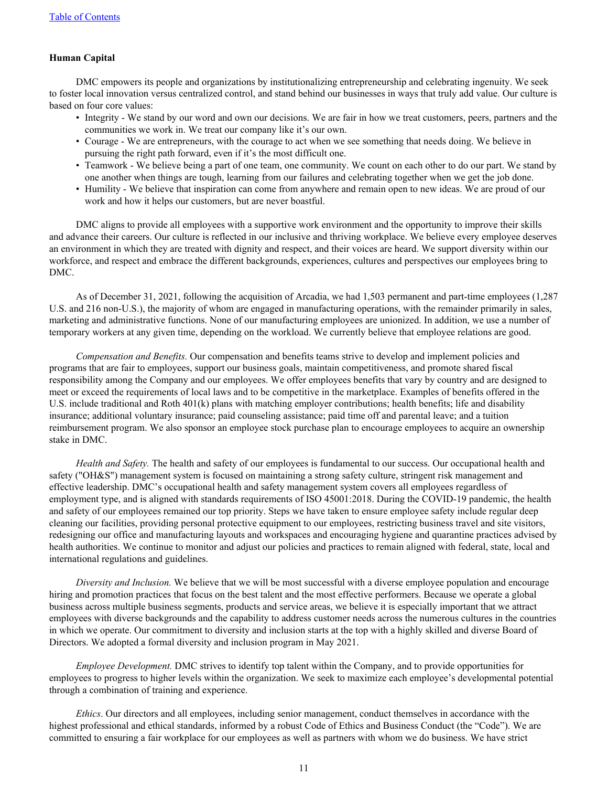## **Human Capital**

DMC empowers its people and organizations by institutionalizing entrepreneurship and celebrating ingenuity. We seek to foster local innovation versus centralized control, and stand behind our businesses in ways that truly add value. Our culture is based on four core values:

- Integrity We stand by our word and own our decisions. We are fair in how we treat customers, peers, partners and the communities we work in. We treat our company like it's our own.
- Courage We are entrepreneurs, with the courage to act when we see something that needs doing. We believe in pursuing the right path forward, even if it's the most difficult one.
- Teamwork We believe being a part of one team, one community. We count on each other to do our part. We stand by one another when things are tough, learning from our failures and celebrating together when we get the job done.
- Humility We believe that inspiration can come from anywhere and remain open to new ideas. We are proud of our work and how it helps our customers, but are never boastful.

DMC aligns to provide all employees with a supportive work environment and the opportunity to improve their skills and advance their careers. Our culture is reflected in our inclusive and thriving workplace. We believe every employee deserves an environment in which they are treated with dignity and respect, and their voices are heard. We support diversity within our workforce, and respect and embrace the different backgrounds, experiences, cultures and perspectives our employees bring to DMC.

As of December 31, 2021, following the acquisition of Arcadia, we had 1,503 permanent and part-time employees (1,287 U.S. and 216 non-U.S.), the majority of whom are engaged in manufacturing operations, with the remainder primarily in sales, marketing and administrative functions. None of our manufacturing employees are unionized. In addition, we use a number of temporary workers at any given time, depending on the workload. We currently believe that employee relations are good.

*Compensation and Benefits.* Our compensation and benefits teams strive to develop and implement policies and programs that are fair to employees, support our business goals, maintain competitiveness, and promote shared fiscal responsibility among the Company and our employees. We offer employees benefits that vary by country and are designed to meet or exceed the requirements of local laws and to be competitive in the marketplace. Examples of benefits offered in the U.S. include traditional and Roth 401(k) plans with matching employer contributions; health benefits; life and disability insurance; additional voluntary insurance; paid counseling assistance; paid time off and parental leave; and a tuition reimbursement program. We also sponsor an employee stock purchase plan to encourage employees to acquire an ownership stake in DMC.

*Health and Safety.* The health and safety of our employees is fundamental to our success. Our occupational health and safety ("OH&S") management system is focused on maintaining a strong safety culture, stringent risk management and effective leadership. DMC's occupational health and safety management system covers all employees regardless of employment type, and is aligned with standards requirements of ISO 45001:2018. During the COVID-19 pandemic, the health and safety of our employees remained our top priority. Steps we have taken to ensure employee safety include regular deep cleaning our facilities, providing personal protective equipment to our employees, restricting business travel and site visitors, redesigning our office and manufacturing layouts and workspaces and encouraging hygiene and quarantine practices advised by health authorities. We continue to monitor and adjust our policies and practices to remain aligned with federal, state, local and international regulations and guidelines.

*Diversity and Inclusion.* We believe that we will be most successful with a diverse employee population and encourage hiring and promotion practices that focus on the best talent and the most effective performers. Because we operate a global business across multiple business segments, products and service areas, we believe it is especially important that we attract employees with diverse backgrounds and the capability to address customer needs across the numerous cultures in the countries in which we operate. Our commitment to diversity and inclusion starts at the top with a highly skilled and diverse Board of Directors. We adopted a formal diversity and inclusion program in May 2021.

*Employee Development.* DMC strives to identify top talent within the Company, and to provide opportunities for employees to progress to higher levels within the organization. We seek to maximize each employee's developmental potential through a combination of training and experience.

*Ethics*. Our directors and all employees, including senior management, conduct themselves in accordance with the highest professional and ethical standards, informed by a robust Code of Ethics and Business Conduct (the "Code"). We are committed to ensuring a fair workplace for our employees as well as partners with whom we do business. We have strict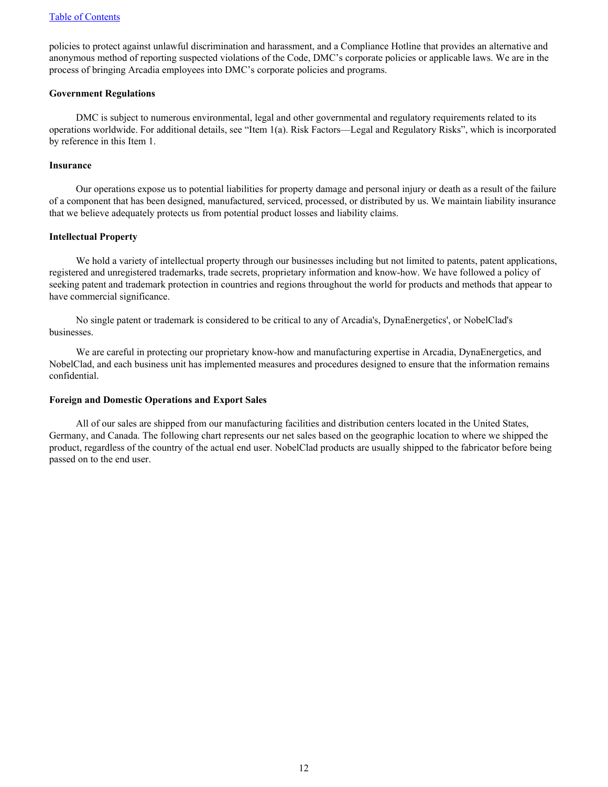policies to protect against unlawful discrimination and harassment, and a Compliance Hotline that provides an alternative and anonymous method of reporting suspected violations of the Code, DMC's corporate policies or applicable laws. We are in the process of bringing Arcadia employees into DMC's corporate policies and programs.

#### **Government Regulations**

DMC is subject to numerous environmental, legal and other governmental and regulatory requirements related to its operations worldwide. For additional details, see "Item 1(a). Risk Factors—Legal and Regulatory Risks", which is incorporated by reference in this Item 1.

## **Insurance**

Our operations expose us to potential liabilities for property damage and personal injury or death as a result of the failure of a component that has been designed, manufactured, serviced, processed, or distributed by us. We maintain liability insurance that we believe adequately protects us from potential product losses and liability claims.

## **Intellectual Property**

We hold a variety of intellectual property through our businesses including but not limited to patents, patent applications, registered and unregistered trademarks, trade secrets, proprietary information and know-how. We have followed a policy of seeking patent and trademark protection in countries and regions throughout the world for products and methods that appear to have commercial significance.

No single patent or trademark is considered to be critical to any of Arcadia's, DynaEnergetics', or NobelClad's businesses.

We are careful in protecting our proprietary know-how and manufacturing expertise in Arcadia, DynaEnergetics, and NobelClad, and each business unit has implemented measures and procedures designed to ensure that the information remains confidential.

#### **Foreign and Domestic Operations and Export Sales**

All of our sales are shipped from our manufacturing facilities and distribution centers located in the United States, Germany, and Canada. The following chart represents our net sales based on the geographic location to where we shipped the product, regardless of the country of the actual end user. NobelClad products are usually shipped to the fabricator before being passed on to the end user.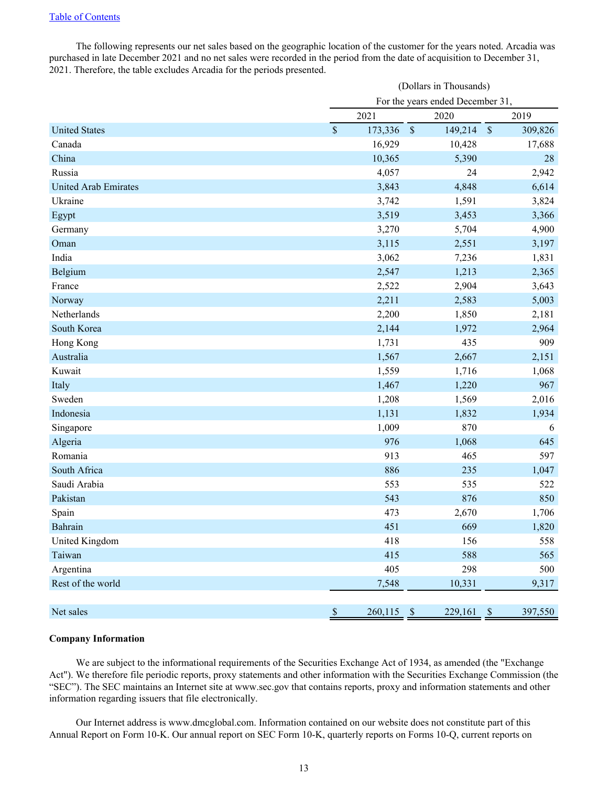The following represents our net sales based on the geographic location of the customer for the years noted. Arcadia was purchased in late December 2021 and no net sales were recorded in the period from the date of acquisition to December 31, 2021. Therefore, the table excludes Arcadia for the periods presented.

|                             | (Dollars in Thousands)           |            |                          |               |         |
|-----------------------------|----------------------------------|------------|--------------------------|---------------|---------|
|                             | For the years ended December 31, |            |                          |               |         |
|                             |                                  | 2021       | 2020                     |               | 2019    |
| <b>United States</b>        | $\mathbb S$                      | 173,336    | $\mathcal{S}$<br>149,214 | $\mathcal{S}$ | 309,826 |
| Canada                      |                                  | 16,929     | 10,428                   |               | 17,688  |
| China                       |                                  | 10,365     | 5,390                    |               | 28      |
| Russia                      |                                  | 4,057      | 24                       |               | 2,942   |
| <b>United Arab Emirates</b> |                                  | 3,843      | 4,848                    |               | 6,614   |
| Ukraine                     |                                  | 3,742      | 1,591                    |               | 3,824   |
| Egypt                       |                                  | 3,519      | 3,453                    |               | 3,366   |
| Germany                     |                                  | 3,270      | 5,704                    |               | 4,900   |
| Oman                        |                                  | 3,115      | 2,551                    |               | 3,197   |
| India                       |                                  | 3,062      | 7,236                    |               | 1,831   |
| Belgium                     |                                  | 2,547      | 1,213                    |               | 2,365   |
| France                      |                                  | 2,522      | 2,904                    |               | 3,643   |
| Norway                      |                                  | 2,211      | 2,583                    |               | 5,003   |
| Netherlands                 |                                  | 2,200      | 1,850                    |               | 2,181   |
| South Korea                 |                                  | 2,144      | 1,972                    |               | 2,964   |
| Hong Kong                   |                                  | 1,731      | 435                      |               | 909     |
| Australia                   |                                  | 1,567      | 2,667                    |               | 2,151   |
| Kuwait                      |                                  | 1,559      | 1,716                    |               | 1,068   |
| Italy                       |                                  | 1,467      | 1,220                    |               | 967     |
| Sweden                      |                                  | 1,208      | 1,569                    |               | 2,016   |
| Indonesia                   |                                  | 1,131      | 1,832                    |               | 1,934   |
| Singapore                   |                                  | 1,009      | 870                      |               | 6       |
| Algeria                     |                                  | 976        | 1,068                    |               | 645     |
| Romania                     |                                  | 913        | 465                      |               | 597     |
| South Africa                |                                  | 886        | 235                      |               | 1,047   |
| Saudi Arabia                |                                  | 553        | 535                      |               | 522     |
| Pakistan                    |                                  | 543        | 876                      |               | 850     |
| Spain                       |                                  | 473        | 2,670                    |               | 1,706   |
| Bahrain                     |                                  | 451        | 669                      |               | 1,820   |
| United Kingdom              |                                  | 418        | 156                      |               | 558     |
| Taiwan                      |                                  | 415        | 588                      |               | 565     |
| Argentina                   |                                  | 405        | 298                      |               | 500     |
| Rest of the world           |                                  | 7,548      | 10,331                   |               | 9,317   |
|                             |                                  |            |                          |               |         |
| Net sales                   | $\mathbb S$                      | 260,115 \$ | $229,161$ \$             |               | 397,550 |

## **Company Information**

We are subject to the informational requirements of the Securities Exchange Act of 1934, as amended (the "Exchange" Act"). We therefore file periodic reports, proxy statements and other information with the Securities Exchange Commission (the "SEC"). The SEC maintains an Internet site at www.sec.gov that contains reports, proxy and information statements and other information regarding issuers that file electronically.

Our Internet address is www.dmcglobal.com. Information contained on our website does not constitute part of this Annual Report on Form 10-K. Our annual report on SEC Form 10-K, quarterly reports on Forms 10-Q, current reports on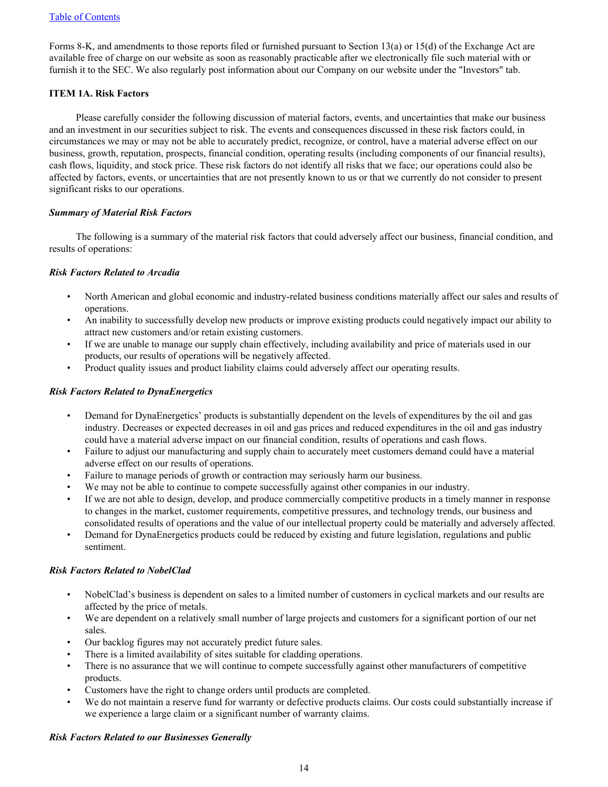<span id="page-16-0"></span>Forms 8-K, and amendments to those reports filed or furnished pursuant to Section 13(a) or 15(d) of the Exchange Act are available free of charge on our website as soon as reasonably practicable after we electronically file such material with or furnish it to the SEC. We also regularly post information about our Company on our website under the "Investors" tab.

## **ITEM 1A. Risk Factors**

Please carefully consider the following discussion of material factors, events, and uncertainties that make our business and an investment in our securities subject to risk. The events and consequences discussed in these risk factors could, in circumstances we may or may not be able to accurately predict, recognize, or control, have a material adverse effect on our business, growth, reputation, prospects, financial condition, operating results (including components of our financial results), cash flows, liquidity, and stock price. These risk factors do not identify all risks that we face; our operations could also be affected by factors, events, or uncertainties that are not presently known to us or that we currently do not consider to present significant risks to our operations.

# *Summary of Material Risk Factors*

The following is a summary of the material risk factors that could adversely affect our business, financial condition, and results of operations:

# *Risk Factors Related to Arcadia*

- North American and global economic and industry-related business conditions materially affect our sales and results of operations.
- An inability to successfully develop new products or improve existing products could negatively impact our ability to attract new customers and/or retain existing customers.
- If we are unable to manage our supply chain effectively, including availability and price of materials used in our products, our results of operations will be negatively affected.
- Product quality issues and product liability claims could adversely affect our operating results.

# *Risk Factors Related to DynaEnergetics*

- Demand for DynaEnergetics' products is substantially dependent on the levels of expenditures by the oil and gas industry. Decreases or expected decreases in oil and gas prices and reduced expenditures in the oil and gas industry could have a material adverse impact on our financial condition, results of operations and cash flows.
- Failure to adjust our manufacturing and supply chain to accurately meet customers demand could have a material adverse effect on our results of operations.
- Failure to manage periods of growth or contraction may seriously harm our business.
- We may not be able to continue to compete successfully against other companies in our industry.
- If we are not able to design, develop, and produce commercially competitive products in a timely manner in response to changes in the market, customer requirements, competitive pressures, and technology trends, our business and consolidated results of operations and the value of our intellectual property could be materially and adversely affected.
- Demand for DynaEnergetics products could be reduced by existing and future legislation, regulations and public sentiment.

## *Risk Factors Related to NobelClad*

- NobelClad's business is dependent on sales to a limited number of customers in cyclical markets and our results are affected by the price of metals.
- We are dependent on a relatively small number of large projects and customers for a significant portion of our net sales.
- Our backlog figures may not accurately predict future sales.
- There is a limited availability of sites suitable for cladding operations.
- There is no assurance that we will continue to compete successfully against other manufacturers of competitive products.
- Customers have the right to change orders until products are completed.
- We do not maintain a reserve fund for warranty or defective products claims. Our costs could substantially increase if we experience a large claim or a significant number of warranty claims.

## *Risk Factors Related to our Businesses Generally*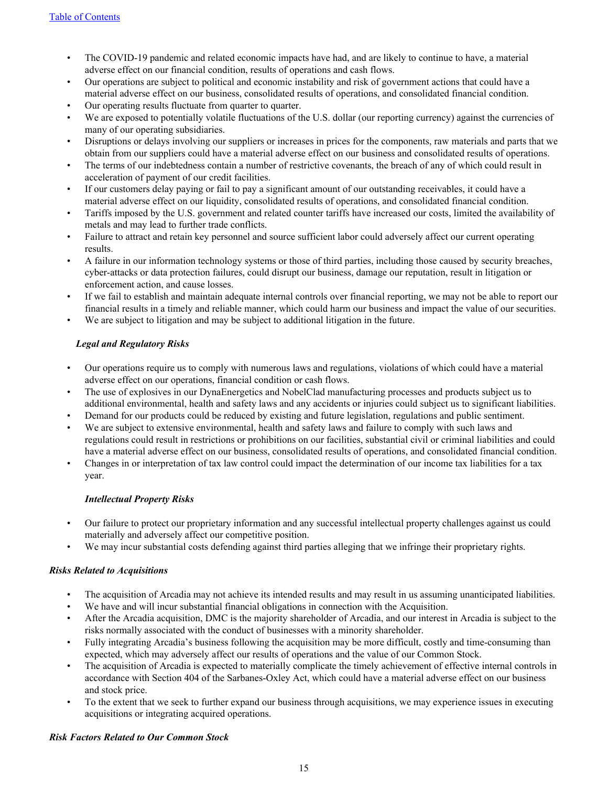- The COVID-19 pandemic and related economic impacts have had, and are likely to continue to have, a material adverse effect on our financial condition, results of operations and cash flows.
- Our operations are subject to political and economic instability and risk of government actions that could have a material adverse effect on our business, consolidated results of operations, and consolidated financial condition.
- Our operating results fluctuate from quarter to quarter.
- We are exposed to potentially volatile fluctuations of the U.S. dollar (our reporting currency) against the currencies of many of our operating subsidiaries.
- Disruptions or delays involving our suppliers or increases in prices for the components, raw materials and parts that we obtain from our suppliers could have a material adverse effect on our business and consolidated results of operations.
- The terms of our indebtedness contain a number of restrictive covenants, the breach of any of which could result in acceleration of payment of our credit facilities.
- If our customers delay paying or fail to pay a significant amount of our outstanding receivables, it could have a material adverse effect on our liquidity, consolidated results of operations, and consolidated financial condition.
- Tariffs imposed by the U.S. government and related counter tariffs have increased our costs, limited the availability of metals and may lead to further trade conflicts.
- Failure to attract and retain key personnel and source sufficient labor could adversely affect our current operating results.
- A failure in our information technology systems or those of third parties, including those caused by security breaches, cyber-attacks or data protection failures, could disrupt our business, damage our reputation, result in litigation or enforcement action, and cause losses.
- If we fail to establish and maintain adequate internal controls over financial reporting, we may not be able to report our financial results in a timely and reliable manner, which could harm our business and impact the value of our securities.
- We are subject to litigation and may be subject to additional litigation in the future.

# *Legal and Regulatory Risks*

- Our operations require us to comply with numerous laws and regulations, violations of which could have a material adverse effect on our operations, financial condition or cash flows.
- The use of explosives in our DynaEnergetics and NobelClad manufacturing processes and products subject us to additional environmental, health and safety laws and any accidents or injuries could subject us to significant liabilities.
- Demand for our products could be reduced by existing and future legislation, regulations and public sentiment.
- We are subject to extensive environmental, health and safety laws and failure to comply with such laws and regulations could result in restrictions or prohibitions on our facilities, substantial civil or criminal liabilities and could have a material adverse effect on our business, consolidated results of operations, and consolidated financial condition.
- Changes in or interpretation of tax law control could impact the determination of our income tax liabilities for a tax year.

## *Intellectual Property Risks*

- Our failure to protect our proprietary information and any successful intellectual property challenges against us could materially and adversely affect our competitive position.
- We may incur substantial costs defending against third parties alleging that we infringe their proprietary rights.

## *Risks Related to Acquisitions*

- The acquisition of Arcadia may not achieve its intended results and may result in us assuming unanticipated liabilities.
- We have and will incur substantial financial obligations in connection with the Acquisition.
- After the Arcadia acquisition, DMC is the majority shareholder of Arcadia, and our interest in Arcadia is subject to the risks normally associated with the conduct of businesses with a minority shareholder.
- Fully integrating Arcadia's business following the acquisition may be more difficult, costly and time-consuming than expected, which may adversely affect our results of operations and the value of our Common Stock.
- The acquisition of Arcadia is expected to materially complicate the timely achievement of effective internal controls in accordance with Section 404 of the Sarbanes-Oxley Act, which could have a material adverse effect on our business and stock price.
- To the extent that we seek to further expand our business through acquisitions, we may experience issues in executing acquisitions or integrating acquired operations.

## *Risk Factors Related to Our Common Stock*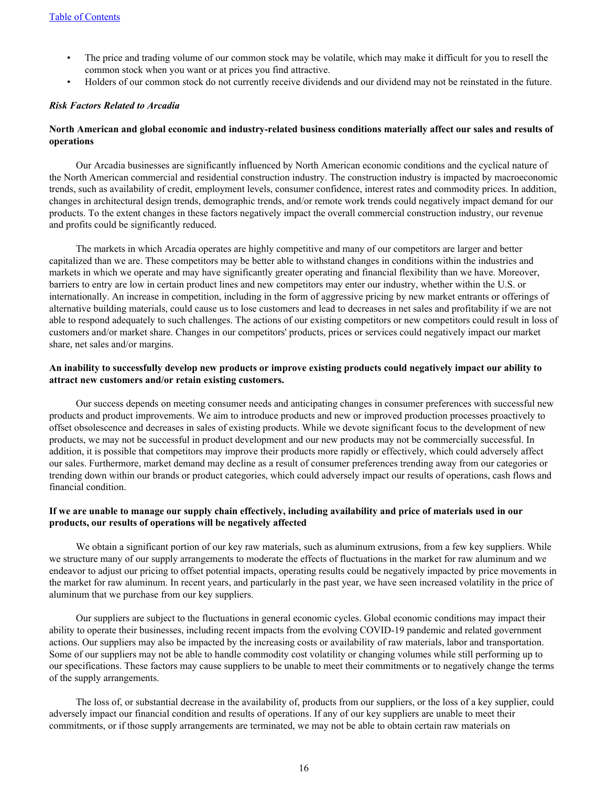- The price and trading volume of our common stock may be volatile, which may make it difficult for you to resell the common stock when you want or at prices you find attractive.
- Holders of our common stock do not currently receive dividends and our dividend may not be reinstated in the future.

## *Risk Factors Related to Arcadia*

## **North American and global economic and industry-related business conditions materially affect our sales and results of operations**

Our Arcadia businesses are significantly influenced by North American economic conditions and the cyclical nature of the North American commercial and residential construction industry. The construction industry is impacted by macroeconomic trends, such as availability of credit, employment levels, consumer confidence, interest rates and commodity prices. In addition, changes in architectural design trends, demographic trends, and/or remote work trends could negatively impact demand for our products. To the extent changes in these factors negatively impact the overall commercial construction industry, our revenue and profits could be significantly reduced.

The markets in which Arcadia operates are highly competitive and many of our competitors are larger and better capitalized than we are. These competitors may be better able to withstand changes in conditions within the industries and markets in which we operate and may have significantly greater operating and financial flexibility than we have. Moreover, barriers to entry are low in certain product lines and new competitors may enter our industry, whether within the U.S. or internationally. An increase in competition, including in the form of aggressive pricing by new market entrants or offerings of alternative building materials, could cause us to lose customers and lead to decreases in net sales and profitability if we are not able to respond adequately to such challenges. The actions of our existing competitors or new competitors could result in loss of customers and/or market share. Changes in our competitors' products, prices or services could negatively impact our market share, net sales and/or margins.

## **An inability to successfully develop new products or improve existing products could negatively impact our ability to attract new customers and/or retain existing customers.**

Our success depends on meeting consumer needs and anticipating changes in consumer preferences with successful new products and product improvements. We aim to introduce products and new or improved production processes proactively to offset obsolescence and decreases in sales of existing products. While we devote significant focus to the development of new products, we may not be successful in product development and our new products may not be commercially successful. In addition, it is possible that competitors may improve their products more rapidly or effectively, which could adversely affect our sales. Furthermore, market demand may decline as a result of consumer preferences trending away from our categories or trending down within our brands or product categories, which could adversely impact our results of operations, cash flows and financial condition.

## **If we are unable to manage our supply chain effectively, including availability and price of materials used in our products, our results of operations will be negatively affected**

We obtain a significant portion of our key raw materials, such as aluminum extrusions, from a few key suppliers. While we structure many of our supply arrangements to moderate the effects of fluctuations in the market for raw aluminum and we endeavor to adjust our pricing to offset potential impacts, operating results could be negatively impacted by price movements in the market for raw aluminum. In recent years, and particularly in the past year, we have seen increased volatility in the price of aluminum that we purchase from our key suppliers.

Our suppliers are subject to the fluctuations in general economic cycles. Global economic conditions may impact their ability to operate their businesses, including recent impacts from the evolving COVID-19 pandemic and related government actions. Our suppliers may also be impacted by the increasing costs or availability of raw materials, labor and transportation. Some of our suppliers may not be able to handle commodity cost volatility or changing volumes while still performing up to our specifications. These factors may cause suppliers to be unable to meet their commitments or to negatively change the terms of the supply arrangements.

The loss of, or substantial decrease in the availability of, products from our suppliers, or the loss of a key supplier, could adversely impact our financial condition and results of operations. If any of our key suppliers are unable to meet their commitments, or if those supply arrangements are terminated, we may not be able to obtain certain raw materials on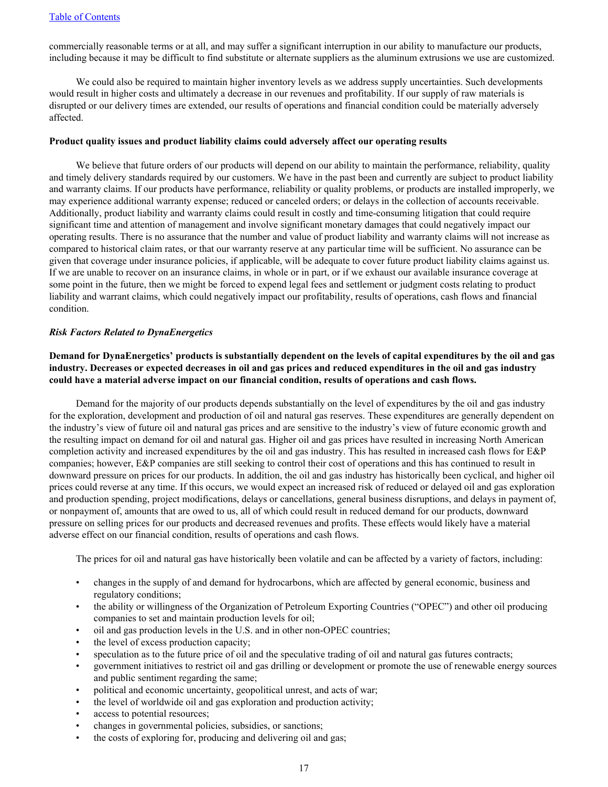commercially reasonable terms or at all, and may suffer a significant interruption in our ability to manufacture our products, including because it may be difficult to find substitute or alternate suppliers as the aluminum extrusions we use are customized.

We could also be required to maintain higher inventory levels as we address supply uncertainties. Such developments would result in higher costs and ultimately a decrease in our revenues and profitability. If our supply of raw materials is disrupted or our delivery times are extended, our results of operations and financial condition could be materially adversely affected.

#### **Product quality issues and product liability claims could adversely affect our operating results**

We believe that future orders of our products will depend on our ability to maintain the performance, reliability, quality and timely delivery standards required by our customers. We have in the past been and currently are subject to product liability and warranty claims. If our products have performance, reliability or quality problems, or products are installed improperly, we may experience additional warranty expense; reduced or canceled orders; or delays in the collection of accounts receivable. Additionally, product liability and warranty claims could result in costly and time-consuming litigation that could require significant time and attention of management and involve significant monetary damages that could negatively impact our operating results. There is no assurance that the number and value of product liability and warranty claims will not increase as compared to historical claim rates, or that our warranty reserve at any particular time will be sufficient. No assurance can be given that coverage under insurance policies, if applicable, will be adequate to cover future product liability claims against us. If we are unable to recover on an insurance claims, in whole or in part, or if we exhaust our available insurance coverage at some point in the future, then we might be forced to expend legal fees and settlement or judgment costs relating to product liability and warrant claims, which could negatively impact our profitability, results of operations, cash flows and financial condition.

#### *Risk Factors Related to DynaEnergetics*

## **Demand for DynaEnergetics' products is substantially dependent on the levels of capital expenditures by the oil and gas industry. Decreases or expected decreases in oil and gas prices and reduced expenditures in the oil and gas industry could have a material adverse impact on our financial condition, results of operations and cash flows.**

Demand for the majority of our products depends substantially on the level of expenditures by the oil and gas industry for the exploration, development and production of oil and natural gas reserves. These expenditures are generally dependent on the industry's view of future oil and natural gas prices and are sensitive to the industry's view of future economic growth and the resulting impact on demand for oil and natural gas. Higher oil and gas prices have resulted in increasing North American completion activity and increased expenditures by the oil and gas industry. This has resulted in increased cash flows for E&P companies; however, E&P companies are still seeking to control their cost of operations and this has continued to result in downward pressure on prices for our products. In addition, the oil and gas industry has historically been cyclical, and higher oil prices could reverse at any time. If this occurs, we would expect an increased risk of reduced or delayed oil and gas exploration and production spending, project modifications, delays or cancellations, general business disruptions, and delays in payment of, or nonpayment of, amounts that are owed to us, all of which could result in reduced demand for our products, downward pressure on selling prices for our products and decreased revenues and profits. These effects would likely have a material adverse effect on our financial condition, results of operations and cash flows.

The prices for oil and natural gas have historically been volatile and can be affected by a variety of factors, including:

- changes in the supply of and demand for hydrocarbons, which are affected by general economic, business and regulatory conditions;
- the ability or willingness of the Organization of Petroleum Exporting Countries ("OPEC") and other oil producing companies to set and maintain production levels for oil;
- oil and gas production levels in the U.S. and in other non-OPEC countries;
- the level of excess production capacity;
- speculation as to the future price of oil and the speculative trading of oil and natural gas futures contracts;
- government initiatives to restrict oil and gas drilling or development or promote the use of renewable energy sources and public sentiment regarding the same;
- political and economic uncertainty, geopolitical unrest, and acts of war;
- the level of worldwide oil and gas exploration and production activity;
- access to potential resources;
- changes in governmental policies, subsidies, or sanctions;
- the costs of exploring for, producing and delivering oil and gas;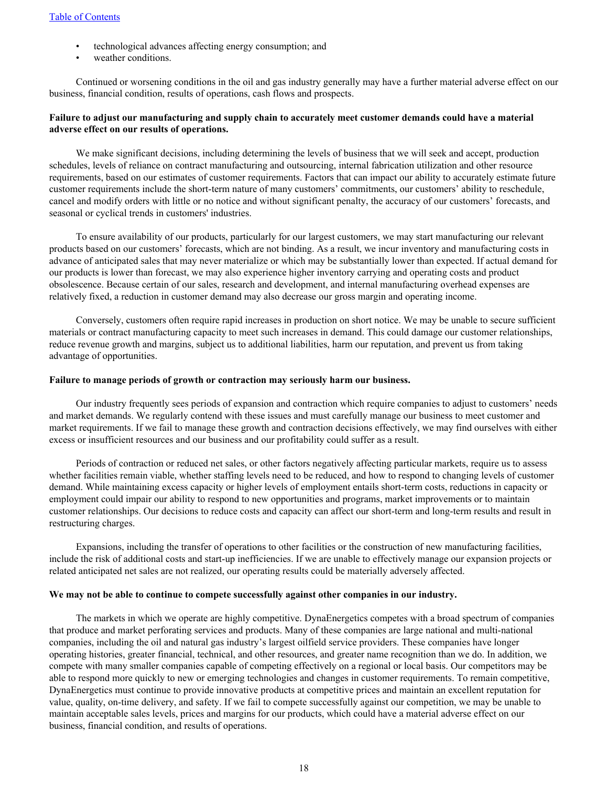- technological advances affecting energy consumption; and
- weather conditions.

Continued or worsening conditions in the oil and gas industry generally may have a further material adverse effect on our business, financial condition, results of operations, cash flows and prospects.

## **Failure to adjust our manufacturing and supply chain to accurately meet customer demands could have a material adverse effect on our results of operations.**

We make significant decisions, including determining the levels of business that we will seek and accept, production schedules, levels of reliance on contract manufacturing and outsourcing, internal fabrication utilization and other resource requirements, based on our estimates of customer requirements. Factors that can impact our ability to accurately estimate future customer requirements include the short-term nature of many customers' commitments, our customers' ability to reschedule, cancel and modify orders with little or no notice and without significant penalty, the accuracy of our customers' forecasts, and seasonal or cyclical trends in customers' industries.

To ensure availability of our products, particularly for our largest customers, we may start manufacturing our relevant products based on our customers' forecasts, which are not binding. As a result, we incur inventory and manufacturing costs in advance of anticipated sales that may never materialize or which may be substantially lower than expected. If actual demand for our products is lower than forecast, we may also experience higher inventory carrying and operating costs and product obsolescence. Because certain of our sales, research and development, and internal manufacturing overhead expenses are relatively fixed, a reduction in customer demand may also decrease our gross margin and operating income.

Conversely, customers often require rapid increases in production on short notice. We may be unable to secure sufficient materials or contract manufacturing capacity to meet such increases in demand. This could damage our customer relationships, reduce revenue growth and margins, subject us to additional liabilities, harm our reputation, and prevent us from taking advantage of opportunities.

#### **Failure to manage periods of growth or contraction may seriously harm our business.**

Our industry frequently sees periods of expansion and contraction which require companies to adjust to customers' needs and market demands. We regularly contend with these issues and must carefully manage our business to meet customer and market requirements. If we fail to manage these growth and contraction decisions effectively, we may find ourselves with either excess or insufficient resources and our business and our profitability could suffer as a result.

Periods of contraction or reduced net sales, or other factors negatively affecting particular markets, require us to assess whether facilities remain viable, whether staffing levels need to be reduced, and how to respond to changing levels of customer demand. While maintaining excess capacity or higher levels of employment entails short-term costs, reductions in capacity or employment could impair our ability to respond to new opportunities and programs, market improvements or to maintain customer relationships. Our decisions to reduce costs and capacity can affect our short-term and long-term results and result in restructuring charges.

Expansions, including the transfer of operations to other facilities or the construction of new manufacturing facilities, include the risk of additional costs and start-up inefficiencies. If we are unable to effectively manage our expansion projects or related anticipated net sales are not realized, our operating results could be materially adversely affected.

#### **We may not be able to continue to compete successfully against other companies in our industry.**

The markets in which we operate are highly competitive. DynaEnergetics competes with a broad spectrum of companies that produce and market perforating services and products. Many of these companies are large national and multi-national companies, including the oil and natural gas industry's largest oilfield service providers. These companies have longer operating histories, greater financial, technical, and other resources, and greater name recognition than we do. In addition, we compete with many smaller companies capable of competing effectively on a regional or local basis. Our competitors may be able to respond more quickly to new or emerging technologies and changes in customer requirements. To remain competitive, DynaEnergetics must continue to provide innovative products at competitive prices and maintain an excellent reputation for value, quality, on-time delivery, and safety. If we fail to compete successfully against our competition, we may be unable to maintain acceptable sales levels, prices and margins for our products, which could have a material adverse effect on our business, financial condition, and results of operations.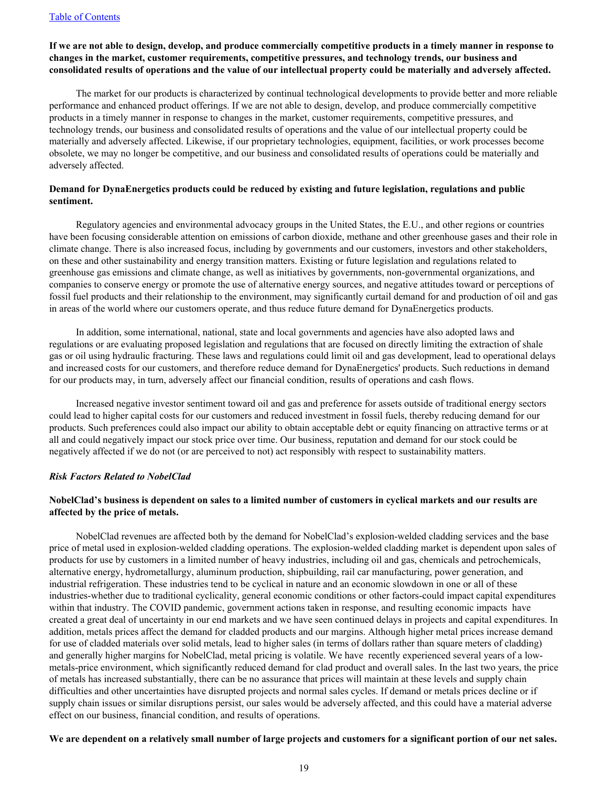## **If we are not able to design, develop, and produce commercially competitive products in a timely manner in response to changes in the market, customer requirements, competitive pressures, and technology trends, our business and consolidated results of operations and the value of our intellectual property could be materially and adversely affected.**

The market for our products is characterized by continual technological developments to provide better and more reliable performance and enhanced product offerings. If we are not able to design, develop, and produce commercially competitive products in a timely manner in response to changes in the market, customer requirements, competitive pressures, and technology trends, our business and consolidated results of operations and the value of our intellectual property could be materially and adversely affected. Likewise, if our proprietary technologies, equipment, facilities, or work processes become obsolete, we may no longer be competitive, and our business and consolidated results of operations could be materially and adversely affected.

# **Demand for DynaEnergetics products could be reduced by existing and future legislation, regulations and public sentiment.**

Regulatory agencies and environmental advocacy groups in the United States, the E.U., and other regions or countries have been focusing considerable attention on emissions of carbon dioxide, methane and other greenhouse gases and their role in climate change. There is also increased focus, including by governments and our customers, investors and other stakeholders, on these and other sustainability and energy transition matters. Existing or future legislation and regulations related to greenhouse gas emissions and climate change, as well as initiatives by governments, non-governmental organizations, and companies to conserve energy or promote the use of alternative energy sources, and negative attitudes toward or perceptions of fossil fuel products and their relationship to the environment, may significantly curtail demand for and production of oil and gas in areas of the world where our customers operate, and thus reduce future demand for DynaEnergetics products.

In addition, some international, national, state and local governments and agencies have also adopted laws and regulations or are evaluating proposed legislation and regulations that are focused on directly limiting the extraction of shale gas or oil using hydraulic fracturing. These laws and regulations could limit oil and gas development, lead to operational delays and increased costs for our customers, and therefore reduce demand for DynaEnergetics' products. Such reductions in demand for our products may, in turn, adversely affect our financial condition, results of operations and cash flows.

Increased negative investor sentiment toward oil and gas and preference for assets outside of traditional energy sectors could lead to higher capital costs for our customers and reduced investment in fossil fuels, thereby reducing demand for our products. Such preferences could also impact our ability to obtain acceptable debt or equity financing on attractive terms or at all and could negatively impact our stock price over time. Our business, reputation and demand for our stock could be negatively affected if we do not (or are perceived to not) act responsibly with respect to sustainability matters.

#### *Risk Factors Related to NobelClad*

# **NobelClad's business is dependent on sales to a limited number of customers in cyclical markets and our results are affected by the price of metals.**

NobelClad revenues are affected both by the demand for NobelClad's explosion-welded cladding services and the base price of metal used in explosion-welded cladding operations. The explosion-welded cladding market is dependent upon sales of products for use by customers in a limited number of heavy industries, including oil and gas, chemicals and petrochemicals, alternative energy, hydrometallurgy, aluminum production, shipbuilding, rail car manufacturing, power generation, and industrial refrigeration. These industries tend to be cyclical in nature and an economic slowdown in one or all of these industries-whether due to traditional cyclicality, general economic conditions or other factors-could impact capital expenditures within that industry. The COVID pandemic, government actions taken in response, and resulting economic impacts have created a great deal of uncertainty in our end markets and we have seen continued delays in projects and capital expenditures. In addition, metals prices affect the demand for cladded products and our margins. Although higher metal prices increase demand for use of cladded materials over solid metals, lead to higher sales (in terms of dollars rather than square meters of cladding) and generally higher margins for NobelClad, metal pricing is volatile. We have recently experienced several years of a lowmetals-price environment, which significantly reduced demand for clad product and overall sales. In the last two years, the price of metals has increased substantially, there can be no assurance that prices will maintain at these levels and supply chain difficulties and other uncertainties have disrupted projects and normal sales cycles. If demand or metals prices decline or if supply chain issues or similar disruptions persist, our sales would be adversely affected, and this could have a material adverse effect on our business, financial condition, and results of operations.

#### **We are dependent on a relatively small number of large projects and customers for a significant portion of our net sales.**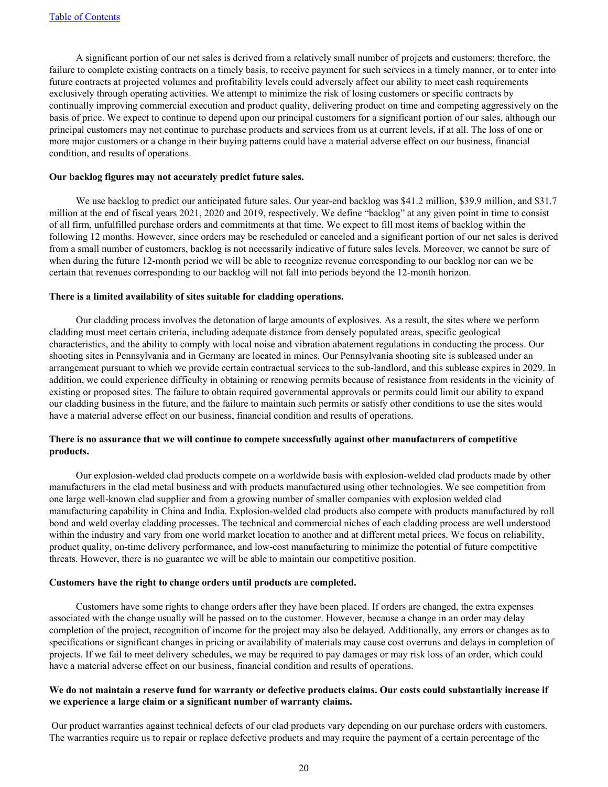A significant portion of our net sales is derived from a relatively small number of projects and customers; therefore, the failure to complete existing contracts on a timely basis, to receive payment for such services in a timely manner, or to enter into future contracts at projected volumes and profitability levels could adversely affect our ability to meet cash requirements exclusively through operating activities. We attempt to minimize the risk of losing customers or specific contracts by continually improving commercial execution and product quality, delivering product on time and competing aggressively on the basis of price. We expect to continue to depend upon our principal customers for a significant portion of our sales, although our principal customers may not continue to purchase products and services from us at current levels, if at all. The loss of one or more major customers or a change in their buying patterns could have a material adverse effect on our business, financial condition, and results of operations.

#### **Our backlog figures may not accurately predict future sales.**

We use backlog to predict our anticipated future sales. Our year-end backlog was \$41.2 million, \$39.9 million, and \$31.7 million at the end of fiscal years 2021, 2020 and 2019, respectively. We define "backlog" at any given point in time to consist of all firm, unfulfilled purchase orders and commitments at that time. We expect to fill most items of backlog within the following 12 months. However, since orders may be rescheduled or canceled and a significant portion of our net sales is derived from a small number of customers, backlog is not necessarily indicative of future sales levels. Moreover, we cannot be sure of when during the future 12-month period we will be able to recognize revenue corresponding to our backlog nor can we be certain that revenues corresponding to our backlog will not fall into periods beyond the 12-month horizon.

#### **There is a limited availability of sites suitable for cladding operations.**

Our cladding process involves the detonation of large amounts of explosives. As a result, the sites where we perform cladding must meet certain criteria, including adequate distance from densely populated areas, specific geological characteristics, and the ability to comply with local noise and vibration abatement regulations in conducting the process. Our shooting sites in Pennsylvania and in Germany are located in mines. Our Pennsylvania shooting site is subleased under an arrangement pursuant to which we provide certain contractual services to the sub-landlord, and this sublease expires in 2029. In addition, we could experience difficulty in obtaining or renewing permits because of resistance from residents in the vicinity of existing or proposed sites. The failure to obtain required governmental approvals or permits could limit our ability to expand our cladding business in the future, and the failure to maintain such permits or satisfy other conditions to use the sites would have a material adverse effect on our business, financial condition and results of operations.

## **There is no assurance that we will continue to compete successfully against other manufacturers of competitive products.**

Our explosion-welded clad products compete on a worldwide basis with explosion-welded clad products made by other manufacturers in the clad metal business and with products manufactured using other technologies. We see competition from one large well-known clad supplier and from a growing number of smaller companies with explosion welded clad manufacturing capability in China and India. Explosion-welded clad products also compete with products manufactured by roll bond and weld overlay cladding processes. The technical and commercial niches of each cladding process are well understood within the industry and vary from one world market location to another and at different metal prices. We focus on reliability, product quality, on-time delivery performance, and low-cost manufacturing to minimize the potential of future competitive threats. However, there is no guarantee we will be able to maintain our competitive position.

## **Customers have the right to change orders until products are completed.**

Customers have some rights to change orders after they have been placed. If orders are changed, the extra expenses associated with the change usually will be passed on to the customer. However, because a change in an order may delay completion of the project, recognition of income for the project may also be delayed. Additionally, any errors or changes as to specifications or significant changes in pricing or availability of materials may cause cost overruns and delays in completion of projects. If we fail to meet delivery schedules, we may be required to pay damages or may risk loss of an order, which could have a material adverse effect on our business, financial condition and results of operations.

## **We do not maintain a reserve fund for warranty or defective products claims. Our costs could substantially increase if we experience a large claim or a significant number of warranty claims.**

 Our product warranties against technical defects of our clad products vary depending on our purchase orders with customers. The warranties require us to repair or replace defective products and may require the payment of a certain percentage of the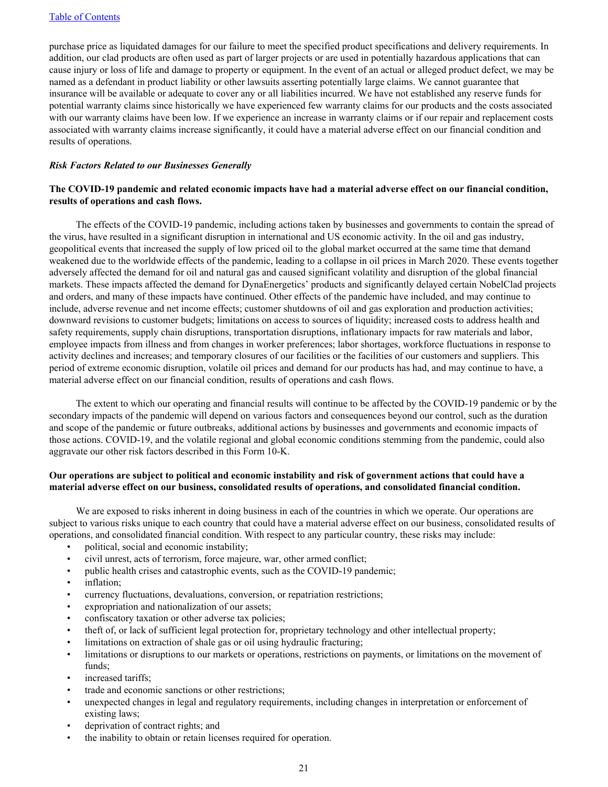purchase price as liquidated damages for our failure to meet the specified product specifications and delivery requirements. In addition, our clad products are often used as part of larger projects or are used in potentially hazardous applications that can cause injury or loss of life and damage to property or equipment. In the event of an actual or alleged product defect, we may be named as a defendant in product liability or other lawsuits asserting potentially large claims. We cannot guarantee that insurance will be available or adequate to cover any or all liabilities incurred. We have not established any reserve funds for potential warranty claims since historically we have experienced few warranty claims for our products and the costs associated with our warranty claims have been low. If we experience an increase in warranty claims or if our repair and replacement costs associated with warranty claims increase significantly, it could have a material adverse effect on our financial condition and results of operations.

## *Risk Factors Related to our Businesses Generally*

## **The COVID-19 pandemic and related economic impacts have had a material adverse effect on our financial condition, results of operations and cash flows.**

The effects of the COVID-19 pandemic, including actions taken by businesses and governments to contain the spread of the virus, have resulted in a significant disruption in international and US economic activity. In the oil and gas industry, geopolitical events that increased the supply of low priced oil to the global market occurred at the same time that demand weakened due to the worldwide effects of the pandemic, leading to a collapse in oil prices in March 2020. These events together adversely affected the demand for oil and natural gas and caused significant volatility and disruption of the global financial markets. These impacts affected the demand for DynaEnergetics' products and significantly delayed certain NobelClad projects and orders, and many of these impacts have continued. Other effects of the pandemic have included, and may continue to include, adverse revenue and net income effects; customer shutdowns of oil and gas exploration and production activities; downward revisions to customer budgets; limitations on access to sources of liquidity; increased costs to address health and safety requirements, supply chain disruptions, transportation disruptions, inflationary impacts for raw materials and labor, employee impacts from illness and from changes in worker preferences; labor shortages, workforce fluctuations in response to activity declines and increases; and temporary closures of our facilities or the facilities of our customers and suppliers. This period of extreme economic disruption, volatile oil prices and demand for our products has had, and may continue to have, a material adverse effect on our financial condition, results of operations and cash flows.

The extent to which our operating and financial results will continue to be affected by the COVID-19 pandemic or by the secondary impacts of the pandemic will depend on various factors and consequences beyond our control, such as the duration and scope of the pandemic or future outbreaks, additional actions by businesses and governments and economic impacts of those actions. COVID-19, and the volatile regional and global economic conditions stemming from the pandemic, could also aggravate our other risk factors described in this Form 10-K.

## **Our operations are subject to political and economic instability and risk of government actions that could have a material adverse effect on our business, consolidated results of operations, and consolidated financial condition.**

We are exposed to risks inherent in doing business in each of the countries in which we operate. Our operations are subject to various risks unique to each country that could have a material adverse effect on our business, consolidated results of operations, and consolidated financial condition. With respect to any particular country, these risks may include:

- political, social and economic instability;
- civil unrest, acts of terrorism, force majeure, war, other armed conflict;
- public health crises and catastrophic events, such as the COVID-19 pandemic;
- inflation:
- currency fluctuations, devaluations, conversion, or repatriation restrictions;
- expropriation and nationalization of our assets;
- confiscatory taxation or other adverse tax policies;
- theft of, or lack of sufficient legal protection for, proprietary technology and other intellectual property;
- limitations on extraction of shale gas or oil using hydraulic fracturing;
- limitations or disruptions to our markets or operations, restrictions on payments, or limitations on the movement of funds;
- increased tariffs;
- trade and economic sanctions or other restrictions;
- unexpected changes in legal and regulatory requirements, including changes in interpretation or enforcement of existing laws;
- deprivation of contract rights; and
- the inability to obtain or retain licenses required for operation.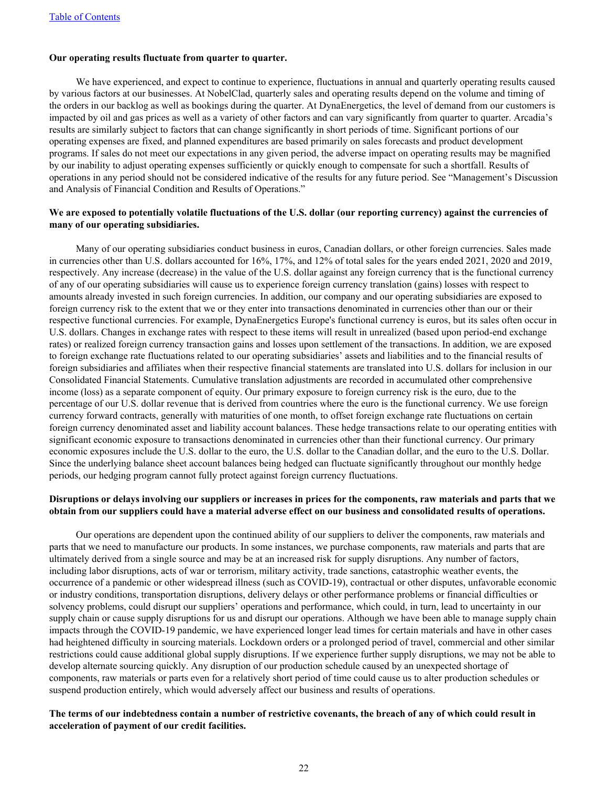## **Our operating results fluctuate from quarter to quarter.**

We have experienced, and expect to continue to experience, fluctuations in annual and quarterly operating results caused by various factors at our businesses. At NobelClad, quarterly sales and operating results depend on the volume and timing of the orders in our backlog as well as bookings during the quarter. At DynaEnergetics, the level of demand from our customers is impacted by oil and gas prices as well as a variety of other factors and can vary significantly from quarter to quarter. Arcadia's results are similarly subject to factors that can change significantly in short periods of time. Significant portions of our operating expenses are fixed, and planned expenditures are based primarily on sales forecasts and product development programs. If sales do not meet our expectations in any given period, the adverse impact on operating results may be magnified by our inability to adjust operating expenses sufficiently or quickly enough to compensate for such a shortfall. Results of operations in any period should not be considered indicative of the results for any future period. See "Management's Discussion and Analysis of Financial Condition and Results of Operations."

## **We are exposed to potentially volatile fluctuations of the U.S. dollar (our reporting currency) against the currencies of many of our operating subsidiaries.**

Many of our operating subsidiaries conduct business in euros, Canadian dollars, or other foreign currencies. Sales made in currencies other than U.S. dollars accounted for 16%, 17%, and 12% of total sales for the years ended 2021, 2020 and 2019, respectively. Any increase (decrease) in the value of the U.S. dollar against any foreign currency that is the functional currency of any of our operating subsidiaries will cause us to experience foreign currency translation (gains) losses with respect to amounts already invested in such foreign currencies. In addition, our company and our operating subsidiaries are exposed to foreign currency risk to the extent that we or they enter into transactions denominated in currencies other than our or their respective functional currencies. For example, DynaEnergetics Europe's functional currency is euros, but its sales often occur in U.S. dollars. Changes in exchange rates with respect to these items will result in unrealized (based upon period-end exchange rates) or realized foreign currency transaction gains and losses upon settlement of the transactions. In addition, we are exposed to foreign exchange rate fluctuations related to our operating subsidiaries' assets and liabilities and to the financial results of foreign subsidiaries and affiliates when their respective financial statements are translated into U.S. dollars for inclusion in our Consolidated Financial Statements. Cumulative translation adjustments are recorded in accumulated other comprehensive income (loss) as a separate component of equity. Our primary exposure to foreign currency risk is the euro, due to the percentage of our U.S. dollar revenue that is derived from countries where the euro is the functional currency. We use foreign currency forward contracts, generally with maturities of one month, to offset foreign exchange rate fluctuations on certain foreign currency denominated asset and liability account balances. These hedge transactions relate to our operating entities with significant economic exposure to transactions denominated in currencies other than their functional currency. Our primary economic exposures include the U.S. dollar to the euro, the U.S. dollar to the Canadian dollar, and the euro to the U.S. Dollar. Since the underlying balance sheet account balances being hedged can fluctuate significantly throughout our monthly hedge periods, our hedging program cannot fully protect against foreign currency fluctuations.

## **Disruptions or delays involving our suppliers or increases in prices for the components, raw materials and parts that we obtain from our suppliers could have a material adverse effect on our business and consolidated results of operations.**

Our operations are dependent upon the continued ability of our suppliers to deliver the components, raw materials and parts that we need to manufacture our products. In some instances, we purchase components, raw materials and parts that are ultimately derived from a single source and may be at an increased risk for supply disruptions. Any number of factors, including labor disruptions, acts of war or terrorism, military activity, trade sanctions, catastrophic weather events, the occurrence of a pandemic or other widespread illness (such as COVID-19), contractual or other disputes, unfavorable economic or industry conditions, transportation disruptions, delivery delays or other performance problems or financial difficulties or solvency problems, could disrupt our suppliers' operations and performance, which could, in turn, lead to uncertainty in our supply chain or cause supply disruptions for us and disrupt our operations. Although we have been able to manage supply chain impacts through the COVID-19 pandemic, we have experienced longer lead times for certain materials and have in other cases had heightened difficulty in sourcing materials. Lockdown orders or a prolonged period of travel, commercial and other similar restrictions could cause additional global supply disruptions. If we experience further supply disruptions, we may not be able to develop alternate sourcing quickly. Any disruption of our production schedule caused by an unexpected shortage of components, raw materials or parts even for a relatively short period of time could cause us to alter production schedules or suspend production entirely, which would adversely affect our business and results of operations.

## **The terms of our indebtedness contain a number of restrictive covenants, the breach of any of which could result in acceleration of payment of our credit facilities.**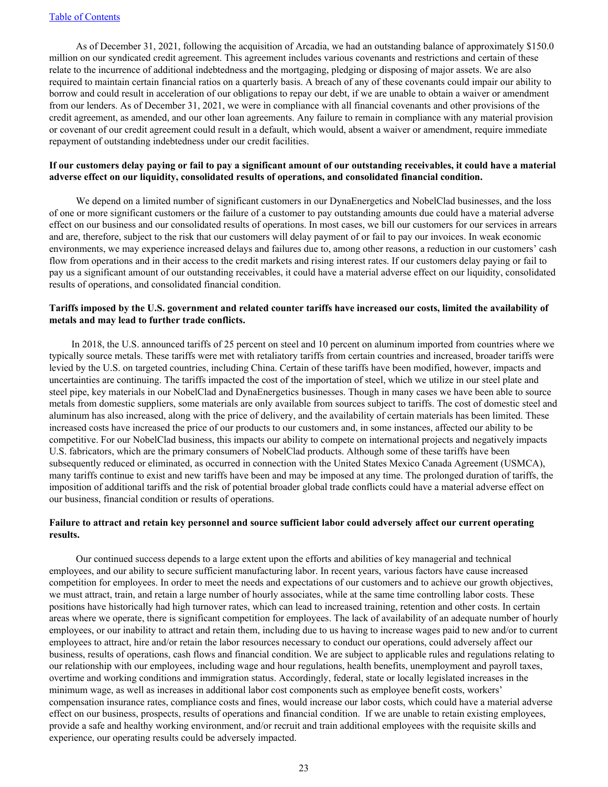As of December 31, 2021, following the acquisition of Arcadia, we had an outstanding balance of approximately \$150.0 million on our syndicated credit agreement. This agreement includes various covenants and restrictions and certain of these relate to the incurrence of additional indebtedness and the mortgaging, pledging or disposing of major assets. We are also required to maintain certain financial ratios on a quarterly basis. A breach of any of these covenants could impair our ability to borrow and could result in acceleration of our obligations to repay our debt, if we are unable to obtain a waiver or amendment from our lenders. As of December 31, 2021, we were in compliance with all financial covenants and other provisions of the credit agreement, as amended, and our other loan agreements. Any failure to remain in compliance with any material provision or covenant of our credit agreement could result in a default, which would, absent a waiver or amendment, require immediate repayment of outstanding indebtedness under our credit facilities.

## **If our customers delay paying or fail to pay a significant amount of our outstanding receivables, it could have a material adverse effect on our liquidity, consolidated results of operations, and consolidated financial condition.**

We depend on a limited number of significant customers in our DynaEnergetics and NobelClad businesses, and the loss of one or more significant customers or the failure of a customer to pay outstanding amounts due could have a material adverse effect on our business and our consolidated results of operations. In most cases, we bill our customers for our services in arrears and are, therefore, subject to the risk that our customers will delay payment of or fail to pay our invoices. In weak economic environments, we may experience increased delays and failures due to, among other reasons, a reduction in our customers' cash flow from operations and in their access to the credit markets and rising interest rates. If our customers delay paying or fail to pay us a significant amount of our outstanding receivables, it could have a material adverse effect on our liquidity, consolidated results of operations, and consolidated financial condition.

## **Tariffs imposed by the U.S. government and related counter tariffs have increased our costs, limited the availability of metals and may lead to further trade conflicts.**

In 2018, the U.S. announced tariffs of 25 percent on steel and 10 percent on aluminum imported from countries where we typically source metals. These tariffs were met with retaliatory tariffs from certain countries and increased, broader tariffs were levied by the U.S. on targeted countries, including China. Certain of these tariffs have been modified, however, impacts and uncertainties are continuing. The tariffs impacted the cost of the importation of steel, which we utilize in our steel plate and steel pipe, key materials in our NobelClad and DynaEnergetics businesses. Though in many cases we have been able to source metals from domestic suppliers, some materials are only available from sources subject to tariffs. The cost of domestic steel and aluminum has also increased, along with the price of delivery, and the availability of certain materials has been limited. These increased costs have increased the price of our products to our customers and, in some instances, affected our ability to be competitive. For our NobelClad business, this impacts our ability to compete on international projects and negatively impacts U.S. fabricators, which are the primary consumers of NobelClad products. Although some of these tariffs have been subsequently reduced or eliminated, as occurred in connection with the United States Mexico Canada Agreement (USMCA), many tariffs continue to exist and new tariffs have been and may be imposed at any time. The prolonged duration of tariffs, the imposition of additional tariffs and the risk of potential broader global trade conflicts could have a material adverse effect on our business, financial condition or results of operations.

## **Failure to attract and retain key personnel and source sufficient labor could adversely affect our current operating results.**

Our continued success depends to a large extent upon the efforts and abilities of key managerial and technical employees, and our ability to secure sufficient manufacturing labor. In recent years, various factors have cause increased competition for employees. In order to meet the needs and expectations of our customers and to achieve our growth objectives, we must attract, train, and retain a large number of hourly associates, while at the same time controlling labor costs. These positions have historically had high turnover rates, which can lead to increased training, retention and other costs. In certain areas where we operate, there is significant competition for employees. The lack of availability of an adequate number of hourly employees, or our inability to attract and retain them, including due to us having to increase wages paid to new and/or to current employees to attract, hire and/or retain the labor resources necessary to conduct our operations, could adversely affect our business, results of operations, cash flows and financial condition. We are subject to applicable rules and regulations relating to our relationship with our employees, including wage and hour regulations, health benefits, unemployment and payroll taxes, overtime and working conditions and immigration status. Accordingly, federal, state or locally legislated increases in the minimum wage, as well as increases in additional labor cost components such as employee benefit costs, workers' compensation insurance rates, compliance costs and fines, would increase our labor costs, which could have a material adverse effect on our business, prospects, results of operations and financial condition. If we are unable to retain existing employees, provide a safe and healthy working environment, and/or recruit and train additional employees with the requisite skills and experience, our operating results could be adversely impacted.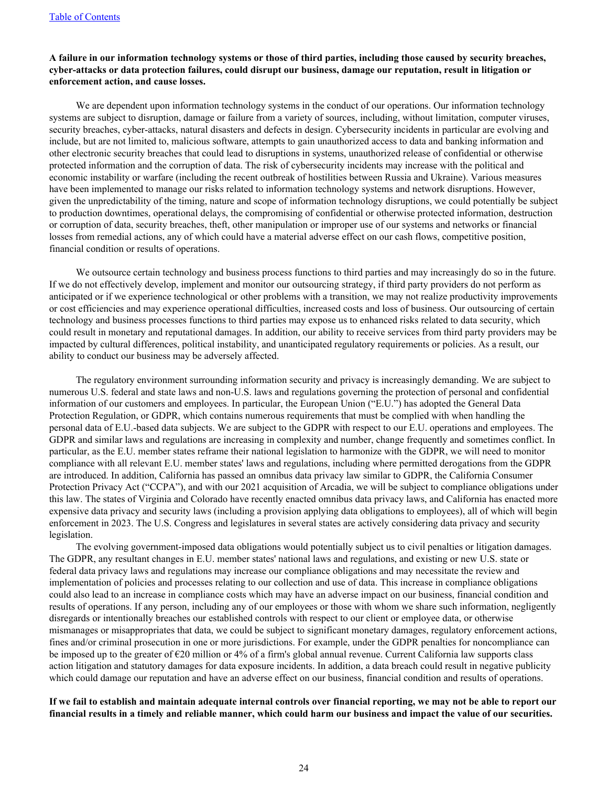## **A failure in our information technology systems or those of third parties, including those caused by security breaches, cyber-attacks or data protection failures, could disrupt our business, damage our reputation, result in litigation or enforcement action, and cause losses.**

We are dependent upon information technology systems in the conduct of our operations. Our information technology systems are subject to disruption, damage or failure from a variety of sources, including, without limitation, computer viruses, security breaches, cyber-attacks, natural disasters and defects in design. Cybersecurity incidents in particular are evolving and include, but are not limited to, malicious software, attempts to gain unauthorized access to data and banking information and other electronic security breaches that could lead to disruptions in systems, unauthorized release of confidential or otherwise protected information and the corruption of data. The risk of cybersecurity incidents may increase with the political and economic instability or warfare (including the recent outbreak of hostilities between Russia and Ukraine). Various measures have been implemented to manage our risks related to information technology systems and network disruptions. However, given the unpredictability of the timing, nature and scope of information technology disruptions, we could potentially be subject to production downtimes, operational delays, the compromising of confidential or otherwise protected information, destruction or corruption of data, security breaches, theft, other manipulation or improper use of our systems and networks or financial losses from remedial actions, any of which could have a material adverse effect on our cash flows, competitive position, financial condition or results of operations.

We outsource certain technology and business process functions to third parties and may increasingly do so in the future. If we do not effectively develop, implement and monitor our outsourcing strategy, if third party providers do not perform as anticipated or if we experience technological or other problems with a transition, we may not realize productivity improvements or cost efficiencies and may experience operational difficulties, increased costs and loss of business. Our outsourcing of certain technology and business processes functions to third parties may expose us to enhanced risks related to data security, which could result in monetary and reputational damages. In addition, our ability to receive services from third party providers may be impacted by cultural differences, political instability, and unanticipated regulatory requirements or policies. As a result, our ability to conduct our business may be adversely affected.

The regulatory environment surrounding information security and privacy is increasingly demanding. We are subject to numerous U.S. federal and state laws and non-U.S. laws and regulations governing the protection of personal and confidential information of our customers and employees. In particular, the European Union ("E.U.") has adopted the General Data Protection Regulation, or GDPR, which contains numerous requirements that must be complied with when handling the personal data of E.U.-based data subjects. We are subject to the GDPR with respect to our E.U. operations and employees. The GDPR and similar laws and regulations are increasing in complexity and number, change frequently and sometimes conflict. In particular, as the E.U. member states reframe their national legislation to harmonize with the GDPR, we will need to monitor compliance with all relevant E.U. member states' laws and regulations, including where permitted derogations from the GDPR are introduced. In addition, California has passed an omnibus data privacy law similar to GDPR, the California Consumer Protection Privacy Act ("CCPA"), and with our 2021 acquisition of Arcadia, we will be subject to compliance obligations under this law. The states of Virginia and Colorado have recently enacted omnibus data privacy laws, and California has enacted more expensive data privacy and security laws (including a provision applying data obligations to employees), all of which will begin enforcement in 2023. The U.S. Congress and legislatures in several states are actively considering data privacy and security legislation.

The evolving government-imposed data obligations would potentially subject us to civil penalties or litigation damages. The GDPR, any resultant changes in E.U. member states' national laws and regulations, and existing or new U.S. state or federal data privacy laws and regulations may increase our compliance obligations and may necessitate the review and implementation of policies and processes relating to our collection and use of data. This increase in compliance obligations could also lead to an increase in compliance costs which may have an adverse impact on our business, financial condition and results of operations. If any person, including any of our employees or those with whom we share such information, negligently disregards or intentionally breaches our established controls with respect to our client or employee data, or otherwise mismanages or misappropriates that data, we could be subject to significant monetary damages, regulatory enforcement actions, fines and/or criminal prosecution in one or more jurisdictions. For example, under the GDPR penalties for noncompliance can be imposed up to the greater of €20 million or 4% of a firm's global annual revenue. Current California law supports class action litigation and statutory damages for data exposure incidents. In addition, a data breach could result in negative publicity which could damage our reputation and have an adverse effect on our business, financial condition and results of operations.

**If we fail to establish and maintain adequate internal controls over financial reporting, we may not be able to report our financial results in a timely and reliable manner, which could harm our business and impact the value of our securities.**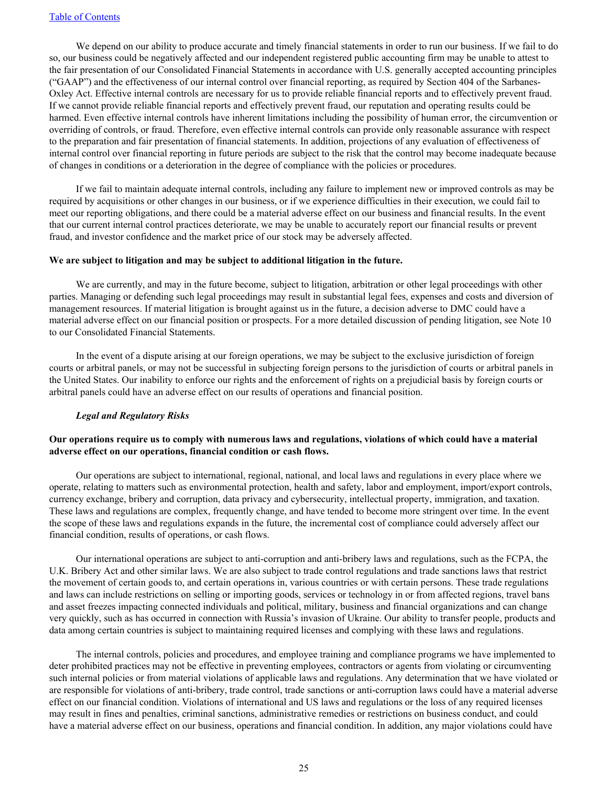We depend on our ability to produce accurate and timely financial statements in order to run our business. If we fail to do so, our business could be negatively affected and our independent registered public accounting firm may be unable to attest to the fair presentation of our Consolidated Financial Statements in accordance with U.S. generally accepted accounting principles ("GAAP") and the effectiveness of our internal control over financial reporting, as required by Section 404 of the Sarbanes-Oxley Act. Effective internal controls are necessary for us to provide reliable financial reports and to effectively prevent fraud. If we cannot provide reliable financial reports and effectively prevent fraud, our reputation and operating results could be harmed. Even effective internal controls have inherent limitations including the possibility of human error, the circumvention or overriding of controls, or fraud. Therefore, even effective internal controls can provide only reasonable assurance with respect to the preparation and fair presentation of financial statements. In addition, projections of any evaluation of effectiveness of internal control over financial reporting in future periods are subject to the risk that the control may become inadequate because of changes in conditions or a deterioration in the degree of compliance with the policies or procedures.

If we fail to maintain adequate internal controls, including any failure to implement new or improved controls as may be required by acquisitions or other changes in our business, or if we experience difficulties in their execution, we could fail to meet our reporting obligations, and there could be a material adverse effect on our business and financial results. In the event that our current internal control practices deteriorate, we may be unable to accurately report our financial results or prevent fraud, and investor confidence and the market price of our stock may be adversely affected.

#### **We are subject to litigation and may be subject to additional litigation in the future.**

We are currently, and may in the future become, subject to litigation, arbitration or other legal proceedings with other parties. Managing or defending such legal proceedings may result in substantial legal fees, expenses and costs and diversion of management resources. If material litigation is brought against us in the future, a decision adverse to DMC could have a material adverse effect on our financial position or prospects. For a more detailed discussion of pending litigation, see Note 10 to our Consolidated Financial Statements.

In the event of a dispute arising at our foreign operations, we may be subject to the exclusive jurisdiction of foreign courts or arbitral panels, or may not be successful in subjecting foreign persons to the jurisdiction of courts or arbitral panels in the United States. Our inability to enforce our rights and the enforcement of rights on a prejudicial basis by foreign courts or arbitral panels could have an adverse effect on our results of operations and financial position.

#### *Legal and Regulatory Risks*

## **Our operations require us to comply with numerous laws and regulations, violations of which could have a material adverse effect on our operations, financial condition or cash flows.**

Our operations are subject to international, regional, national, and local laws and regulations in every place where we operate, relating to matters such as environmental protection, health and safety, labor and employment, import/export controls, currency exchange, bribery and corruption, data privacy and cybersecurity, intellectual property, immigration, and taxation. These laws and regulations are complex, frequently change, and have tended to become more stringent over time. In the event the scope of these laws and regulations expands in the future, the incremental cost of compliance could adversely affect our financial condition, results of operations, or cash flows.

Our international operations are subject to anti-corruption and anti-bribery laws and regulations, such as the FCPA, the U.K. Bribery Act and other similar laws. We are also subject to trade control regulations and trade sanctions laws that restrict the movement of certain goods to, and certain operations in, various countries or with certain persons. These trade regulations and laws can include restrictions on selling or importing goods, services or technology in or from affected regions, travel bans and asset freezes impacting connected individuals and political, military, business and financial organizations and can change very quickly, such as has occurred in connection with Russia's invasion of Ukraine. Our ability to transfer people, products and data among certain countries is subject to maintaining required licenses and complying with these laws and regulations.

The internal controls, policies and procedures, and employee training and compliance programs we have implemented to deter prohibited practices may not be effective in preventing employees, contractors or agents from violating or circumventing such internal policies or from material violations of applicable laws and regulations. Any determination that we have violated or are responsible for violations of anti-bribery, trade control, trade sanctions or anti-corruption laws could have a material adverse effect on our financial condition. Violations of international and US laws and regulations or the loss of any required licenses may result in fines and penalties, criminal sanctions, administrative remedies or restrictions on business conduct, and could have a material adverse effect on our business, operations and financial condition. In addition, any major violations could have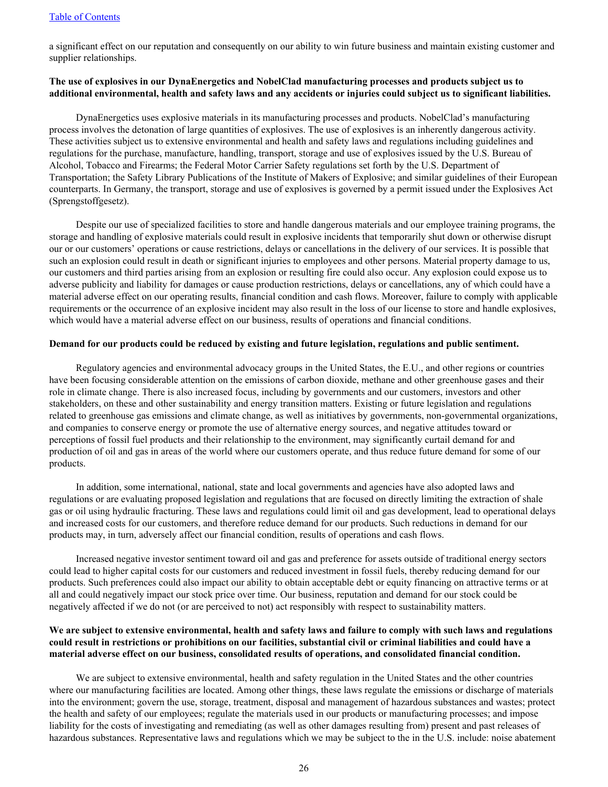#### [Table of Contents](#page-2-0)

a significant effect on our reputation and consequently on our ability to win future business and maintain existing customer and supplier relationships.

# **The use of explosives in our DynaEnergetics and NobelClad manufacturing processes and products subject us to additional environmental, health and safety laws and any accidents or injuries could subject us to significant liabilities.**

DynaEnergetics uses explosive materials in its manufacturing processes and products. NobelClad's manufacturing process involves the detonation of large quantities of explosives. The use of explosives is an inherently dangerous activity. These activities subject us to extensive environmental and health and safety laws and regulations including guidelines and regulations for the purchase, manufacture, handling, transport, storage and use of explosives issued by the U.S. Bureau of Alcohol, Tobacco and Firearms; the Federal Motor Carrier Safety regulations set forth by the U.S. Department of Transportation; the Safety Library Publications of the Institute of Makers of Explosive; and similar guidelines of their European counterparts. In Germany, the transport, storage and use of explosives is governed by a permit issued under the Explosives Act (Sprengstoffgesetz).

Despite our use of specialized facilities to store and handle dangerous materials and our employee training programs, the storage and handling of explosive materials could result in explosive incidents that temporarily shut down or otherwise disrupt our or our customers' operations or cause restrictions, delays or cancellations in the delivery of our services. It is possible that such an explosion could result in death or significant injuries to employees and other persons. Material property damage to us, our customers and third parties arising from an explosion or resulting fire could also occur. Any explosion could expose us to adverse publicity and liability for damages or cause production restrictions, delays or cancellations, any of which could have a material adverse effect on our operating results, financial condition and cash flows. Moreover, failure to comply with applicable requirements or the occurrence of an explosive incident may also result in the loss of our license to store and handle explosives, which would have a material adverse effect on our business, results of operations and financial conditions.

## **Demand for our products could be reduced by existing and future legislation, regulations and public sentiment.**

Regulatory agencies and environmental advocacy groups in the United States, the E.U., and other regions or countries have been focusing considerable attention on the emissions of carbon dioxide, methane and other greenhouse gases and their role in climate change. There is also increased focus, including by governments and our customers, investors and other stakeholders, on these and other sustainability and energy transition matters. Existing or future legislation and regulations related to greenhouse gas emissions and climate change, as well as initiatives by governments, non-governmental organizations, and companies to conserve energy or promote the use of alternative energy sources, and negative attitudes toward or perceptions of fossil fuel products and their relationship to the environment, may significantly curtail demand for and production of oil and gas in areas of the world where our customers operate, and thus reduce future demand for some of our products.

In addition, some international, national, state and local governments and agencies have also adopted laws and regulations or are evaluating proposed legislation and regulations that are focused on directly limiting the extraction of shale gas or oil using hydraulic fracturing. These laws and regulations could limit oil and gas development, lead to operational delays and increased costs for our customers, and therefore reduce demand for our products. Such reductions in demand for our products may, in turn, adversely affect our financial condition, results of operations and cash flows.

Increased negative investor sentiment toward oil and gas and preference for assets outside of traditional energy sectors could lead to higher capital costs for our customers and reduced investment in fossil fuels, thereby reducing demand for our products. Such preferences could also impact our ability to obtain acceptable debt or equity financing on attractive terms or at all and could negatively impact our stock price over time. Our business, reputation and demand for our stock could be negatively affected if we do not (or are perceived to not) act responsibly with respect to sustainability matters.

## **We are subject to extensive environmental, health and safety laws and failure to comply with such laws and regulations could result in restrictions or prohibitions on our facilities, substantial civil or criminal liabilities and could have a material adverse effect on our business, consolidated results of operations, and consolidated financial condition.**

We are subject to extensive environmental, health and safety regulation in the United States and the other countries where our manufacturing facilities are located. Among other things, these laws regulate the emissions or discharge of materials into the environment; govern the use, storage, treatment, disposal and management of hazardous substances and wastes; protect the health and safety of our employees; regulate the materials used in our products or manufacturing processes; and impose liability for the costs of investigating and remediating (as well as other damages resulting from) present and past releases of hazardous substances. Representative laws and regulations which we may be subject to the in the U.S. include: noise abatement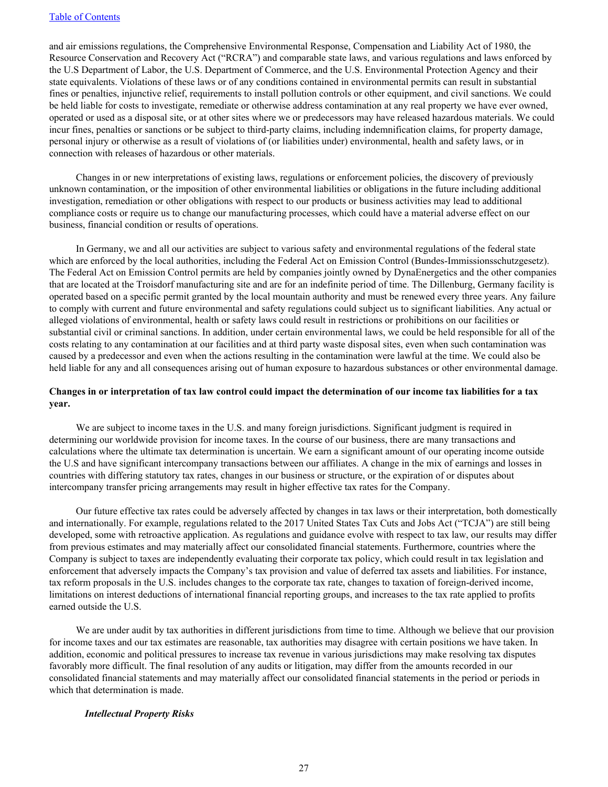and air emissions regulations, the Comprehensive Environmental Response, Compensation and Liability Act of 1980, the Resource Conservation and Recovery Act ("RCRA") and comparable state laws, and various regulations and laws enforced by the U.S Department of Labor, the U.S. Department of Commerce, and the U.S. Environmental Protection Agency and their state equivalents. Violations of these laws or of any conditions contained in environmental permits can result in substantial fines or penalties, injunctive relief, requirements to install pollution controls or other equipment, and civil sanctions. We could be held liable for costs to investigate, remediate or otherwise address contamination at any real property we have ever owned, operated or used as a disposal site, or at other sites where we or predecessors may have released hazardous materials. We could incur fines, penalties or sanctions or be subject to third-party claims, including indemnification claims, for property damage, personal injury or otherwise as a result of violations of (or liabilities under) environmental, health and safety laws, or in connection with releases of hazardous or other materials.

Changes in or new interpretations of existing laws, regulations or enforcement policies, the discovery of previously unknown contamination, or the imposition of other environmental liabilities or obligations in the future including additional investigation, remediation or other obligations with respect to our products or business activities may lead to additional compliance costs or require us to change our manufacturing processes, which could have a material adverse effect on our business, financial condition or results of operations.

In Germany, we and all our activities are subject to various safety and environmental regulations of the federal state which are enforced by the local authorities, including the Federal Act on Emission Control (Bundes-Immissionsschutzgesetz). The Federal Act on Emission Control permits are held by companies jointly owned by DynaEnergetics and the other companies that are located at the Troisdorf manufacturing site and are for an indefinite period of time. The Dillenburg, Germany facility is operated based on a specific permit granted by the local mountain authority and must be renewed every three years. Any failure to comply with current and future environmental and safety regulations could subject us to significant liabilities. Any actual or alleged violations of environmental, health or safety laws could result in restrictions or prohibitions on our facilities or substantial civil or criminal sanctions. In addition, under certain environmental laws, we could be held responsible for all of the costs relating to any contamination at our facilities and at third party waste disposal sites, even when such contamination was caused by a predecessor and even when the actions resulting in the contamination were lawful at the time. We could also be held liable for any and all consequences arising out of human exposure to hazardous substances or other environmental damage.

## **Changes in or interpretation of tax law control could impact the determination of our income tax liabilities for a tax year.**

We are subject to income taxes in the U.S. and many foreign jurisdictions. Significant judgment is required in determining our worldwide provision for income taxes. In the course of our business, there are many transactions and calculations where the ultimate tax determination is uncertain. We earn a significant amount of our operating income outside the U.S and have significant intercompany transactions between our affiliates. A change in the mix of earnings and losses in countries with differing statutory tax rates, changes in our business or structure, or the expiration of or disputes about intercompany transfer pricing arrangements may result in higher effective tax rates for the Company.

Our future effective tax rates could be adversely affected by changes in tax laws or their interpretation, both domestically and internationally. For example, regulations related to the 2017 United States Tax Cuts and Jobs Act ("TCJA") are still being developed, some with retroactive application. As regulations and guidance evolve with respect to tax law, our results may differ from previous estimates and may materially affect our consolidated financial statements. Furthermore, countries where the Company is subject to taxes are independently evaluating their corporate tax policy, which could result in tax legislation and enforcement that adversely impacts the Company's tax provision and value of deferred tax assets and liabilities. For instance, tax reform proposals in the U.S. includes changes to the corporate tax rate, changes to taxation of foreign-derived income, limitations on interest deductions of international financial reporting groups, and increases to the tax rate applied to profits earned outside the U.S.

We are under audit by tax authorities in different jurisdictions from time to time. Although we believe that our provision for income taxes and our tax estimates are reasonable, tax authorities may disagree with certain positions we have taken. In addition, economic and political pressures to increase tax revenue in various jurisdictions may make resolving tax disputes favorably more difficult. The final resolution of any audits or litigation, may differ from the amounts recorded in our consolidated financial statements and may materially affect our consolidated financial statements in the period or periods in which that determination is made.

#### *Intellectual Property Risks*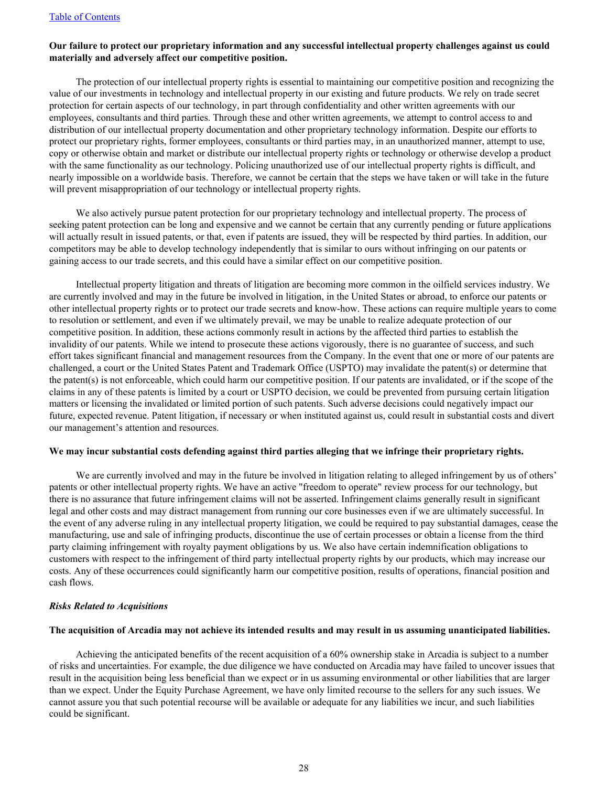## **Our failure to protect our proprietary information and any successful intellectual property challenges against us could materially and adversely affect our competitive position.**

The protection of our intellectual property rights is essential to maintaining our competitive position and recognizing the value of our investments in technology and intellectual property in our existing and future products. We rely on trade secret protection for certain aspects of our technology, in part through confidentiality and other written agreements with our employees, consultants and third parties. Through these and other written agreements, we attempt to control access to and distribution of our intellectual property documentation and other proprietary technology information. Despite our efforts to protect our proprietary rights, former employees, consultants or third parties may, in an unauthorized manner, attempt to use, copy or otherwise obtain and market or distribute our intellectual property rights or technology or otherwise develop a product with the same functionality as our technology. Policing unauthorized use of our intellectual property rights is difficult, and nearly impossible on a worldwide basis. Therefore, we cannot be certain that the steps we have taken or will take in the future will prevent misappropriation of our technology or intellectual property rights.

We also actively pursue patent protection for our proprietary technology and intellectual property. The process of seeking patent protection can be long and expensive and we cannot be certain that any currently pending or future applications will actually result in issued patents, or that, even if patents are issued, they will be respected by third parties. In addition, our competitors may be able to develop technology independently that is similar to ours without infringing on our patents or gaining access to our trade secrets, and this could have a similar effect on our competitive position.

Intellectual property litigation and threats of litigation are becoming more common in the oilfield services industry. We are currently involved and may in the future be involved in litigation, in the United States or abroad, to enforce our patents or other intellectual property rights or to protect our trade secrets and know-how. These actions can require multiple years to come to resolution or settlement, and even if we ultimately prevail, we may be unable to realize adequate protection of our competitive position. In addition, these actions commonly result in actions by the affected third parties to establish the invalidity of our patents. While we intend to prosecute these actions vigorously, there is no guarantee of success, and such effort takes significant financial and management resources from the Company. In the event that one or more of our patents are challenged, a court or the United States Patent and Trademark Office (USPTO) may invalidate the patent(s) or determine that the patent(s) is not enforceable, which could harm our competitive position. If our patents are invalidated, or if the scope of the claims in any of these patents is limited by a court or USPTO decision, we could be prevented from pursuing certain litigation matters or licensing the invalidated or limited portion of such patents. Such adverse decisions could negatively impact our future, expected revenue. Patent litigation, if necessary or when instituted against us, could result in substantial costs and divert our management's attention and resources.

#### **We may incur substantial costs defending against third parties alleging that we infringe their proprietary rights.**

We are currently involved and may in the future be involved in litigation relating to alleged infringement by us of others' patents or other intellectual property rights. We have an active "freedom to operate" review process for our technology, but there is no assurance that future infringement claims will not be asserted. Infringement claims generally result in significant legal and other costs and may distract management from running our core businesses even if we are ultimately successful. In the event of any adverse ruling in any intellectual property litigation, we could be required to pay substantial damages, cease the manufacturing, use and sale of infringing products, discontinue the use of certain processes or obtain a license from the third party claiming infringement with royalty payment obligations by us. We also have certain indemnification obligations to customers with respect to the infringement of third party intellectual property rights by our products, which may increase our costs. Any of these occurrences could significantly harm our competitive position, results of operations, financial position and cash flows.

#### *Risks Related to Acquisitions*

#### **The acquisition of Arcadia may not achieve its intended results and may result in us assuming unanticipated liabilities.**

Achieving the anticipated benefits of the recent acquisition of a 60% ownership stake in Arcadia is subject to a number of risks and uncertainties. For example, the due diligence we have conducted on Arcadia may have failed to uncover issues that result in the acquisition being less beneficial than we expect or in us assuming environmental or other liabilities that are larger than we expect. Under the Equity Purchase Agreement, we have only limited recourse to the sellers for any such issues. We cannot assure you that such potential recourse will be available or adequate for any liabilities we incur, and such liabilities could be significant.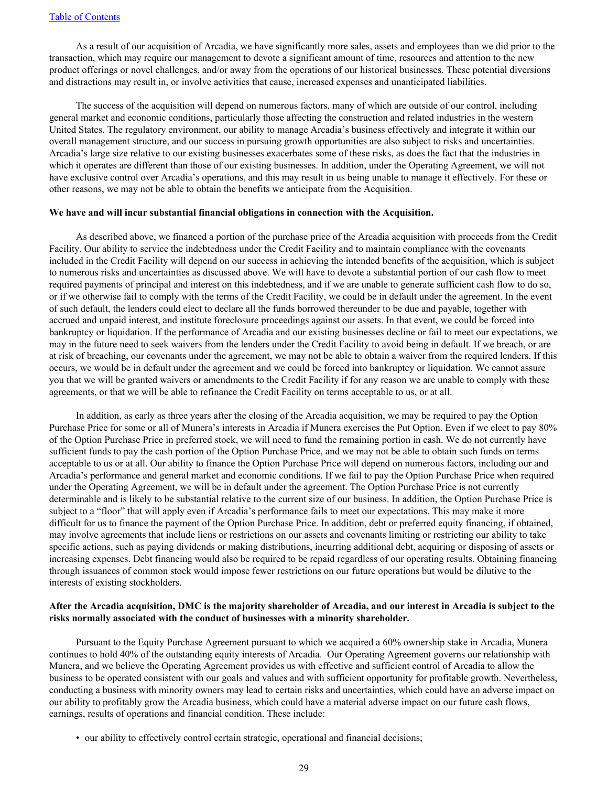As a result of our acquisition of Arcadia, we have significantly more sales, assets and employees than we did prior to the transaction, which may require our management to devote a significant amount of time, resources and attention to the new product offerings or novel challenges, and/or away from the operations of our historical businesses. These potential diversions and distractions may result in, or involve activities that cause, increased expenses and unanticipated liabilities.

The success of the acquisition will depend on numerous factors, many of which are outside of our control, including general market and economic conditions, particularly those affecting the construction and related industries in the western United States. The regulatory environment, our ability to manage Arcadia's business effectively and integrate it within our overall management structure, and our success in pursuing growth opportunities are also subject to risks and uncertainties. Arcadia's large size relative to our existing businesses exacerbates some of these risks, as does the fact that the industries in which it operates are different than those of our existing businesses. In addition, under the Operating Agreement, we will not have exclusive control over Arcadia's operations, and this may result in us being unable to manage it effectively. For these or other reasons, we may not be able to obtain the benefits we anticipate from the Acquisition.

#### **We have and will incur substantial financial obligations in connection with the Acquisition.**

As described above, we financed a portion of the purchase price of the Arcadia acquisition with proceeds from the Credit Facility. Our ability to service the indebtedness under the Credit Facility and to maintain compliance with the covenants included in the Credit Facility will depend on our success in achieving the intended benefits of the acquisition, which is subject to numerous risks and uncertainties as discussed above. We will have to devote a substantial portion of our cash flow to meet required payments of principal and interest on this indebtedness, and if we are unable to generate sufficient cash flow to do so, or if we otherwise fail to comply with the terms of the Credit Facility, we could be in default under the agreement. In the event of such default, the lenders could elect to declare all the funds borrowed thereunder to be due and payable, together with accrued and unpaid interest, and institute foreclosure proceedings against our assets. In that event, we could be forced into bankruptcy or liquidation. If the performance of Arcadia and our existing businesses decline or fail to meet our expectations, we may in the future need to seek waivers from the lenders under the Credit Facility to avoid being in default. If we breach, or are at risk of breaching, our covenants under the agreement, we may not be able to obtain a waiver from the required lenders. If this occurs, we would be in default under the agreement and we could be forced into bankruptcy or liquidation. We cannot assure you that we will be granted waivers or amendments to the Credit Facility if for any reason we are unable to comply with these agreements, or that we will be able to refinance the Credit Facility on terms acceptable to us, or at all.

In addition, as early as three years after the closing of the Arcadia acquisition, we may be required to pay the Option Purchase Price for some or all of Munera's interests in Arcadia if Munera exercises the Put Option. Even if we elect to pay 80% of the Option Purchase Price in preferred stock, we will need to fund the remaining portion in cash. We do not currently have sufficient funds to pay the cash portion of the Option Purchase Price, and we may not be able to obtain such funds on terms acceptable to us or at all. Our ability to finance the Option Purchase Price will depend on numerous factors, including our and Arcadia's performance and general market and economic conditions. If we fail to pay the Option Purchase Price when required under the Operating Agreement, we will be in default under the agreement. The Option Purchase Price is not currently determinable and is likely to be substantial relative to the current size of our business. In addition, the Option Purchase Price is subject to a "floor" that will apply even if Arcadia's performance fails to meet our expectations. This may make it more difficult for us to finance the payment of the Option Purchase Price. In addition, debt or preferred equity financing, if obtained, may involve agreements that include liens or restrictions on our assets and covenants limiting or restricting our ability to take specific actions, such as paying dividends or making distributions, incurring additional debt, acquiring or disposing of assets or increasing expenses. Debt financing would also be required to be repaid regardless of our operating results. Obtaining financing through issuances of common stock would impose fewer restrictions on our future operations but would be dilutive to the interests of existing stockholders.

## **After the Arcadia acquisition, DMC is the majority shareholder of Arcadia, and our interest in Arcadia is subject to the risks normally associated with the conduct of businesses with a minority shareholder.**

Pursuant to the Equity Purchase Agreement pursuant to which we acquired a 60% ownership stake in Arcadia, Munera continues to hold 40% of the outstanding equity interests of Arcadia. Our Operating Agreement governs our relationship with Munera, and we believe the Operating Agreement provides us with effective and sufficient control of Arcadia to allow the business to be operated consistent with our goals and values and with sufficient opportunity for profitable growth. Nevertheless, conducting a business with minority owners may lead to certain risks and uncertainties, which could have an adverse impact on our ability to profitably grow the Arcadia business, which could have a material adverse impact on our future cash flows, earnings, results of operations and financial condition. These include:

• our ability to effectively control certain strategic, operational and financial decisions;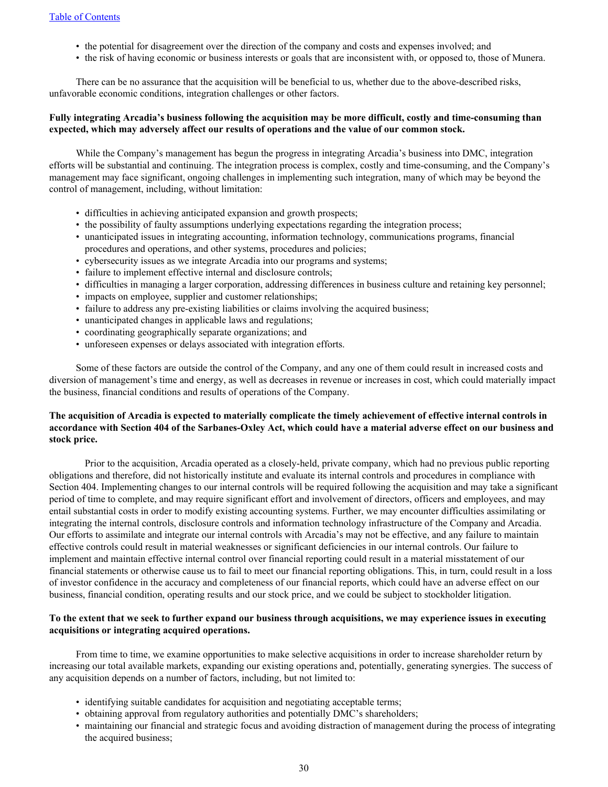- the potential for disagreement over the direction of the company and costs and expenses involved; and
- the risk of having economic or business interests or goals that are inconsistent with, or opposed to, those of Munera.

There can be no assurance that the acquisition will be beneficial to us, whether due to the above-described risks, unfavorable economic conditions, integration challenges or other factors.

## **Fully integrating Arcadia's business following the acquisition may be more difficult, costly and time-consuming than expected, which may adversely affect our results of operations and the value of our common stock.**

While the Company's management has begun the progress in integrating Arcadia's business into DMC, integration efforts will be substantial and continuing. The integration process is complex, costly and time-consuming, and the Company's management may face significant, ongoing challenges in implementing such integration, many of which may be beyond the control of management, including, without limitation:

- difficulties in achieving anticipated expansion and growth prospects;
- the possibility of faulty assumptions underlying expectations regarding the integration process;
- unanticipated issues in integrating accounting, information technology, communications programs, financial procedures and operations, and other systems, procedures and policies;
- cybersecurity issues as we integrate Arcadia into our programs and systems;
- failure to implement effective internal and disclosure controls;
- difficulties in managing a larger corporation, addressing differences in business culture and retaining key personnel;
- impacts on employee, supplier and customer relationships;
- failure to address any pre-existing liabilities or claims involving the acquired business;
- unanticipated changes in applicable laws and regulations;
- coordinating geographically separate organizations; and
- unforeseen expenses or delays associated with integration efforts.

Some of these factors are outside the control of the Company, and any one of them could result in increased costs and diversion of management's time and energy, as well as decreases in revenue or increases in cost, which could materially impact the business, financial conditions and results of operations of the Company.

# **The acquisition of Arcadia is expected to materially complicate the timely achievement of effective internal controls in accordance with Section 404 of the Sarbanes-Oxley Act, which could have a material adverse effect on our business and stock price.**

Prior to the acquisition, Arcadia operated as a closely-held, private company, which had no previous public reporting obligations and therefore, did not historically institute and evaluate its internal controls and procedures in compliance with Section 404. Implementing changes to our internal controls will be required following the acquisition and may take a significant period of time to complete, and may require significant effort and involvement of directors, officers and employees, and may entail substantial costs in order to modify existing accounting systems. Further, we may encounter difficulties assimilating or integrating the internal controls, disclosure controls and information technology infrastructure of the Company and Arcadia. Our efforts to assimilate and integrate our internal controls with Arcadia's may not be effective, and any failure to maintain effective controls could result in material weaknesses or significant deficiencies in our internal controls. Our failure to implement and maintain effective internal control over financial reporting could result in a material misstatement of our financial statements or otherwise cause us to fail to meet our financial reporting obligations. This, in turn, could result in a loss of investor confidence in the accuracy and completeness of our financial reports, which could have an adverse effect on our business, financial condition, operating results and our stock price, and we could be subject to stockholder litigation.

## **To the extent that we seek to further expand our business through acquisitions, we may experience issues in executing acquisitions or integrating acquired operations.**

From time to time, we examine opportunities to make selective acquisitions in order to increase shareholder return by increasing our total available markets, expanding our existing operations and, potentially, generating synergies. The success of any acquisition depends on a number of factors, including, but not limited to:

- identifying suitable candidates for acquisition and negotiating acceptable terms;
- obtaining approval from regulatory authorities and potentially DMC's shareholders;
- maintaining our financial and strategic focus and avoiding distraction of management during the process of integrating the acquired business;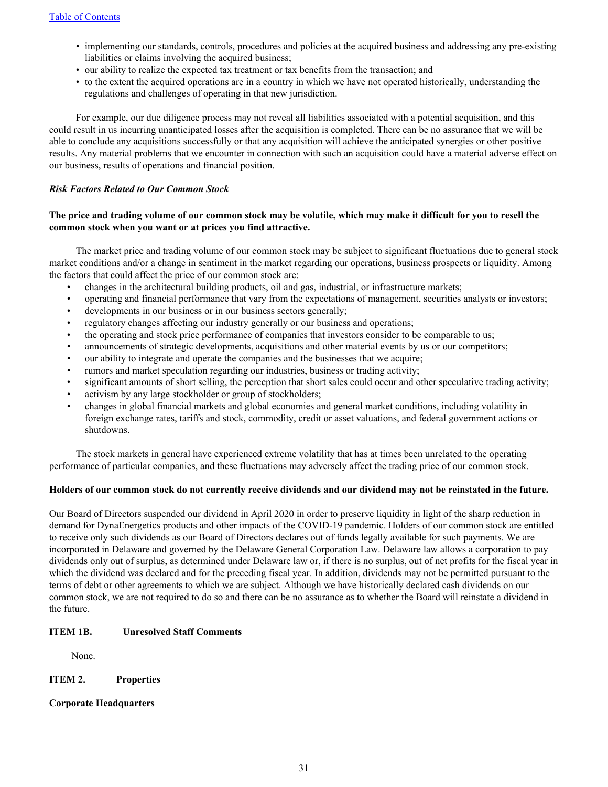- <span id="page-33-0"></span>• implementing our standards, controls, procedures and policies at the acquired business and addressing any pre-existing liabilities or claims involving the acquired business;
- our ability to realize the expected tax treatment or tax benefits from the transaction; and
- to the extent the acquired operations are in a country in which we have not operated historically, understanding the regulations and challenges of operating in that new jurisdiction.

For example, our due diligence process may not reveal all liabilities associated with a potential acquisition, and this could result in us incurring unanticipated losses after the acquisition is completed. There can be no assurance that we will be able to conclude any acquisitions successfully or that any acquisition will achieve the anticipated synergies or other positive results. Any material problems that we encounter in connection with such an acquisition could have a material adverse effect on our business, results of operations and financial position.

## *Risk Factors Related to Our Common Stock*

## **The price and trading volume of our common stock may be volatile, which may make it difficult for you to resell the common stock when you want or at prices you find attractive.**

The market price and trading volume of our common stock may be subject to significant fluctuations due to general stock market conditions and/or a change in sentiment in the market regarding our operations, business prospects or liquidity. Among the factors that could affect the price of our common stock are:

- changes in the architectural building products, oil and gas, industrial, or infrastructure markets;
- operating and financial performance that vary from the expectations of management, securities analysts or investors;
- developments in our business or in our business sectors generally;
- regulatory changes affecting our industry generally or our business and operations;
- the operating and stock price performance of companies that investors consider to be comparable to us;
- announcements of strategic developments, acquisitions and other material events by us or our competitors;
- our ability to integrate and operate the companies and the businesses that we acquire;
- rumors and market speculation regarding our industries, business or trading activity;
- significant amounts of short selling, the perception that short sales could occur and other speculative trading activity;
- activism by any large stockholder or group of stockholders;
- changes in global financial markets and global economies and general market conditions, including volatility in foreign exchange rates, tariffs and stock, commodity, credit or asset valuations, and federal government actions or shutdowns.

The stock markets in general have experienced extreme volatility that has at times been unrelated to the operating performance of particular companies, and these fluctuations may adversely affect the trading price of our common stock.

## **Holders of our common stock do not currently receive dividends and our dividend may not be reinstated in the future.**

Our Board of Directors suspended our dividend in April 2020 in order to preserve liquidity in light of the sharp reduction in demand for DynaEnergetics products and other impacts of the COVID-19 pandemic. Holders of our common stock are entitled to receive only such dividends as our Board of Directors declares out of funds legally available for such payments. We are incorporated in Delaware and governed by the Delaware General Corporation Law. Delaware law allows a corporation to pay dividends only out of surplus, as determined under Delaware law or, if there is no surplus, out of net profits for the fiscal year in which the dividend was declared and for the preceding fiscal year. In addition, dividends may not be permitted pursuant to the terms of debt or other agreements to which we are subject. Although we have historically declared cash dividends on our common stock, we are not required to do so and there can be no assurance as to whether the Board will reinstate a dividend in the future.

## **ITEM 1B. Unresolved Staff Comments**

None.

## **ITEM 2. Properties**

## **Corporate Headquarters**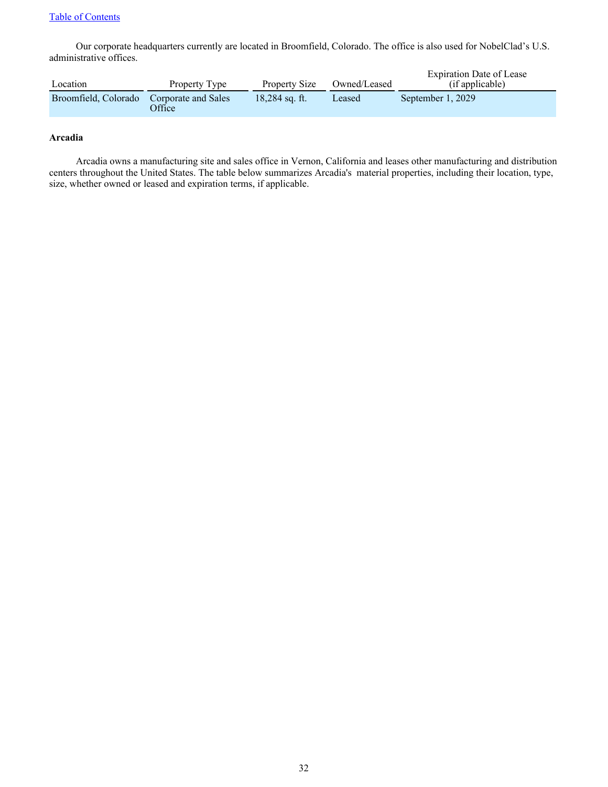## [Table of Contents](#page-2-0)

Our corporate headquarters currently are located in Broomfield, Colorado. The office is also used for NobelClad's U.S. administrative offices.

| Location             | Property Type                        | Property Size    | Owned/Leased | Expiration Date of Lease<br>(if applicable) |
|----------------------|--------------------------------------|------------------|--------------|---------------------------------------------|
| Broomfield, Colorado | Corporate and Sales<br><b>Office</b> | $18.284$ sq. ft. | Leased       | September 1, 2029                           |

## **Arcadia**

Arcadia owns a manufacturing site and sales office in Vernon, California and leases other manufacturing and distribution centers throughout the United States. The table below summarizes Arcadia's material properties, including their location, type, size, whether owned or leased and expiration terms, if applicable.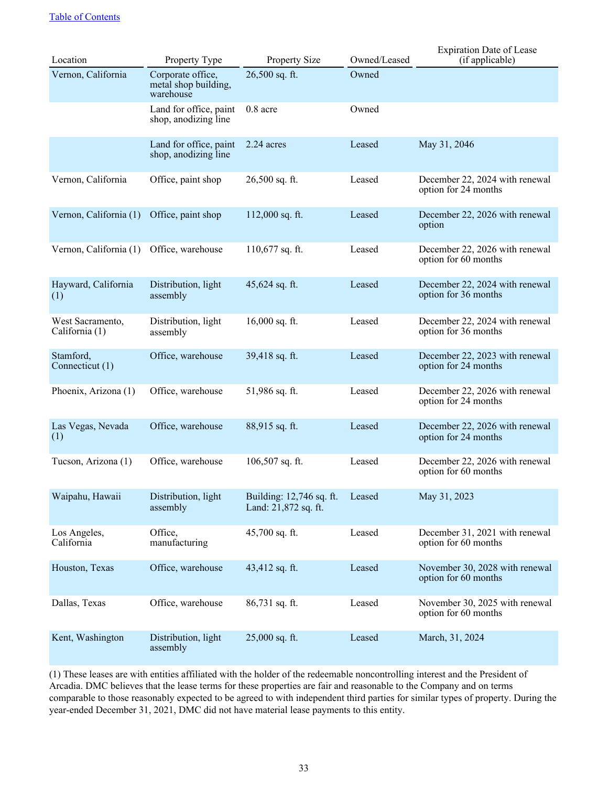| Location                           | Property Type                                          | <b>Property Size</b>                             | Owned/Leased | <b>Expiration Date of Lease</b><br>(if applicable)     |
|------------------------------------|--------------------------------------------------------|--------------------------------------------------|--------------|--------------------------------------------------------|
| Vernon, California                 | Corporate office,<br>metal shop building,<br>warehouse | 26,500 sq. ft.                                   | Owned        |                                                        |
|                                    | Land for office, paint<br>shop, anodizing line         | 0.8 acre                                         | Owned        |                                                        |
|                                    | Land for office, paint<br>shop, anodizing line         | 2.24 acres                                       | Leased       | May 31, 2046                                           |
| Vernon, California                 | Office, paint shop                                     | 26,500 sq. ft.                                   | Leased       | December 22, 2024 with renewal<br>option for 24 months |
| Vernon, California (1)             | Office, paint shop                                     | $112,000$ sq. ft.                                | Leased       | December 22, 2026 with renewal<br>option               |
| Vernon, California (1)             | Office, warehouse                                      | $110,677$ sq. ft.                                | Leased       | December 22, 2026 with renewal<br>option for 60 months |
| Hayward, California<br>(1)         | Distribution, light<br>assembly                        | 45,624 sq. ft.                                   | Leased       | December 22, 2024 with renewal<br>option for 36 months |
| West Sacramento,<br>California (1) | Distribution, light<br>assembly                        | $16,000$ sq. ft.                                 | Leased       | December 22, 2024 with renewal<br>option for 36 months |
| Stamford,<br>Connecticut (1)       | Office, warehouse                                      | 39,418 sq. ft.                                   | Leased       | December 22, 2023 with renewal<br>option for 24 months |
| Phoenix, Arizona (1)               | Office, warehouse                                      | 51,986 sq. ft.                                   | Leased       | December 22, 2026 with renewal<br>option for 24 months |
| Las Vegas, Nevada<br>(1)           | Office, warehouse                                      | 88,915 sq. ft.                                   | Leased       | December 22, 2026 with renewal<br>option for 24 months |
| Tucson, Arizona (1)                | Office, warehouse                                      | $106,507$ sq. ft.                                | Leased       | December 22, 2026 with renewal<br>option for 60 months |
| Waipahu, Hawaii                    | Distribution, light<br>assembly                        | Building: 12,746 sq. ft.<br>Land: 21,872 sq. ft. | Leased       | May 31, 2023                                           |
| Los Angeles,<br>California         | Office,<br>manufacturing                               | 45,700 sq. ft.                                   | Leased       | December 31, 2021 with renewal<br>option for 60 months |
| Houston, Texas                     | Office, warehouse                                      | 43,412 sq. ft.                                   | Leased       | November 30, 2028 with renewal<br>option for 60 months |
| Dallas, Texas                      | Office, warehouse                                      | 86,731 sq. ft.                                   | Leased       | November 30, 2025 with renewal<br>option for 60 months |
| Kent, Washington                   | Distribution, light<br>assembly                        | 25,000 sq. ft.                                   | Leased       | March, 31, 2024                                        |

(1) These leases are with entities affiliated with the holder of the redeemable noncontrolling interest and the President of Arcadia. DMC believes that the lease terms for these properties are fair and reasonable to the Company and on terms comparable to those reasonably expected to be agreed to with independent third parties for similar types of property. During the year-ended December 31, 2021, DMC did not have material lease payments to this entity.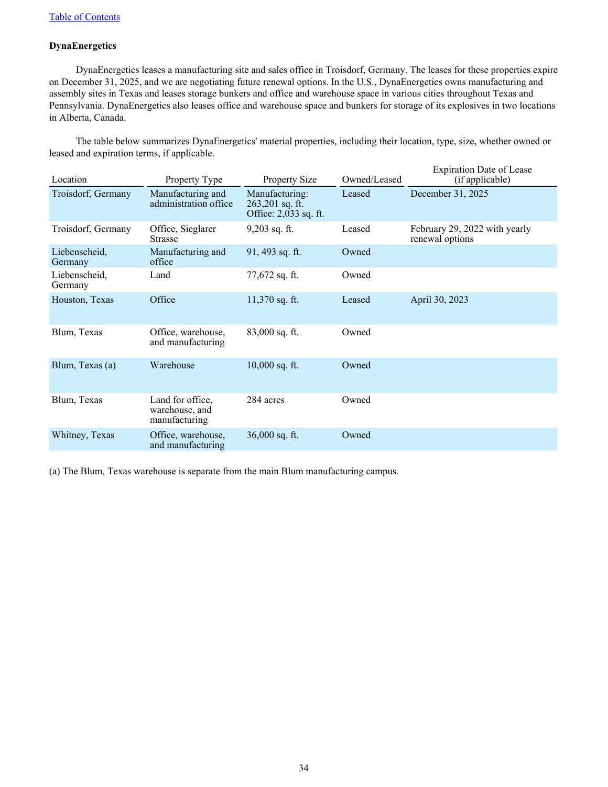## **DynaEnergetics**

DynaEnergetics leases a manufacturing site and sales office in Troisdorf, Germany. The leases for these properties expire on December 31, 2025, and we are negotiating future renewal options. In the U.S., DynaEnergetics owns manufacturing and assembly sites in Texas and leases storage bunkers and office and warehouse space in various cities throughout Texas and Pennsylvania. DynaEnergetics also leases office and warehouse space and bunkers for storage of its explosives in two locations in Alberta, Canada.

The table below summarizes DynaEnergetics' material properties, including their location, type, size, whether owned or leased and expiration terms, if applicable.

| Location                 | Property Type                                       | <b>Property Size</b>                                       | Owned/Leased | <b>Expiration Date of Lease</b><br>(if applicable) |
|--------------------------|-----------------------------------------------------|------------------------------------------------------------|--------------|----------------------------------------------------|
| Troisdorf, Germany       | Manufacturing and<br>administration office          | Manufacturing:<br>263,201 sq. ft.<br>Office: 2,033 sq. ft. | Leased       | December 31, 2025                                  |
| Troisdorf, Germany       | Office, Sieglarer<br><b>Strasse</b>                 | $9,203$ sq. ft.                                            | Leased       | February 29, 2022 with yearly<br>renewal options   |
| Liebenscheid.<br>Germany | Manufacturing and<br>office                         | 91, 493 sq. ft.                                            | Owned        |                                                    |
| Liebenscheid,<br>Germany | Land                                                | $77,672$ sq. ft.                                           | Owned        |                                                    |
| Houston, Texas           | Office                                              | $11,370$ sq. ft.                                           | Leased       | April 30, 2023                                     |
| Blum, Texas              | Office, warehouse,<br>and manufacturing             | $83,000$ sq. ft.                                           | Owned        |                                                    |
| Blum, Texas (a)          | Warehouse                                           | $10,000$ sq. ft.                                           | Owned        |                                                    |
| Blum, Texas              | Land for office,<br>warehouse, and<br>manufacturing | 284 acres                                                  | Owned        |                                                    |
| Whitney, Texas           | Office, warehouse,<br>and manufacturing             | $36,000$ sq. ft.                                           | Owned        |                                                    |

(a) The Blum, Texas warehouse is separate from the main Blum manufacturing campus.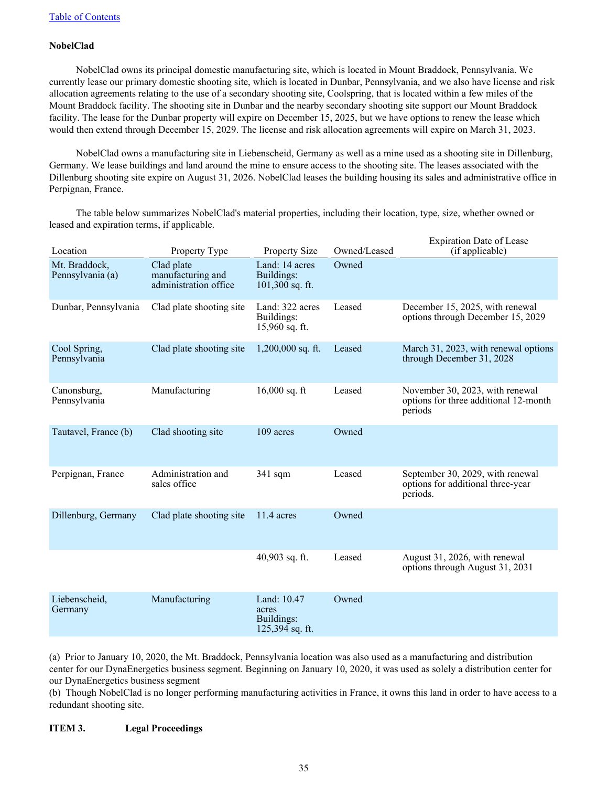## **NobelClad**

NobelClad owns its principal domestic manufacturing site, which is located in Mount Braddock, Pennsylvania. We currently lease our primary domestic shooting site, which is located in Dunbar, Pennsylvania, and we also have license and risk allocation agreements relating to the use of a secondary shooting site, Coolspring, that is located within a few miles of the Mount Braddock facility. The shooting site in Dunbar and the nearby secondary shooting site support our Mount Braddock facility. The lease for the Dunbar property will expire on December 15, 2025, but we have options to renew the lease which would then extend through December 15, 2029. The license and risk allocation agreements will expire on March 31, 2023.

NobelClad owns a manufacturing site in Liebenscheid, Germany as well as a mine used as a shooting site in Dillenburg, Germany. We lease buildings and land around the mine to ensure access to the shooting site. The leases associated with the Dillenburg shooting site expire on August 31, 2026. NobelClad leases the building housing its sales and administrative office in Perpignan, France.

The table below summarizes NobelClad's material properties, including their location, type, size, whether owned or leased and expiration terms, if applicable.

| Location                          | Property Type                                            | <b>Property Size</b>                                    | Owned/Leased | <b>Expiration Date of Lease</b><br>(if applicable)                                  |
|-----------------------------------|----------------------------------------------------------|---------------------------------------------------------|--------------|-------------------------------------------------------------------------------------|
| Mt. Braddock,<br>Pennsylvania (a) | Clad plate<br>manufacturing and<br>administration office | Land: 14 acres<br>Buildings:<br>$101,300$ sq. ft.       | Owned        |                                                                                     |
| Dunbar, Pennsylvania              | Clad plate shooting site                                 | Land: 322 acres<br>Buildings:<br>15,960 sq. ft.         | Leased       | December 15, 2025, with renewal<br>options through December 15, 2029                |
| Cool Spring,<br>Pennsylvania      | Clad plate shooting site                                 | $1,200,000$ sq. ft.                                     | Leased       | March 31, 2023, with renewal options<br>through December 31, 2028                   |
| Canonsburg,<br>Pennsylvania       | Manufacturing                                            | $16,000$ sq. ft                                         | Leased       | November 30, 2023, with renewal<br>options for three additional 12-month<br>periods |
| Tautavel, France (b)              | Clad shooting site                                       | 109 acres                                               | Owned        |                                                                                     |
| Perpignan, France                 | Administration and<br>sales office                       | $341$ sqm                                               | Leased       | September 30, 2029, with renewal<br>options for additional three-year<br>periods.   |
| Dillenburg, Germany               | Clad plate shooting site                                 | 11.4 acres                                              | Owned        |                                                                                     |
|                                   |                                                          | 40,903 sq. ft.                                          | Leased       | August 31, 2026, with renewal<br>options through August 31, 2031                    |
| Liebenscheid,<br>Germany          | Manufacturing                                            | Land: 10.47<br>acres<br>Buildings:<br>$125,394$ sq. ft. | Owned        |                                                                                     |

(a) Prior to January 10, 2020, the Mt. Braddock, Pennsylvania location was also used as a manufacturing and distribution center for our DynaEnergetics business segment. Beginning on January 10, 2020, it was used as solely a distribution center for our DynaEnergetics business segment

(b) Though NobelClad is no longer performing manufacturing activities in France, it owns this land in order to have access to a redundant shooting site.

## **ITEM 3. Legal Proceedings**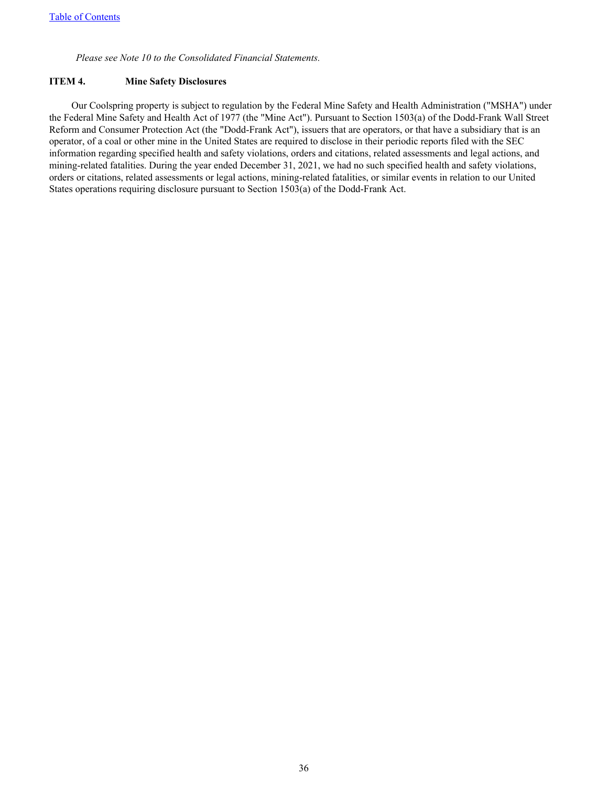*Please see Note 10 to the Consolidated Financial Statements.*

## **ITEM 4. Mine Safety Disclosures**

Our Coolspring property is subject to regulation by the Federal Mine Safety and Health Administration ("MSHA") under the Federal Mine Safety and Health Act of 1977 (the "Mine Act"). Pursuant to Section 1503(a) of the Dodd-Frank Wall Street Reform and Consumer Protection Act (the "Dodd-Frank Act"), issuers that are operators, or that have a subsidiary that is an operator, of a coal or other mine in the United States are required to disclose in their periodic reports filed with the SEC information regarding specified health and safety violations, orders and citations, related assessments and legal actions, and mining-related fatalities. During the year ended December 31, 2021, we had no such specified health and safety violations, orders or citations, related assessments or legal actions, mining-related fatalities, or similar events in relation to our United States operations requiring disclosure pursuant to Section 1503(a) of the Dodd-Frank Act.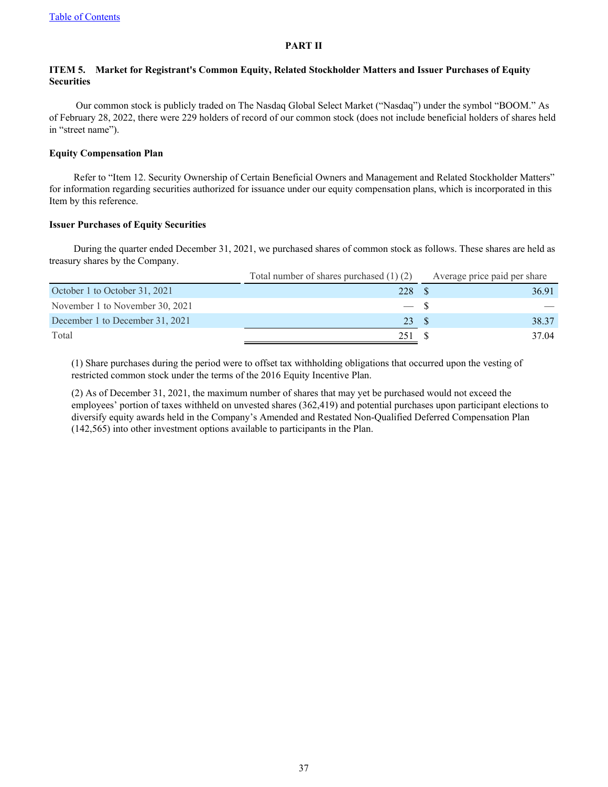## **PART II**

## **ITEM 5. Market for Registrant's Common Equity, Related Stockholder Matters and Issuer Purchases of Equity Securities**

Our common stock is publicly traded on The Nasdaq Global Select Market ("Nasdaq") under the symbol "BOOM." As of February 28, 2022, there were 229 holders of record of our common stock (does not include beneficial holders of shares held in "street name").

## **Equity Compensation Plan**

Refer to "Item 12. Security Ownership of Certain Beneficial Owners and Management and Related Stockholder Matters" for information regarding securities authorized for issuance under our equity compensation plans, which is incorporated in this Item by this reference.

## **Issuer Purchases of Equity Securities**

During the quarter ended December 31, 2021, we purchased shares of common stock as follows. These shares are held as treasury shares by the Company.

|                                 | Total number of shares purchased $(1)$ $(2)$ | Average price paid per share |       |
|---------------------------------|----------------------------------------------|------------------------------|-------|
| October 1 to October 31, 2021   | 228                                          |                              | 36.91 |
| November 1 to November 30, 2021 | $-$ S                                        |                              |       |
| December 1 to December 31, 2021 | 23 \$                                        |                              | 38.37 |
| Total                           | 251                                          |                              | 37.04 |

(1) Share purchases during the period were to offset tax withholding obligations that occurred upon the vesting of restricted common stock under the terms of the 2016 Equity Incentive Plan.

(2) As of December 31, 2021, the maximum number of shares that may yet be purchased would not exceed the employees' portion of taxes withheld on unvested shares (362,419) and potential purchases upon participant elections to diversify equity awards held in the Company's Amended and Restated Non-Qualified Deferred Compensation Plan (142,565) into other investment options available to participants in the Plan.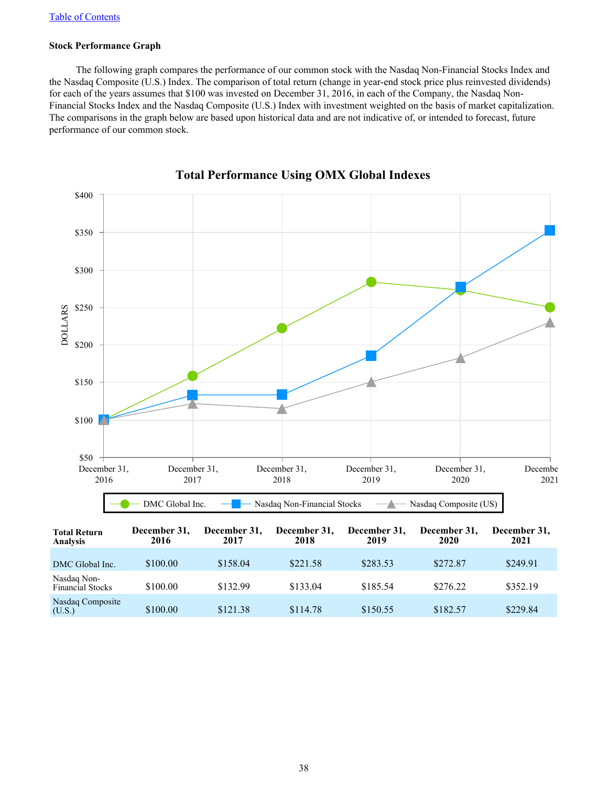## **Stock Performance Graph**

The following graph compares the performance of our common stock with the Nasdaq Non-Financial Stocks Index and the Nasdaq Composite (U.S.) Index. The comparison of total return (change in year-end stock price plus reinvested dividends) for each of the years assumes that \$100 was invested on December 31, 2016, in each of the Company, the Nasdaq Non-Financial Stocks Index and the Nasdaq Composite (U.S.) Index with investment weighted on the basis of market capitalization. The comparisons in the graph below are based upon historical data and are not indicative of, or intended to forecast, future performance of our common stock.



# **Total Performance Using OMX Global Indexes**

(U.S.) \$100.00 \$121.38 \$114.78 \$150.55 \$182.57 \$229.84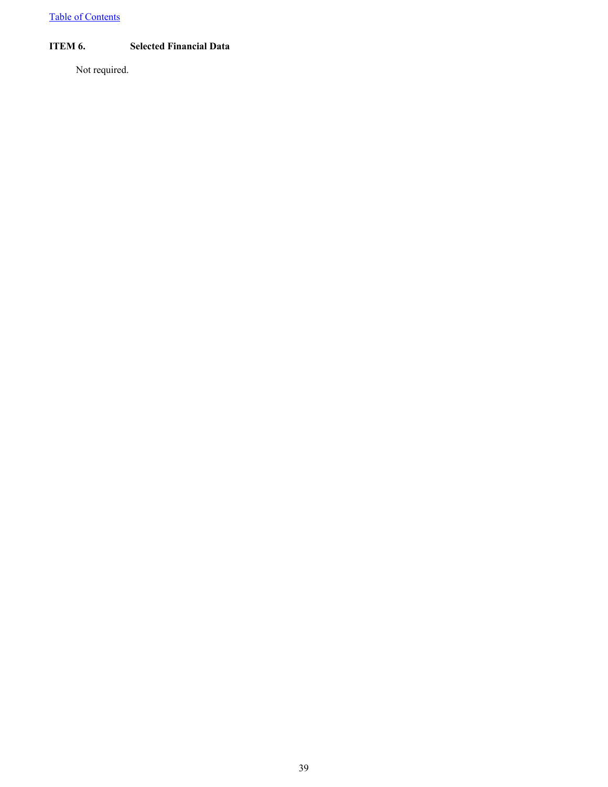[Table of Contents](#page-2-0)

## **ITEM 6. Selected Financial Data**

Not required.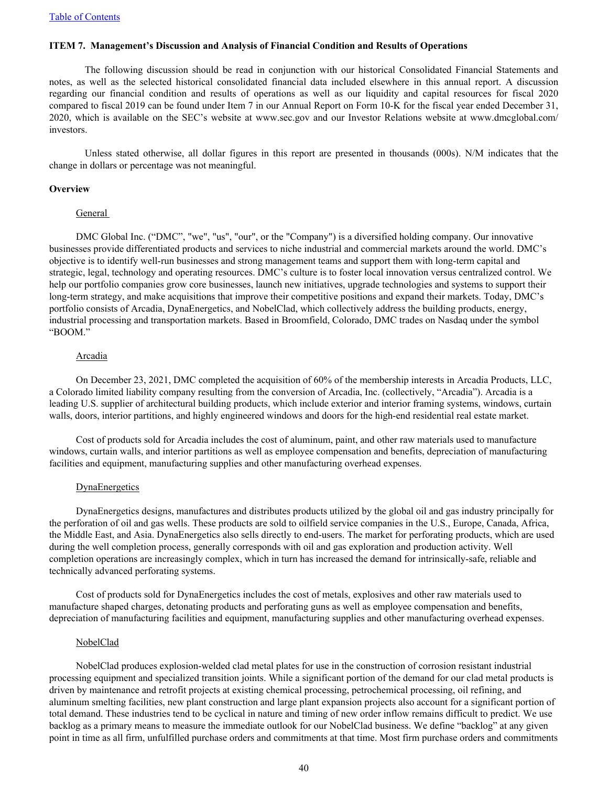### **ITEM 7. Management's Discussion and Analysis of Financial Condition and Results of Operations**

The following discussion should be read in conjunction with our historical Consolidated Financial Statements and notes, as well as the selected historical consolidated financial data included elsewhere in this annual report. A discussion regarding our financial condition and results of operations as well as our liquidity and capital resources for fiscal 2020 compared to fiscal 2019 can be found under Item 7 in our Annual Report on Form 10-K for the fiscal year ended December 31, 2020, which is available on the SEC's website at www.sec.gov and our Investor Relations website at www.dmcglobal.com/ investors.

Unless stated otherwise, all dollar figures in this report are presented in thousands (000s). N/M indicates that the change in dollars or percentage was not meaningful.

### **Overview**

### General

DMC Global Inc. ("DMC", "we", "us", "our", or the "Company") is a diversified holding company. Our innovative businesses provide differentiated products and services to niche industrial and commercial markets around the world. DMC's objective is to identify well-run businesses and strong management teams and support them with long-term capital and strategic, legal, technology and operating resources. DMC's culture is to foster local innovation versus centralized control. We help our portfolio companies grow core businesses, launch new initiatives, upgrade technologies and systems to support their long-term strategy, and make acquisitions that improve their competitive positions and expand their markets. Today, DMC's portfolio consists of Arcadia, DynaEnergetics, and NobelClad, which collectively address the building products, energy, industrial processing and transportation markets. Based in Broomfield, Colorado, DMC trades on Nasdaq under the symbol "BOOM."

#### **Arcadia**

On December 23, 2021, DMC completed the acquisition of 60% of the membership interests in Arcadia Products, LLC, a Colorado limited liability company resulting from the conversion of Arcadia, Inc. (collectively, "Arcadia"). Arcadia is a leading U.S. supplier of architectural building products, which include exterior and interior framing systems, windows, curtain walls, doors, interior partitions, and highly engineered windows and doors for the high-end residential real estate market.

Cost of products sold for Arcadia includes the cost of aluminum, paint, and other raw materials used to manufacture windows, curtain walls, and interior partitions as well as employee compensation and benefits, depreciation of manufacturing facilities and equipment, manufacturing supplies and other manufacturing overhead expenses.

### **DynaEnergetics**

DynaEnergetics designs, manufactures and distributes products utilized by the global oil and gas industry principally for the perforation of oil and gas wells. These products are sold to oilfield service companies in the U.S., Europe, Canada, Africa, the Middle East, and Asia. DynaEnergetics also sells directly to end-users. The market for perforating products, which are used during the well completion process, generally corresponds with oil and gas exploration and production activity. Well completion operations are increasingly complex, which in turn has increased the demand for intrinsically-safe, reliable and technically advanced perforating systems.

Cost of products sold for DynaEnergetics includes the cost of metals, explosives and other raw materials used to manufacture shaped charges, detonating products and perforating guns as well as employee compensation and benefits, depreciation of manufacturing facilities and equipment, manufacturing supplies and other manufacturing overhead expenses.

### NobelClad

NobelClad produces explosion-welded clad metal plates for use in the construction of corrosion resistant industrial processing equipment and specialized transition joints. While a significant portion of the demand for our clad metal products is driven by maintenance and retrofit projects at existing chemical processing, petrochemical processing, oil refining, and aluminum smelting facilities, new plant construction and large plant expansion projects also account for a significant portion of total demand. These industries tend to be cyclical in nature and timing of new order inflow remains difficult to predict. We use backlog as a primary means to measure the immediate outlook for our NobelClad business. We define "backlog" at any given point in time as all firm, unfulfilled purchase orders and commitments at that time. Most firm purchase orders and commitments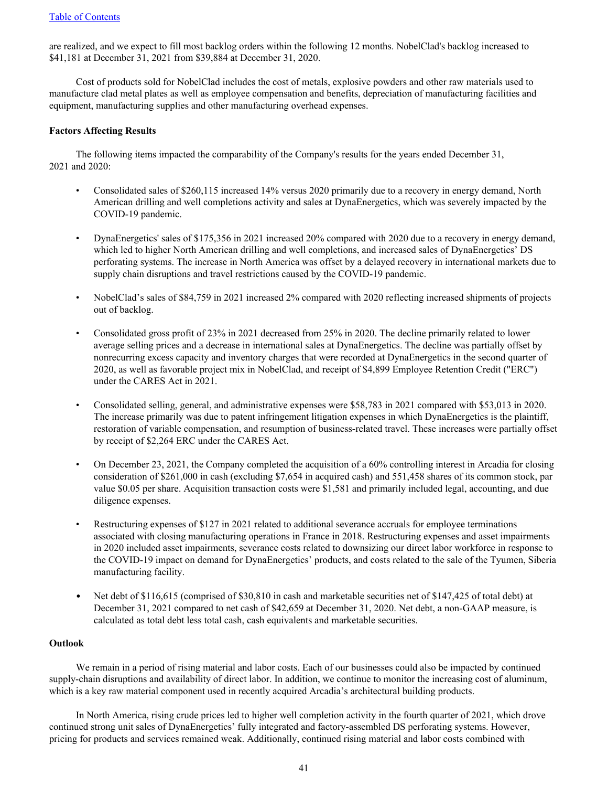are realized, and we expect to fill most backlog orders within the following 12 months. NobelClad's backlog increased to \$41,181 at December 31, 2021 from \$39,884 at December 31, 2020.

Cost of products sold for NobelClad includes the cost of metals, explosive powders and other raw materials used to manufacture clad metal plates as well as employee compensation and benefits, depreciation of manufacturing facilities and equipment, manufacturing supplies and other manufacturing overhead expenses.

## **Factors Affecting Results**

The following items impacted the comparability of the Company's results for the years ended December 31, 2021 and 2020:

- Consolidated sales of \$260,115 increased 14% versus 2020 primarily due to a recovery in energy demand, North American drilling and well completions activity and sales at DynaEnergetics, which was severely impacted by the COVID-19 pandemic.
- DynaEnergetics' sales of \$175,356 in 2021 increased 20% compared with 2020 due to a recovery in energy demand, which led to higher North American drilling and well completions, and increased sales of DynaEnergetics' DS perforating systems. The increase in North America was offset by a delayed recovery in international markets due to supply chain disruptions and travel restrictions caused by the COVID-19 pandemic.
- NobelClad's sales of \$84,759 in 2021 increased 2% compared with 2020 reflecting increased shipments of projects out of backlog.
- Consolidated gross profit of 23% in 2021 decreased from 25% in 2020. The decline primarily related to lower average selling prices and a decrease in international sales at DynaEnergetics. The decline was partially offset by nonrecurring excess capacity and inventory charges that were recorded at DynaEnergetics in the second quarter of 2020, as well as favorable project mix in NobelClad, and receipt of \$4,899 Employee Retention Credit ("ERC") under the CARES Act in 2021.
- Consolidated selling, general, and administrative expenses were \$58,783 in 2021 compared with \$53,013 in 2020. The increase primarily was due to patent infringement litigation expenses in which DynaEnergetics is the plaintiff, restoration of variable compensation, and resumption of business-related travel. These increases were partially offset by receipt of \$2,264 ERC under the CARES Act.
- On December 23, 2021, the Company completed the acquisition of a 60% controlling interest in Arcadia for closing consideration of \$261,000 in cash (excluding \$7,654 in acquired cash) and 551,458 shares of its common stock, par value \$0.05 per share. Acquisition transaction costs were \$1,581 and primarily included legal, accounting, and due diligence expenses.
- Restructuring expenses of \$127 in 2021 related to additional severance accruals for employee terminations associated with closing manufacturing operations in France in 2018. Restructuring expenses and asset impairments in 2020 included asset impairments, severance costs related to downsizing our direct labor workforce in response to the COVID-19 impact on demand for DynaEnergetics' products, and costs related to the sale of the Tyumen, Siberia manufacturing facility.
- Net debt of \$116,615 (comprised of \$30,810 in cash and marketable securities net of \$147,425 of total debt) at December 31, 2021 compared to net cash of \$42,659 at December 31, 2020. Net debt, a non-GAAP measure, is calculated as total debt less total cash, cash equivalents and marketable securities.

### **Outlook**

We remain in a period of rising material and labor costs. Each of our businesses could also be impacted by continued supply-chain disruptions and availability of direct labor. In addition, we continue to monitor the increasing cost of aluminum, which is a key raw material component used in recently acquired Arcadia's architectural building products.

In North America, rising crude prices led to higher well completion activity in the fourth quarter of 2021, which drove continued strong unit sales of DynaEnergetics' fully integrated and factory-assembled DS perforating systems. However, pricing for products and services remained weak. Additionally, continued rising material and labor costs combined with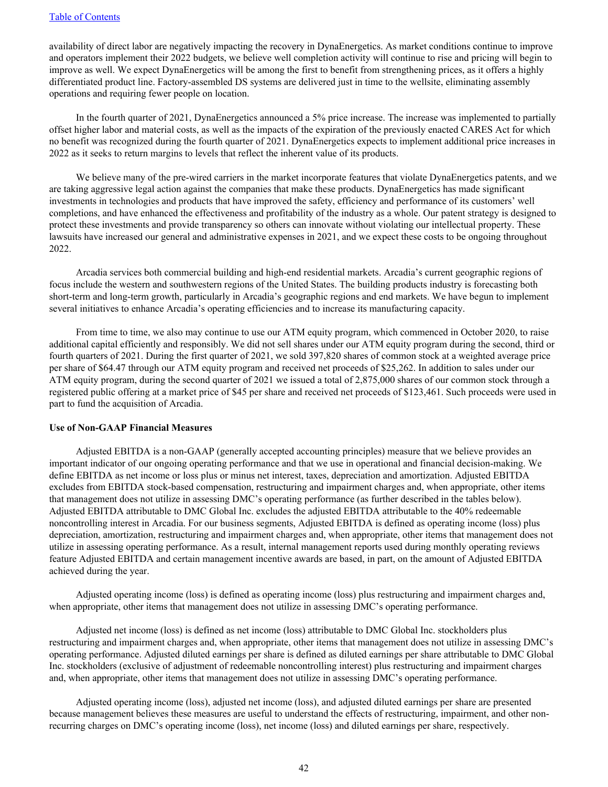availability of direct labor are negatively impacting the recovery in DynaEnergetics. As market conditions continue to improve and operators implement their 2022 budgets, we believe well completion activity will continue to rise and pricing will begin to improve as well. We expect DynaEnergetics will be among the first to benefit from strengthening prices, as it offers a highly differentiated product line. Factory-assembled DS systems are delivered just in time to the wellsite, eliminating assembly operations and requiring fewer people on location.

In the fourth quarter of 2021, DynaEnergetics announced a 5% price increase. The increase was implemented to partially offset higher labor and material costs, as well as the impacts of the expiration of the previously enacted CARES Act for which no benefit was recognized during the fourth quarter of 2021. DynaEnergetics expects to implement additional price increases in 2022 as it seeks to return margins to levels that reflect the inherent value of its products.

We believe many of the pre-wired carriers in the market incorporate features that violate DynaEnergetics patents, and we are taking aggressive legal action against the companies that make these products. DynaEnergetics has made significant investments in technologies and products that have improved the safety, efficiency and performance of its customers' well completions, and have enhanced the effectiveness and profitability of the industry as a whole. Our patent strategy is designed to protect these investments and provide transparency so others can innovate without violating our intellectual property. These lawsuits have increased our general and administrative expenses in 2021, and we expect these costs to be ongoing throughout 2022.

Arcadia services both commercial building and high-end residential markets. Arcadia's current geographic regions of focus include the western and southwestern regions of the United States. The building products industry is forecasting both short-term and long-term growth, particularly in Arcadia's geographic regions and end markets. We have begun to implement several initiatives to enhance Arcadia's operating efficiencies and to increase its manufacturing capacity.

From time to time, we also may continue to use our ATM equity program, which commenced in October 2020, to raise additional capital efficiently and responsibly. We did not sell shares under our ATM equity program during the second, third or fourth quarters of 2021. During the first quarter of 2021, we sold 397,820 shares of common stock at a weighted average price per share of \$64.47 through our ATM equity program and received net proceeds of \$25,262. In addition to sales under our ATM equity program, during the second quarter of 2021 we issued a total of 2,875,000 shares of our common stock through a registered public offering at a market price of \$45 per share and received net proceeds of \$123,461. Such proceeds were used in part to fund the acquisition of Arcadia.

### **Use of Non-GAAP Financial Measures**

Adjusted EBITDA is a non-GAAP (generally accepted accounting principles) measure that we believe provides an important indicator of our ongoing operating performance and that we use in operational and financial decision-making. We define EBITDA as net income or loss plus or minus net interest, taxes, depreciation and amortization. Adjusted EBITDA excludes from EBITDA stock-based compensation, restructuring and impairment charges and, when appropriate, other items that management does not utilize in assessing DMC's operating performance (as further described in the tables below). Adjusted EBITDA attributable to DMC Global Inc. excludes the adjusted EBITDA attributable to the 40% redeemable noncontrolling interest in Arcadia. For our business segments, Adjusted EBITDA is defined as operating income (loss) plus depreciation, amortization, restructuring and impairment charges and, when appropriate, other items that management does not utilize in assessing operating performance. As a result, internal management reports used during monthly operating reviews feature Adjusted EBITDA and certain management incentive awards are based, in part, on the amount of Adjusted EBITDA achieved during the year.

Adjusted operating income (loss) is defined as operating income (loss) plus restructuring and impairment charges and, when appropriate, other items that management does not utilize in assessing DMC's operating performance.

Adjusted net income (loss) is defined as net income (loss) attributable to DMC Global Inc. stockholders plus restructuring and impairment charges and, when appropriate, other items that management does not utilize in assessing DMC's operating performance. Adjusted diluted earnings per share is defined as diluted earnings per share attributable to DMC Global Inc. stockholders (exclusive of adjustment of redeemable noncontrolling interest) plus restructuring and impairment charges and, when appropriate, other items that management does not utilize in assessing DMC's operating performance.

Adjusted operating income (loss), adjusted net income (loss), and adjusted diluted earnings per share are presented because management believes these measures are useful to understand the effects of restructuring, impairment, and other nonrecurring charges on DMC's operating income (loss), net income (loss) and diluted earnings per share, respectively.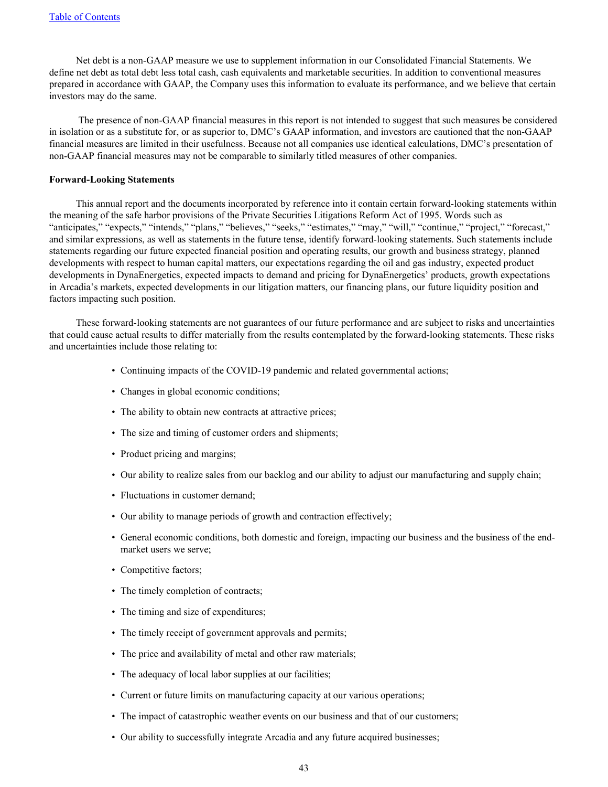Net debt is a non-GAAP measure we use to supplement information in our Consolidated Financial Statements. We define net debt as total debt less total cash, cash equivalents and marketable securities. In addition to conventional measures prepared in accordance with GAAP, the Company uses this information to evaluate its performance, and we believe that certain investors may do the same.

 The presence of non-GAAP financial measures in this report is not intended to suggest that such measures be considered in isolation or as a substitute for, or as superior to, DMC's GAAP information, and investors are cautioned that the non-GAAP financial measures are limited in their usefulness. Because not all companies use identical calculations, DMC's presentation of non-GAAP financial measures may not be comparable to similarly titled measures of other companies.

### **Forward-Looking Statements**

This annual report and the documents incorporated by reference into it contain certain forward-looking statements within the meaning of the safe harbor provisions of the Private Securities Litigations Reform Act of 1995. Words such as "anticipates," "expects," "intends," "plans," "believes," "seeks," "estimates," "may," "will," "continue," "project," "forecast," and similar expressions, as well as statements in the future tense, identify forward-looking statements. Such statements include statements regarding our future expected financial position and operating results, our growth and business strategy, planned developments with respect to human capital matters, our expectations regarding the oil and gas industry, expected product developments in DynaEnergetics, expected impacts to demand and pricing for DynaEnergetics' products, growth expectations in Arcadia's markets, expected developments in our litigation matters, our financing plans, our future liquidity position and factors impacting such position.

These forward-looking statements are not guarantees of our future performance and are subject to risks and uncertainties that could cause actual results to differ materially from the results contemplated by the forward-looking statements. These risks and uncertainties include those relating to:

- Continuing impacts of the COVID-19 pandemic and related governmental actions;
- Changes in global economic conditions;
- The ability to obtain new contracts at attractive prices;
- The size and timing of customer orders and shipments;
- Product pricing and margins;
- Our ability to realize sales from our backlog and our ability to adjust our manufacturing and supply chain;
- Fluctuations in customer demand;
- Our ability to manage periods of growth and contraction effectively;
- General economic conditions, both domestic and foreign, impacting our business and the business of the endmarket users we serve;
- Competitive factors;
- The timely completion of contracts;
- The timing and size of expenditures;
- The timely receipt of government approvals and permits;
- The price and availability of metal and other raw materials;
- The adequacy of local labor supplies at our facilities;
- Current or future limits on manufacturing capacity at our various operations;
- The impact of catastrophic weather events on our business and that of our customers;
- Our ability to successfully integrate Arcadia and any future acquired businesses;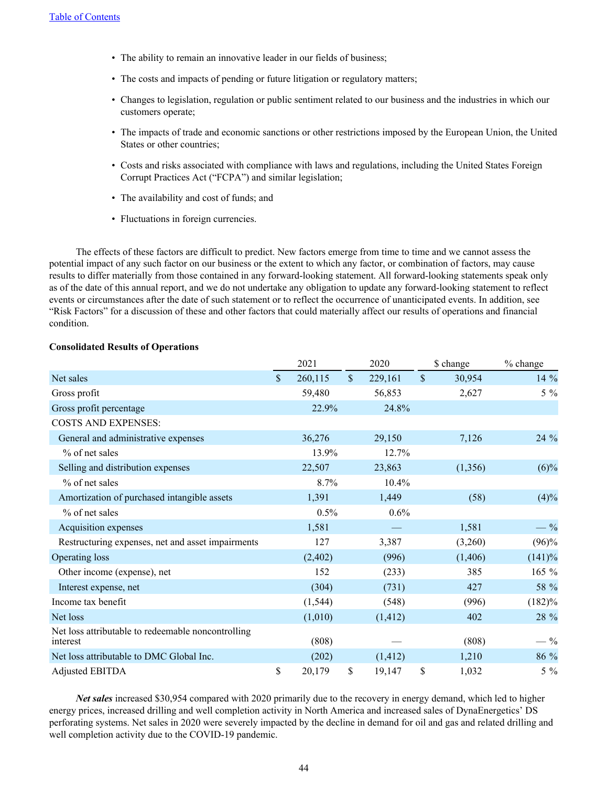- The ability to remain an innovative leader in our fields of business;
- The costs and impacts of pending or future litigation or regulatory matters;
- Changes to legislation, regulation or public sentiment related to our business and the industries in which our customers operate;
- The impacts of trade and economic sanctions or other restrictions imposed by the European Union, the United States or other countries;
- Costs and risks associated with compliance with laws and regulations, including the United States Foreign Corrupt Practices Act ("FCPA") and similar legislation;
- The availability and cost of funds; and
- Fluctuations in foreign currencies.

The effects of these factors are difficult to predict. New factors emerge from time to time and we cannot assess the potential impact of any such factor on our business or the extent to which any factor, or combination of factors, may cause results to differ materially from those contained in any forward-looking statement. All forward-looking statements speak only as of the date of this annual report, and we do not undertake any obligation to update any forward-looking statement to reflect events or circumstances after the date of such statement or to reflect the occurrence of unanticipated events. In addition, see "Risk Factors" for a discussion of these and other factors that could materially affect our results of operations and financial condition.

|                                                                |              | 2021     |               | 2020     |               | \$ change | % change |  |
|----------------------------------------------------------------|--------------|----------|---------------|----------|---------------|-----------|----------|--|
| Net sales                                                      | $\mathbf{s}$ | 260,115  | $\mathsf{\$}$ | 229,161  | $\mathcal{S}$ | 30,954    | 14 %     |  |
| Gross profit                                                   |              | 59,480   |               | 56,853   |               | 2,627     | $5\%$    |  |
| Gross profit percentage                                        |              | 22.9%    |               | 24.8%    |               |           |          |  |
| <b>COSTS AND EXPENSES:</b>                                     |              |          |               |          |               |           |          |  |
| General and administrative expenses                            |              | 36,276   |               | 29,150   |               | 7,126     | 24 %     |  |
| $%$ of net sales                                               |              | 13.9%    |               | 12.7%    |               |           |          |  |
| Selling and distribution expenses                              |              | 22,507   |               | 23,863   |               | (1,356)   | $(6)\%$  |  |
| % of net sales                                                 |              | 8.7%     |               | 10.4%    |               |           |          |  |
| Amortization of purchased intangible assets                    |              | 1,391    |               | 1,449    |               | (58)      | (4)%     |  |
| $%$ of net sales                                               |              | $0.5\%$  |               | $0.6\%$  |               |           |          |  |
| Acquisition expenses                                           |              | 1,581    |               |          |               | 1,581     | $-$ %    |  |
| Restructuring expenses, net and asset impairments              |              | 127      |               | 3,387    |               | (3,260)   | $(96)\%$ |  |
| Operating loss                                                 |              | (2,402)  |               | (996)    |               | (1,406)   | (141)%   |  |
| Other income (expense), net                                    |              | 152      |               | (233)    |               | 385       | 165 %    |  |
| Interest expense, net                                          |              | (304)    |               | (731)    |               | 427       | 58 %     |  |
| Income tax benefit                                             |              | (1, 544) |               | (548)    |               | (996)     | (182)%   |  |
| Net loss                                                       |              | (1,010)  |               | (1, 412) |               | 402       | 28 %     |  |
| Net loss attributable to redeemable noncontrolling<br>interest |              | (808)    |               |          |               | (808)     | $-$ %    |  |
| Net loss attributable to DMC Global Inc.                       |              | (202)    |               | (1, 412) |               | 1,210     | 86 %     |  |
| <b>Adjusted EBITDA</b>                                         | \$           | 20,179   | \$            | 19,147   | \$            | 1,032     | $5\%$    |  |

*Net sales* increased \$30,954 compared with 2020 primarily due to the recovery in energy demand, which led to higher energy prices, increased drilling and well completion activity in North America and increased sales of DynaEnergetics' DS perforating systems. Net sales in 2020 were severely impacted by the decline in demand for oil and gas and related drilling and well completion activity due to the COVID-19 pandemic.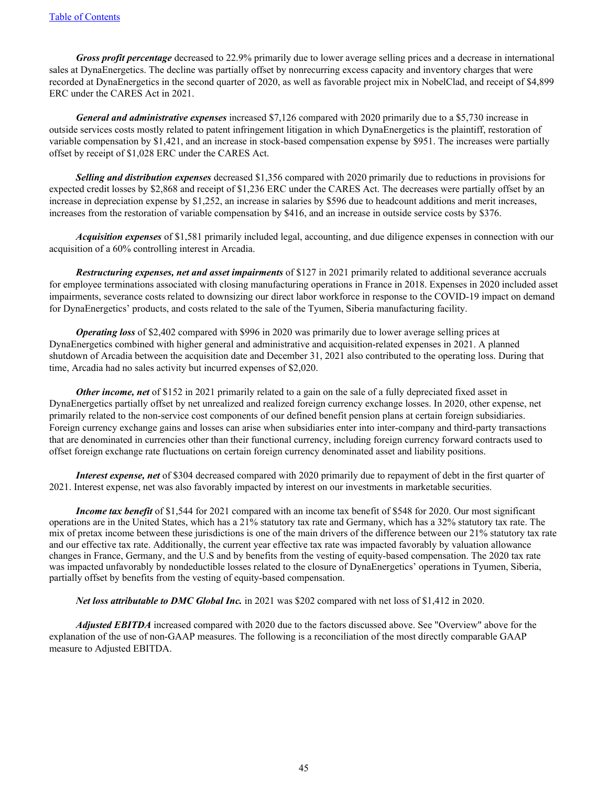*Gross profit percentage* decreased to 22.9% primarily due to lower average selling prices and a decrease in international sales at DynaEnergetics. The decline was partially offset by nonrecurring excess capacity and inventory charges that were recorded at DynaEnergetics in the second quarter of 2020, as well as favorable project mix in NobelClad, and receipt of \$4,899 ERC under the CARES Act in 2021.

*General and administrative expenses* increased \$7,126 compared with 2020 primarily due to a \$5,730 increase in outside services costs mostly related to patent infringement litigation in which DynaEnergetics is the plaintiff, restoration of variable compensation by \$1,421, and an increase in stock-based compensation expense by \$951. The increases were partially offset by receipt of \$1,028 ERC under the CARES Act.

*Selling and distribution expenses* decreased \$1,356 compared with 2020 primarily due to reductions in provisions for expected credit losses by \$2,868 and receipt of \$1,236 ERC under the CARES Act. The decreases were partially offset by an increase in depreciation expense by \$1,252, an increase in salaries by \$596 due to headcount additions and merit increases, increases from the restoration of variable compensation by \$416, and an increase in outside service costs by \$376.

*Acquisition expenses* of \$1,581 primarily included legal, accounting, and due diligence expenses in connection with our acquisition of a 60% controlling interest in Arcadia.

*Restructuring expenses, net and asset impairments* of \$127 in 2021 primarily related to additional severance accruals for employee terminations associated with closing manufacturing operations in France in 2018. Expenses in 2020 included asset impairments, severance costs related to downsizing our direct labor workforce in response to the COVID-19 impact on demand for DynaEnergetics' products, and costs related to the sale of the Tyumen, Siberia manufacturing facility.

*Operating loss* of \$2,402 compared with \$996 in 2020 was primarily due to lower average selling prices at DynaEnergetics combined with higher general and administrative and acquisition-related expenses in 2021. A planned shutdown of Arcadia between the acquisition date and December 31, 2021 also contributed to the operating loss. During that time, Arcadia had no sales activity but incurred expenses of \$2,020.

*Other income, net* of \$152 in 2021 primarily related to a gain on the sale of a fully depreciated fixed asset in DynaEnergetics partially offset by net unrealized and realized foreign currency exchange losses. In 2020, other expense, net primarily related to the non-service cost components of our defined benefit pension plans at certain foreign subsidiaries. Foreign currency exchange gains and losses can arise when subsidiaries enter into inter-company and third-party transactions that are denominated in currencies other than their functional currency, including foreign currency forward contracts used to offset foreign exchange rate fluctuations on certain foreign currency denominated asset and liability positions.

*Interest expense, net* of \$304 decreased compared with 2020 primarily due to repayment of debt in the first quarter of 2021. Interest expense, net was also favorably impacted by interest on our investments in marketable securities.

*Income tax benefit* of \$1,544 for 2021 compared with an income tax benefit of \$548 for 2020. Our most significant operations are in the United States, which has a 21% statutory tax rate and Germany, which has a 32% statutory tax rate. The mix of pretax income between these jurisdictions is one of the main drivers of the difference between our 21% statutory tax rate and our effective tax rate. Additionally, the current year effective tax rate was impacted favorably by valuation allowance changes in France, Germany, and the U.S and by benefits from the vesting of equity-based compensation. The 2020 tax rate was impacted unfavorably by nondeductible losses related to the closure of DynaEnergetics' operations in Tyumen, Siberia, partially offset by benefits from the vesting of equity-based compensation.

*Net loss attributable to DMC Global Inc.* in 2021 was \$202 compared with net loss of \$1,412 in 2020.

*Adjusted EBITDA* increased compared with 2020 due to the factors discussed above. See "Overview" above for the explanation of the use of non-GAAP measures. The following is a reconciliation of the most directly comparable GAAP measure to Adjusted EBITDA.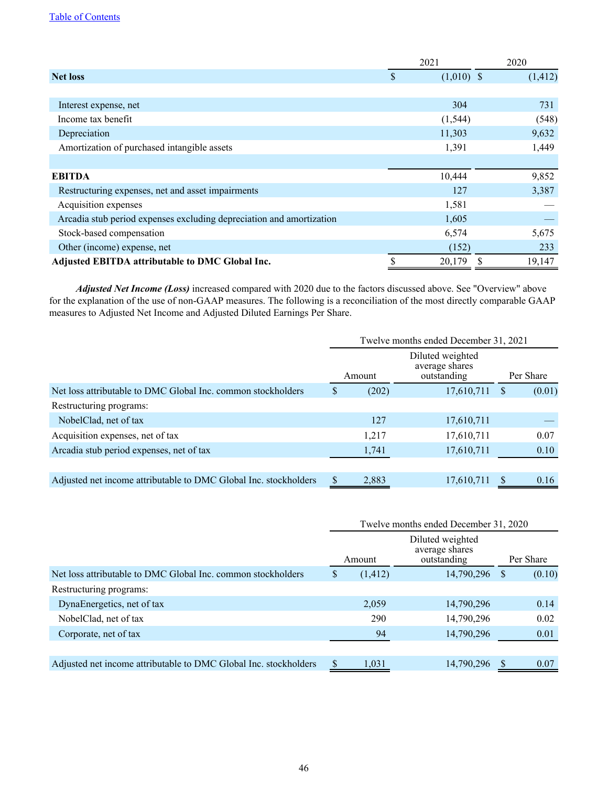## [Table of Contents](#page-2-0)

|                                                                      | 2021               | 2020     |
|----------------------------------------------------------------------|--------------------|----------|
| <b>Net loss</b>                                                      | \$<br>$(1,010)$ \$ | (1, 412) |
|                                                                      |                    |          |
| Interest expense, net                                                | 304                | 731      |
| Income tax benefit                                                   | (1, 544)           | (548)    |
| Depreciation                                                         | 11,303             | 9,632    |
| Amortization of purchased intangible assets                          | 1,391              | 1,449    |
|                                                                      |                    |          |
| <b>EBITDA</b>                                                        | 10,444             | 9,852    |
| Restructuring expenses, net and asset impairments                    | 127                | 3,387    |
| Acquisition expenses                                                 | 1,581              |          |
| Arcadia stub period expenses excluding depreciation and amortization | 1,605              |          |
| Stock-based compensation                                             | 6,574              | 5,675    |
| Other (income) expense, net                                          | (152)              | 233      |
| Adjusted EBITDA attributable to DMC Global Inc.                      | 20,179             | 19,147   |

*Adjusted Net Income (Loss)* increased compared with 2020 due to the factors discussed above. See "Overview" above for the explanation of the use of non-GAAP measures. The following is a reconciliation of the most directly comparable GAAP measures to Adjusted Net Income and Adjusted Diluted Earnings Per Share.

|                                                                  | Twelve months ended December 31, 2021 |        |                                                   |              |        |  |  |  |  |
|------------------------------------------------------------------|---------------------------------------|--------|---------------------------------------------------|--------------|--------|--|--|--|--|
|                                                                  |                                       | Amount | Diluted weighted<br>average shares<br>outstanding | Per Share    |        |  |  |  |  |
| Net loss attributable to DMC Global Inc. common stockholders     | S                                     | (202)  | 17,610,711                                        | <sup>S</sup> | (0.01) |  |  |  |  |
| Restructuring programs:                                          |                                       |        |                                                   |              |        |  |  |  |  |
| NobelClad, net of tax                                            |                                       | 127    | 17,610,711                                        |              |        |  |  |  |  |
| Acquisition expenses, net of tax                                 |                                       | 1,217  | 17,610,711                                        |              | 0.07   |  |  |  |  |
| Arcadia stub period expenses, net of tax                         |                                       | 1,741  | 17,610,711                                        |              | 0.10   |  |  |  |  |
|                                                                  |                                       |        |                                                   |              |        |  |  |  |  |
| Adjusted net income attributable to DMC Global Inc. stockholders |                                       | 2,883  | 17,610,711                                        |              | 0.16   |  |  |  |  |

|                                                                  | Twelve months ended December 31, 2020 |          |                                                   |    |           |  |  |  |  |
|------------------------------------------------------------------|---------------------------------------|----------|---------------------------------------------------|----|-----------|--|--|--|--|
|                                                                  |                                       | Amount   | Diluted weighted<br>average shares<br>outstanding |    | Per Share |  |  |  |  |
| Net loss attributable to DMC Global Inc. common stockholders     | S                                     | (1, 412) | 14,790,296                                        | -S | (0.10)    |  |  |  |  |
| Restructuring programs:                                          |                                       |          |                                                   |    |           |  |  |  |  |
| DynaEnergetics, net of tax                                       |                                       | 2,059    | 14,790,296                                        |    | 0.14      |  |  |  |  |
| NobelClad, net of tax                                            |                                       | 290      | 14,790,296                                        |    | 0.02      |  |  |  |  |
| Corporate, net of tax                                            |                                       | 94       | 14,790,296                                        |    | 0.01      |  |  |  |  |
|                                                                  |                                       |          |                                                   |    |           |  |  |  |  |
| Adjusted net income attributable to DMC Global Inc. stockholders |                                       | 1,031    | 14,790,296                                        |    | 0.07      |  |  |  |  |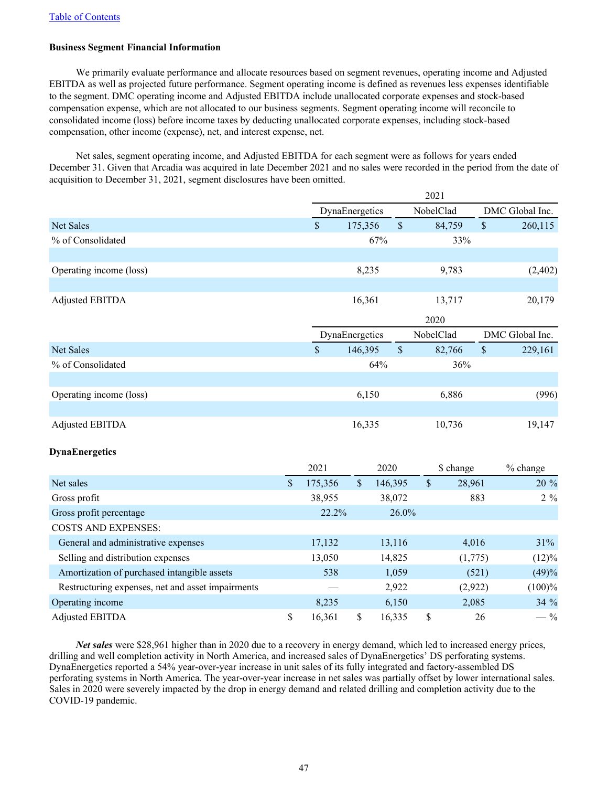## **Business Segment Financial Information**

We primarily evaluate performance and allocate resources based on segment revenues, operating income and Adjusted EBITDA as well as projected future performance. Segment operating income is defined as revenues less expenses identifiable to the segment. DMC operating income and Adjusted EBITDA include unallocated corporate expenses and stock-based compensation expense, which are not allocated to our business segments. Segment operating income will reconcile to consolidated income (loss) before income taxes by deducting unallocated corporate expenses, including stock-based compensation, other income (expense), net, and interest expense, net.

Net sales, segment operating income, and Adjusted EBITDA for each segment were as follows for years ended December 31. Given that Arcadia was acquired in late December 2021 and no sales were recorded in the period from the date of acquisition to December 31, 2021, segment disclosures have been omitted.

|                                                   |              | 2021          |                |                           |              |              |                 |  |
|---------------------------------------------------|--------------|---------------|----------------|---------------------------|--------------|--------------|-----------------|--|
|                                                   |              |               | DynaEnergetics |                           | NobelClad    |              | DMC Global Inc. |  |
| <b>Net Sales</b>                                  |              | $\mathsf{\$}$ | 175,356        | \$                        |              | \$<br>84,759 | 260,115         |  |
| % of Consolidated                                 |              |               |                | 67%                       |              | 33%          |                 |  |
|                                                   |              |               |                |                           |              |              |                 |  |
| Operating income (loss)                           |              |               | 8,235          |                           |              | 9,783        | (2, 402)        |  |
|                                                   |              |               |                |                           |              |              |                 |  |
| <b>Adjusted EBITDA</b>                            |              |               | 16,361         |                           |              | 13,717       | 20,179          |  |
|                                                   |              |               |                |                           | 2020         |              |                 |  |
|                                                   |              |               | DynaEnergetics |                           |              | NobelClad    | DMC Global Inc. |  |
| <b>Net Sales</b>                                  |              | $\mathsf{\$}$ | 146,395        | $\boldsymbol{\mathsf{S}}$ |              | \$<br>82,766 | 229,161         |  |
| % of Consolidated                                 |              |               |                | 64%                       |              | 36%          |                 |  |
|                                                   |              |               |                |                           |              |              |                 |  |
| Operating income (loss)                           |              |               | 6,150          |                           |              | 6,886        | (996)           |  |
|                                                   |              |               |                |                           |              |              |                 |  |
| <b>Adjusted EBITDA</b>                            |              |               | 16,335         |                           |              | 10,736       | 19,147          |  |
|                                                   |              |               |                |                           |              |              |                 |  |
| <b>DynaEnergetics</b>                             |              |               |                |                           |              |              |                 |  |
|                                                   |              | 2021          |                | 2020                      |              | \$ change    | % change        |  |
| Net sales                                         | $\mathbb{S}$ | 175,356       | $\mathbb{S}$   | 146,395                   | $\mathbb{S}$ | 28,961       | 20 %            |  |
| Gross profit                                      |              | 38,955        |                | 38,072                    |              | 883          | $2\%$           |  |
| Gross profit percentage                           |              | 22.2%         |                | 26.0%                     |              |              |                 |  |
| <b>COSTS AND EXPENSES:</b>                        |              |               |                |                           |              |              |                 |  |
| General and administrative expenses               |              | 17,132        |                | 13,116                    |              | 4,016        | 31%             |  |
| Selling and distribution expenses                 |              | 13,050        |                | 14,825                    |              | (1,775)      | (12)%           |  |
| Amortization of purchased intangible assets       |              | 538           |                | 1,059                     |              | (521)        | (49)%           |  |
| Restructuring expenses, net and asset impairments |              |               |                | 2,922                     |              | (2,922)      | (100)%          |  |
| Operating income                                  |              | 8,235         |                | 6,150                     |              | 2,085        | 34 %            |  |
| <b>Adjusted EBITDA</b>                            | \$           | 16,361        | \$             | 16,335                    | \$           | 26           | $-$ %           |  |

*Net sales* were \$28,961 higher than in 2020 due to a recovery in energy demand, which led to increased energy prices, drilling and well completion activity in North America, and increased sales of DynaEnergetics' DS perforating systems. DynaEnergetics reported a 54% year-over-year increase in unit sales of its fully integrated and factory-assembled DS perforating systems in North America. The year-over-year increase in net sales was partially offset by lower international sales. Sales in 2020 were severely impacted by the drop in energy demand and related drilling and completion activity due to the COVID-19 pandemic.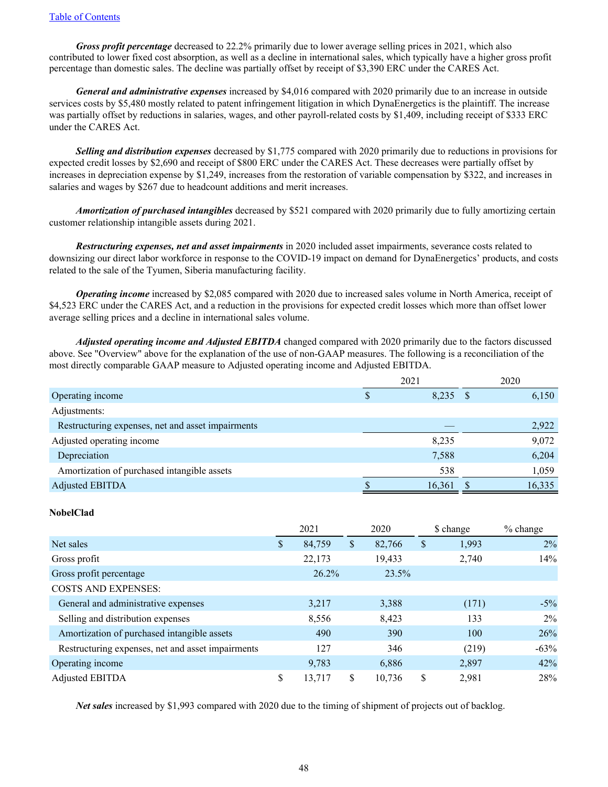*Gross profit percentage* decreased to 22.2% primarily due to lower average selling prices in 2021, which also contributed to lower fixed cost absorption, as well as a decline in international sales, which typically have a higher gross profit percentage than domestic sales. The decline was partially offset by receipt of \$3,390 ERC under the CARES Act.

*General and administrative expenses* increased by \$4,016 compared with 2020 primarily due to an increase in outside services costs by \$5,480 mostly related to patent infringement litigation in which DynaEnergetics is the plaintiff. The increase was partially offset by reductions in salaries, wages, and other payroll-related costs by \$1,409, including receipt of \$333 ERC under the CARES Act.

*Selling and distribution expenses* decreased by \$1,775 compared with 2020 primarily due to reductions in provisions for expected credit losses by \$2,690 and receipt of \$800 ERC under the CARES Act. These decreases were partially offset by increases in depreciation expense by \$1,249, increases from the restoration of variable compensation by \$322, and increases in salaries and wages by \$267 due to headcount additions and merit increases.

*Amortization of purchased intangibles* decreased by \$521 compared with 2020 primarily due to fully amortizing certain customer relationship intangible assets during 2021.

*Restructuring expenses, net and asset impairments* in 2020 included asset impairments, severance costs related to downsizing our direct labor workforce in response to the COVID-19 impact on demand for DynaEnergetics' products, and costs related to the sale of the Tyumen, Siberia manufacturing facility.

*Operating income* increased by \$2,085 compared with 2020 due to increased sales volume in North America, receipt of \$4,523 ERC under the CARES Act, and a reduction in the provisions for expected credit losses which more than offset lower average selling prices and a decline in international sales volume.

*Adjusted operating income and Adjusted EBITDA* changed compared with 2020 primarily due to the factors discussed above. See "Overview" above for the explanation of the use of non-GAAP measures. The following is a reconciliation of the most directly comparable GAAP measure to Adjusted operating income and Adjusted EBITDA.

|                                                   | 2021 |        | 2020 |        |
|---------------------------------------------------|------|--------|------|--------|
| Operating income                                  | D    | 8,235  |      | 6,150  |
| Adjustments:                                      |      |        |      |        |
| Restructuring expenses, net and asset impairments |      |        |      | 2,922  |
| Adjusted operating income                         |      | 8,235  |      | 9,072  |
| Depreciation                                      |      | 7,588  |      | 6,204  |
| Amortization of purchased intangible assets       |      | 538    |      | 1,059  |
| <b>Adjusted EBITDA</b>                            |      | 16,361 |      | 16,335 |

## **NobelClad**

|                                                   | 2021         |    | 2020   |   | \$ change | % change |  |
|---------------------------------------------------|--------------|----|--------|---|-----------|----------|--|
| Net sales                                         | \$<br>84,759 | \$ | 82,766 | S | 1,993     | $2\%$    |  |
| Gross profit                                      | 22,173       |    | 19,433 |   | 2,740     | 14%      |  |
| Gross profit percentage                           | $26.2\%$     |    | 23.5%  |   |           |          |  |
| <b>COSTS AND EXPENSES:</b>                        |              |    |        |   |           |          |  |
| General and administrative expenses               | 3,217        |    | 3,388  |   | (171)     | $-5\%$   |  |
| Selling and distribution expenses                 | 8,556        |    | 8,423  |   | 133       | 2%       |  |
| Amortization of purchased intangible assets       | 490          |    | 390    |   | 100       | 26%      |  |
| Restructuring expenses, net and asset impairments | 127          |    | 346    |   | (219)     | $-63%$   |  |
| Operating income                                  | 9,783        |    | 6,886  |   | 2,897     | 42%      |  |
| Adjusted EBITDA                                   | \$<br>13.717 | S  | 10,736 | S | 2,981     | 28%      |  |

*Net sales* increased by \$1,993 compared with 2020 due to the timing of shipment of projects out of backlog.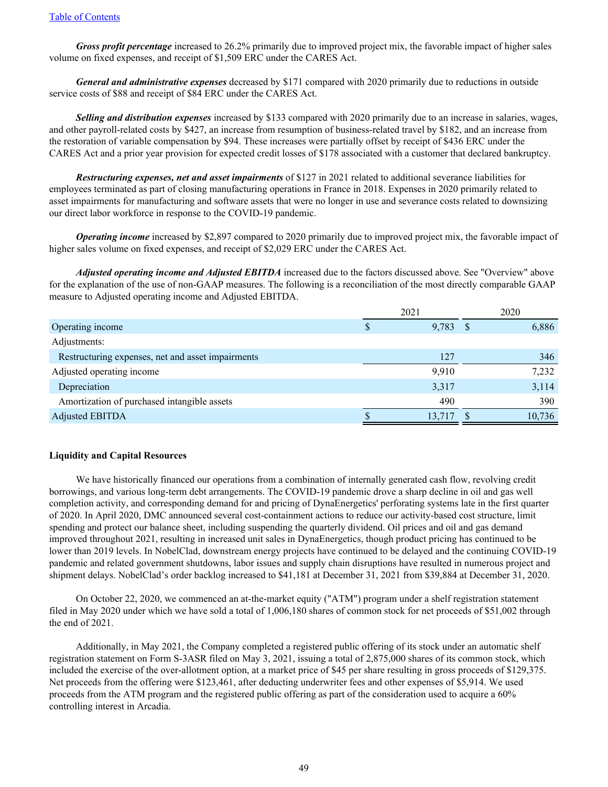*Gross profit percentage* increased to 26.2% primarily due to improved project mix, the favorable impact of higher sales volume on fixed expenses, and receipt of \$1,509 ERC under the CARES Act.

*General and administrative expenses* decreased by \$171 compared with 2020 primarily due to reductions in outside service costs of \$88 and receipt of \$84 ERC under the CARES Act.

*Selling and distribution expenses* increased by \$133 compared with 2020 primarily due to an increase in salaries, wages, and other payroll-related costs by \$427, an increase from resumption of business-related travel by \$182, and an increase from the restoration of variable compensation by \$94. These increases were partially offset by receipt of \$436 ERC under the CARES Act and a prior year provision for expected credit losses of \$178 associated with a customer that declared bankruptcy.

*Restructuring expenses, net and asset impairments* of \$127 in 2021 related to additional severance liabilities for employees terminated as part of closing manufacturing operations in France in 2018. Expenses in 2020 primarily related to asset impairments for manufacturing and software assets that were no longer in use and severance costs related to downsizing our direct labor workforce in response to the COVID-19 pandemic.

*Operating income* increased by \$2,897 compared to 2020 primarily due to improved project mix, the favorable impact of higher sales volume on fixed expenses, and receipt of \$2,029 ERC under the CARES Act.

*Adjusted operating income and Adjusted EBITDA* increased due to the factors discussed above. See "Overview" above for the explanation of the use of non-GAAP measures. The following is a reconciliation of the most directly comparable GAAP measure to Adjusted operating income and Adjusted EBITDA.

|                                                   | 2021 |            | 2020 |        |
|---------------------------------------------------|------|------------|------|--------|
| Operating income                                  | S    | $9,783$ \$ |      | 6,886  |
| Adjustments:                                      |      |            |      |        |
| Restructuring expenses, net and asset impairments |      | 127        |      | 346    |
| Adjusted operating income                         |      | 9,910      |      | 7,232  |
| Depreciation                                      |      | 3,317      |      | 3,114  |
| Amortization of purchased intangible assets       |      | 490        |      | 390    |
| <b>Adjusted EBITDA</b>                            |      | 13,717     |      | 10,736 |

## **Liquidity and Capital Resources**

We have historically financed our operations from a combination of internally generated cash flow, revolving credit borrowings, and various long-term debt arrangements. The COVID-19 pandemic drove a sharp decline in oil and gas well completion activity, and corresponding demand for and pricing of DynaEnergetics' perforating systems late in the first quarter of 2020. In April 2020, DMC announced several cost-containment actions to reduce our activity-based cost structure, limit spending and protect our balance sheet, including suspending the quarterly dividend. Oil prices and oil and gas demand improved throughout 2021, resulting in increased unit sales in DynaEnergetics, though product pricing has continued to be lower than 2019 levels. In NobelClad, downstream energy projects have continued to be delayed and the continuing COVID-19 pandemic and related government shutdowns, labor issues and supply chain disruptions have resulted in numerous project and shipment delays. NobelClad's order backlog increased to \$41,181 at December 31, 2021 from \$39,884 at December 31, 2020.

On October 22, 2020, we commenced an at-the-market equity ("ATM") program under a shelf registration statement filed in May 2020 under which we have sold a total of 1,006,180 shares of common stock for net proceeds of \$51,002 through the end of 2021.

Additionally, in May 2021, the Company completed a registered public offering of its stock under an automatic shelf registration statement on Form S-3ASR filed on May 3, 2021, issuing a total of 2,875,000 shares of its common stock, which included the exercise of the over-allotment option, at a market price of \$45 per share resulting in gross proceeds of \$129,375. Net proceeds from the offering were \$123,461, after deducting underwriter fees and other expenses of \$5,914. We used proceeds from the ATM program and the registered public offering as part of the consideration used to acquire a 60% controlling interest in Arcadia.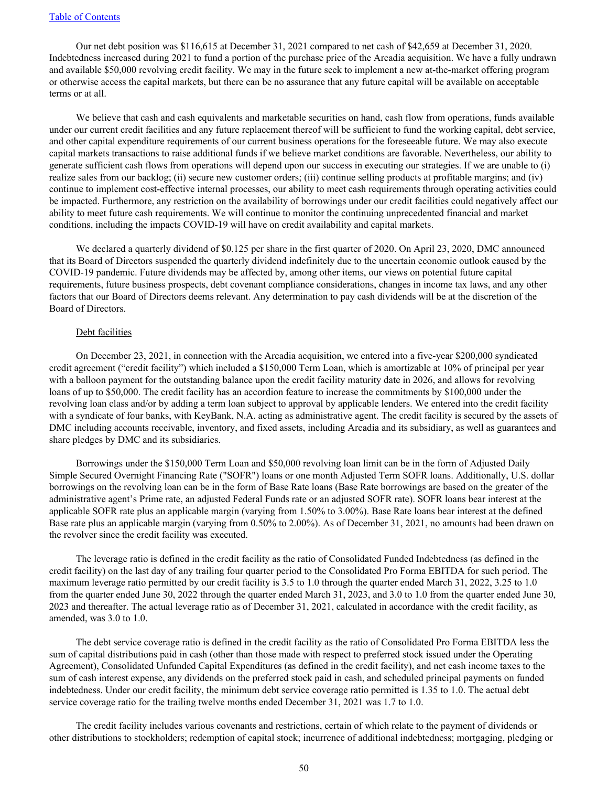Our net debt position was \$116,615 at December 31, 2021 compared to net cash of \$42,659 at December 31, 2020. Indebtedness increased during 2021 to fund a portion of the purchase price of the Arcadia acquisition. We have a fully undrawn and available \$50,000 revolving credit facility. We may in the future seek to implement a new at-the-market offering program or otherwise access the capital markets, but there can be no assurance that any future capital will be available on acceptable terms or at all.

We believe that cash and cash equivalents and marketable securities on hand, cash flow from operations, funds available under our current credit facilities and any future replacement thereof will be sufficient to fund the working capital, debt service, and other capital expenditure requirements of our current business operations for the foreseeable future. We may also execute capital markets transactions to raise additional funds if we believe market conditions are favorable. Nevertheless, our ability to generate sufficient cash flows from operations will depend upon our success in executing our strategies. If we are unable to (i) realize sales from our backlog; (ii) secure new customer orders; (iii) continue selling products at profitable margins; and (iv) continue to implement cost-effective internal processes, our ability to meet cash requirements through operating activities could be impacted. Furthermore, any restriction on the availability of borrowings under our credit facilities could negatively affect our ability to meet future cash requirements. We will continue to monitor the continuing unprecedented financial and market conditions, including the impacts COVID-19 will have on credit availability and capital markets.

We declared a quarterly dividend of \$0.125 per share in the first quarter of 2020. On April 23, 2020, DMC announced that its Board of Directors suspended the quarterly dividend indefinitely due to the uncertain economic outlook caused by the COVID-19 pandemic. Future dividends may be affected by, among other items, our views on potential future capital requirements, future business prospects, debt covenant compliance considerations, changes in income tax laws, and any other factors that our Board of Directors deems relevant. Any determination to pay cash dividends will be at the discretion of the Board of Directors.

### Debt facilities

On December 23, 2021, in connection with the Arcadia acquisition, we entered into a five-year \$200,000 syndicated credit agreement ("credit facility") which included a \$150,000 Term Loan, which is amortizable at 10% of principal per year with a balloon payment for the outstanding balance upon the credit facility maturity date in 2026, and allows for revolving loans of up to \$50,000. The credit facility has an accordion feature to increase the commitments by \$100,000 under the revolving loan class and/or by adding a term loan subject to approval by applicable lenders. We entered into the credit facility with a syndicate of four banks, with KeyBank, N.A. acting as administrative agent. The credit facility is secured by the assets of DMC including accounts receivable, inventory, and fixed assets, including Arcadia and its subsidiary, as well as guarantees and share pledges by DMC and its subsidiaries.

Borrowings under the \$150,000 Term Loan and \$50,000 revolving loan limit can be in the form of Adjusted Daily Simple Secured Overnight Financing Rate ("SOFR") loans or one month Adjusted Term SOFR loans. Additionally, U.S. dollar borrowings on the revolving loan can be in the form of Base Rate loans (Base Rate borrowings are based on the greater of the administrative agent's Prime rate, an adjusted Federal Funds rate or an adjusted SOFR rate). SOFR loans bear interest at the applicable SOFR rate plus an applicable margin (varying from 1.50% to 3.00%). Base Rate loans bear interest at the defined Base rate plus an applicable margin (varying from 0.50% to 2.00%). As of December 31, 2021, no amounts had been drawn on the revolver since the credit facility was executed.

The leverage ratio is defined in the credit facility as the ratio of Consolidated Funded Indebtedness (as defined in the credit facility) on the last day of any trailing four quarter period to the Consolidated Pro Forma EBITDA for such period. The maximum leverage ratio permitted by our credit facility is 3.5 to 1.0 through the quarter ended March 31, 2022, 3.25 to 1.0 from the quarter ended June 30, 2022 through the quarter ended March 31, 2023, and 3.0 to 1.0 from the quarter ended June 30, 2023 and thereafter. The actual leverage ratio as of December 31, 2021, calculated in accordance with the credit facility, as amended, was 3.0 to 1.0.

The debt service coverage ratio is defined in the credit facility as the ratio of Consolidated Pro Forma EBITDA less the sum of capital distributions paid in cash (other than those made with respect to preferred stock issued under the Operating Agreement), Consolidated Unfunded Capital Expenditures (as defined in the credit facility), and net cash income taxes to the sum of cash interest expense, any dividends on the preferred stock paid in cash, and scheduled principal payments on funded indebtedness. Under our credit facility, the minimum debt service coverage ratio permitted is 1.35 to 1.0. The actual debt service coverage ratio for the trailing twelve months ended December 31, 2021 was 1.7 to 1.0.

The credit facility includes various covenants and restrictions, certain of which relate to the payment of dividends or other distributions to stockholders; redemption of capital stock; incurrence of additional indebtedness; mortgaging, pledging or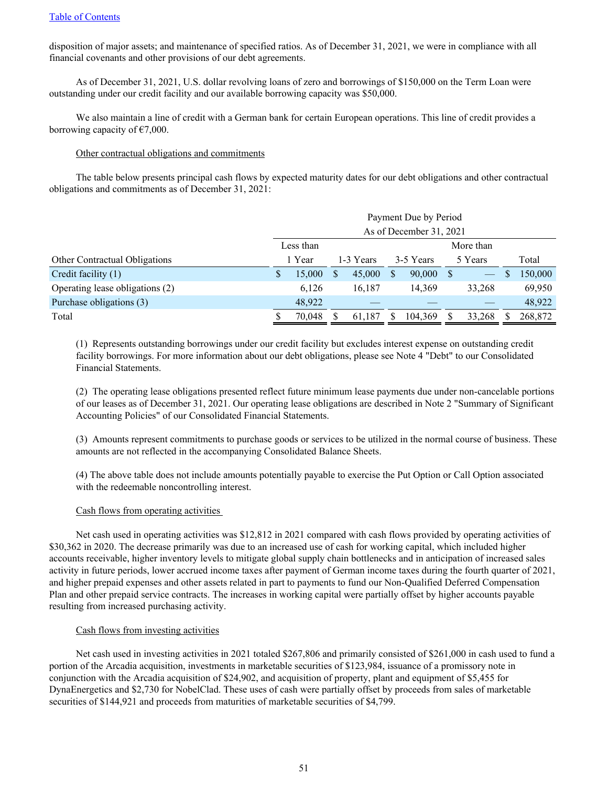disposition of major assets; and maintenance of specified ratios. As of December 31, 2021, we were in compliance with all financial covenants and other provisions of our debt agreements.

As of December 31, 2021, U.S. dollar revolving loans of zero and borrowings of \$150,000 on the Term Loan were outstanding under our credit facility and our available borrowing capacity was \$50,000.

We also maintain a line of credit with a German bank for certain European operations. This line of credit provides a borrowing capacity of  $\epsilon$ 7,000.

## Other contractual obligations and commitments

The table below presents principal cash flows by expected maturity dates for our debt obligations and other contractual obligations and commitments as of December 31, 2021:

|                                 | Payment Due by Period<br>As of December 31, 2021 |        |   |           |           |           |  |                   |   |         |  |
|---------------------------------|--------------------------------------------------|--------|---|-----------|-----------|-----------|--|-------------------|---|---------|--|
|                                 | Less than                                        |        |   |           | More than |           |  |                   |   |         |  |
| Other Contractual Obligations   |                                                  | 1 Year |   | 1-3 Years |           | 3-5 Years |  | 5 Years           |   | Total   |  |
| Credit facility (1)             | <sup>\$</sup>                                    | 15,000 | S | 45,000    |           | 90,000    |  | $\hspace{0.05cm}$ | J | 150,000 |  |
| Operating lease obligations (2) |                                                  | 6,126  |   | 16.187    |           | 14,369    |  | 33,268            |   | 69,950  |  |
| Purchase obligations (3)        |                                                  | 48,922 |   |           |           |           |  |                   |   | 48,922  |  |
| Total                           |                                                  | 70,048 |   | 61,187    |           | 104,369   |  | 33,268            |   | 268,872 |  |

(1) Represents outstanding borrowings under our credit facility but excludes interest expense on outstanding credit facility borrowings. For more information about our debt obligations, please see Note 4 "Debt" to our Consolidated Financial Statements.

(2) The operating lease obligations presented reflect future minimum lease payments due under non-cancelable portions of our leases as of December 31, 2021. Our operating lease obligations are described in Note 2 "Summary of Significant Accounting Policies" of our Consolidated Financial Statements.

(3) Amounts represent commitments to purchase goods or services to be utilized in the normal course of business. These amounts are not reflected in the accompanying Consolidated Balance Sheets.

(4) The above table does not include amounts potentially payable to exercise the Put Option or Call Option associated with the redeemable noncontrolling interest.

## Cash flows from operating activities

Net cash used in operating activities was \$12,812 in 2021 compared with cash flows provided by operating activities of \$30,362 in 2020. The decrease primarily was due to an increased use of cash for working capital, which included higher accounts receivable, higher inventory levels to mitigate global supply chain bottlenecks and in anticipation of increased sales activity in future periods, lower accrued income taxes after payment of German income taxes during the fourth quarter of 2021, and higher prepaid expenses and other assets related in part to payments to fund our Non-Qualified Deferred Compensation Plan and other prepaid service contracts. The increases in working capital were partially offset by higher accounts payable resulting from increased purchasing activity.

### Cash flows from investing activities

Net cash used in investing activities in 2021 totaled \$267,806 and primarily consisted of \$261,000 in cash used to fund a portion of the Arcadia acquisition, investments in marketable securities of \$123,984, issuance of a promissory note in conjunction with the Arcadia acquisition of \$24,902, and acquisition of property, plant and equipment of \$5,455 for DynaEnergetics and \$2,730 for NobelClad. These uses of cash were partially offset by proceeds from sales of marketable securities of \$144,921 and proceeds from maturities of marketable securities of \$4,799.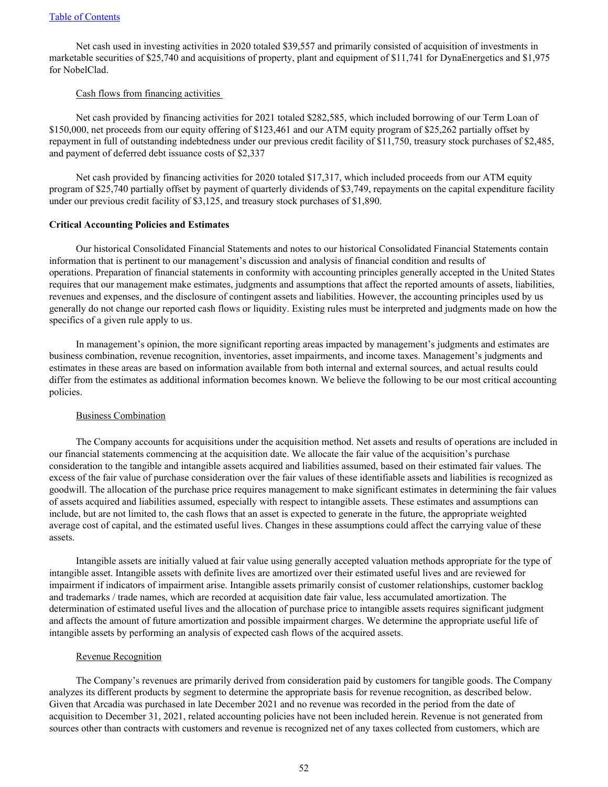Net cash used in investing activities in 2020 totaled \$39,557 and primarily consisted of acquisition of investments in marketable securities of \$25,740 and acquisitions of property, plant and equipment of \$11,741 for DynaEnergetics and \$1,975 for NobelClad.

### Cash flows from financing activities

Net cash provided by financing activities for 2021 totaled \$282,585, which included borrowing of our Term Loan of \$150,000, net proceeds from our equity offering of \$123,461 and our ATM equity program of \$25,262 partially offset by repayment in full of outstanding indebtedness under our previous credit facility of \$11,750, treasury stock purchases of \$2,485, and payment of deferred debt issuance costs of \$2,337

Net cash provided by financing activities for 2020 totaled \$17,317, which included proceeds from our ATM equity program of \$25,740 partially offset by payment of quarterly dividends of \$3,749, repayments on the capital expenditure facility under our previous credit facility of \$3,125, and treasury stock purchases of \$1,890.

### **Critical Accounting Policies and Estimates**

Our historical Consolidated Financial Statements and notes to our historical Consolidated Financial Statements contain information that is pertinent to our management's discussion and analysis of financial condition and results of operations. Preparation of financial statements in conformity with accounting principles generally accepted in the United States requires that our management make estimates, judgments and assumptions that affect the reported amounts of assets, liabilities, revenues and expenses, and the disclosure of contingent assets and liabilities. However, the accounting principles used by us generally do not change our reported cash flows or liquidity. Existing rules must be interpreted and judgments made on how the specifics of a given rule apply to us.

In management's opinion, the more significant reporting areas impacted by management's judgments and estimates are business combination, revenue recognition, inventories, asset impairments, and income taxes. Management's judgments and estimates in these areas are based on information available from both internal and external sources, and actual results could differ from the estimates as additional information becomes known. We believe the following to be our most critical accounting policies.

## Business Combination

The Company accounts for acquisitions under the acquisition method. Net assets and results of operations are included in our financial statements commencing at the acquisition date. We allocate the fair value of the acquisition's purchase consideration to the tangible and intangible assets acquired and liabilities assumed, based on their estimated fair values. The excess of the fair value of purchase consideration over the fair values of these identifiable assets and liabilities is recognized as goodwill. The allocation of the purchase price requires management to make significant estimates in determining the fair values of assets acquired and liabilities assumed, especially with respect to intangible assets. These estimates and assumptions can include, but are not limited to, the cash flows that an asset is expected to generate in the future, the appropriate weighted average cost of capital, and the estimated useful lives. Changes in these assumptions could affect the carrying value of these assets.

Intangible assets are initially valued at fair value using generally accepted valuation methods appropriate for the type of intangible asset. Intangible assets with definite lives are amortized over their estimated useful lives and are reviewed for impairment if indicators of impairment arise. Intangible assets primarily consist of customer relationships, customer backlog and trademarks / trade names, which are recorded at acquisition date fair value, less accumulated amortization. The determination of estimated useful lives and the allocation of purchase price to intangible assets requires significant judgment and affects the amount of future amortization and possible impairment charges. We determine the appropriate useful life of intangible assets by performing an analysis of expected cash flows of the acquired assets.

### Revenue Recognition

The Company's revenues are primarily derived from consideration paid by customers for tangible goods. The Company analyzes its different products by segment to determine the appropriate basis for revenue recognition, as described below. Given that Arcadia was purchased in late December 2021 and no revenue was recorded in the period from the date of acquisition to December 31, 2021, related accounting policies have not been included herein. Revenue is not generated from sources other than contracts with customers and revenue is recognized net of any taxes collected from customers, which are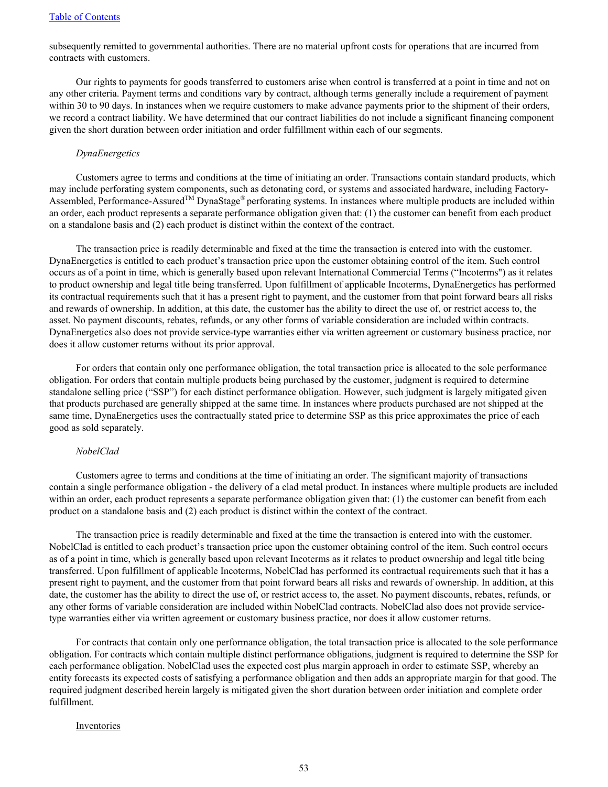subsequently remitted to governmental authorities. There are no material upfront costs for operations that are incurred from contracts with customers.

Our rights to payments for goods transferred to customers arise when control is transferred at a point in time and not on any other criteria. Payment terms and conditions vary by contract, although terms generally include a requirement of payment within 30 to 90 days. In instances when we require customers to make advance payments prior to the shipment of their orders, we record a contract liability. We have determined that our contract liabilities do not include a significant financing component given the short duration between order initiation and order fulfillment within each of our segments.

### *DynaEnergetics*

Customers agree to terms and conditions at the time of initiating an order. Transactions contain standard products, which may include perforating system components, such as detonating cord, or systems and associated hardware, including Factory-Assembled, Performance-Assured<sup>TM</sup> DynaStage<sup>®</sup> perforating systems. In instances where multiple products are included within an order, each product represents a separate performance obligation given that: (1) the customer can benefit from each product on a standalone basis and (2) each product is distinct within the context of the contract.

The transaction price is readily determinable and fixed at the time the transaction is entered into with the customer. DynaEnergetics is entitled to each product's transaction price upon the customer obtaining control of the item. Such control occurs as of a point in time, which is generally based upon relevant International Commercial Terms ("Incoterms") as it relates to product ownership and legal title being transferred. Upon fulfillment of applicable Incoterms, DynaEnergetics has performed its contractual requirements such that it has a present right to payment, and the customer from that point forward bears all risks and rewards of ownership. In addition, at this date, the customer has the ability to direct the use of, or restrict access to, the asset. No payment discounts, rebates, refunds, or any other forms of variable consideration are included within contracts. DynaEnergetics also does not provide service-type warranties either via written agreement or customary business practice, nor does it allow customer returns without its prior approval.

For orders that contain only one performance obligation, the total transaction price is allocated to the sole performance obligation. For orders that contain multiple products being purchased by the customer, judgment is required to determine standalone selling price ("SSP") for each distinct performance obligation. However, such judgment is largely mitigated given that products purchased are generally shipped at the same time. In instances where products purchased are not shipped at the same time, DynaEnergetics uses the contractually stated price to determine SSP as this price approximates the price of each good as sold separately.

### *NobelClad*

Customers agree to terms and conditions at the time of initiating an order. The significant majority of transactions contain a single performance obligation - the delivery of a clad metal product. In instances where multiple products are included within an order, each product represents a separate performance obligation given that: (1) the customer can benefit from each product on a standalone basis and (2) each product is distinct within the context of the contract.

The transaction price is readily determinable and fixed at the time the transaction is entered into with the customer. NobelClad is entitled to each product's transaction price upon the customer obtaining control of the item. Such control occurs as of a point in time, which is generally based upon relevant Incoterms as it relates to product ownership and legal title being transferred. Upon fulfillment of applicable Incoterms, NobelClad has performed its contractual requirements such that it has a present right to payment, and the customer from that point forward bears all risks and rewards of ownership. In addition, at this date, the customer has the ability to direct the use of, or restrict access to, the asset. No payment discounts, rebates, refunds, or any other forms of variable consideration are included within NobelClad contracts. NobelClad also does not provide servicetype warranties either via written agreement or customary business practice, nor does it allow customer returns.

For contracts that contain only one performance obligation, the total transaction price is allocated to the sole performance obligation. For contracts which contain multiple distinct performance obligations, judgment is required to determine the SSP for each performance obligation. NobelClad uses the expected cost plus margin approach in order to estimate SSP, whereby an entity forecasts its expected costs of satisfying a performance obligation and then adds an appropriate margin for that good. The required judgment described herein largely is mitigated given the short duration between order initiation and complete order fulfillment.

### **Inventories**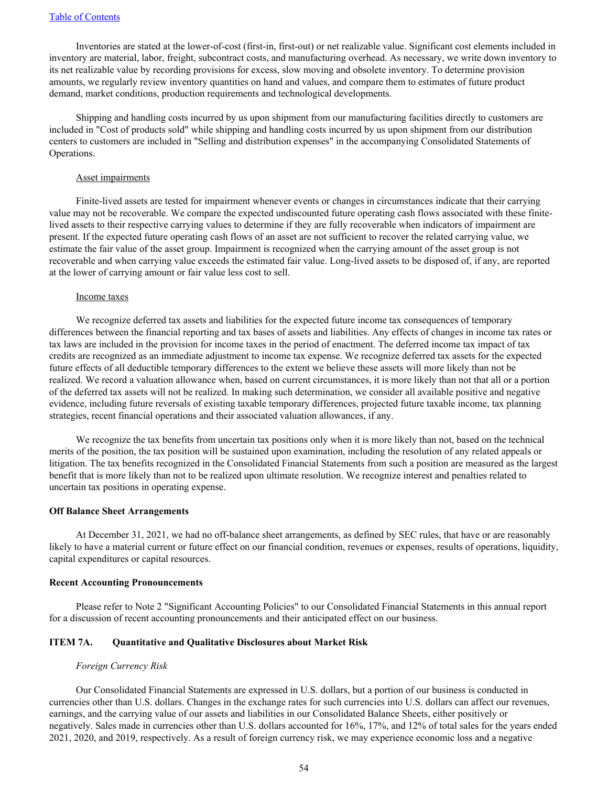Inventories are stated at the lower-of-cost (first-in, first-out) or net realizable value. Significant cost elements included in inventory are material, labor, freight, subcontract costs, and manufacturing overhead. As necessary, we write down inventory to its net realizable value by recording provisions for excess, slow moving and obsolete inventory. To determine provision amounts, we regularly review inventory quantities on hand and values, and compare them to estimates of future product demand, market conditions, production requirements and technological developments.

Shipping and handling costs incurred by us upon shipment from our manufacturing facilities directly to customers are included in "Cost of products sold" while shipping and handling costs incurred by us upon shipment from our distribution centers to customers are included in "Selling and distribution expenses" in the accompanying Consolidated Statements of Operations.

### Asset impairments

Finite-lived assets are tested for impairment whenever events or changes in circumstances indicate that their carrying value may not be recoverable. We compare the expected undiscounted future operating cash flows associated with these finitelived assets to their respective carrying values to determine if they are fully recoverable when indicators of impairment are present. If the expected future operating cash flows of an asset are not sufficient to recover the related carrying value, we estimate the fair value of the asset group. Impairment is recognized when the carrying amount of the asset group is not recoverable and when carrying value exceeds the estimated fair value. Long-lived assets to be disposed of, if any, are reported at the lower of carrying amount or fair value less cost to sell.

#### Income taxes

We recognize deferred tax assets and liabilities for the expected future income tax consequences of temporary differences between the financial reporting and tax bases of assets and liabilities. Any effects of changes in income tax rates or tax laws are included in the provision for income taxes in the period of enactment. The deferred income tax impact of tax credits are recognized as an immediate adjustment to income tax expense. We recognize deferred tax assets for the expected future effects of all deductible temporary differences to the extent we believe these assets will more likely than not be realized. We record a valuation allowance when, based on current circumstances, it is more likely than not that all or a portion of the deferred tax assets will not be realized. In making such determination, we consider all available positive and negative evidence, including future reversals of existing taxable temporary differences, projected future taxable income, tax planning strategies, recent financial operations and their associated valuation allowances, if any.

We recognize the tax benefits from uncertain tax positions only when it is more likely than not, based on the technical merits of the position, the tax position will be sustained upon examination, including the resolution of any related appeals or litigation. The tax benefits recognized in the Consolidated Financial Statements from such a position are measured as the largest benefit that is more likely than not to be realized upon ultimate resolution. We recognize interest and penalties related to uncertain tax positions in operating expense.

### **Off Balance Sheet Arrangements**

At December 31, 2021, we had no off-balance sheet arrangements, as defined by SEC rules, that have or are reasonably likely to have a material current or future effect on our financial condition, revenues or expenses, results of operations, liquidity, capital expenditures or capital resources.

#### **Recent Accounting Pronouncements**

Please refer to Note 2 "Significant Accounting Policies" to our Consolidated Financial Statements in this annual report for a discussion of recent accounting pronouncements and their anticipated effect on our business.

### **ITEM 7A. Quantitative and Qualitative Disclosures about Market Risk**

### *Foreign Currency Risk*

Our Consolidated Financial Statements are expressed in U.S. dollars, but a portion of our business is conducted in currencies other than U.S. dollars. Changes in the exchange rates for such currencies into U.S. dollars can affect our revenues, earnings, and the carrying value of our assets and liabilities in our Consolidated Balance Sheets, either positively or negatively. Sales made in currencies other than U.S. dollars accounted for 16%, 17%, and 12% of total sales for the years ended 2021, 2020, and 2019, respectively. As a result of foreign currency risk, we may experience economic loss and a negative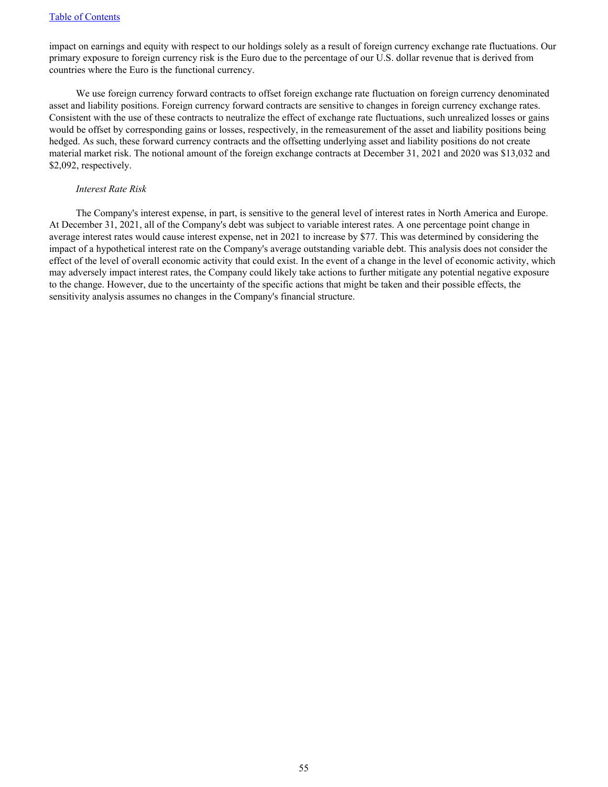impact on earnings and equity with respect to our holdings solely as a result of foreign currency exchange rate fluctuations. Our primary exposure to foreign currency risk is the Euro due to the percentage of our U.S. dollar revenue that is derived from countries where the Euro is the functional currency.

We use foreign currency forward contracts to offset foreign exchange rate fluctuation on foreign currency denominated asset and liability positions. Foreign currency forward contracts are sensitive to changes in foreign currency exchange rates. Consistent with the use of these contracts to neutralize the effect of exchange rate fluctuations, such unrealized losses or gains would be offset by corresponding gains or losses, respectively, in the remeasurement of the asset and liability positions being hedged. As such, these forward currency contracts and the offsetting underlying asset and liability positions do not create material market risk. The notional amount of the foreign exchange contracts at December 31, 2021 and 2020 was \$13,032 and \$2,092, respectively.

### *Interest Rate Risk*

The Company's interest expense, in part, is sensitive to the general level of interest rates in North America and Europe. At December 31, 2021, all of the Company's debt was subject to variable interest rates. A one percentage point change in average interest rates would cause interest expense, net in 2021 to increase by \$77. This was determined by considering the impact of a hypothetical interest rate on the Company's average outstanding variable debt. This analysis does not consider the effect of the level of overall economic activity that could exist. In the event of a change in the level of economic activity, which may adversely impact interest rates, the Company could likely take actions to further mitigate any potential negative exposure to the change. However, due to the uncertainty of the specific actions that might be taken and their possible effects, the sensitivity analysis assumes no changes in the Company's financial structure.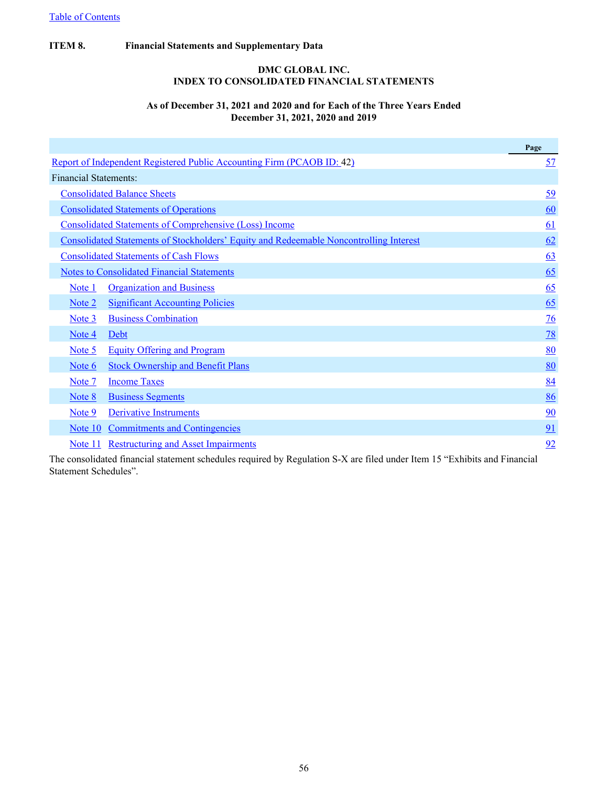## **ITEM 8. Financial Statements and Supplementary Data**

## **DMC GLOBAL INC. INDEX TO CONSOLIDATED FINANCIAL STATEMENTS**

## **As of December 31, 2021 and 2020 and for Each of the Three Years Ended December 31, 2021, 2020 and 2019**

|                       |                                                                                               | Page           |
|-----------------------|-----------------------------------------------------------------------------------------------|----------------|
|                       | Report of Independent Registered Public Accounting Firm (PCAOB ID: 42)                        | <u>57</u>      |
| Financial Statements: |                                                                                               |                |
|                       | <b>Consolidated Balance Sheets</b>                                                            | 59             |
|                       | <b>Consolidated Statements of Operations</b>                                                  | 60             |
|                       | <b>Consolidated Statements of Comprehensive (Loss) Income</b>                                 | 61             |
|                       | <b>Consolidated Statements of Stockholders' Equity and Redeemable Noncontrolling Interest</b> | 62             |
|                       | <b>Consolidated Statements of Cash Flows</b>                                                  | 63             |
|                       | <b>Notes to Consolidated Financial Statements</b>                                             | 65             |
| Note 1                | <b>Organization and Business</b>                                                              | 65             |
| Note 2                | <b>Significant Accounting Policies</b>                                                        | 65             |
| Note 3                | <b>Business Combination</b>                                                                   | $\frac{76}{9}$ |
| Note 4                | Debt                                                                                          | 78             |
| Note 5                | <b>Equity Offering and Program</b>                                                            | 80             |
| Note 6                | <b>Stock Ownership and Benefit Plans</b>                                                      | 80             |
| Note 7                | <b>Income Taxes</b>                                                                           | 84             |
| Note 8                | <b>Business Segments</b>                                                                      | 86             |
| Note 9                | <b>Derivative Instruments</b>                                                                 | 90             |
| Note 10               | <b>Commitments and Contingencies</b>                                                          | 91             |
| Note 11               | <b>Restructuring and Asset Impairments</b>                                                    | 92             |

The consolidated financial statement schedules required by Regulation S-X are filed under Item 15 "Exhibits and Financial Statement Schedules".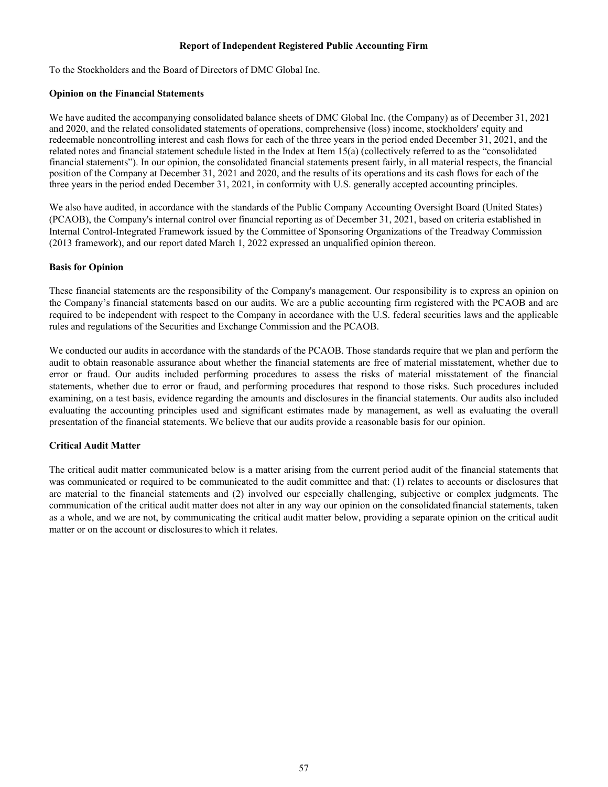## **Report of Independent Registered Public Accounting Firm**

<span id="page-59-0"></span>To the Stockholders and the Board of Directors of DMC Global Inc.

## **Opinion on the Financial Statements**

We have audited the accompanying consolidated balance sheets of DMC Global Inc. (the Company) as of December 31, 2021 and 2020, and the related consolidated statements of operations, comprehensive (loss) income, stockholders' equity and redeemable noncontrolling interest and cash flows for each of the three years in the period ended December 31, 2021, and the related notes and financial statement schedule listed in the Index at Item 15(a) (collectively referred to as the "consolidated financial statements"). In our opinion, the consolidated financial statements present fairly, in all material respects, the financial position of the Company at December 31, 2021 and 2020, and the results of its operations and its cash flows for each of the three years in the period ended December 31, 2021, in conformity with U.S. generally accepted accounting principles.

We also have audited, in accordance with the standards of the Public Company Accounting Oversight Board (United States) (PCAOB), the Company's internal control over financial reporting as of December 31, 2021, based on criteria established in Internal Control-Integrated Framework issued by the Committee of Sponsoring Organizations of the Treadway Commission (2013 framework), and our report dated March 1, 2022 expressed an unqualified opinion thereon.

## **Basis for Opinion**

These financial statements are the responsibility of the Company's management. Our responsibility is to express an opinion on the Company's financial statements based on our audits. We are a public accounting firm registered with the PCAOB and are required to be independent with respect to the Company in accordance with the U.S. federal securities laws and the applicable rules and regulations of the Securities and Exchange Commission and the PCAOB.

We conducted our audits in accordance with the standards of the PCAOB. Those standards require that we plan and perform the audit to obtain reasonable assurance about whether the financial statements are free of material misstatement, whether due to error or fraud. Our audits included performing procedures to assess the risks of material misstatement of the financial statements, whether due to error or fraud, and performing procedures that respond to those risks. Such procedures included examining, on a test basis, evidence regarding the amounts and disclosures in the financial statements. Our audits also included evaluating the accounting principles used and significant estimates made by management, as well as evaluating the overall presentation of the financial statements. We believe that our audits provide a reasonable basis for our opinion.

## **Critical Audit Matter**

The critical audit matter communicated below is a matter arising from the current period audit of the financial statements that was communicated or required to be communicated to the audit committee and that: (1) relates to accounts or disclosures that are material to the financial statements and (2) involved our especially challenging, subjective or complex judgments. The communication of the critical audit matter does not alter in any way our opinion on the consolidated financial statements, taken as a whole, and we are not, by communicating the critical audit matter below, providing a separate opinion on the critical audit matter or on the account or disclosuresto which it relates.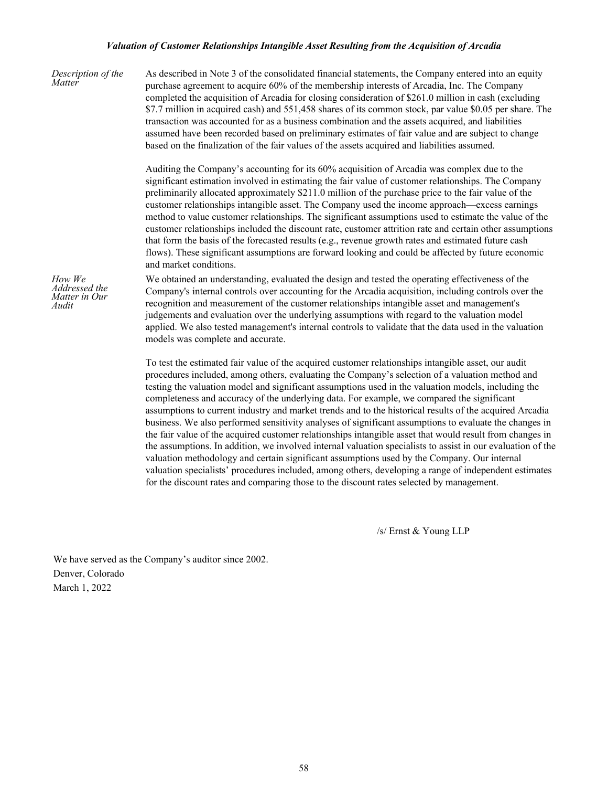### *Valuation of Customer Relationships Intangible Asset Resulting from the Acquisition of Arcadia*

*Description of the Matter* As described in Note 3 of the consolidated financial statements, the Company entered into an equity purchase agreement to acquire 60% of the membership interests of Arcadia, Inc. The Company completed the acquisition of Arcadia for closing consideration of \$261.0 million in cash (excluding \$7.7 million in acquired cash) and 551,458 shares of its common stock, par value \$0.05 per share. The transaction was accounted for as a business combination and the assets acquired, and liabilities assumed have been recorded based on preliminary estimates of fair value and are subject to change based on the finalization of the fair values of the assets acquired and liabilities assumed. Auditing the Company's accounting for its 60% acquisition of Arcadia was complex due to the significant estimation involved in estimating the fair value of customer relationships. The Company preliminarily allocated approximately \$211.0 million of the purchase price to the fair value of the customer relationships intangible asset. The Company used the income approach—excess earnings method to value customer relationships. The significant assumptions used to estimate the value of the customer relationships included the discount rate, customer attrition rate and certain other assumptions that form the basis of the forecasted results (e.g., revenue growth rates and estimated future cash flows). These significant assumptions are forward looking and could be affected by future economic and market conditions. *How We Addressed the Matter in Our Audit* We obtained an understanding, evaluated the design and tested the operating effectiveness of the Company's internal controls over accounting for the Arcadia acquisition, including controls over the recognition and measurement of the customer relationships intangible asset and management's judgements and evaluation over the underlying assumptions with regard to the valuation model applied. We also tested management's internal controls to validate that the data used in the valuation models was complete and accurate. To test the estimated fair value of the acquired customer relationships intangible asset, our audit procedures included, among others, evaluating the Company's selection of a valuation method and testing the valuation model and significant assumptions used in the valuation models, including the completeness and accuracy of the underlying data. For example, we compared the significant assumptions to current industry and market trends and to the historical results of the acquired Arcadia business. We also performed sensitivity analyses of significant assumptions to evaluate the changes in the fair value of the acquired customer relationships intangible asset that would result from changes in

> the assumptions. In addition, we involved internal valuation specialists to assist in our evaluation of the valuation methodology and certain significant assumptions used by the Company. Our internal valuation specialists' procedures included, among others, developing a range of independent estimates for the discount rates and comparing those to the discount rates selected by management.

> > /s/ Ernst & Young LLP

We have served as the Company's auditor since 2002. Denver, Colorado March 1, 2022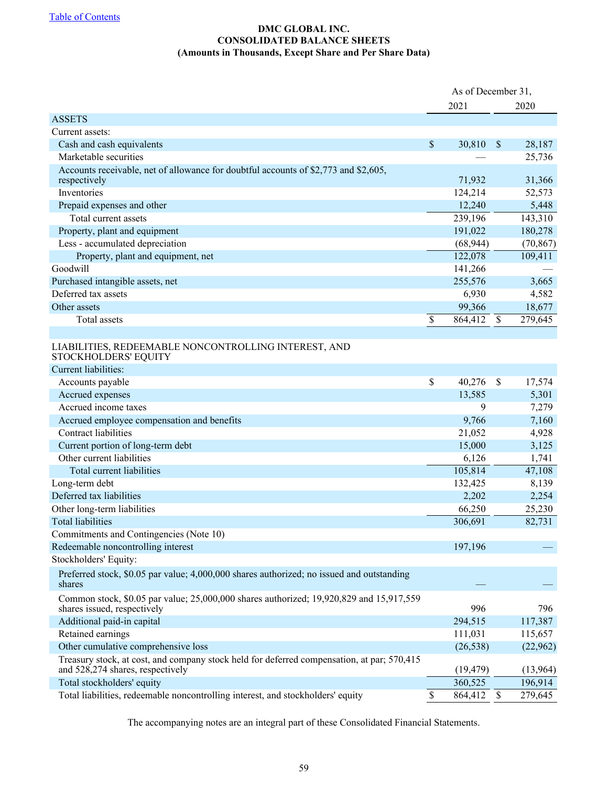## **DMC GLOBAL INC. CONSOLIDATED BALANCE SHEETS (Amounts in Thousands, Except Share and Per Share Data)**

<span id="page-61-0"></span>

|                                                                                                                                | As of December 31, |                           |           |  |  |
|--------------------------------------------------------------------------------------------------------------------------------|--------------------|---------------------------|-----------|--|--|
|                                                                                                                                | 2021               |                           | 2020      |  |  |
| <b>ASSETS</b>                                                                                                                  |                    |                           |           |  |  |
| Current assets:                                                                                                                |                    |                           |           |  |  |
| Cash and cash equivalents                                                                                                      | \$<br>30,810       | \$                        | 28,187    |  |  |
| Marketable securities                                                                                                          |                    |                           | 25,736    |  |  |
| Accounts receivable, net of allowance for doubtful accounts of \$2,773 and \$2,605,<br>respectively                            | 71,932             |                           | 31,366    |  |  |
| Inventories                                                                                                                    | 124,214            |                           | 52,573    |  |  |
| Prepaid expenses and other                                                                                                     | 12,240             |                           | 5,448     |  |  |
| Total current assets                                                                                                           | 239,196            |                           | 143,310   |  |  |
| Property, plant and equipment                                                                                                  | 191,022            |                           | 180,278   |  |  |
| Less - accumulated depreciation                                                                                                | (68, 944)          |                           | (70, 867) |  |  |
| Property, plant and equipment, net                                                                                             | 122,078            |                           | 109,411   |  |  |
| Goodwill                                                                                                                       | 141,266            |                           |           |  |  |
| Purchased intangible assets, net                                                                                               | 255,576            |                           | 3,665     |  |  |
| Deferred tax assets                                                                                                            | 6,930              |                           | 4,582     |  |  |
| Other assets                                                                                                                   | 99,366             |                           | 18,677    |  |  |
| Total assets                                                                                                                   | \$<br>864,412      | $\boldsymbol{\mathsf{S}}$ | 279,645   |  |  |
|                                                                                                                                |                    |                           |           |  |  |
| LIABILITIES, REDEEMABLE NONCONTROLLING INTEREST, AND<br>STOCKHOLDERS' EQUITY                                                   |                    |                           |           |  |  |
| Current liabilities:                                                                                                           |                    |                           |           |  |  |
| Accounts payable                                                                                                               | \$<br>40,276       | $\mathbb{S}$              | 17,574    |  |  |
| Accrued expenses                                                                                                               | 13,585             |                           | 5,301     |  |  |
| Accrued income taxes                                                                                                           | 9                  |                           | 7,279     |  |  |
| Accrued employee compensation and benefits                                                                                     | 9,766              |                           | 7,160     |  |  |
| Contract liabilities                                                                                                           | 21,052             |                           | 4,928     |  |  |
| Current portion of long-term debt                                                                                              | 15,000             |                           | 3,125     |  |  |
| Other current liabilities                                                                                                      | 6,126              |                           | 1,741     |  |  |
| Total current liabilities                                                                                                      | 105,814            |                           | 47,108    |  |  |
| Long-term debt                                                                                                                 | 132,425            |                           | 8,139     |  |  |
| Deferred tax liabilities                                                                                                       | 2,202              |                           | 2,254     |  |  |
| Other long-term liabilities                                                                                                    | 66,250             |                           | 25,230    |  |  |
| <b>Total liabilities</b>                                                                                                       | 306,691            |                           | 82,731    |  |  |
| Commitments and Contingencies (Note 10)                                                                                        |                    |                           |           |  |  |
| Redeemable noncontrolling interest                                                                                             | 197,196            |                           |           |  |  |
| Stockholders' Equity:                                                                                                          |                    |                           |           |  |  |
| Preferred stock, \$0.05 par value; 4,000,000 shares authorized; no issued and outstanding<br>shares                            |                    |                           |           |  |  |
| Common stock, \$0.05 par value; 25,000,000 shares authorized; 19,920,829 and 15,917,559<br>shares issued, respectively         | 996                |                           | 796       |  |  |
| Additional paid-in capital                                                                                                     | 294,515            |                           | 117,387   |  |  |
| Retained earnings                                                                                                              | 111,031            |                           | 115,657   |  |  |
| Other cumulative comprehensive loss                                                                                            | (26, 538)          |                           | (22,962)  |  |  |
| Treasury stock, at cost, and company stock held for deferred compensation, at par; 570,415<br>and 528,274 shares, respectively | (19, 479)          |                           | (13,964)  |  |  |
| Total stockholders' equity                                                                                                     | 360,525            |                           | 196,914   |  |  |
| Total liabilities, redeemable noncontrolling interest, and stockholders' equity                                                | \$<br>864,412      | \$                        | 279,645   |  |  |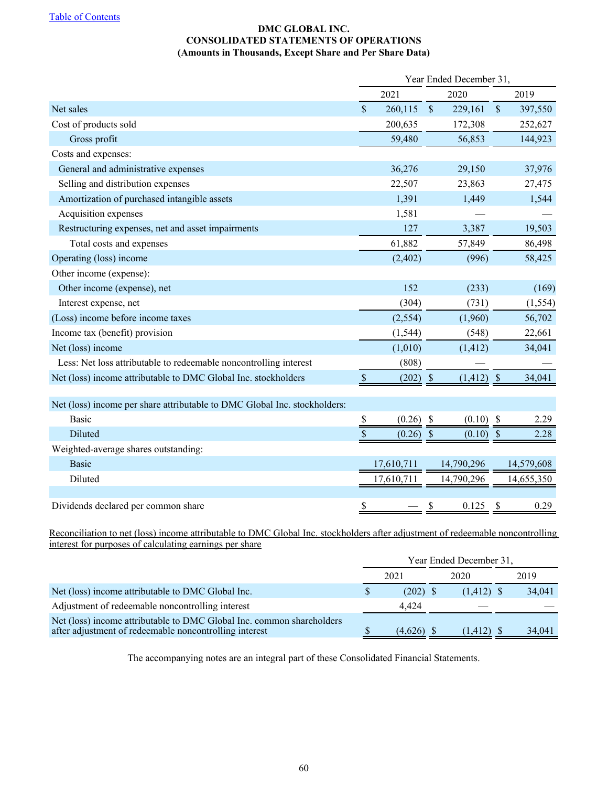## **DMC GLOBAL INC. CONSOLIDATED STATEMENTS OF OPERATIONS (Amounts in Thousands, Except Share and Per Share Data)**

<span id="page-62-0"></span>

|                                                                           | Year Ended December 31, |             |               |              |               |            |
|---------------------------------------------------------------------------|-------------------------|-------------|---------------|--------------|---------------|------------|
|                                                                           | 2021                    |             |               | 2020         |               | 2019       |
| Net sales                                                                 | $\mathsf{\$}$           | 260,115     | $\mathcal{S}$ | 229,161      | $\$$          | 397,550    |
| Cost of products sold                                                     |                         | 200,635     |               | 172,308      |               | 252,627    |
| Gross profit                                                              |                         | 59,480      |               | 56,853       |               | 144,923    |
| Costs and expenses:                                                       |                         |             |               |              |               |            |
| General and administrative expenses                                       |                         | 36,276      |               | 29,150       |               | 37,976     |
| Selling and distribution expenses                                         |                         | 22,507      |               | 23,863       |               | 27,475     |
| Amortization of purchased intangible assets                               |                         | 1,391       |               | 1,449        |               | 1,544      |
| Acquisition expenses                                                      |                         | 1,581       |               |              |               |            |
| Restructuring expenses, net and asset impairments                         |                         | 127         |               | 3,387        |               | 19,503     |
| Total costs and expenses                                                  |                         | 61,882      |               | 57,849       |               | 86,498     |
| Operating (loss) income                                                   |                         | (2, 402)    |               | (996)        |               | 58,425     |
| Other income (expense):                                                   |                         |             |               |              |               |            |
| Other income (expense), net                                               |                         | 152         |               | (233)        |               | (169)      |
| Interest expense, net                                                     |                         | (304)       |               | (731)        |               | (1, 554)   |
| (Loss) income before income taxes                                         |                         | (2, 554)    |               | (1,960)      |               | 56,702     |
| Income tax (benefit) provision                                            |                         | (1, 544)    |               | (548)        |               | 22,661     |
| Net (loss) income                                                         |                         | (1,010)     |               | (1, 412)     |               | 34,041     |
| Less: Net loss attributable to redeemable noncontrolling interest         |                         | (808)       |               |              |               |            |
| Net (loss) income attributable to DMC Global Inc. stockholders            | $\mathbb{S}$            | $(202)$ \$  |               | $(1,412)$ \$ |               | 34,041     |
|                                                                           |                         |             |               |              |               |            |
| Net (loss) income per share attributable to DMC Global Inc. stockholders: |                         |             |               |              |               |            |
| <b>Basic</b>                                                              | $\$$                    | $(0.26)$ \$ |               | $(0.10)$ \$  |               | 2.29       |
| Diluted                                                                   | \$                      | (0.26)      | $\mathcal{S}$ | (0.10)       | $\mathcal{S}$ | 2.28       |
| Weighted-average shares outstanding:                                      |                         |             |               |              |               |            |
| <b>Basic</b>                                                              |                         | 17,610,711  |               | 14,790,296   |               | 14,579,608 |
| Diluted                                                                   |                         | 17,610,711  |               | 14,790,296   |               | 14,655,350 |
|                                                                           |                         |             |               |              |               |            |
| Dividends declared per common share                                       | \$                      |             | \$            | 0.125        |               | 0.29       |

Reconciliation to net (loss) income attributable to DMC Global Inc. stockholders after adjustment of redeemable noncontrolling interest for purposes of calculating earnings per share

|                                                                                                                                 | Year Ended December 31, |      |              |      |        |  |  |
|---------------------------------------------------------------------------------------------------------------------------------|-------------------------|------|--------------|------|--------|--|--|
|                                                                                                                                 | 2021                    | 2020 |              | 2019 |        |  |  |
| Net (loss) income attributable to DMC Global Inc.                                                                               | $(202)$ \$              |      | $(1,412)$ \$ |      | 34,041 |  |  |
| Adjustment of redeemable noncontrolling interest                                                                                | 4.424                   |      |              |      |        |  |  |
| Net (loss) income attributable to DMC Global Inc. common shareholders<br>after adjustment of redeemable noncontrolling interest | $(4,626)$ \$            |      | (1.412)      |      | 34,041 |  |  |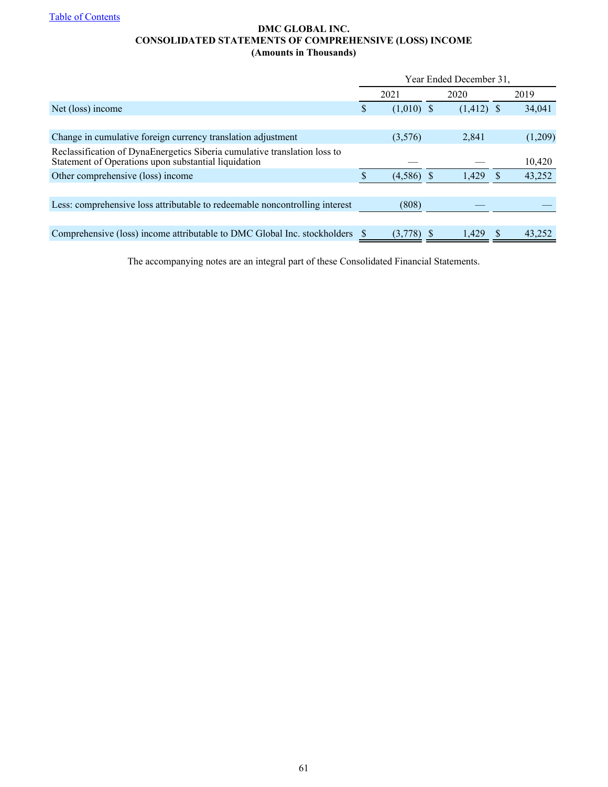## **DMC GLOBAL INC. CONSOLIDATED STATEMENTS OF COMPREHENSIVE (LOSS) INCOME (Amounts in Thousands)**

<span id="page-63-0"></span>

|                                                                                                                                   | Year Ended December 31, |              |      |              |   |         |  |
|-----------------------------------------------------------------------------------------------------------------------------------|-------------------------|--------------|------|--------------|---|---------|--|
|                                                                                                                                   |                         | 2021         | 2020 |              |   | 2019    |  |
| Net (loss) income                                                                                                                 | \$                      | $(1,010)$ \$ |      | $(1,412)$ \$ |   | 34,041  |  |
|                                                                                                                                   |                         |              |      |              |   |         |  |
| Change in cumulative foreign currency translation adjustment                                                                      |                         | (3,576)      |      | 2,841        |   | (1,209) |  |
| Reclassification of DynaEnergetics Siberia cumulative translation loss to<br>Statement of Operations upon substantial liquidation |                         |              |      |              |   | 10,420  |  |
| Other comprehensive (loss) income                                                                                                 |                         | $(4,586)$ \$ |      | 1,429        | S | 43,252  |  |
|                                                                                                                                   |                         |              |      |              |   |         |  |
| Less: comprehensive loss attributable to redeemable noncontrolling interest                                                       |                         | (808)        |      |              |   |         |  |
|                                                                                                                                   |                         |              |      |              |   |         |  |
| Comprehensive (loss) income attributable to DMC Global Inc. stockholders                                                          |                         | (3,778)      |      | 1.429        | S | 43,252  |  |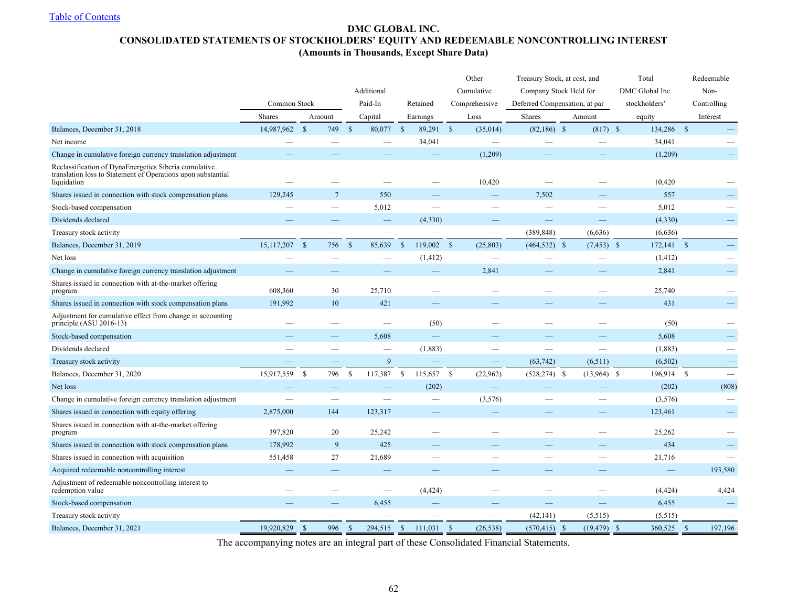## **DMC GLOBAL INC. CONSOLIDATED STATEMENTS OF STOCKHOLDERS' EQUITY AND REDEEMABLE NONCONTROLLING INTEREST (Amounts in Thousands, Except Share Data)**

<span id="page-64-0"></span>

|                                                                                                                                      |               |                           |                    |            |                    |              |              | Other                    | Treasury Stock, at cost, and  |        |                |                 | Total<br>Redeemable |                          |
|--------------------------------------------------------------------------------------------------------------------------------------|---------------|---------------------------|--------------------|------------|--------------------|--------------|--------------|--------------------------|-------------------------------|--------|----------------|-----------------|---------------------|--------------------------|
|                                                                                                                                      |               |                           |                    | Additional |                    |              |              | Cumulative               | Company Stock Held for        |        |                | DMC Global Inc. |                     | Non-                     |
|                                                                                                                                      | Common Stock  |                           |                    | Paid-In    |                    | Retained     |              | Comprehensive            | Deferred Compensation, at par |        |                | stockholders'   |                     | Controlling              |
|                                                                                                                                      | <b>Shares</b> | Amount                    |                    | Capital    |                    | Earnings     |              | Loss                     | Shares                        | Amount |                | equity          |                     | Interest                 |
| Balances, December 31, 2018                                                                                                          | 14,987,962    | $\mathbf{\hat{s}}$<br>749 | $\mathbf{\hat{s}}$ | 80,077     | $\mathbb{S}$       | 89,291       | $\mathbf{s}$ | (35,014)                 | $(82,186)$ \$                 |        | $(817)$ \$     | 134,286         | $\mathbf S$         |                          |
| Net income                                                                                                                           |               |                           |                    |            |                    | 34,041       |              |                          |                               |        |                | 34,041          |                     |                          |
| Change in cumulative foreign currency translation adjustment                                                                         |               |                           |                    |            |                    |              |              | (1,209)                  |                               |        |                | (1,209)         |                     |                          |
| Reclassification of DynaEnergetics Siberia cumulative<br>translation loss to Statement of Operations upon substantial<br>liquidation |               |                           |                    |            |                    |              |              | 10,420                   |                               |        |                | 10,420          |                     |                          |
| Shares issued in connection with stock compensation plans                                                                            | 129,245       | $7\phantom{.0}$           |                    | 550        |                    |              |              |                          | 7,502                         |        |                | 557             |                     |                          |
| Stock-based compensation                                                                                                             |               |                           |                    | 5,012      |                    |              |              |                          |                               |        |                | 5,012           |                     |                          |
| Dividends declared                                                                                                                   |               |                           |                    |            |                    | (4,330)      |              |                          |                               |        |                | (4,330)         |                     |                          |
| Treasury stock activity                                                                                                              |               |                           |                    |            |                    |              |              | $\overline{\phantom{0}}$ | (389, 848)                    |        | (6,636)        | (6,636)         |                     |                          |
| Balances, December 31, 2019                                                                                                          | 15, 117, 207  | $\mathbf{\hat{s}}$<br>756 | $\mathbf{s}$       | 85,639     | $\mathbf{\hat{s}}$ | $119,002$ \$ |              | (25, 803)                | $(464, 532)$ \$               |        | $(7, 453)$ \$  | $172,141$ \$    |                     | $\overline{\phantom{0}}$ |
| Net loss                                                                                                                             |               |                           |                    |            |                    | (1, 412)     |              |                          |                               |        |                | (1, 412)        |                     |                          |
| Change in cumulative foreign currency translation adjustment                                                                         |               |                           |                    |            |                    |              |              | 2,841                    |                               |        |                | 2,841           |                     |                          |
| Shares issued in connection with at-the-market offering<br>program                                                                   | 608,360       | 30                        |                    | 25,710     |                    |              |              |                          |                               |        |                | 25,740          |                     |                          |
| Shares issued in connection with stock compensation plans                                                                            | 191,992       | 10                        |                    | 421        |                    |              |              |                          |                               |        |                | 431             |                     |                          |
| Adjustment for cumulative effect from change in accounting<br>principle (ASU 2016-13)                                                |               |                           |                    |            |                    | (50)         |              |                          |                               |        |                | (50)            |                     |                          |
| Stock-based compensation                                                                                                             |               |                           |                    | 5,608      |                    |              |              |                          |                               |        |                | 5,608           |                     |                          |
| Dividends declared                                                                                                                   |               |                           |                    |            |                    | (1,883)      |              |                          |                               |        |                | (1, 883)        |                     |                          |
| Treasury stock activity                                                                                                              |               |                           |                    | 9          |                    |              |              | $\qquad \qquad -$        | (63, 742)                     |        | (6, 511)       | (6, 502)        |                     |                          |
| Balances, December 31, 2020                                                                                                          | 15,917,559    | $\mathbf S$<br>796        | <sup>\$</sup>      | 117,387    | $\mathbb{S}$       | 115,657      | - S          | (22,962)                 | $(528, 274)$ \$               |        | $(13,964)$ \$  | 196,914 \$      |                     | $\overline{\phantom{0}}$ |
| Net loss                                                                                                                             |               |                           |                    |            |                    | (202)        |              |                          |                               |        |                | (202)           |                     | (808)                    |
| Change in cumulative foreign currency translation adjustment                                                                         |               |                           |                    |            |                    |              |              | (3,576)                  |                               |        |                | (3,576)         |                     |                          |
| Shares issued in connection with equity offering                                                                                     | 2,875,000     | 144                       |                    | 123,317    |                    |              |              |                          |                               |        |                | 123,461         |                     |                          |
| Shares issued in connection with at-the-market offering<br>program                                                                   | 397,820       | 20                        |                    | 25,242     |                    |              |              |                          |                               |        |                | 25,262          |                     |                          |
| Shares issued in connection with stock compensation plans                                                                            | 178,992       | 9                         |                    | 425        |                    |              |              |                          |                               |        |                | 434             |                     |                          |
| Shares issued in connection with acquisition                                                                                         | 551,458       | 27                        |                    | 21,689     |                    |              |              |                          |                               |        |                | 21,716          |                     |                          |
| Acquired redeemable noncontrolling interest                                                                                          |               |                           |                    |            |                    |              |              |                          |                               |        |                | -               |                     | 193,580                  |
| Adjustment of redeemable noncontrolling interest to<br>redemption value                                                              |               |                           |                    |            |                    | (4, 424)     |              |                          |                               |        |                | (4, 424)        |                     | 4,424                    |
| Stock-based compensation                                                                                                             |               |                           |                    | 6,455      |                    |              |              |                          |                               |        |                | 6,455           |                     |                          |
| Treasury stock activity                                                                                                              |               |                           |                    |            |                    |              |              | $\overline{\phantom{0}}$ | (42, 141)                     |        | (5,515)        | (5, 515)        |                     |                          |
| Balances, December 31, 2021                                                                                                          | 19,920,829    | <sup>S</sup><br>996       | <sup>\$</sup>      | 294,515    | <sup>S</sup>       | 111,031      | -S           | (26, 538)                | $(570, 415)$ \$               |        | $(19, 479)$ \$ | 360,525         | <sup>S</sup>        | 197,196                  |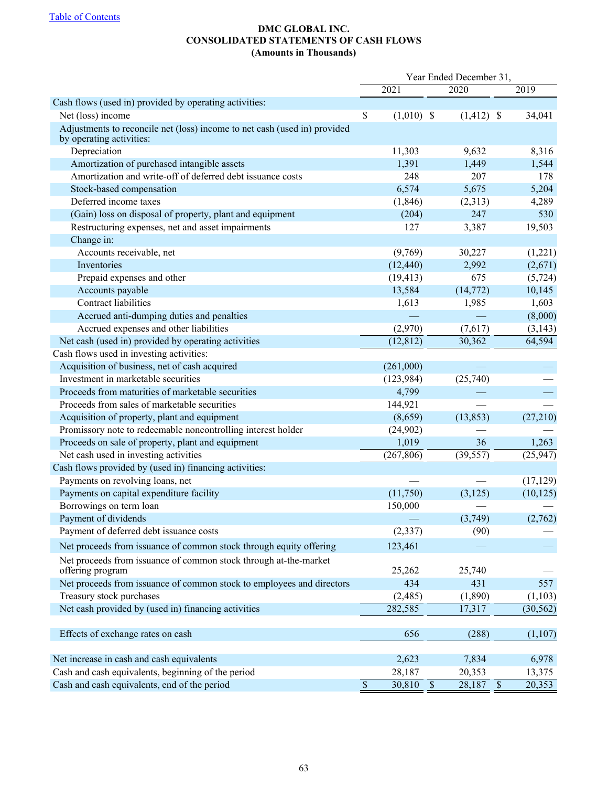## **DMC GLOBAL INC. CONSOLIDATED STATEMENTS OF CASH FLOWS (Amounts in Thousands)**

<span id="page-65-0"></span>

|                                                                                                       | Year Ended December 31, |                    |  |              |  |           |
|-------------------------------------------------------------------------------------------------------|-------------------------|--------------------|--|--------------|--|-----------|
|                                                                                                       |                         | 2021               |  | 2020         |  | 2019      |
| Cash flows (used in) provided by operating activities:                                                |                         |                    |  |              |  |           |
| Net (loss) income                                                                                     | $\mathsf{\$}$           | $(1,010)$ \$       |  | $(1,412)$ \$ |  | 34,041    |
| Adjustments to reconcile net (loss) income to net cash (used in) provided<br>by operating activities: |                         |                    |  |              |  |           |
| Depreciation                                                                                          |                         | 11,303             |  | 9,632        |  | 8,316     |
| Amortization of purchased intangible assets                                                           |                         | 1,391              |  | 1,449        |  | 1,544     |
| Amortization and write-off of deferred debt issuance costs                                            |                         | 248                |  | 207          |  | 178       |
| Stock-based compensation                                                                              |                         | 6,574              |  | 5,675        |  | 5,204     |
| Deferred income taxes                                                                                 |                         | (1, 846)           |  | (2,313)      |  | 4,289     |
| (Gain) loss on disposal of property, plant and equipment                                              |                         | (204)              |  | 247          |  | 530       |
| Restructuring expenses, net and asset impairments                                                     |                         | 127                |  | 3,387        |  | 19,503    |
| Change in:                                                                                            |                         |                    |  |              |  |           |
| Accounts receivable, net                                                                              |                         | (9,769)            |  | 30,227       |  | (1,221)   |
| Inventories                                                                                           |                         | (12, 440)          |  | 2,992        |  | (2,671)   |
| Prepaid expenses and other                                                                            |                         | (19, 413)          |  | 675          |  | (5, 724)  |
| Accounts payable                                                                                      |                         | 13,584             |  | (14, 772)    |  | 10,145    |
| Contract liabilities                                                                                  |                         | 1,613              |  | 1,985        |  | 1,603     |
| Accrued anti-dumping duties and penalties                                                             |                         |                    |  |              |  | (8,000)   |
| Accrued expenses and other liabilities                                                                |                         | (2,970)            |  | (7,617)      |  | (3, 143)  |
| Net cash (used in) provided by operating activities                                                   |                         | (12, 812)          |  | 30,362       |  | 64,594    |
| Cash flows used in investing activities:                                                              |                         |                    |  |              |  |           |
| Acquisition of business, net of cash acquired                                                         |                         | (261,000)          |  |              |  |           |
| Investment in marketable securities                                                                   |                         | (123, 984)         |  | (25,740)     |  |           |
| Proceeds from maturities of marketable securities                                                     |                         | 4,799              |  |              |  |           |
| Proceeds from sales of marketable securities                                                          |                         | 144,921            |  |              |  |           |
| Acquisition of property, plant and equipment                                                          |                         | (8,659)            |  | (13, 853)    |  | (27,210)  |
| Promissory note to redeemable noncontrolling interest holder                                          |                         | (24,902)           |  |              |  |           |
| Proceeds on sale of property, plant and equipment                                                     |                         | 1,019              |  | 36           |  | 1,263     |
| Net cash used in investing activities                                                                 |                         | (267, 806)         |  | (39, 557)    |  | (25, 947) |
| Cash flows provided by (used in) financing activities:                                                |                         |                    |  |              |  |           |
| Payments on revolving loans, net                                                                      |                         |                    |  |              |  | (17, 129) |
| Payments on capital expenditure facility                                                              |                         | (11,750)           |  | (3,125)      |  | (10, 125) |
| Borrowings on term loan                                                                               |                         | 150,000            |  |              |  |           |
| Payment of dividends                                                                                  |                         |                    |  | (3,749)      |  | (2,762)   |
| Payment of deferred debt issuance costs                                                               |                         | (2, 337)           |  | (90)         |  |           |
| Net proceeds from issuance of common stock through equity offering                                    |                         | 123,461            |  |              |  |           |
| Net proceeds from issuance of common stock through at-the-market<br>offering program                  |                         | 25,262             |  | 25,740       |  |           |
| Net proceeds from issuance of common stock to employees and directors                                 |                         | 434                |  | 431          |  | 557       |
| Treasury stock purchases                                                                              |                         | (2,485)            |  | (1, 890)     |  | (1,103)   |
| Net cash provided by (used in) financing activities                                                   |                         | 282,585            |  | 17,317       |  | (30, 562) |
| Effects of exchange rates on cash                                                                     |                         | 656                |  | (288)        |  | (1,107)   |
| Net increase in cash and cash equivalents                                                             |                         | 2,623              |  | 7,834        |  | 6,978     |
| Cash and cash equivalents, beginning of the period                                                    |                         | 28,187             |  | 20,353       |  | 13,375    |
| Cash and cash equivalents, end of the period                                                          | $\overline{\$}$         | $\frac{30,810}{s}$ |  | $28,187$ \$  |  | 20,353    |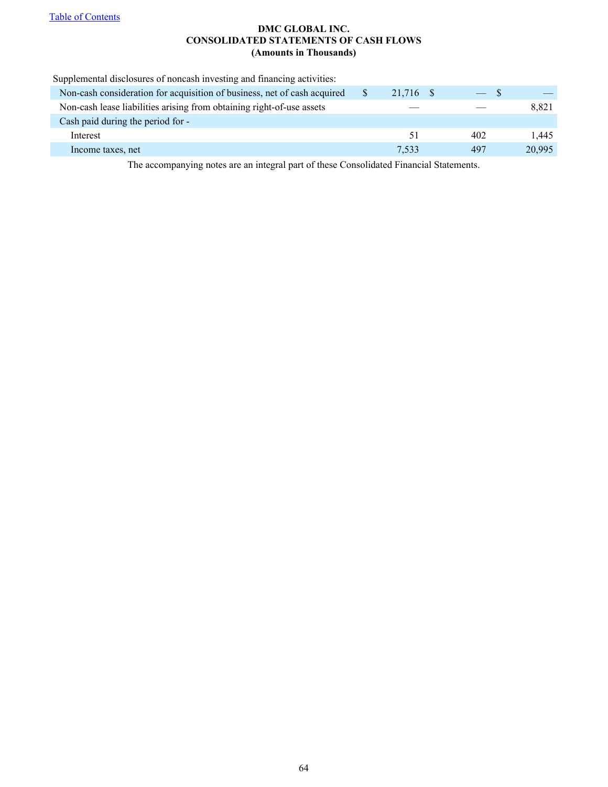## **DMC GLOBAL INC. CONSOLIDATED STATEMENTS OF CASH FLOWS (Amounts in Thousands)**

| Supplemental disclosures of noncash investing and financing activities:  |           |       |        |
|--------------------------------------------------------------------------|-----------|-------|--------|
| Non-cash consideration for acquisition of business, net of cash acquired | 21,716 \$ | $-$ S |        |
| Non-cash lease liabilities arising from obtaining right-of-use assets    |           |       | 8,821  |
| Cash paid during the period for -                                        |           |       |        |
| Interest                                                                 | 51        | 402   | 1.445  |
| Income taxes, net                                                        | 7.533     | 497   | 20,995 |
|                                                                          |           |       |        |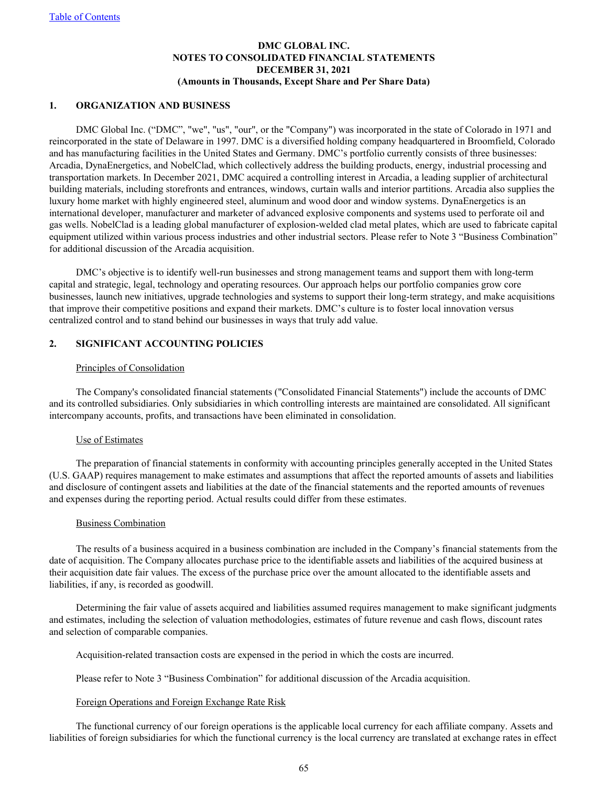## **DMC GLOBAL INC. NOTES TO CONSOLIDATED FINANCIAL STATEMENTS DECEMBER 31, 2021 (Amounts in Thousands, Except Share and Per Share Data)**

### <span id="page-67-0"></span>**1. ORGANIZATION AND BUSINESS**

DMC Global Inc. ("DMC", "we", "us", "our", or the "Company") was incorporated in the state of Colorado in 1971 and reincorporated in the state of Delaware in 1997. DMC is a diversified holding company headquartered in Broomfield, Colorado and has manufacturing facilities in the United States and Germany. DMC's portfolio currently consists of three businesses: Arcadia, DynaEnergetics, and NobelClad, which collectively address the building products, energy, industrial processing and transportation markets. In December 2021, DMC acquired a controlling interest in Arcadia, a leading supplier of architectural building materials, including storefronts and entrances, windows, curtain walls and interior partitions. Arcadia also supplies the luxury home market with highly engineered steel, aluminum and wood door and window systems. DynaEnergetics is an international developer, manufacturer and marketer of advanced explosive components and systems used to perforate oil and gas wells. NobelClad is a leading global manufacturer of explosion-welded clad metal plates, which are used to fabricate capital equipment utilized within various process industries and other industrial sectors. Please refer to Note 3 "Business Combination" for additional discussion of the Arcadia acquisition.

DMC's objective is to identify well-run businesses and strong management teams and support them with long-term capital and strategic, legal, technology and operating resources. Our approach helps our portfolio companies grow core businesses, launch new initiatives, upgrade technologies and systems to support their long-term strategy, and make acquisitions that improve their competitive positions and expand their markets. DMC's culture is to foster local innovation versus centralized control and to stand behind our businesses in ways that truly add value.

## **2. SIGNIFICANT ACCOUNTING POLICIES**

### Principles of Consolidation

The Company's consolidated financial statements ("Consolidated Financial Statements") include the accounts of DMC and its controlled subsidiaries. Only subsidiaries in which controlling interests are maintained are consolidated. All significant intercompany accounts, profits, and transactions have been eliminated in consolidation.

### Use of Estimates

The preparation of financial statements in conformity with accounting principles generally accepted in the United States (U.S. GAAP) requires management to make estimates and assumptions that affect the reported amounts of assets and liabilities and disclosure of contingent assets and liabilities at the date of the financial statements and the reported amounts of revenues and expenses during the reporting period. Actual results could differ from these estimates.

### Business Combination

The results of a business acquired in a business combination are included in the Company's financial statements from the date of acquisition. The Company allocates purchase price to the identifiable assets and liabilities of the acquired business at their acquisition date fair values. The excess of the purchase price over the amount allocated to the identifiable assets and liabilities, if any, is recorded as goodwill.

Determining the fair value of assets acquired and liabilities assumed requires management to make significant judgments and estimates, including the selection of valuation methodologies, estimates of future revenue and cash flows, discount rates and selection of comparable companies.

Acquisition-related transaction costs are expensed in the period in which the costs are incurred.

Please refer to Note 3 "Business Combination" for additional discussion of the Arcadia acquisition.

### Foreign Operations and Foreign Exchange Rate Risk

The functional currency of our foreign operations is the applicable local currency for each affiliate company. Assets and liabilities of foreign subsidiaries for which the functional currency is the local currency are translated at exchange rates in effect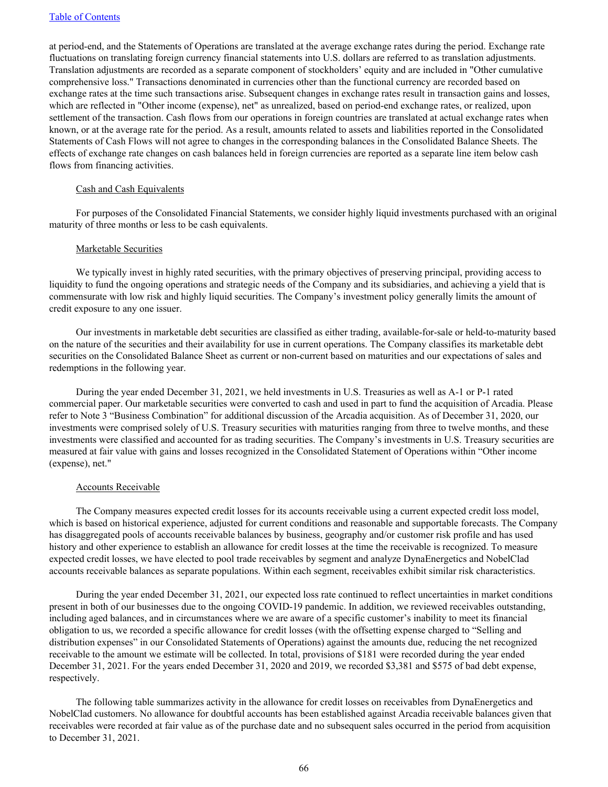at period-end, and the Statements of Operations are translated at the average exchange rates during the period. Exchange rate fluctuations on translating foreign currency financial statements into U.S. dollars are referred to as translation adjustments. Translation adjustments are recorded as a separate component of stockholders' equity and are included in "Other cumulative comprehensive loss." Transactions denominated in currencies other than the functional currency are recorded based on exchange rates at the time such transactions arise. Subsequent changes in exchange rates result in transaction gains and losses, which are reflected in "Other income (expense), net" as unrealized, based on period-end exchange rates, or realized, upon settlement of the transaction. Cash flows from our operations in foreign countries are translated at actual exchange rates when known, or at the average rate for the period. As a result, amounts related to assets and liabilities reported in the Consolidated Statements of Cash Flows will not agree to changes in the corresponding balances in the Consolidated Balance Sheets. The effects of exchange rate changes on cash balances held in foreign currencies are reported as a separate line item below cash flows from financing activities.

### Cash and Cash Equivalents

For purposes of the Consolidated Financial Statements, we consider highly liquid investments purchased with an original maturity of three months or less to be cash equivalents.

### Marketable Securities

We typically invest in highly rated securities, with the primary objectives of preserving principal, providing access to liquidity to fund the ongoing operations and strategic needs of the Company and its subsidiaries, and achieving a yield that is commensurate with low risk and highly liquid securities. The Company's investment policy generally limits the amount of credit exposure to any one issuer.

Our investments in marketable debt securities are classified as either trading, available-for-sale or held-to-maturity based on the nature of the securities and their availability for use in current operations. The Company classifies its marketable debt securities on the Consolidated Balance Sheet as current or non-current based on maturities and our expectations of sales and redemptions in the following year.

During the year ended December 31, 2021, we held investments in U.S. Treasuries as well as A-1 or P-1 rated commercial paper. Our marketable securities were converted to cash and used in part to fund the acquisition of Arcadia. Please refer to Note 3 "Business Combination" for additional discussion of the Arcadia acquisition. As of December 31, 2020, our investments were comprised solely of U.S. Treasury securities with maturities ranging from three to twelve months, and these investments were classified and accounted for as trading securities. The Company's investments in U.S. Treasury securities are measured at fair value with gains and losses recognized in the Consolidated Statement of Operations within "Other income (expense), net."

### Accounts Receivable

The Company measures expected credit losses for its accounts receivable using a current expected credit loss model, which is based on historical experience, adjusted for current conditions and reasonable and supportable forecasts. The Company has disaggregated pools of accounts receivable balances by business, geography and/or customer risk profile and has used history and other experience to establish an allowance for credit losses at the time the receivable is recognized. To measure expected credit losses, we have elected to pool trade receivables by segment and analyze DynaEnergetics and NobelClad accounts receivable balances as separate populations. Within each segment, receivables exhibit similar risk characteristics.

During the year ended December 31, 2021, our expected loss rate continued to reflect uncertainties in market conditions present in both of our businesses due to the ongoing COVID-19 pandemic. In addition, we reviewed receivables outstanding, including aged balances, and in circumstances where we are aware of a specific customer's inability to meet its financial obligation to us, we recorded a specific allowance for credit losses (with the offsetting expense charged to "Selling and distribution expenses" in our Consolidated Statements of Operations) against the amounts due, reducing the net recognized receivable to the amount we estimate will be collected. In total, provisions of \$181 were recorded during the year ended December 31, 2021. For the years ended December 31, 2020 and 2019, we recorded \$3,381 and \$575 of bad debt expense, respectively.

The following table summarizes activity in the allowance for credit losses on receivables from DynaEnergetics and NobelClad customers. No allowance for doubtful accounts has been established against Arcadia receivable balances given that receivables were recorded at fair value as of the purchase date and no subsequent sales occurred in the period from acquisition to December 31, 2021.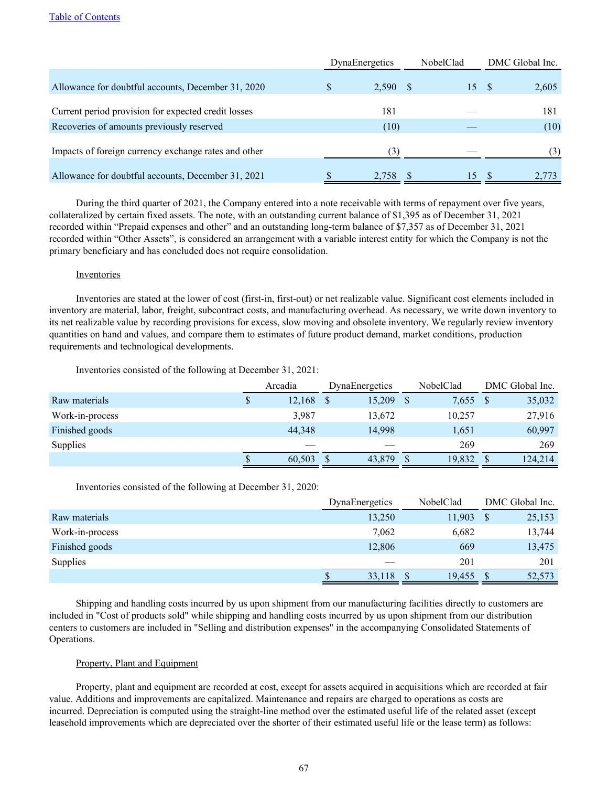|                                                      | DynaEnergetics | NobelClad | DMC Global Inc. |  |  |
|------------------------------------------------------|----------------|-----------|-----------------|--|--|
| Allowance for doubtful accounts, December 31, 2020   | 2,590<br>\$    | 15<br>-8  | 2,605<br>- \$   |  |  |
| Current period provision for expected credit losses  | 181            |           | 181             |  |  |
| Recoveries of amounts previously reserved            | (10)           |           | (10)            |  |  |
| Impacts of foreign currency exchange rates and other | (3)            |           | (3)             |  |  |
| Allowance for doubtful accounts, December 31, 2021   | 2.758          | 15        | 2.773           |  |  |

During the third quarter of 2021, the Company entered into a note receivable with terms of repayment over five years, collateralized by certain fixed assets. The note, with an outstanding current balance of \$1,395 as of December 31, 2021 recorded within "Prepaid expenses and other" and an outstanding long-term balance of \$7,357 as of December 31, 2021 recorded within "Other Assets", is considered an arrangement with a variable interest entity for which the Company is not the primary beneficiary and has concluded does not require consolidation.

### Inventories

Inventories are stated at the lower of cost (first-in, first-out) or net realizable value. Significant cost elements included in inventory are material, labor, freight, subcontract costs, and manufacturing overhead. As necessary, we write down inventory to its net realizable value by recording provisions for excess, slow moving and obsolete inventory. We regularly review inventory quantities on hand and values, and compare them to estimates of future product demand, market conditions, production requirements and technological developments.

Inventories consisted of the following at December 31, 2021:

|                 | Arcadia | DynaEnergetics | NobelClad | DMC Global Inc. |  |  |
|-----------------|---------|----------------|-----------|-----------------|--|--|
| Raw materials   | 12,168  | 15,209         | 7,655     | 35,032          |  |  |
| Work-in-process | 3,987   | 13,672         | 10,257    | 27,916          |  |  |
| Finished goods  | 44.348  | 14,998         | 1,651     | 60,997          |  |  |
| <b>Supplies</b> |         |                | 269       | 269             |  |  |
|                 | 60.503  | 43,879         | 19.832    | 124,214         |  |  |

Inventories consisted of the following at December 31, 2020:

|                 | DynaEnergetics | NobelClad | DMC Global Inc. |
|-----------------|----------------|-----------|-----------------|
| Raw materials   | 13,250         | 11,903    | 25,153          |
| Work-in-process | 7,062          | 6,682     | 13,744          |
| Finished goods  | 12,806         | 669       | 13,475          |
| Supplies        |                | 201       | 201             |
|                 | 33,118         | 19,455    | 52,573          |

Shipping and handling costs incurred by us upon shipment from our manufacturing facilities directly to customers are included in "Cost of products sold" while shipping and handling costs incurred by us upon shipment from our distribution centers to customers are included in "Selling and distribution expenses" in the accompanying Consolidated Statements of Operations.

### Property, Plant and Equipment

Property, plant and equipment are recorded at cost, except for assets acquired in acquisitions which are recorded at fair value. Additions and improvements are capitalized. Maintenance and repairs are charged to operations as costs are incurred. Depreciation is computed using the straight-line method over the estimated useful life of the related asset (except leasehold improvements which are depreciated over the shorter of their estimated useful life or the lease term) as follows: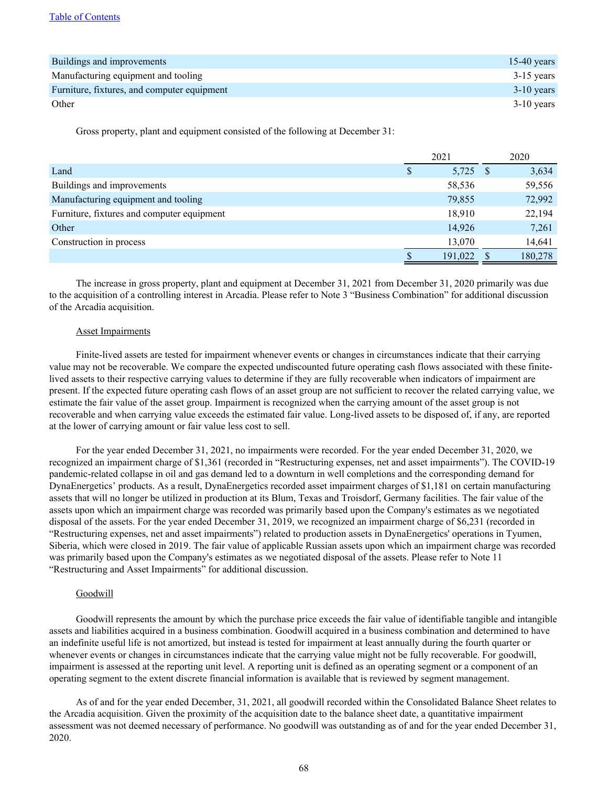| Buildings and improvements                  | 15-40 years  |
|---------------------------------------------|--------------|
| Manufacturing equipment and tooling         | $3-15$ years |
| Furniture, fixtures, and computer equipment | $3-10$ years |
| Other                                       | $3-10$ years |

Gross property, plant and equipment consisted of the following at December 31:

|                                            | 2021    | 2020    |
|--------------------------------------------|---------|---------|
| Land                                       | 5,725   | 3,634   |
| Buildings and improvements                 | 58,536  | 59,556  |
| Manufacturing equipment and tooling        | 79,855  | 72,992  |
| Furniture, fixtures and computer equipment | 18,910  | 22,194  |
| Other                                      | 14,926  | 7,261   |
| Construction in process                    | 13,070  | 14,641  |
|                                            | 191,022 | 180,278 |

The increase in gross property, plant and equipment at December 31, 2021 from December 31, 2020 primarily was due to the acquisition of a controlling interest in Arcadia. Please refer to Note 3 "Business Combination" for additional discussion of the Arcadia acquisition.

### **Asset Impairments**

Finite-lived assets are tested for impairment whenever events or changes in circumstances indicate that their carrying value may not be recoverable. We compare the expected undiscounted future operating cash flows associated with these finitelived assets to their respective carrying values to determine if they are fully recoverable when indicators of impairment are present. If the expected future operating cash flows of an asset group are not sufficient to recover the related carrying value, we estimate the fair value of the asset group. Impairment is recognized when the carrying amount of the asset group is not recoverable and when carrying value exceeds the estimated fair value. Long-lived assets to be disposed of, if any, are reported at the lower of carrying amount or fair value less cost to sell.

For the year ended December 31, 2021, no impairments were recorded. For the year ended December 31, 2020, we recognized an impairment charge of \$1,361 (recorded in "Restructuring expenses, net and asset impairments"). The COVID-19 pandemic-related collapse in oil and gas demand led to a downturn in well completions and the corresponding demand for DynaEnergetics' products. As a result, DynaEnergetics recorded asset impairment charges of \$1,181 on certain manufacturing assets that will no longer be utilized in production at its Blum, Texas and Troisdorf, Germany facilities. The fair value of the assets upon which an impairment charge was recorded was primarily based upon the Company's estimates as we negotiated disposal of the assets. For the year ended December 31, 2019, we recognized an impairment charge of \$6,231 (recorded in "Restructuring expenses, net and asset impairments") related to production assets in DynaEnergetics' operations in Tyumen, Siberia, which were closed in 2019. The fair value of applicable Russian assets upon which an impairment charge was recorded was primarily based upon the Company's estimates as we negotiated disposal of the assets. Please refer to Note 11 "Restructuring and Asset Impairments" for additional discussion.

### **Goodwill**

Goodwill represents the amount by which the purchase price exceeds the fair value of identifiable tangible and intangible assets and liabilities acquired in a business combination. Goodwill acquired in a business combination and determined to have an indefinite useful life is not amortized, but instead is tested for impairment at least annually during the fourth quarter or whenever events or changes in circumstances indicate that the carrying value might not be fully recoverable. For goodwill, impairment is assessed at the reporting unit level. A reporting unit is defined as an operating segment or a component of an operating segment to the extent discrete financial information is available that is reviewed by segment management.

As of and for the year ended December, 31, 2021, all goodwill recorded within the Consolidated Balance Sheet relates to the Arcadia acquisition. Given the proximity of the acquisition date to the balance sheet date, a quantitative impairment assessment was not deemed necessary of performance. No goodwill was outstanding as of and for the year ended December 31, 2020.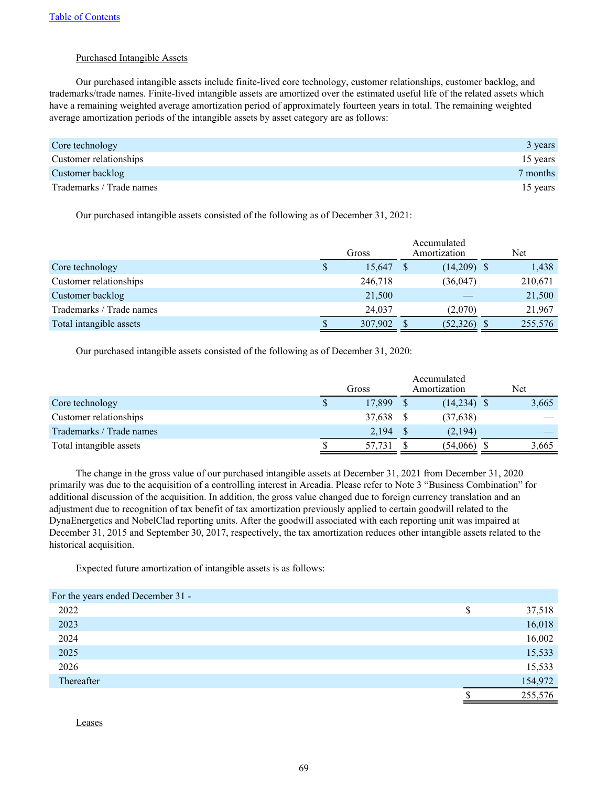## Purchased Intangible Assets

Our purchased intangible assets include finite-lived core technology, customer relationships, customer backlog, and trademarks/trade names. Finite-lived intangible assets are amortized over the estimated useful life of the related assets which have a remaining weighted average amortization period of approximately fourteen years in total. The remaining weighted average amortization periods of the intangible assets by asset category are as follows:

| Core technology          | 3 years  |
|--------------------------|----------|
| Customer relationships   | 15 years |
| Customer backlog         | 7 months |
| Trademarks / Trade names | 15 years |

Our purchased intangible assets consisted of the following as of December 31, 2021:

|                          | Gross |         | Accumulated<br>Amortization |               |  | Net     |  |
|--------------------------|-------|---------|-----------------------------|---------------|--|---------|--|
| Core technology          | S     | 15,647  |                             | $(14,209)$ \$ |  | 1,438   |  |
| Customer relationships   |       | 246,718 |                             | (36, 047)     |  | 210,671 |  |
| Customer backlog         |       | 21,500  |                             |               |  | 21,500  |  |
| Trademarks / Trade names |       | 24.037  |                             | (2,070)       |  | 21,967  |  |
| Total intangible assets  | S     | 307,902 |                             | (52, 326)     |  | 255,576 |  |

Our purchased intangible assets consisted of the following as of December 31, 2020:

|                          | Gross |        | Accumulated<br>Amortization |               | Net |       |
|--------------------------|-------|--------|-----------------------------|---------------|-----|-------|
| Core technology          | \$    | 17.899 |                             | $(14,234)$ \$ |     | 3,665 |
| Customer relationships   |       | 37,638 |                             | (37,638)      |     |       |
| Trademarks / Trade names |       | 2,194  |                             | (2,194)       |     |       |
| Total intangible assets  |       | 57,731 |                             | (54,066)      |     | 3,665 |

The change in the gross value of our purchased intangible assets at December 31, 2021 from December 31, 2020 primarily was due to the acquisition of a controlling interest in Arcadia. Please refer to Note 3 "Business Combination" for additional discussion of the acquisition. In addition, the gross value changed due to foreign currency translation and an adjustment due to recognition of tax benefit of tax amortization previously applied to certain goodwill related to the DynaEnergetics and NobelClad reporting units. After the goodwill associated with each reporting unit was impaired at December 31, 2015 and September 30, 2017, respectively, the tax amortization reduces other intangible assets related to the historical acquisition.

Expected future amortization of intangible assets is as follows:

| For the years ended December 31 - |   |         |
|-----------------------------------|---|---------|
| 2022                              | S | 37,518  |
| 2023                              |   | 16,018  |
| 2024                              |   | 16,002  |
| 2025                              |   | 15,533  |
| 2026                              |   | 15,533  |
| Thereafter                        |   | 154,972 |
|                                   |   | 255,576 |

Leases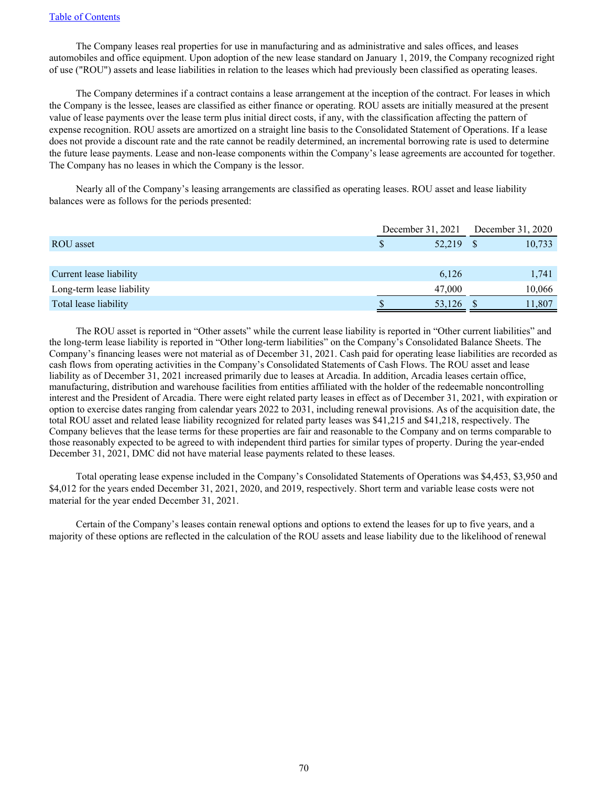The Company leases real properties for use in manufacturing and as administrative and sales offices, and leases automobiles and office equipment. Upon adoption of the new lease standard on January 1, 2019, the Company recognized right of use ("ROU") assets and lease liabilities in relation to the leases which had previously been classified as operating leases.

The Company determines if a contract contains a lease arrangement at the inception of the contract. For leases in which the Company is the lessee, leases are classified as either finance or operating. ROU assets are initially measured at the present value of lease payments over the lease term plus initial direct costs, if any, with the classification affecting the pattern of expense recognition. ROU assets are amortized on a straight line basis to the Consolidated Statement of Operations. If a lease does not provide a discount rate and the rate cannot be readily determined, an incremental borrowing rate is used to determine the future lease payments. Lease and non-lease components within the Company's lease agreements are accounted for together. The Company has no leases in which the Company is the lessor.

Nearly all of the Company's leasing arrangements are classified as operating leases. ROU asset and lease liability balances were as follows for the periods presented:

|                           |        | December 31, 2021 | December 31, 2020 |        |  |
|---------------------------|--------|-------------------|-------------------|--------|--|
| ROU asset                 | 52,219 |                   |                   | 10,733 |  |
|                           |        |                   |                   |        |  |
| Current lease liability   |        | 6,126             |                   | 1,741  |  |
| Long-term lease liability |        | 47,000            |                   | 10,066 |  |
| Total lease liability     |        | 53,126            |                   | 11,807 |  |

The ROU asset is reported in "Other assets" while the current lease liability is reported in "Other current liabilities" and the long-term lease liability is reported in "Other long-term liabilities" on the Company's Consolidated Balance Sheets. The Company's financing leases were not material as of December 31, 2021. Cash paid for operating lease liabilities are recorded as cash flows from operating activities in the Company's Consolidated Statements of Cash Flows. The ROU asset and lease liability as of December 31, 2021 increased primarily due to leases at Arcadia. In addition, Arcadia leases certain office, manufacturing, distribution and warehouse facilities from entities affiliated with the holder of the redeemable noncontrolling interest and the President of Arcadia. There were eight related party leases in effect as of December 31, 2021, with expiration or option to exercise dates ranging from calendar years 2022 to 2031, including renewal provisions. As of the acquisition date, the total ROU asset and related lease liability recognized for related party leases was \$41,215 and \$41,218, respectively. The Company believes that the lease terms for these properties are fair and reasonable to the Company and on terms comparable to those reasonably expected to be agreed to with independent third parties for similar types of property. During the year-ended December 31, 2021, DMC did not have material lease payments related to these leases.

Total operating lease expense included in the Company's Consolidated Statements of Operations was \$4,453, \$3,950 and \$4,012 for the years ended December 31, 2021, 2020, and 2019, respectively. Short term and variable lease costs were not material for the year ended December 31, 2021.

Certain of the Company's leases contain renewal options and options to extend the leases for up to five years, and a majority of these options are reflected in the calculation of the ROU assets and lease liability due to the likelihood of renewal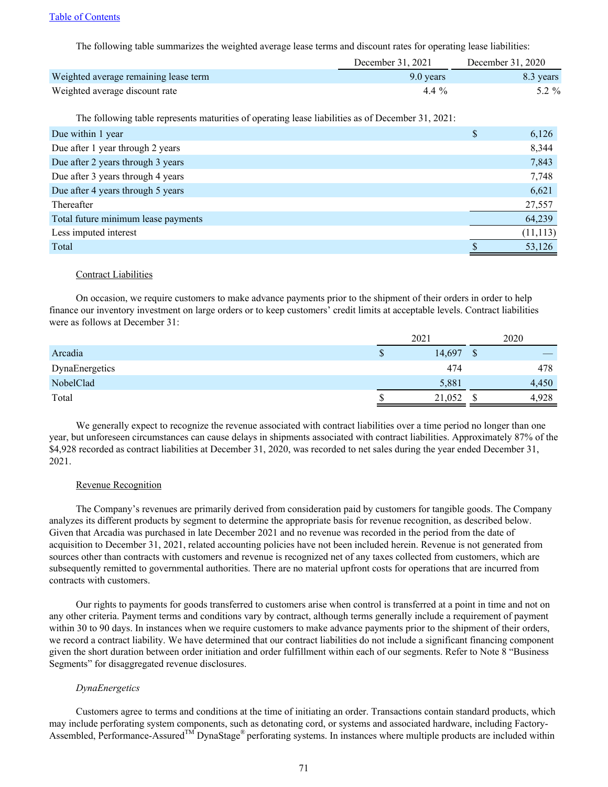The following table summarizes the weighted average lease terms and discount rates for operating lease liabilities:

|                                       | December 31, 2021 | December 31, 2020 |
|---------------------------------------|-------------------|-------------------|
| Weighted average remaining lease term | 9.0 years         | 8.3 years         |
| Weighted average discount rate        | 4.4 $\%$          | $5.2 \%$          |

The following table represents maturities of operating lease liabilities as of December 31, 2021:

| Due within 1 year                   | S | 6,126     |
|-------------------------------------|---|-----------|
| Due after 1 year through 2 years    |   | 8,344     |
| Due after 2 years through 3 years   |   | 7,843     |
| Due after 3 years through 4 years   |   | 7,748     |
| Due after 4 years through 5 years   |   | 6,621     |
| Thereafter                          |   | 27,557    |
| Total future minimum lease payments |   | 64,239    |
| Less imputed interest               |   | (11, 113) |
| Total                               |   | 53,126    |

#### Contract Liabilities

On occasion, we require customers to make advance payments prior to the shipment of their orders in order to help finance our inventory investment on large orders or to keep customers' credit limits at acceptable levels. Contract liabilities were as follows at December 31:

|                | 2021 |        |               | 2020  |
|----------------|------|--------|---------------|-------|
| Arcadia        |      | 14,697 | $\Gamma$<br>᠕ |       |
| DynaEnergetics |      | 474    |               | 478   |
| NobelClad      |      | 5,881  |               | 4,450 |
| Total          |      | 21,052 |               | 4,928 |

We generally expect to recognize the revenue associated with contract liabilities over a time period no longer than one year, but unforeseen circumstances can cause delays in shipments associated with contract liabilities. Approximately 87% of the \$4,928 recorded as contract liabilities at December 31, 2020, was recorded to net sales during the year ended December 31, 2021.

#### Revenue Recognition

The Company's revenues are primarily derived from consideration paid by customers for tangible goods. The Company analyzes its different products by segment to determine the appropriate basis for revenue recognition, as described below. Given that Arcadia was purchased in late December 2021 and no revenue was recorded in the period from the date of acquisition to December 31, 2021, related accounting policies have not been included herein. Revenue is not generated from sources other than contracts with customers and revenue is recognized net of any taxes collected from customers, which are subsequently remitted to governmental authorities. There are no material upfront costs for operations that are incurred from contracts with customers.

Our rights to payments for goods transferred to customers arise when control is transferred at a point in time and not on any other criteria. Payment terms and conditions vary by contract, although terms generally include a requirement of payment within 30 to 90 days. In instances when we require customers to make advance payments prior to the shipment of their orders, we record a contract liability. We have determined that our contract liabilities do not include a significant financing component given the short duration between order initiation and order fulfillment within each of our segments. Refer to Note 8 "Business Segments" for disaggregated revenue disclosures.

#### *DynaEnergetics*

Customers agree to terms and conditions at the time of initiating an order. Transactions contain standard products, which may include perforating system components, such as detonating cord, or systems and associated hardware, including Factory-Assembled, Performance-Assured<sup>™</sup> DynaStage<sup>®</sup> perforating systems. In instances where multiple products are included within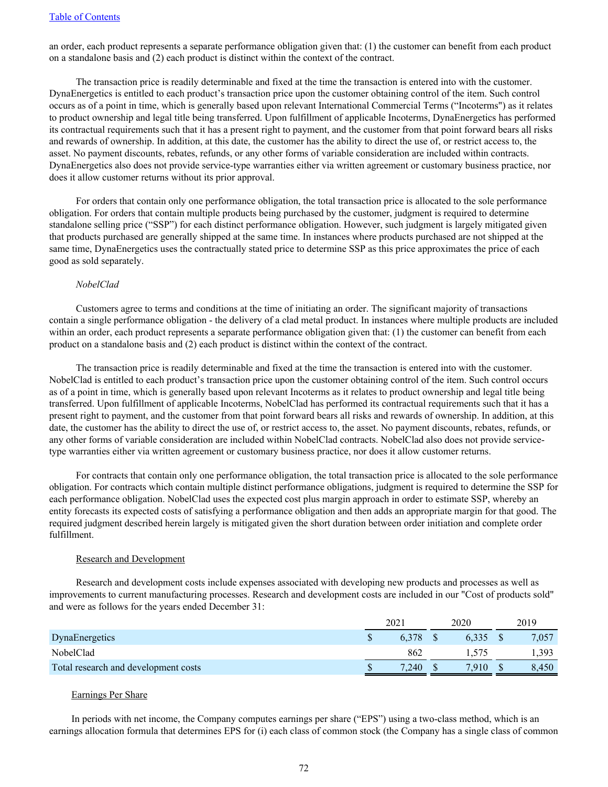an order, each product represents a separate performance obligation given that: (1) the customer can benefit from each product on a standalone basis and (2) each product is distinct within the context of the contract.

The transaction price is readily determinable and fixed at the time the transaction is entered into with the customer. DynaEnergetics is entitled to each product's transaction price upon the customer obtaining control of the item. Such control occurs as of a point in time, which is generally based upon relevant International Commercial Terms ("Incoterms") as it relates to product ownership and legal title being transferred. Upon fulfillment of applicable Incoterms, DynaEnergetics has performed its contractual requirements such that it has a present right to payment, and the customer from that point forward bears all risks and rewards of ownership. In addition, at this date, the customer has the ability to direct the use of, or restrict access to, the asset. No payment discounts, rebates, refunds, or any other forms of variable consideration are included within contracts. DynaEnergetics also does not provide service-type warranties either via written agreement or customary business practice, nor does it allow customer returns without its prior approval.

For orders that contain only one performance obligation, the total transaction price is allocated to the sole performance obligation. For orders that contain multiple products being purchased by the customer, judgment is required to determine standalone selling price ("SSP") for each distinct performance obligation. However, such judgment is largely mitigated given that products purchased are generally shipped at the same time. In instances where products purchased are not shipped at the same time, DynaEnergetics uses the contractually stated price to determine SSP as this price approximates the price of each good as sold separately.

### *NobelClad*

Customers agree to terms and conditions at the time of initiating an order. The significant majority of transactions contain a single performance obligation - the delivery of a clad metal product. In instances where multiple products are included within an order, each product represents a separate performance obligation given that: (1) the customer can benefit from each product on a standalone basis and (2) each product is distinct within the context of the contract.

The transaction price is readily determinable and fixed at the time the transaction is entered into with the customer. NobelClad is entitled to each product's transaction price upon the customer obtaining control of the item. Such control occurs as of a point in time, which is generally based upon relevant Incoterms as it relates to product ownership and legal title being transferred. Upon fulfillment of applicable Incoterms, NobelClad has performed its contractual requirements such that it has a present right to payment, and the customer from that point forward bears all risks and rewards of ownership. In addition, at this date, the customer has the ability to direct the use of, or restrict access to, the asset. No payment discounts, rebates, refunds, or any other forms of variable consideration are included within NobelClad contracts. NobelClad also does not provide servicetype warranties either via written agreement or customary business practice, nor does it allow customer returns.

For contracts that contain only one performance obligation, the total transaction price is allocated to the sole performance obligation. For contracts which contain multiple distinct performance obligations, judgment is required to determine the SSP for each performance obligation. NobelClad uses the expected cost plus margin approach in order to estimate SSP, whereby an entity forecasts its expected costs of satisfying a performance obligation and then adds an appropriate margin for that good. The required judgment described herein largely is mitigated given the short duration between order initiation and complete order fulfillment.

#### Research and Development

Research and development costs include expenses associated with developing new products and processes as well as improvements to current manufacturing processes. Research and development costs are included in our "Cost of products sold" and were as follows for the years ended December 31:

|                                      | 202.  | 2020  | 2019  |
|--------------------------------------|-------|-------|-------|
| DynaEnergetics                       | 6.378 | 6.335 | 7,057 |
| NobelClad                            | 862   |       | 1,393 |
| Total research and development costs | 7.240 | 7.910 | 8,450 |

#### Earnings Per Share

In periods with net income, the Company computes earnings per share ("EPS") using a two-class method, which is an earnings allocation formula that determines EPS for (i) each class of common stock (the Company has a single class of common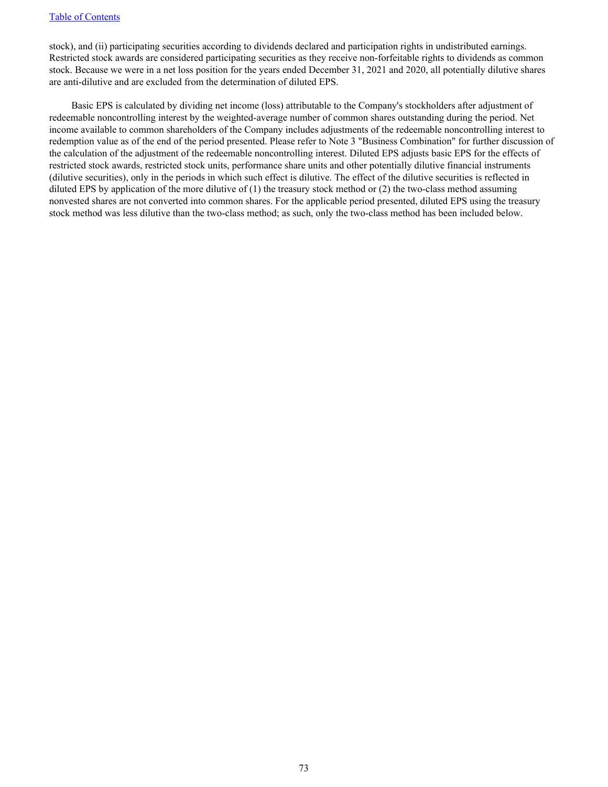stock), and (ii) participating securities according to dividends declared and participation rights in undistributed earnings. Restricted stock awards are considered participating securities as they receive non-forfeitable rights to dividends as common stock. Because we were in a net loss position for the years ended December 31, 2021 and 2020, all potentially dilutive shares are anti-dilutive and are excluded from the determination of diluted EPS.

Basic EPS is calculated by dividing net income (loss) attributable to the Company's stockholders after adjustment of redeemable noncontrolling interest by the weighted‑average number of common shares outstanding during the period. Net income available to common shareholders of the Company includes adjustments of the redeemable noncontrolling interest to redemption value as of the end of the period presented. Please refer to Note 3 "Business Combination" for further discussion of the calculation of the adjustment of the redeemable noncontrolling interest. Diluted EPS adjusts basic EPS for the effects of restricted stock awards, restricted stock units, performance share units and other potentially dilutive financial instruments (dilutive securities), only in the periods in which such effect is dilutive. The effect of the dilutive securities is reflected in diluted EPS by application of the more dilutive of (1) the treasury stock method or (2) the two-class method assuming nonvested shares are not converted into common shares. For the applicable period presented, diluted EPS using the treasury stock method was less dilutive than the two-class method; as such, only the two-class method has been included below.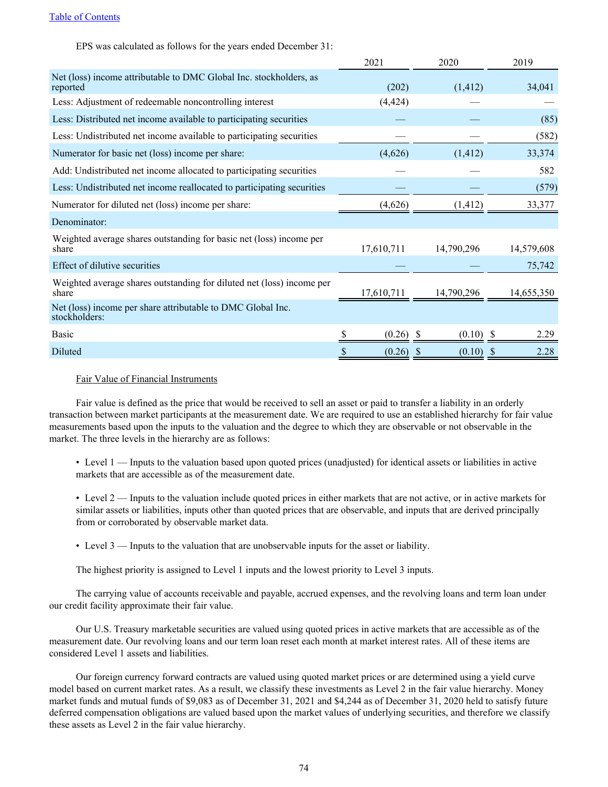EPS was calculated as follows for the years ended December 31:

|                                                                                | 2021        | 2020                    | 2019       |
|--------------------------------------------------------------------------------|-------------|-------------------------|------------|
| Net (loss) income attributable to DMC Global Inc. stockholders, as<br>reported | (202)       | (1, 412)                | 34,041     |
| Less: Adjustment of redeemable noncontrolling interest                         | (4, 424)    |                         |            |
| Less: Distributed net income available to participating securities             |             |                         | (85)       |
| Less: Undistributed net income available to participating securities           |             |                         | (582)      |
| Numerator for basic net (loss) income per share:                               | (4,626)     | (1, 412)                | 33,374     |
| Add: Undistributed net income allocated to participating securities            |             |                         | 582        |
| Less: Undistributed net income reallocated to participating securities         |             |                         | (579)      |
| Numerator for diluted net (loss) income per share:                             | (4,626)     | (1, 412)                | 33,377     |
| Denominator:                                                                   |             |                         |            |
| Weighted average shares outstanding for basic net (loss) income per<br>share   | 17,610,711  | 14,790,296              | 14,579,608 |
| Effect of dilutive securities                                                  |             |                         | 75,742     |
| Weighted average shares outstanding for diluted net (loss) income per<br>share | 17,610,711  | 14,790,296              | 14,655,350 |
| Net (loss) income per share attributable to DMC Global Inc.<br>stockholders:   |             |                         |            |
| Basic                                                                          | $(0.26)$ \$ | (0.10)                  | 2.29       |
| Diluted                                                                        | (0.26)      | (0.10)<br><sup>\$</sup> | 2.28<br>S  |

# Fair Value of Financial Instruments

Fair value is defined as the price that would be received to sell an asset or paid to transfer a liability in an orderly transaction between market participants at the measurement date. We are required to use an established hierarchy for fair value measurements based upon the inputs to the valuation and the degree to which they are observable or not observable in the market. The three levels in the hierarchy are as follows:

• Level 1 — Inputs to the valuation based upon quoted prices (unadjusted) for identical assets or liabilities in active markets that are accessible as of the measurement date.

• Level 2 — Inputs to the valuation include quoted prices in either markets that are not active, or in active markets for similar assets or liabilities, inputs other than quoted prices that are observable, and inputs that are derived principally from or corroborated by observable market data.

• Level 3 — Inputs to the valuation that are unobservable inputs for the asset or liability.

The highest priority is assigned to Level 1 inputs and the lowest priority to Level 3 inputs.

The carrying value of accounts receivable and payable, accrued expenses, and the revolving loans and term loan under our credit facility approximate their fair value.

Our U.S. Treasury marketable securities are valued using quoted prices in active markets that are accessible as of the measurement date. Our revolving loans and our term loan reset each month at market interest rates. All of these items are considered Level 1 assets and liabilities.

Our foreign currency forward contracts are valued using quoted market prices or are determined using a yield curve model based on current market rates. As a result, we classify these investments as Level 2 in the fair value hierarchy. Money market funds and mutual funds of \$9,083 as of December 31, 2021 and \$4,244 as of December 31, 2020 held to satisfy future deferred compensation obligations are valued based upon the market values of underlying securities, and therefore we classify these assets as Level 2 in the fair value hierarchy.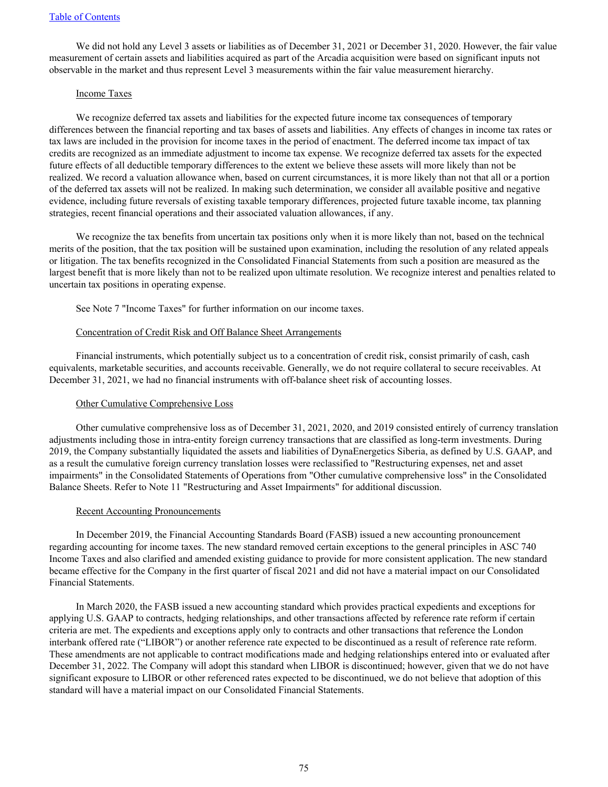We did not hold any Level 3 assets or liabilities as of December 31, 2021 or December 31, 2020. However, the fair value measurement of certain assets and liabilities acquired as part of the Arcadia acquisition were based on significant inputs not observable in the market and thus represent Level 3 measurements within the fair value measurement hierarchy.

#### Income Taxes

We recognize deferred tax assets and liabilities for the expected future income tax consequences of temporary differences between the financial reporting and tax bases of assets and liabilities. Any effects of changes in income tax rates or tax laws are included in the provision for income taxes in the period of enactment. The deferred income tax impact of tax credits are recognized as an immediate adjustment to income tax expense. We recognize deferred tax assets for the expected future effects of all deductible temporary differences to the extent we believe these assets will more likely than not be realized. We record a valuation allowance when, based on current circumstances, it is more likely than not that all or a portion of the deferred tax assets will not be realized. In making such determination, we consider all available positive and negative evidence, including future reversals of existing taxable temporary differences, projected future taxable income, tax planning strategies, recent financial operations and their associated valuation allowances, if any.

We recognize the tax benefits from uncertain tax positions only when it is more likely than not, based on the technical merits of the position, that the tax position will be sustained upon examination, including the resolution of any related appeals or litigation. The tax benefits recognized in the Consolidated Financial Statements from such a position are measured as the largest benefit that is more likely than not to be realized upon ultimate resolution. We recognize interest and penalties related to uncertain tax positions in operating expense.

See Note 7 "Income Taxes" for further information on our income taxes.

#### Concentration of Credit Risk and Off Balance Sheet Arrangements

Financial instruments, which potentially subject us to a concentration of credit risk, consist primarily of cash, cash equivalents, marketable securities, and accounts receivable. Generally, we do not require collateral to secure receivables. At December 31, 2021, we had no financial instruments with off-balance sheet risk of accounting losses.

#### Other Cumulative Comprehensive Loss

Other cumulative comprehensive loss as of December 31, 2021, 2020, and 2019 consisted entirely of currency translation adjustments including those in intra-entity foreign currency transactions that are classified as long-term investments. During 2019, the Company substantially liquidated the assets and liabilities of DynaEnergetics Siberia, as defined by U.S. GAAP, and as a result the cumulative foreign currency translation losses were reclassified to "Restructuring expenses, net and asset impairments" in the Consolidated Statements of Operations from "Other cumulative comprehensive loss" in the Consolidated Balance Sheets. Refer to Note 11 "Restructuring and Asset Impairments" for additional discussion.

#### Recent Accounting Pronouncements

In December 2019, the Financial Accounting Standards Board (FASB) issued a new accounting pronouncement regarding accounting for income taxes. The new standard removed certain exceptions to the general principles in ASC 740 Income Taxes and also clarified and amended existing guidance to provide for more consistent application. The new standard became effective for the Company in the first quarter of fiscal 2021 and did not have a material impact on our Consolidated Financial Statements.

In March 2020, the FASB issued a new accounting standard which provides practical expedients and exceptions for applying U.S. GAAP to contracts, hedging relationships, and other transactions affected by reference rate reform if certain criteria are met. The expedients and exceptions apply only to contracts and other transactions that reference the London interbank offered rate ("LIBOR") or another reference rate expected to be discontinued as a result of reference rate reform. These amendments are not applicable to contract modifications made and hedging relationships entered into or evaluated after December 31, 2022. The Company will adopt this standard when LIBOR is discontinued; however, given that we do not have significant exposure to LIBOR or other referenced rates expected to be discontinued, we do not believe that adoption of this standard will have a material impact on our Consolidated Financial Statements.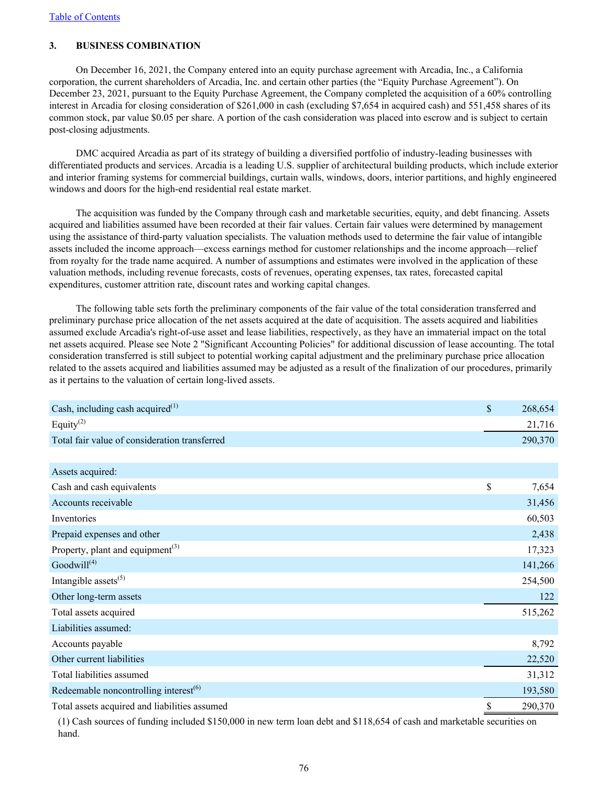# **3. BUSINESS COMBINATION**

On December 16, 2021, the Company entered into an equity purchase agreement with Arcadia, Inc., a California corporation, the current shareholders of Arcadia, Inc. and certain other parties (the "Equity Purchase Agreement"). On December 23, 2021, pursuant to the Equity Purchase Agreement, the Company completed the acquisition of a 60% controlling interest in Arcadia for closing consideration of \$261,000 in cash (excluding \$7,654 in acquired cash) and 551,458 shares of its common stock, par value \$0.05 per share. A portion of the cash consideration was placed into escrow and is subject to certain post-closing adjustments.

DMC acquired Arcadia as part of its strategy of building a diversified portfolio of industry-leading businesses with differentiated products and services. Arcadia is a leading U.S. supplier of architectural building products, which include exterior and interior framing systems for commercial buildings, curtain walls, windows, doors, interior partitions, and highly engineered windows and doors for the high-end residential real estate market.

The acquisition was funded by the Company through cash and marketable securities, equity, and debt financing. Assets acquired and liabilities assumed have been recorded at their fair values. Certain fair values were determined by management using the assistance of third-party valuation specialists. The valuation methods used to determine the fair value of intangible assets included the income approach—excess earnings method for customer relationships and the income approach—relief from royalty for the trade name acquired. A number of assumptions and estimates were involved in the application of these valuation methods, including revenue forecasts, costs of revenues, operating expenses, tax rates, forecasted capital expenditures, customer attrition rate, discount rates and working capital changes.

The following table sets forth the preliminary components of the fair value of the total consideration transferred and preliminary purchase price allocation of the net assets acquired at the date of acquisition. The assets acquired and liabilities assumed exclude Arcadia's right-of-use asset and lease liabilities, respectively, as they have an immaterial impact on the total net assets acquired. Please see Note 2 "Significant Accounting Policies" for additional discussion of lease accounting. The total consideration transferred is still subject to potential working capital adjustment and the preliminary purchase price allocation related to the assets acquired and liabilities assumed may be adjusted as a result of the finalization of our procedures, primarily as it pertains to the valuation of certain long-lived assets.

| Cash, including cash acquired $^{(1)}$        | \$<br>268,654 |
|-----------------------------------------------|---------------|
| Equity $^{(2)}$                               | 21,716        |
| Total fair value of consideration transferred | 290,370       |
|                                               |               |
| Assets acquired:                              |               |
| Cash and cash equivalents                     | \$<br>7,654   |
| Accounts receivable                           | 31,456        |
| Inventories                                   | 60,503        |
| Prepaid expenses and other                    | 2,438         |
| Property, plant and equipment <sup>(3)</sup>  | 17,323        |
| Goodwill <sup>(4)</sup>                       | 141,266       |
| Intangible assets $(5)$                       | 254,500       |
| Other long-term assets                        | 122           |
| Total assets acquired                         | 515,262       |
| Liabilities assumed:                          |               |
| Accounts payable                              | 8,792         |
| Other current liabilities                     | 22,520        |
| Total liabilities assumed                     | 31,312        |
| Redeemable noncontrolling interest $(6)$      | 193,580       |
| Total assets acquired and liabilities assumed | \$<br>290,370 |

(1) Cash sources of funding included \$150,000 in new term loan debt and \$118,654 of cash and marketable securities on hand.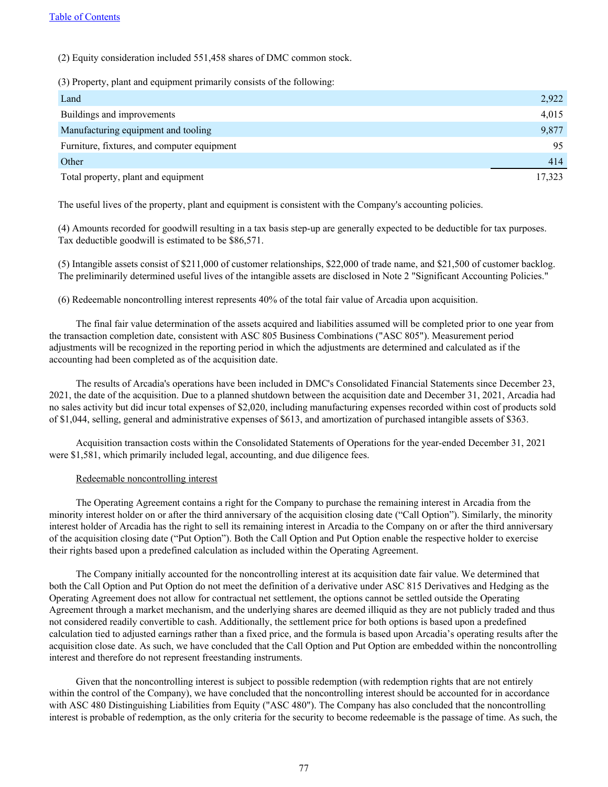(2) Equity consideration included 551,458 shares of DMC common stock.

(3) Property, plant and equipment primarily consists of the following:

| Land                                        | 2,922  |
|---------------------------------------------|--------|
| Buildings and improvements                  | 4,015  |
| Manufacturing equipment and tooling         | 9,877  |
| Furniture, fixtures, and computer equipment | 95     |
| Other                                       | 414    |
| Total property, plant and equipment         | 17,323 |

The useful lives of the property, plant and equipment is consistent with the Company's accounting policies.

(4) Amounts recorded for goodwill resulting in a tax basis step-up are generally expected to be deductible for tax purposes. Tax deductible goodwill is estimated to be \$86,571.

(5) Intangible assets consist of \$211,000 of customer relationships, \$22,000 of trade name, and \$21,500 of customer backlog. The preliminarily determined useful lives of the intangible assets are disclosed in Note 2 "Significant Accounting Policies."

(6) Redeemable noncontrolling interest represents 40% of the total fair value of Arcadia upon acquisition.

The final fair value determination of the assets acquired and liabilities assumed will be completed prior to one year from the transaction completion date, consistent with ASC 805 Business Combinations ("ASC 805"). Measurement period adjustments will be recognized in the reporting period in which the adjustments are determined and calculated as if the accounting had been completed as of the acquisition date.

The results of Arcadia's operations have been included in DMC's Consolidated Financial Statements since December 23, 2021, the date of the acquisition. Due to a planned shutdown between the acquisition date and December 31, 2021, Arcadia had no sales activity but did incur total expenses of \$2,020, including manufacturing expenses recorded within cost of products sold of \$1,044, selling, general and administrative expenses of \$613, and amortization of purchased intangible assets of \$363.

Acquisition transaction costs within the Consolidated Statements of Operations for the year-ended December 31, 2021 were \$1,581, which primarily included legal, accounting, and due diligence fees.

#### Redeemable noncontrolling interest

The Operating Agreement contains a right for the Company to purchase the remaining interest in Arcadia from the minority interest holder on or after the third anniversary of the acquisition closing date ("Call Option"). Similarly, the minority interest holder of Arcadia has the right to sell its remaining interest in Arcadia to the Company on or after the third anniversary of the acquisition closing date ("Put Option"). Both the Call Option and Put Option enable the respective holder to exercise their rights based upon a predefined calculation as included within the Operating Agreement.

The Company initially accounted for the noncontrolling interest at its acquisition date fair value. We determined that both the Call Option and Put Option do not meet the definition of a derivative under ASC 815 Derivatives and Hedging as the Operating Agreement does not allow for contractual net settlement, the options cannot be settled outside the Operating Agreement through a market mechanism, and the underlying shares are deemed illiquid as they are not publicly traded and thus not considered readily convertible to cash. Additionally, the settlement price for both options is based upon a predefined calculation tied to adjusted earnings rather than a fixed price, and the formula is based upon Arcadia's operating results after the acquisition close date. As such, we have concluded that the Call Option and Put Option are embedded within the noncontrolling interest and therefore do not represent freestanding instruments.

Given that the noncontrolling interest is subject to possible redemption (with redemption rights that are not entirely within the control of the Company), we have concluded that the noncontrolling interest should be accounted for in accordance with ASC 480 Distinguishing Liabilities from Equity ("ASC 480"). The Company has also concluded that the noncontrolling interest is probable of redemption, as the only criteria for the security to become redeemable is the passage of time. As such, the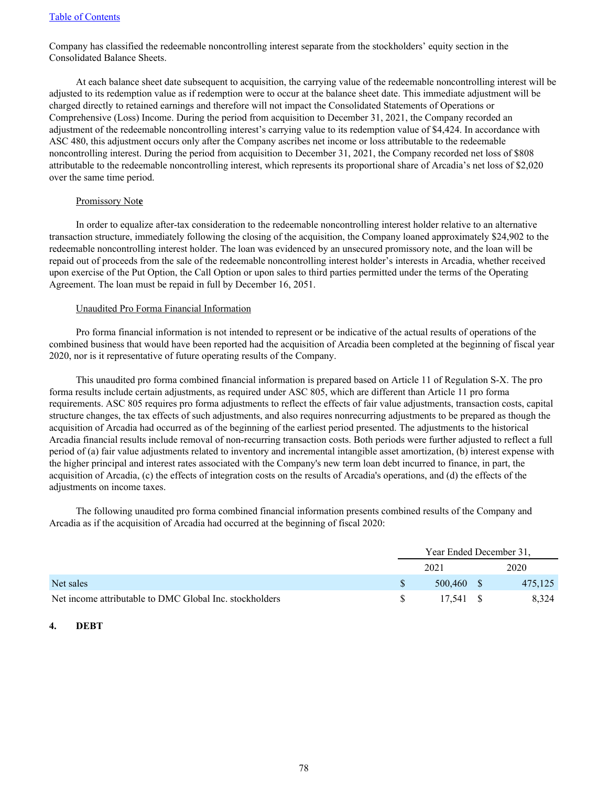Company has classified the redeemable noncontrolling interest separate from the stockholders' equity section in the Consolidated Balance Sheets.

At each balance sheet date subsequent to acquisition, the carrying value of the redeemable noncontrolling interest will be adjusted to its redemption value as if redemption were to occur at the balance sheet date. This immediate adjustment will be charged directly to retained earnings and therefore will not impact the Consolidated Statements of Operations or Comprehensive (Loss) Income. During the period from acquisition to December 31, 2021, the Company recorded an adjustment of the redeemable noncontrolling interest's carrying value to its redemption value of \$4,424. In accordance with ASC 480, this adjustment occurs only after the Company ascribes net income or loss attributable to the redeemable noncontrolling interest. During the period from acquisition to December 31, 2021, the Company recorded net loss of \$808 attributable to the redeemable noncontrolling interest, which represents its proportional share of Arcadia's net loss of \$2,020 over the same time period.

# Promissory Not**e**

In order to equalize after-tax consideration to the redeemable noncontrolling interest holder relative to an alternative transaction structure, immediately following the closing of the acquisition, the Company loaned approximately \$24,902 to the redeemable noncontrolling interest holder. The loan was evidenced by an unsecured promissory note, and the loan will be repaid out of proceeds from the sale of the redeemable noncontrolling interest holder's interests in Arcadia, whether received upon exercise of the Put Option, the Call Option or upon sales to third parties permitted under the terms of the Operating Agreement. The loan must be repaid in full by December 16, 2051.

### Unaudited Pro Forma Financial Information

Pro forma financial information is not intended to represent or be indicative of the actual results of operations of the combined business that would have been reported had the acquisition of Arcadia been completed at the beginning of fiscal year 2020, nor is it representative of future operating results of the Company.

This unaudited pro forma combined financial information is prepared based on Article 11 of Regulation S-X. The pro forma results include certain adjustments, as required under ASC 805, which are different than Article 11 pro forma requirements. ASC 805 requires pro forma adjustments to reflect the effects of fair value adjustments, transaction costs, capital structure changes, the tax effects of such adjustments, and also requires nonrecurring adjustments to be prepared as though the acquisition of Arcadia had occurred as of the beginning of the earliest period presented. The adjustments to the historical Arcadia financial results include removal of non-recurring transaction costs. Both periods were further adjusted to reflect a full period of (a) fair value adjustments related to inventory and incremental intangible asset amortization, (b) interest expense with the higher principal and interest rates associated with the Company's new term loan debt incurred to finance, in part, the acquisition of Arcadia, (c) the effects of integration costs on the results of Arcadia's operations, and (d) the effects of the adjustments on income taxes.

The following unaudited pro forma combined financial information presents combined results of the Company and Arcadia as if the acquisition of Arcadia had occurred at the beginning of fiscal 2020:

|                                                         | Year Ended December 31. |  |         |  |
|---------------------------------------------------------|-------------------------|--|---------|--|
|                                                         | 2021                    |  | 2020    |  |
| Net sales                                               | 500.460 \$              |  | 475,125 |  |
| Net income attributable to DMC Global Inc. stockholders | 17.541 \$               |  | 8.324   |  |

# **4. DEBT**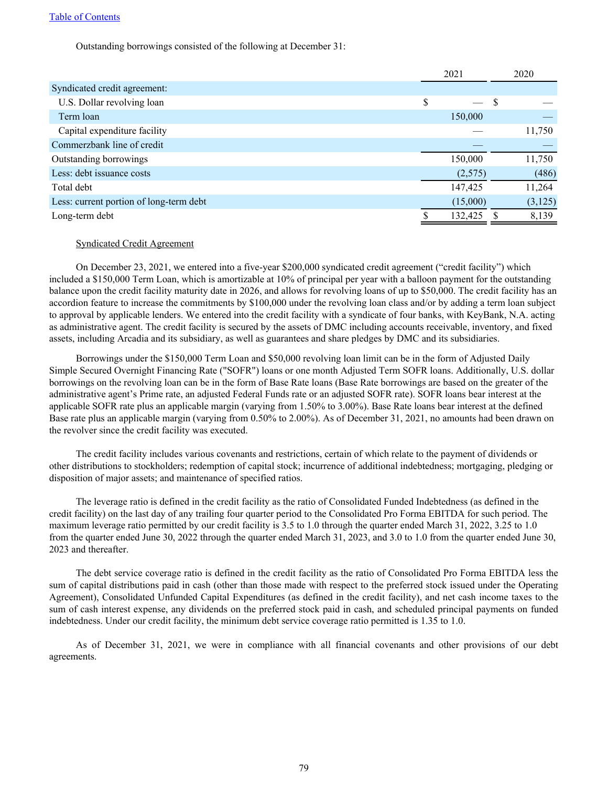Outstanding borrowings consisted of the following at December 31:

|                                         |   | 2021     |   | 2020     |
|-----------------------------------------|---|----------|---|----------|
| Syndicated credit agreement:            |   |          |   |          |
| U.S. Dollar revolving loan              | S |          | S |          |
| Term loan                               |   | 150,000  |   |          |
| Capital expenditure facility            |   |          |   | 11,750   |
| Commerzbank line of credit              |   |          |   |          |
| Outstanding borrowings                  |   | 150,000  |   | 11,750   |
| Less: debt issuance costs               |   | (2,575)  |   | (486)    |
| Total debt                              |   | 147,425  |   | 11,264   |
| Less: current portion of long-term debt |   | (15,000) |   | (3, 125) |
| Long-term debt                          |   | 132,425  |   | 8,139    |

### Syndicated Credit Agreement

On December 23, 2021, we entered into a five-year \$200,000 syndicated credit agreement ("credit facility") which included a \$150,000 Term Loan, which is amortizable at 10% of principal per year with a balloon payment for the outstanding balance upon the credit facility maturity date in 2026, and allows for revolving loans of up to \$50,000. The credit facility has an accordion feature to increase the commitments by \$100,000 under the revolving loan class and/or by adding a term loan subject to approval by applicable lenders. We entered into the credit facility with a syndicate of four banks, with KeyBank, N.A. acting as administrative agent. The credit facility is secured by the assets of DMC including accounts receivable, inventory, and fixed assets, including Arcadia and its subsidiary, as well as guarantees and share pledges by DMC and its subsidiaries.

Borrowings under the \$150,000 Term Loan and \$50,000 revolving loan limit can be in the form of Adjusted Daily Simple Secured Overnight Financing Rate ("SOFR") loans or one month Adjusted Term SOFR loans. Additionally, U.S. dollar borrowings on the revolving loan can be in the form of Base Rate loans (Base Rate borrowings are based on the greater of the administrative agent's Prime rate, an adjusted Federal Funds rate or an adjusted SOFR rate). SOFR loans bear interest at the applicable SOFR rate plus an applicable margin (varying from 1.50% to 3.00%). Base Rate loans bear interest at the defined Base rate plus an applicable margin (varying from 0.50% to 2.00%). As of December 31, 2021, no amounts had been drawn on the revolver since the credit facility was executed.

The credit facility includes various covenants and restrictions, certain of which relate to the payment of dividends or other distributions to stockholders; redemption of capital stock; incurrence of additional indebtedness; mortgaging, pledging or disposition of major assets; and maintenance of specified ratios.

The leverage ratio is defined in the credit facility as the ratio of Consolidated Funded Indebtedness (as defined in the credit facility) on the last day of any trailing four quarter period to the Consolidated Pro Forma EBITDA for such period. The maximum leverage ratio permitted by our credit facility is 3.5 to 1.0 through the quarter ended March 31, 2022, 3.25 to 1.0 from the quarter ended June 30, 2022 through the quarter ended March 31, 2023, and 3.0 to 1.0 from the quarter ended June 30, 2023 and thereafter.

The debt service coverage ratio is defined in the credit facility as the ratio of Consolidated Pro Forma EBITDA less the sum of capital distributions paid in cash (other than those made with respect to the preferred stock issued under the Operating Agreement), Consolidated Unfunded Capital Expenditures (as defined in the credit facility), and net cash income taxes to the sum of cash interest expense, any dividends on the preferred stock paid in cash, and scheduled principal payments on funded indebtedness. Under our credit facility, the minimum debt service coverage ratio permitted is 1.35 to 1.0.

As of December 31, 2021, we were in compliance with all financial covenants and other provisions of our debt agreements.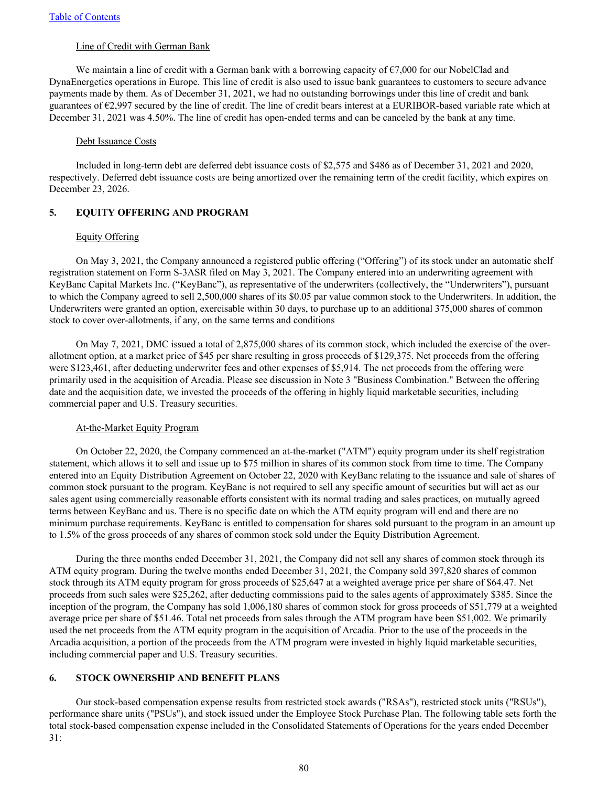### Line of Credit with German Bank

We maintain a line of credit with a German bank with a borrowing capacity of  $\epsilon$ 7,000 for our NobelClad and DynaEnergetics operations in Europe. This line of credit is also used to issue bank guarantees to customers to secure advance payments made by them. As of December 31, 2021, we had no outstanding borrowings under this line of credit and bank guarantees of  $\epsilon$ 2,997 secured by the line of credit. The line of credit bears interest at a EURIBOR-based variable rate which at December 31, 2021 was 4.50%. The line of credit has open-ended terms and can be canceled by the bank at any time.

#### Debt Issuance Costs

Included in long-term debt are deferred debt issuance costs of \$2,575 and \$486 as of December 31, 2021 and 2020, respectively. Deferred debt issuance costs are being amortized over the remaining term of the credit facility, which expires on December 23, 2026.

# **5. EQUITY OFFERING AND PROGRAM**

#### Equity Offering

On May 3, 2021, the Company announced a registered public offering ("Offering") of its stock under an automatic shelf registration statement on Form S-3ASR filed on May 3, 2021. The Company entered into an underwriting agreement with KeyBanc Capital Markets Inc. ("KeyBanc"), as representative of the underwriters (collectively, the "Underwriters"), pursuant to which the Company agreed to sell 2,500,000 shares of its \$0.05 par value common stock to the Underwriters. In addition, the Underwriters were granted an option, exercisable within 30 days, to purchase up to an additional 375,000 shares of common stock to cover over-allotments, if any, on the same terms and conditions

On May 7, 2021, DMC issued a total of 2,875,000 shares of its common stock, which included the exercise of the overallotment option, at a market price of \$45 per share resulting in gross proceeds of \$129,375. Net proceeds from the offering were \$123,461, after deducting underwriter fees and other expenses of \$5,914. The net proceeds from the offering were primarily used in the acquisition of Arcadia. Please see discussion in Note 3 "Business Combination." Between the offering date and the acquisition date, we invested the proceeds of the offering in highly liquid marketable securities, including commercial paper and U.S. Treasury securities.

#### At-the-Market Equity Program

On October 22, 2020, the Company commenced an at-the-market ("ATM") equity program under its shelf registration statement, which allows it to sell and issue up to \$75 million in shares of its common stock from time to time. The Company entered into an Equity Distribution Agreement on October 22, 2020 with KeyBanc relating to the issuance and sale of shares of common stock pursuant to the program. KeyBanc is not required to sell any specific amount of securities but will act as our sales agent using commercially reasonable efforts consistent with its normal trading and sales practices, on mutually agreed terms between KeyBanc and us. There is no specific date on which the ATM equity program will end and there are no minimum purchase requirements. KeyBanc is entitled to compensation for shares sold pursuant to the program in an amount up to 1.5% of the gross proceeds of any shares of common stock sold under the Equity Distribution Agreement.

During the three months ended December 31, 2021, the Company did not sell any shares of common stock through its ATM equity program. During the twelve months ended December 31, 2021, the Company sold 397,820 shares of common stock through its ATM equity program for gross proceeds of \$25,647 at a weighted average price per share of \$64.47. Net proceeds from such sales were \$25,262, after deducting commissions paid to the sales agents of approximately \$385. Since the inception of the program, the Company has sold 1,006,180 shares of common stock for gross proceeds of \$51,779 at a weighted average price per share of \$51.46. Total net proceeds from sales through the ATM program have been \$51,002. We primarily used the net proceeds from the ATM equity program in the acquisition of Arcadia. Prior to the use of the proceeds in the Arcadia acquisition, a portion of the proceeds from the ATM program were invested in highly liquid marketable securities, including commercial paper and U.S. Treasury securities.

# **6. STOCK OWNERSHIP AND BENEFIT PLANS**

Our stock-based compensation expense results from restricted stock awards ("RSAs"), restricted stock units ("RSUs"), performance share units ("PSUs"), and stock issued under the Employee Stock Purchase Plan. The following table sets forth the total stock-based compensation expense included in the Consolidated Statements of Operations for the years ended December 31: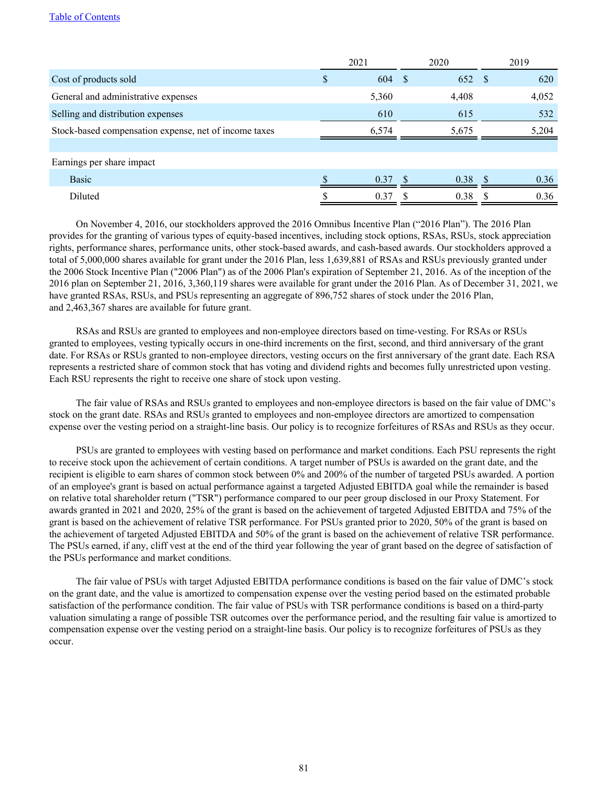|                                                       |     | 2021  | 2020 |       | 2019         |       |
|-------------------------------------------------------|-----|-------|------|-------|--------------|-------|
| Cost of products sold                                 | \$. | 604   | - \$ | 652   | <sup>S</sup> | 620   |
| General and administrative expenses                   |     | 5,360 |      | 4,408 |              | 4,052 |
| Selling and distribution expenses                     |     | 610   |      | 615   |              | 532   |
| Stock-based compensation expense, net of income taxes |     | 6.574 |      | 5,675 |              | 5,204 |
|                                                       |     |       |      |       |              |       |
| Earnings per share impact                             |     |       |      |       |              |       |
| Basic                                                 |     | 0.37  |      | 0.38  |              | 0.36  |
| Diluted                                               |     | 0.37  |      | 0.38  |              | 0.36  |

On November 4, 2016, our stockholders approved the 2016 Omnibus Incentive Plan ("2016 Plan"). The 2016 Plan provides for the granting of various types of equity-based incentives, including stock options, RSAs, RSUs, stock appreciation rights, performance shares, performance units, other stock-based awards, and cash-based awards. Our stockholders approved a total of 5,000,000 shares available for grant under the 2016 Plan, less 1,639,881 of RSAs and RSUs previously granted under the 2006 Stock Incentive Plan ("2006 Plan") as of the 2006 Plan's expiration of September 21, 2016. As of the inception of the 2016 plan on September 21, 2016, 3,360,119 shares were available for grant under the 2016 Plan. As of December 31, 2021, we have granted RSAs, RSUs, and PSUs representing an aggregate of 896,752 shares of stock under the 2016 Plan, and 2,463,367 shares are available for future grant.

RSAs and RSUs are granted to employees and non-employee directors based on time-vesting. For RSAs or RSUs granted to employees, vesting typically occurs in one-third increments on the first, second, and third anniversary of the grant date. For RSAs or RSUs granted to non-employee directors, vesting occurs on the first anniversary of the grant date. Each RSA represents a restricted share of common stock that has voting and dividend rights and becomes fully unrestricted upon vesting. Each RSU represents the right to receive one share of stock upon vesting.

The fair value of RSAs and RSUs granted to employees and non-employee directors is based on the fair value of DMC's stock on the grant date. RSAs and RSUs granted to employees and non-employee directors are amortized to compensation expense over the vesting period on a straight-line basis. Our policy is to recognize forfeitures of RSAs and RSUs as they occur.

PSUs are granted to employees with vesting based on performance and market conditions. Each PSU represents the right to receive stock upon the achievement of certain conditions. A target number of PSUs is awarded on the grant date, and the recipient is eligible to earn shares of common stock between 0% and 200% of the number of targeted PSUs awarded. A portion of an employee's grant is based on actual performance against a targeted Adjusted EBITDA goal while the remainder is based on relative total shareholder return ("TSR") performance compared to our peer group disclosed in our Proxy Statement. For awards granted in 2021 and 2020, 25% of the grant is based on the achievement of targeted Adjusted EBITDA and 75% of the grant is based on the achievement of relative TSR performance. For PSUs granted prior to 2020, 50% of the grant is based on the achievement of targeted Adjusted EBITDA and 50% of the grant is based on the achievement of relative TSR performance. The PSUs earned, if any, cliff vest at the end of the third year following the year of grant based on the degree of satisfaction of the PSUs performance and market conditions.

The fair value of PSUs with target Adjusted EBITDA performance conditions is based on the fair value of DMC's stock on the grant date, and the value is amortized to compensation expense over the vesting period based on the estimated probable satisfaction of the performance condition. The fair value of PSUs with TSR performance conditions is based on a third-party valuation simulating a range of possible TSR outcomes over the performance period, and the resulting fair value is amortized to compensation expense over the vesting period on a straight-line basis. Our policy is to recognize forfeitures of PSUs as they occur.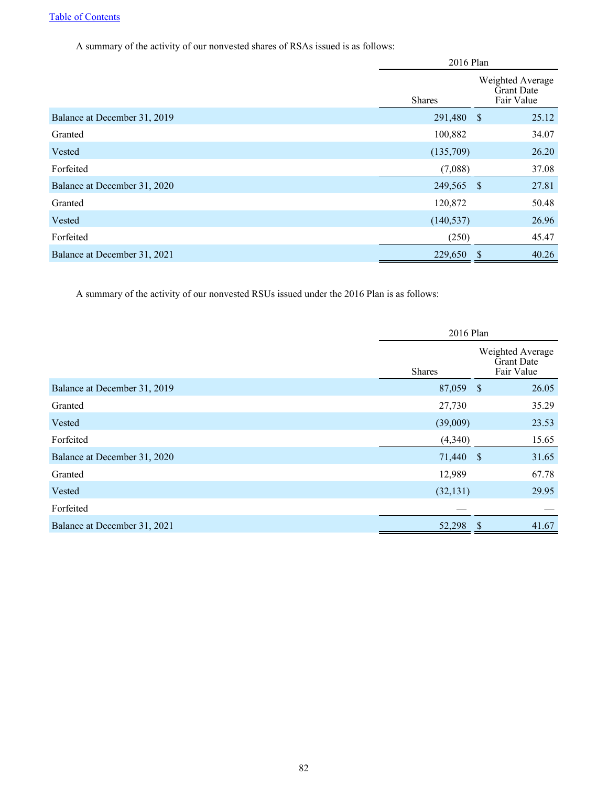A summary of the activity of our nonvested shares of RSAs issued is as follows:

|                              |               | 2016 Plan                                           |  |  |  |
|------------------------------|---------------|-----------------------------------------------------|--|--|--|
|                              | <b>Shares</b> | Weighted Average<br><b>Grant Date</b><br>Fair Value |  |  |  |
| Balance at December 31, 2019 | 291,480 \$    | 25.12                                               |  |  |  |
| Granted                      | 100,882       | 34.07                                               |  |  |  |
| Vested                       | (135,709)     | 26.20                                               |  |  |  |
| Forfeited                    | (7,088)       | 37.08                                               |  |  |  |
| Balance at December 31, 2020 | 249,565       | $\mathcal{S}$<br>27.81                              |  |  |  |
| Granted                      | 120,872       | 50.48                                               |  |  |  |
| Vested                       | (140, 537)    | 26.96                                               |  |  |  |
| Forfeited                    | (250)         | 45.47                                               |  |  |  |
| Balance at December 31, 2021 | 229,650       | 40.26<br>\$                                         |  |  |  |

A summary of the activity of our nonvested RSUs issued under the 2016 Plan is as follows:

|                              | 2016 Plan     |  |                                              |  |  |
|------------------------------|---------------|--|----------------------------------------------|--|--|
|                              | <b>Shares</b> |  | Weighted Average<br>Grant Date<br>Fair Value |  |  |
| Balance at December 31, 2019 | 87,059 \$     |  | 26.05                                        |  |  |
| Granted                      | 27,730        |  | 35.29                                        |  |  |
| Vested                       | (39,009)      |  | 23.53                                        |  |  |
| Forfeited                    | (4,340)       |  | 15.65                                        |  |  |
| Balance at December 31, 2020 | 71,440 \$     |  | 31.65                                        |  |  |
| Granted                      | 12,989        |  | 67.78                                        |  |  |
| Vested                       | (32, 131)     |  | 29.95                                        |  |  |
| Forfeited                    |               |  |                                              |  |  |
| Balance at December 31, 2021 | 52,298        |  | 41.67                                        |  |  |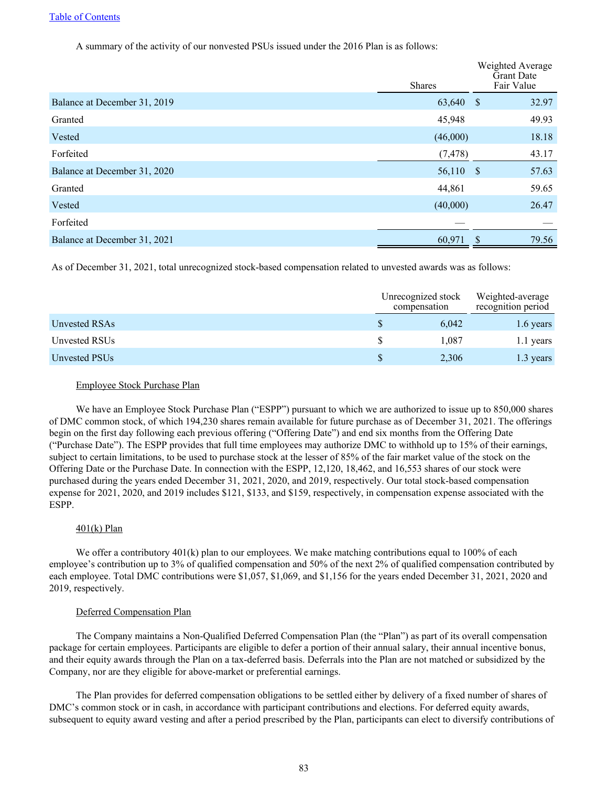A summary of the activity of our nonvested PSUs issued under the 2016 Plan is as follows:

|                              | <b>Shares</b> |      | Weighted Average<br><b>Grant Date</b><br>Fair Value |
|------------------------------|---------------|------|-----------------------------------------------------|
| Balance at December 31, 2019 | 63,640 \$     |      | 32.97                                               |
| Granted                      | 45,948        |      | 49.93                                               |
| Vested                       | (46,000)      |      | 18.18                                               |
| Forfeited                    | (7, 478)      |      | 43.17                                               |
| Balance at December 31, 2020 | 56,110 \$     |      | 57.63                                               |
| Granted                      | 44,861        |      | 59.65                                               |
| Vested                       | (40,000)      |      | 26.47                                               |
| Forfeited                    |               |      |                                                     |
| Balance at December 31, 2021 | 60,971        | - \$ | 79.56                                               |

As of December 31, 2021, total unrecognized stock-based compensation related to unvested awards was as follows:

|               | Unrecognized stock<br>compensation | Weighted-average<br>recognition period |
|---------------|------------------------------------|----------------------------------------|
| Unvested RSAs | 6,042                              | 1.6 years                              |
| Unvested RSUs | 1.087                              | 1.1 years                              |
| Unvested PSUs | 2,306                              | 1.3 years                              |

# Employee Stock Purchase Plan

We have an Employee Stock Purchase Plan ("ESPP") pursuant to which we are authorized to issue up to 850,000 shares of DMC common stock, of which 194,230 shares remain available for future purchase as of December 31, 2021. The offerings begin on the first day following each previous offering ("Offering Date") and end six months from the Offering Date ("Purchase Date"). The ESPP provides that full time employees may authorize DMC to withhold up to 15% of their earnings, subject to certain limitations, to be used to purchase stock at the lesser of 85% of the fair market value of the stock on the Offering Date or the Purchase Date. In connection with the ESPP, 12,120, 18,462, and 16,553 shares of our stock were purchased during the years ended December 31, 2021, 2020, and 2019, respectively. Our total stock-based compensation expense for 2021, 2020, and 2019 includes \$121, \$133, and \$159, respectively, in compensation expense associated with the ESPP.

## 401(k) Plan

We offer a contributory  $401(k)$  plan to our employees. We make matching contributions equal to 100% of each employee's contribution up to 3% of qualified compensation and 50% of the next 2% of qualified compensation contributed by each employee. Total DMC contributions were \$1,057, \$1,069, and \$1,156 for the years ended December 31, 2021, 2020 and 2019, respectively.

# Deferred Compensation Plan

The Company maintains a Non-Qualified Deferred Compensation Plan (the "Plan") as part of its overall compensation package for certain employees. Participants are eligible to defer a portion of their annual salary, their annual incentive bonus, and their equity awards through the Plan on a tax-deferred basis. Deferrals into the Plan are not matched or subsidized by the Company, nor are they eligible for above-market or preferential earnings.

The Plan provides for deferred compensation obligations to be settled either by delivery of a fixed number of shares of DMC's common stock or in cash, in accordance with participant contributions and elections. For deferred equity awards, subsequent to equity award vesting and after a period prescribed by the Plan, participants can elect to diversify contributions of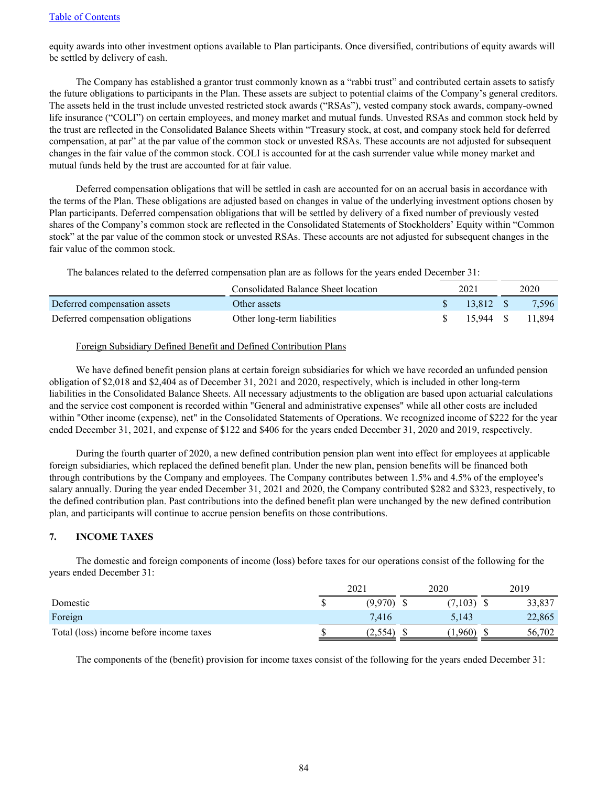equity awards into other investment options available to Plan participants. Once diversified, contributions of equity awards will be settled by delivery of cash.

The Company has established a grantor trust commonly known as a "rabbi trust" and contributed certain assets to satisfy the future obligations to participants in the Plan. These assets are subject to potential claims of the Company's general creditors. The assets held in the trust include unvested restricted stock awards ("RSAs"), vested company stock awards, company-owned life insurance ("COLI") on certain employees, and money market and mutual funds. Unvested RSAs and common stock held by the trust are reflected in the Consolidated Balance Sheets within "Treasury stock, at cost, and company stock held for deferred compensation, at par" at the par value of the common stock or unvested RSAs. These accounts are not adjusted for subsequent changes in the fair value of the common stock. COLI is accounted for at the cash surrender value while money market and mutual funds held by the trust are accounted for at fair value.

Deferred compensation obligations that will be settled in cash are accounted for on an accrual basis in accordance with the terms of the Plan. These obligations are adjusted based on changes in value of the underlying investment options chosen by Plan participants. Deferred compensation obligations that will be settled by delivery of a fixed number of previously vested shares of the Company's common stock are reflected in the Consolidated Statements of Stockholders' Equity within "Common stock" at the par value of the common stock or unvested RSAs. These accounts are not adjusted for subsequent changes in the fair value of the common stock.

The balances related to the deferred compensation plan are as follows for the years ended December 31:

|                                   | Consolidated Balance Sheet location | 2021       | 2020             |
|-----------------------------------|-------------------------------------|------------|------------------|
| Deferred compensation assets      | Other assets                        | $13.812$ S | 7.596            |
| Deferred compensation obligations | Other long-term liabilities         |            | 15.944 \$ 11.894 |

### Foreign Subsidiary Defined Benefit and Defined Contribution Plans

We have defined benefit pension plans at certain foreign subsidiaries for which we have recorded an unfunded pension obligation of \$2,018 and \$2,404 as of December 31, 2021 and 2020, respectively, which is included in other long-term liabilities in the Consolidated Balance Sheets. All necessary adjustments to the obligation are based upon actuarial calculations and the service cost component is recorded within "General and administrative expenses" while all other costs are included within "Other income (expense), net" in the Consolidated Statements of Operations. We recognized income of \$222 for the year ended December 31, 2021, and expense of \$122 and \$406 for the years ended December 31, 2020 and 2019, respectively.

During the fourth quarter of 2020, a new defined contribution pension plan went into effect for employees at applicable foreign subsidiaries, which replaced the defined benefit plan. Under the new plan, pension benefits will be financed both through contributions by the Company and employees. The Company contributes between 1.5% and 4.5% of the employee's salary annually. During the year ended December 31, 2021 and 2020, the Company contributed \$282 and \$323, respectively, to the defined contribution plan. Past contributions into the defined benefit plan were unchanged by the new defined contribution plan, and participants will continue to accrue pension benefits on those contributions.

# **7. INCOME TAXES**

The domestic and foreign components of income (loss) before taxes for our operations consist of the following for the years ended December 31:

|                                         | 2021    | 2020    | 2019   |
|-----------------------------------------|---------|---------|--------|
| Domestic                                | (9,970) | (7,103) | 33,837 |
| Foreign                                 | 7.416   | 5,143   | 22,865 |
| Total (loss) income before income taxes | 2.554'  | .960)   | 56.702 |

The components of the (benefit) provision for income taxes consist of the following for the years ended December 31: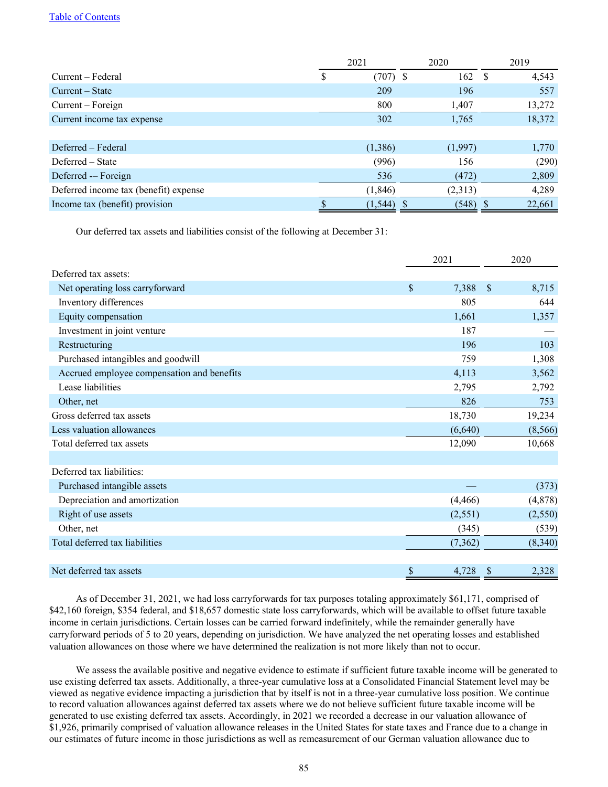|                                       | 2021            | 2020    | 2019         |
|---------------------------------------|-----------------|---------|--------------|
| Current – Federal                     | $(707)$ \$<br>S | 162     | 4,543<br>- S |
| Current – State                       | 209             | 196     | 557          |
| Current – Foreign                     | 800             | 1,407   | 13,272       |
| Current income tax expense            | 302             | 1,765   | 18,372       |
|                                       |                 |         |              |
| Deferred – Federal                    | (1,386)         | (1,997) | 1,770        |
| Deferred – State                      | (996)           | 156     | (290)        |
| Deferred - Foreign                    | 536             | (472)   | 2,809        |
| Deferred income tax (benefit) expense | (1, 846)        | (2,313) | 4,289        |
| Income tax (benefit) provision        | (1, 544)        | (548)   | 22,661       |

Our deferred tax assets and liabilities consist of the following at December 31:

|                                            | 2021        | 2020                   |  |
|--------------------------------------------|-------------|------------------------|--|
| Deferred tax assets:                       |             |                        |  |
| Net operating loss carryforward            | \$<br>7,388 | <sup>\$</sup><br>8,715 |  |
| Inventory differences                      | 805         | 644                    |  |
| Equity compensation                        | 1,661       | 1,357                  |  |
| Investment in joint venture                | 187         |                        |  |
| Restructuring                              | 196         | 103                    |  |
| Purchased intangibles and goodwill         | 759         | 1,308                  |  |
| Accrued employee compensation and benefits | 4,113       | 3,562                  |  |
| Lease liabilities                          | 2,795       | 2,792                  |  |
| Other, net                                 | 826         | 753                    |  |
| Gross deferred tax assets                  | 18,730      | 19,234                 |  |
| Less valuation allowances                  | (6,640)     | (8, 566)               |  |
| Total deferred tax assets                  | 12,090      | 10,668                 |  |
|                                            |             |                        |  |
| Deferred tax liabilities:                  |             |                        |  |
| Purchased intangible assets                |             | (373)                  |  |
| Depreciation and amortization              | (4, 466)    | (4,878)                |  |
| Right of use assets                        | (2,551)     | (2,550)                |  |
| Other, net                                 | (345)       | (539)                  |  |
| Total deferred tax liabilities             | (7,362)     | (8,340)                |  |
|                                            |             |                        |  |
| Net deferred tax assets                    | \$<br>4,728 | 2,328<br>S             |  |

As of December 31, 2021, we had loss carryforwards for tax purposes totaling approximately \$61,171, comprised of \$42,160 foreign, \$354 federal, and \$18,657 domestic state loss carryforwards, which will be available to offset future taxable income in certain jurisdictions. Certain losses can be carried forward indefinitely, while the remainder generally have carryforward periods of 5 to 20 years, depending on jurisdiction. We have analyzed the net operating losses and established valuation allowances on those where we have determined the realization is not more likely than not to occur.

We assess the available positive and negative evidence to estimate if sufficient future taxable income will be generated to use existing deferred tax assets. Additionally, a three-year cumulative loss at a Consolidated Financial Statement level may be viewed as negative evidence impacting a jurisdiction that by itself is not in a three-year cumulative loss position. We continue to record valuation allowances against deferred tax assets where we do not believe sufficient future taxable income will be generated to use existing deferred tax assets. Accordingly, in 2021 we recorded a decrease in our valuation allowance of \$1,926, primarily comprised of valuation allowance releases in the United States for state taxes and France due to a change in our estimates of future income in those jurisdictions as well as remeasurement of our German valuation allowance due to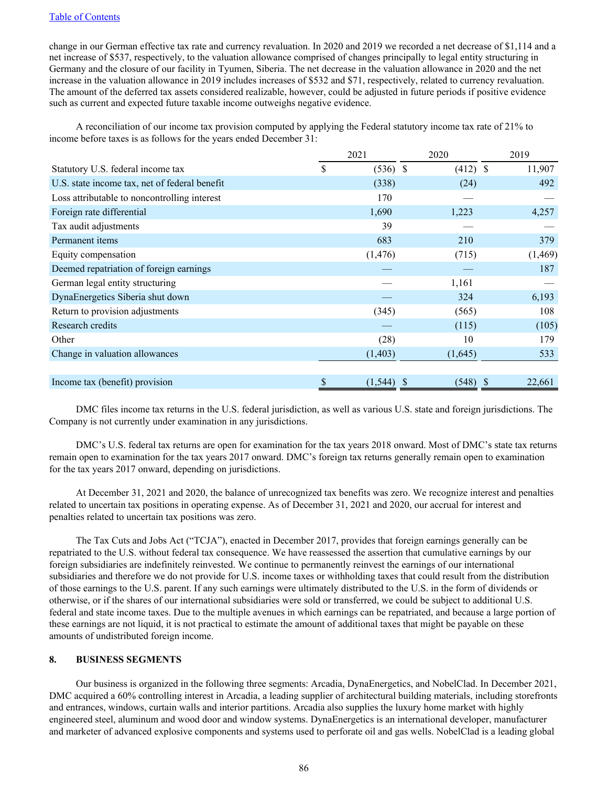change in our German effective tax rate and currency revaluation. In 2020 and 2019 we recorded a net decrease of \$1,114 and a net increase of \$537, respectively, to the valuation allowance comprised of changes principally to legal entity structuring in Germany and the closure of our facility in Tyumen, Siberia. The net decrease in the valuation allowance in 2020 and the net increase in the valuation allowance in 2019 includes increases of \$532 and \$71, respectively, related to currency revaluation. The amount of the deferred tax assets considered realizable, however, could be adjusted in future periods if positive evidence such as current and expected future taxable income outweighs negative evidence.

A reconciliation of our income tax provision computed by applying the Federal statutory income tax rate of 21% to income before taxes is as follows for the years ended December 31:

|                                               | 2021             | 2020       | 2019     |
|-----------------------------------------------|------------------|------------|----------|
| Statutory U.S. federal income tax             | \$<br>$(536)$ \$ | $(412)$ \$ | 11,907   |
| U.S. state income tax, net of federal benefit | (338)            | (24)       | 492      |
| Loss attributable to noncontrolling interest  | 170              |            |          |
| Foreign rate differential                     | 1,690            | 1,223      | 4,257    |
| Tax audit adjustments                         | 39               |            |          |
| Permanent items                               | 683              | 210        | 379      |
| Equity compensation                           | (1, 476)         | (715)      | (1, 469) |
| Deemed repatriation of foreign earnings       |                  |            | 187      |
| German legal entity structuring               |                  | 1,161      |          |
| DynaEnergetics Siberia shut down              |                  | 324        | 6,193    |
| Return to provision adjustments               | (345)            | (565)      | 108      |
| Research credits                              |                  | (115)      | (105)    |
| Other                                         | (28)             | 10         | 179      |
| Change in valuation allowances                | (1, 403)         | (1,645)    | 533      |
|                                               |                  |            |          |
| Income tax (benefit) provision                | \$<br>(1, 544)   | (548)      | 22,661   |

DMC files income tax returns in the U.S. federal jurisdiction, as well as various U.S. state and foreign jurisdictions. The Company is not currently under examination in any jurisdictions.

DMC's U.S. federal tax returns are open for examination for the tax years 2018 onward. Most of DMC's state tax returns remain open to examination for the tax years 2017 onward. DMC's foreign tax returns generally remain open to examination for the tax years 2017 onward, depending on jurisdictions.

At December 31, 2021 and 2020, the balance of unrecognized tax benefits was zero. We recognize interest and penalties related to uncertain tax positions in operating expense. As of December 31, 2021 and 2020, our accrual for interest and penalties related to uncertain tax positions was zero.

The Tax Cuts and Jobs Act ("TCJA"), enacted in December 2017, provides that foreign earnings generally can be repatriated to the U.S. without federal tax consequence. We have reassessed the assertion that cumulative earnings by our foreign subsidiaries are indefinitely reinvested. We continue to permanently reinvest the earnings of our international subsidiaries and therefore we do not provide for U.S. income taxes or withholding taxes that could result from the distribution of those earnings to the U.S. parent. If any such earnings were ultimately distributed to the U.S. in the form of dividends or otherwise, or if the shares of our international subsidiaries were sold or transferred, we could be subject to additional U.S. federal and state income taxes. Due to the multiple avenues in which earnings can be repatriated, and because a large portion of these earnings are not liquid, it is not practical to estimate the amount of additional taxes that might be payable on these amounts of undistributed foreign income.

#### **8. BUSINESS SEGMENTS**

Our business is organized in the following three segments: Arcadia, DynaEnergetics, and NobelClad. In December 2021, DMC acquired a 60% controlling interest in Arcadia, a leading supplier of architectural building materials, including storefronts and entrances, windows, curtain walls and interior partitions. Arcadia also supplies the luxury home market with highly engineered steel, aluminum and wood door and window systems. DynaEnergetics is an international developer, manufacturer and marketer of advanced explosive components and systems used to perforate oil and gas wells. NobelClad is a leading global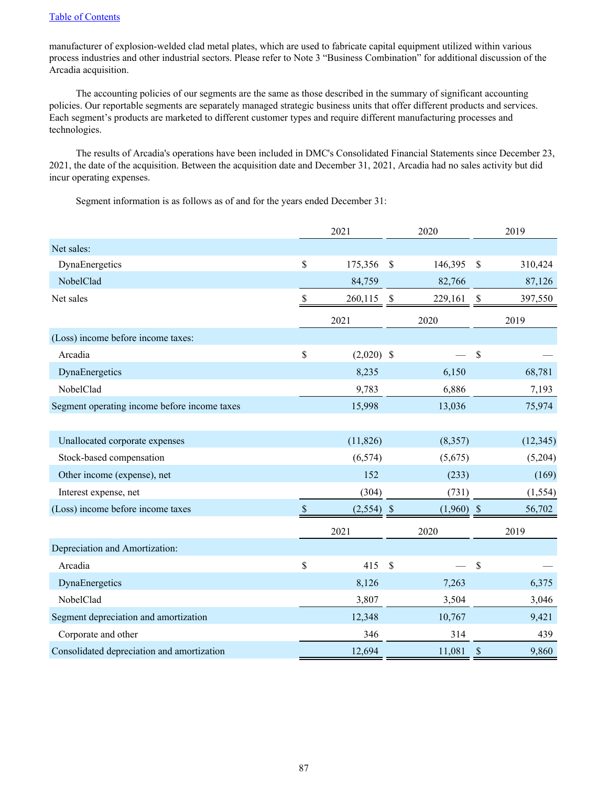manufacturer of explosion-welded clad metal plates, which are used to fabricate capital equipment utilized within various process industries and other industrial sectors. Please refer to Note 3 "Business Combination" for additional discussion of the Arcadia acquisition.

The accounting policies of our segments are the same as those described in the summary of significant accounting policies. Our reportable segments are separately managed strategic business units that offer different products and services. Each segment's products are marketed to different customer types and require different manufacturing processes and technologies.

The results of Arcadia's operations have been included in DMC's Consolidated Financial Statements since December 23, 2021, the date of the acquisition. Between the acquisition date and December 31, 2021, Arcadia had no sales activity but did incur operating expenses.

Segment information is as follows as of and for the years ended December 31:

|                                              |               | 2021         | 2020                      |              | 2019          |           |
|----------------------------------------------|---------------|--------------|---------------------------|--------------|---------------|-----------|
| Net sales:                                   |               |              |                           |              |               |           |
| DynaEnergetics                               | \$            | 175,356      | $\mathsf{\$}$             | 146,395      | $\mathsf{\$}$ | 310,424   |
| NobelClad                                    |               | 84,759       |                           | 82,766       |               | 87,126    |
| Net sales                                    | $\mathcal{S}$ | 260,115      | $\boldsymbol{\mathsf{S}}$ | 229,161      | $\mathcal{S}$ | 397,550   |
|                                              |               | 2021         |                           | 2020         |               | 2019      |
| (Loss) income before income taxes:           |               |              |                           |              |               |           |
| Arcadia                                      | \$            | $(2,020)$ \$ |                           |              | \$            |           |
| DynaEnergetics                               |               | 8,235        |                           | 6,150        |               | 68,781    |
| NobelClad                                    |               | 9,783        |                           | 6,886        |               | 7,193     |
| Segment operating income before income taxes |               | 15,998       |                           | 13,036       |               | 75,974    |
| Unallocated corporate expenses               |               | (11, 826)    |                           | (8,357)      |               | (12, 345) |
| Stock-based compensation                     |               | (6, 574)     |                           | (5,675)      |               | (5,204)   |
| Other income (expense), net                  |               | 152          |                           | (233)        |               | (169)     |
| Interest expense, net                        |               | (304)        |                           | (731)        |               | (1, 554)  |
| (Loss) income before income taxes            | $\mathcal{S}$ | $(2,554)$ \$ |                           | $(1,960)$ \$ |               | 56,702    |
|                                              |               | 2021         |                           | 2020         |               | 2019      |
| Depreciation and Amortization:               |               |              |                           |              |               |           |
| Arcadia                                      | \$            | 415          | \$                        |              | $\mathcal{S}$ |           |
| DynaEnergetics                               |               | 8,126        |                           | 7,263        |               | 6,375     |
| NobelClad                                    |               | 3,807        |                           | 3,504        |               | 3,046     |
| Segment depreciation and amortization        |               | 12,348       |                           | 10,767       |               | 9,421     |
| Corporate and other                          |               | 346          |                           | 314          |               | 439       |
| Consolidated depreciation and amortization   |               | 12,694       |                           | 11,081       | $\$$          | 9,860     |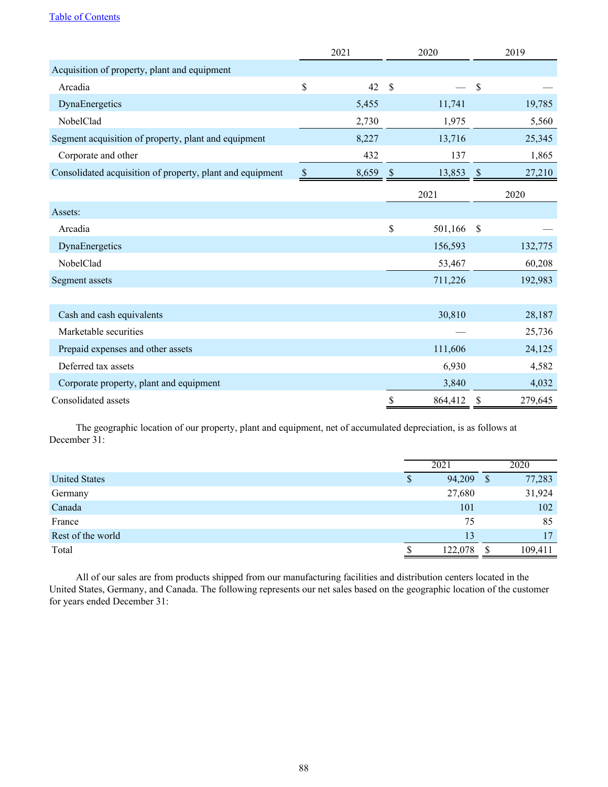|                                                           |              | 2021  | 2020                      |         |               | 2019    |
|-----------------------------------------------------------|--------------|-------|---------------------------|---------|---------------|---------|
| Acquisition of property, plant and equipment              |              |       |                           |         |               |         |
| Arcadia                                                   | \$           | 42    | $\mathcal{S}$             |         | $\mathcal{S}$ |         |
| DynaEnergetics                                            |              | 5,455 |                           | 11,741  |               | 19,785  |
| NobelClad                                                 |              | 2,730 |                           | 1,975   |               | 5,560   |
| Segment acquisition of property, plant and equipment      |              | 8,227 |                           | 13,716  |               | 25,345  |
| Corporate and other                                       |              | 432   |                           | 137     |               | 1,865   |
| Consolidated acquisition of property, plant and equipment | $\mathbb{S}$ | 8,659 | $\boldsymbol{\mathsf{S}}$ | 13,853  | $\mathcal{S}$ | 27,210  |
|                                                           |              |       |                           | 2021    |               | 2020    |
| Assets:                                                   |              |       |                           |         |               |         |
| Arcadia                                                   |              |       | \$                        | 501,166 | $\mathcal{S}$ |         |
| DynaEnergetics                                            |              |       |                           | 156,593 |               | 132,775 |
| NobelClad                                                 |              |       |                           | 53,467  |               | 60,208  |
| Segment assets                                            |              |       |                           | 711,226 |               | 192,983 |
|                                                           |              |       |                           |         |               |         |
| Cash and cash equivalents                                 |              |       |                           | 30,810  |               | 28,187  |
| Marketable securities                                     |              |       |                           |         |               | 25,736  |
| Prepaid expenses and other assets                         |              |       |                           | 111,606 |               | 24,125  |
| Deferred tax assets                                       |              |       |                           | 6,930   |               | 4,582   |
| Corporate property, plant and equipment                   |              |       |                           | 3,840   |               | 4,032   |
| Consolidated assets                                       |              |       | \$                        | 864,412 | \$            | 279,645 |

The geographic location of our property, plant and equipment, net of accumulated depreciation, is as follows at December 31:

|                      |   | 2021    |    | 2020    |
|----------------------|---|---------|----|---------|
| <b>United States</b> | S | 94,209  | -S | 77,283  |
| Germany              |   | 27,680  |    | 31,924  |
| Canada               |   | 101     |    | 102     |
| France               |   | 75      |    | 85      |
| Rest of the world    |   | 13      |    | 17      |
| Total                |   | 122,078 |    | 109,411 |

All of our sales are from products shipped from our manufacturing facilities and distribution centers located in the United States, Germany, and Canada. The following represents our net sales based on the geographic location of the customer for years ended December 31: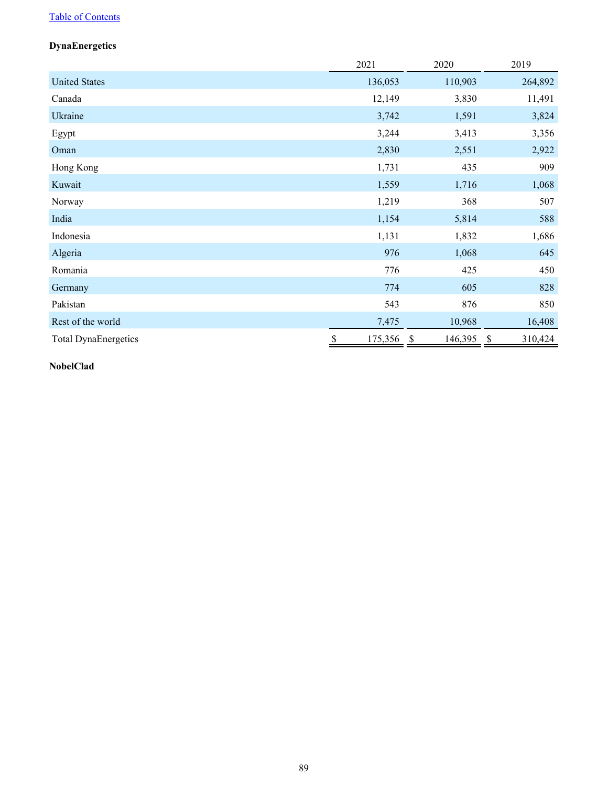# **DynaEnergetics**

|                             | 2021          | 2020                    | 2019                                 |
|-----------------------------|---------------|-------------------------|--------------------------------------|
| <b>United States</b>        | 136,053       | 110,903                 | 264,892                              |
| Canada                      | 12,149        | 3,830                   | 11,491                               |
| Ukraine                     | 3,742         | 1,591                   | 3,824                                |
| Egypt                       | 3,244         | 3,413                   | 3,356                                |
| Oman                        | 2,830         | 2,551                   | 2,922                                |
| Hong Kong                   | 1,731         | 435                     | 909                                  |
| Kuwait                      | 1,559         | 1,716                   | 1,068                                |
| Norway                      | 1,219         | 368                     | 507                                  |
| India                       | 1,154         | 5,814                   | 588                                  |
| Indonesia                   | 1,131         | 1,832                   | 1,686                                |
| Algeria                     | 976           | 1,068                   | 645                                  |
| Romania                     | 776           | 425                     | 450                                  |
| Germany                     | 774           | 605                     | 828                                  |
| Pakistan                    | 543           | 876                     | 850                                  |
| Rest of the world           | 7,475         | 10,968                  | 16,408                               |
| <b>Total DynaEnergetics</b> | \$<br>175,356 | 146,395<br>$\mathbb{S}$ | 310,424<br>$\boldsymbol{\mathsf{S}}$ |

# **NobelClad**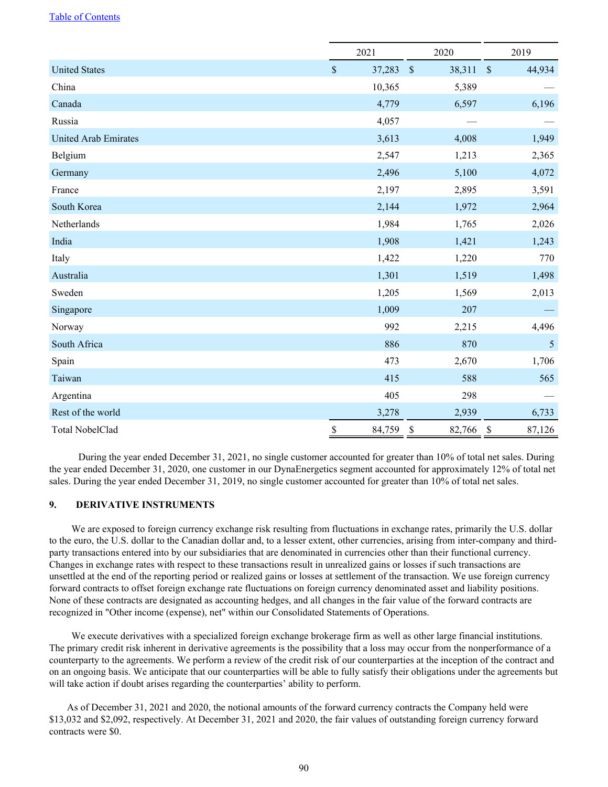|                             | 2021                   | 2020                                | 2019                   |  |  |
|-----------------------------|------------------------|-------------------------------------|------------------------|--|--|
| <b>United States</b>        | $\mathbb S$<br>37,283  | $\mathcal{S}$<br>38,311             | $\mathbb{S}$<br>44,934 |  |  |
| China                       | 10,365                 | 5,389                               |                        |  |  |
| Canada                      | 4,779                  | 6,597                               | 6,196                  |  |  |
| Russia                      | 4,057                  |                                     |                        |  |  |
| <b>United Arab Emirates</b> | 3,613                  | 4,008                               | 1,949                  |  |  |
| Belgium                     | 2,547                  | 1,213                               | 2,365                  |  |  |
| Germany                     | 2,496                  | 5,100                               | 4,072                  |  |  |
| France                      | 2,197                  | 2,895                               | 3,591                  |  |  |
| South Korea                 | 2,144                  | 1,972                               | 2,964                  |  |  |
| Netherlands                 | 1,984                  | 1,765                               | 2,026                  |  |  |
| India                       | 1,908                  | 1,421                               | 1,243                  |  |  |
| Italy                       | 1,422                  | 1,220                               | 770                    |  |  |
| Australia                   | 1,301                  | 1,519                               | 1,498                  |  |  |
| Sweden                      | 1,205                  | 1,569                               | 2,013                  |  |  |
| Singapore                   | 1,009                  | 207                                 |                        |  |  |
| Norway                      | 992                    | 2,215                               | 4,496                  |  |  |
| South Africa                | 886                    | 870                                 | 5                      |  |  |
| Spain                       | 473                    | 2,670                               | 1,706                  |  |  |
| Taiwan                      | 415                    | 588                                 | 565                    |  |  |
| Argentina                   | 405                    | 298                                 |                        |  |  |
| Rest of the world           | 3,278                  | 2,939                               | 6,733                  |  |  |
| <b>Total NobelClad</b>      | $\mathbb{S}$<br>84,759 | $\boldsymbol{\mathsf{S}}$<br>82,766 | \$<br>87,126           |  |  |

 During the year ended December 31, 2021, no single customer accounted for greater than 10% of total net sales. During the year ended December 31, 2020, one customer in our DynaEnergetics segment accounted for approximately 12% of total net sales. During the year ended December 31, 2019, no single customer accounted for greater than 10% of total net sales.

# **9. DERIVATIVE INSTRUMENTS**

We are exposed to foreign currency exchange risk resulting from fluctuations in exchange rates, primarily the U.S. dollar to the euro, the U.S. dollar to the Canadian dollar and, to a lesser extent, other currencies, arising from inter-company and thirdparty transactions entered into by our subsidiaries that are denominated in currencies other than their functional currency. Changes in exchange rates with respect to these transactions result in unrealized gains or losses if such transactions are unsettled at the end of the reporting period or realized gains or losses at settlement of the transaction. We use foreign currency forward contracts to offset foreign exchange rate fluctuations on foreign currency denominated asset and liability positions. None of these contracts are designated as accounting hedges, and all changes in the fair value of the forward contracts are recognized in "Other income (expense), net" within our Consolidated Statements of Operations.

We execute derivatives with a specialized foreign exchange brokerage firm as well as other large financial institutions. The primary credit risk inherent in derivative agreements is the possibility that a loss may occur from the nonperformance of a counterparty to the agreements. We perform a review of the credit risk of our counterparties at the inception of the contract and on an ongoing basis. We anticipate that our counterparties will be able to fully satisfy their obligations under the agreements but will take action if doubt arises regarding the counterparties' ability to perform.

As of December 31, 2021 and 2020, the notional amounts of the forward currency contracts the Company held were \$13,032 and \$2,092, respectively. At December 31, 2021 and 2020, the fair values of outstanding foreign currency forward contracts were \$0.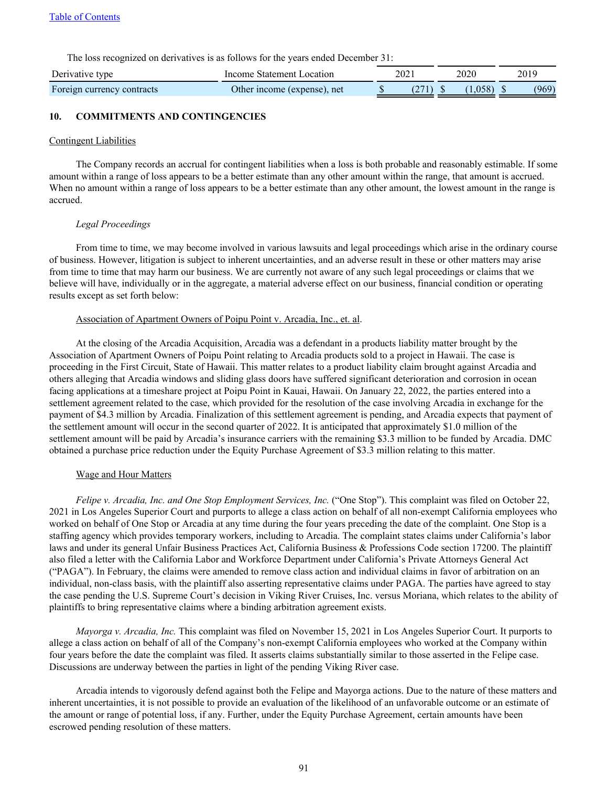The loss recognized on derivatives is as follows for the years ended December 31:

| Derivative type            | Income Statement Location   | 2021 |        | 2020  | 2019 |       |  |
|----------------------------|-----------------------------|------|--------|-------|------|-------|--|
| Foreign currency contracts | Other income (expense), net |      | (271). | .058) |      | (969) |  |

# **10. COMMITMENTS AND CONTINGENCIES**

#### Contingent Liabilities

The Company records an accrual for contingent liabilities when a loss is both probable and reasonably estimable. If some amount within a range of loss appears to be a better estimate than any other amount within the range, that amount is accrued. When no amount within a range of loss appears to be a better estimate than any other amount, the lowest amount in the range is accrued.

#### *Legal Proceedings*

From time to time, we may become involved in various lawsuits and legal proceedings which arise in the ordinary course of business. However, litigation is subject to inherent uncertainties, and an adverse result in these or other matters may arise from time to time that may harm our business. We are currently not aware of any such legal proceedings or claims that we believe will have, individually or in the aggregate, a material adverse effect on our business, financial condition or operating results except as set forth below:

#### Association of Apartment Owners of Poipu Point v. Arcadia, Inc., et. al.

At the closing of the Arcadia Acquisition, Arcadia was a defendant in a products liability matter brought by the Association of Apartment Owners of Poipu Point relating to Arcadia products sold to a project in Hawaii. The case is proceeding in the First Circuit, State of Hawaii. This matter relates to a product liability claim brought against Arcadia and others alleging that Arcadia windows and sliding glass doors have suffered significant deterioration and corrosion in ocean facing applications at a timeshare project at Poipu Point in Kauai, Hawaii. On January 22, 2022, the parties entered into a settlement agreement related to the case, which provided for the resolution of the case involving Arcadia in exchange for the payment of \$4.3 million by Arcadia. Finalization of this settlement agreement is pending, and Arcadia expects that payment of the settlement amount will occur in the second quarter of 2022. It is anticipated that approximately \$1.0 million of the settlement amount will be paid by Arcadia's insurance carriers with the remaining \$3.3 million to be funded by Arcadia. DMC obtained a purchase price reduction under the Equity Purchase Agreement of \$3.3 million relating to this matter.

#### Wage and Hour Matters

*Felipe v. Arcadia, Inc. and One Stop Employment Services, Inc.* ("One Stop"). This complaint was filed on October 22, 2021 in Los Angeles Superior Court and purports to allege a class action on behalf of all non-exempt California employees who worked on behalf of One Stop or Arcadia at any time during the four years preceding the date of the complaint. One Stop is a staffing agency which provides temporary workers, including to Arcadia. The complaint states claims under California's labor laws and under its general Unfair Business Practices Act, California Business & Professions Code section 17200. The plaintiff also filed a letter with the California Labor and Workforce Department under California's Private Attorneys General Act ("PAGA"). In February, the claims were amended to remove class action and individual claims in favor of arbitration on an individual, non-class basis, with the plaintiff also asserting representative claims under PAGA. The parties have agreed to stay the case pending the U.S. Supreme Court's decision in Viking River Cruises, Inc. versus Moriana, which relates to the ability of plaintiffs to bring representative claims where a binding arbitration agreement exists.

*Mayorga v. Arcadia, Inc.* This complaint was filed on November 15, 2021 in Los Angeles Superior Court. It purports to allege a class action on behalf of all of the Company's non-exempt California employees who worked at the Company within four years before the date the complaint was filed. It asserts claims substantially similar to those asserted in the Felipe case. Discussions are underway between the parties in light of the pending Viking River case.

Arcadia intends to vigorously defend against both the Felipe and Mayorga actions. Due to the nature of these matters and inherent uncertainties, it is not possible to provide an evaluation of the likelihood of an unfavorable outcome or an estimate of the amount or range of potential loss, if any. Further, under the Equity Purchase Agreement, certain amounts have been escrowed pending resolution of these matters.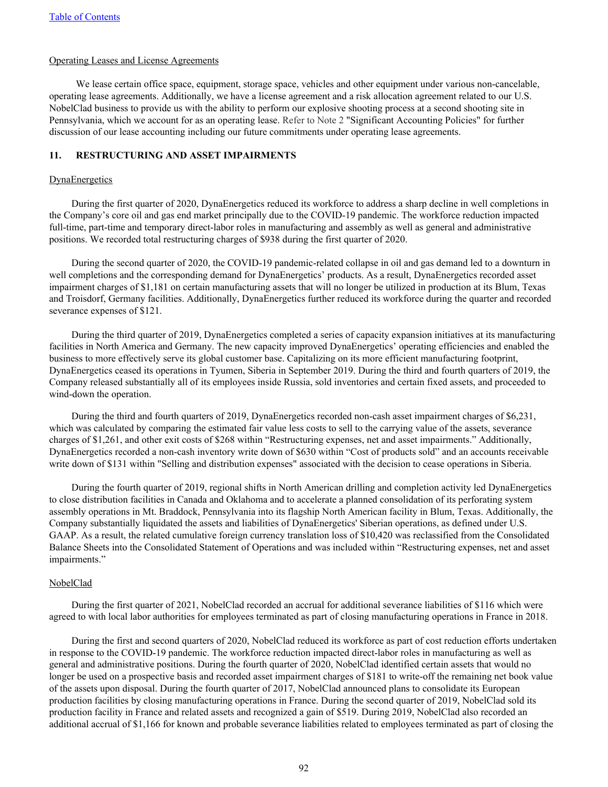## Operating Leases and License Agreements

We lease certain office space, equipment, storage space, vehicles and other equipment under various non-cancelable, operating lease agreements. Additionally, we have a license agreement and a risk allocation agreement related to our U.S. NobelClad business to provide us with the ability to perform our explosive shooting process at a second shooting site in Pennsylvania, which we account for as an operating lease. Refer to Note 2 "Significant Accounting Policies" for further discussion of our lease accounting including our future commitments under operating lease agreements.

### **11. RESTRUCTURING AND ASSET IMPAIRMENTS**

### **DynaEnergetics**

During the first quarter of 2020, DynaEnergetics reduced its workforce to address a sharp decline in well completions in the Company's core oil and gas end market principally due to the COVID-19 pandemic. The workforce reduction impacted full-time, part-time and temporary direct-labor roles in manufacturing and assembly as well as general and administrative positions. We recorded total restructuring charges of \$938 during the first quarter of 2020.

During the second quarter of 2020, the COVID-19 pandemic-related collapse in oil and gas demand led to a downturn in well completions and the corresponding demand for DynaEnergetics' products. As a result, DynaEnergetics recorded asset impairment charges of \$1,181 on certain manufacturing assets that will no longer be utilized in production at its Blum, Texas and Troisdorf, Germany facilities. Additionally, DynaEnergetics further reduced its workforce during the quarter and recorded severance expenses of \$121.

During the third quarter of 2019, DynaEnergetics completed a series of capacity expansion initiatives at its manufacturing facilities in North America and Germany. The new capacity improved DynaEnergetics' operating efficiencies and enabled the business to more effectively serve its global customer base. Capitalizing on its more efficient manufacturing footprint, DynaEnergetics ceased its operations in Tyumen, Siberia in September 2019. During the third and fourth quarters of 2019, the Company released substantially all of its employees inside Russia, sold inventories and certain fixed assets, and proceeded to wind-down the operation.

During the third and fourth quarters of 2019, DynaEnergetics recorded non-cash asset impairment charges of \$6,231, which was calculated by comparing the estimated fair value less costs to sell to the carrying value of the assets, severance charges of \$1,261, and other exit costs of \$268 within "Restructuring expenses, net and asset impairments." Additionally, DynaEnergetics recorded a non-cash inventory write down of \$630 within "Cost of products sold" and an accounts receivable write down of \$131 within "Selling and distribution expenses" associated with the decision to cease operations in Siberia.

During the fourth quarter of 2019, regional shifts in North American drilling and completion activity led DynaEnergetics to close distribution facilities in Canada and Oklahoma and to accelerate a planned consolidation of its perforating system assembly operations in Mt. Braddock, Pennsylvania into its flagship North American facility in Blum, Texas. Additionally, the Company substantially liquidated the assets and liabilities of DynaEnergetics' Siberian operations, as defined under U.S. GAAP. As a result, the related cumulative foreign currency translation loss of \$10,420 was reclassified from the Consolidated Balance Sheets into the Consolidated Statement of Operations and was included within "Restructuring expenses, net and asset impairments."

#### **NobelClad**

During the first quarter of 2021, NobelClad recorded an accrual for additional severance liabilities of \$116 which were agreed to with local labor authorities for employees terminated as part of closing manufacturing operations in France in 2018.

During the first and second quarters of 2020, NobelClad reduced its workforce as part of cost reduction efforts undertaken in response to the COVID-19 pandemic. The workforce reduction impacted direct-labor roles in manufacturing as well as general and administrative positions. During the fourth quarter of 2020, NobelClad identified certain assets that would no longer be used on a prospective basis and recorded asset impairment charges of \$181 to write-off the remaining net book value of the assets upon disposal. During the fourth quarter of 2017, NobelClad announced plans to consolidate its European production facilities by closing manufacturing operations in France. During the second quarter of 2019, NobelClad sold its production facility in France and related assets and recognized a gain of \$519. During 2019, NobelClad also recorded an additional accrual of \$1,166 for known and probable severance liabilities related to employees terminated as part of closing the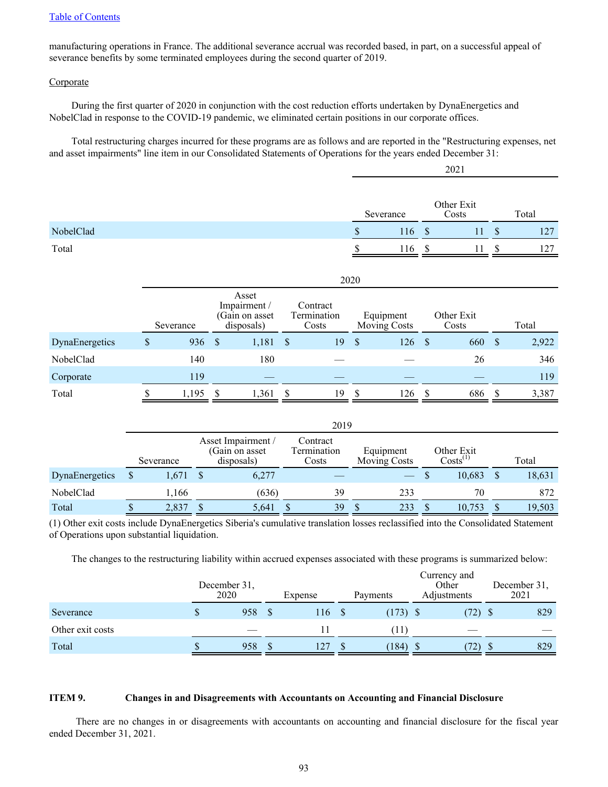manufacturing operations in France. The additional severance accrual was recorded based, in part, on a successful appeal of severance benefits by some terminated employees during the second quarter of 2019.

### **Corporate**

During the first quarter of 2020 in conjunction with the cost reduction efforts undertaken by DynaEnergetics and NobelClad in response to the COVID-19 pandemic, we eliminated certain positions in our corporate offices.

Total restructuring charges incurred for these programs are as follows and are reported in the "Restructuring expenses, net and asset impairments" line item in our Consolidated Statements of Operations for the years ended December 31:

2021

|           | Severance |     |               | Other Exit<br>Costs | Total |
|-----------|-----------|-----|---------------|---------------------|-------|
| NobelClad | \$.       | 116 | <sup>\$</sup> |                     | 127   |
| Total     | ¢         | 116 |               |                     | 127   |

|                | 2020      |                                                      |       |                                  |    |                                  |     |                    |                     |               |       |  |
|----------------|-----------|------------------------------------------------------|-------|----------------------------------|----|----------------------------------|-----|--------------------|---------------------|---------------|-------|--|
|                | Severance | Asset<br>Impairment/<br>(Gain on asset<br>disposals) |       | Contract<br>Termination<br>Costs |    | Equipment<br><b>Moving Costs</b> |     |                    | Other Exit<br>Costs |               | Total |  |
| DynaEnergetics | \$<br>936 | - \$                                                 | 1,181 | <sup>S</sup>                     | 19 | $\mathcal{S}$                    | 126 | $\mathbf{\hat{s}}$ | 660                 | $\mathcal{S}$ | 2,922 |  |
| NobelClad      | 140       |                                                      | 180   |                                  |    |                                  |     |                    | 26                  |               | 346   |  |
| Corporate      | 119       |                                                      |       |                                  |    |                                  |     |                    |                     |               | 119   |  |
| Total          | 1,195     |                                                      | 1,361 |                                  | 19 |                                  | 126 |                    | 686                 |               | 3,387 |  |

|                | 2019      |  |                                                     |                                  |    |                                  |                                |  |                             |  |        |  |
|----------------|-----------|--|-----------------------------------------------------|----------------------------------|----|----------------------------------|--------------------------------|--|-----------------------------|--|--------|--|
|                | Severance |  | Asset Impairment /<br>(Gain on asset)<br>disposals) | Contract<br>Termination<br>Costs |    | Equipment<br><b>Moving Costs</b> |                                |  | Other Exit<br>$Costs^{(1)}$ |  | Total  |  |
| DynaEnergetics | 1,671     |  | 6,277                                               |                                  |    |                                  | $\overbrace{\hspace{25mm}}^{}$ |  | 10,683                      |  | 18,631 |  |
| NobelClad      | 1,166     |  | (636)                                               |                                  | 39 |                                  | 233                            |  | 70                          |  | 872    |  |
| Total          | 2,837     |  | 5,641                                               |                                  | 39 |                                  | 233                            |  | 10,753                      |  | 19,503 |  |

(1) Other exit costs include DynaEnergetics Siberia's cumulative translation losses reclassified into the Consolidated Statement of Operations upon substantial liquidation.

The changes to the restructuring liability within accrued expenses associated with these programs is summarized below:

|                  | December 31,<br>2020 |     | Expense | Payments   | Currency and<br>Other<br>Adjustments | December 31,<br>2021 |
|------------------|----------------------|-----|---------|------------|--------------------------------------|----------------------|
| Severance        |                      | 958 | 16      | $(173)$ \$ | (72)                                 | 829                  |
| Other exit costs |                      |     |         | 11         |                                      |                      |
| Total            |                      | 958 | 127     | (184)      | S<br>72)                             | 829                  |

#### **ITEM 9. Changes in and Disagreements with Accountants on Accounting and Financial Disclosure**

There are no changes in or disagreements with accountants on accounting and financial disclosure for the fiscal year ended December 31, 2021.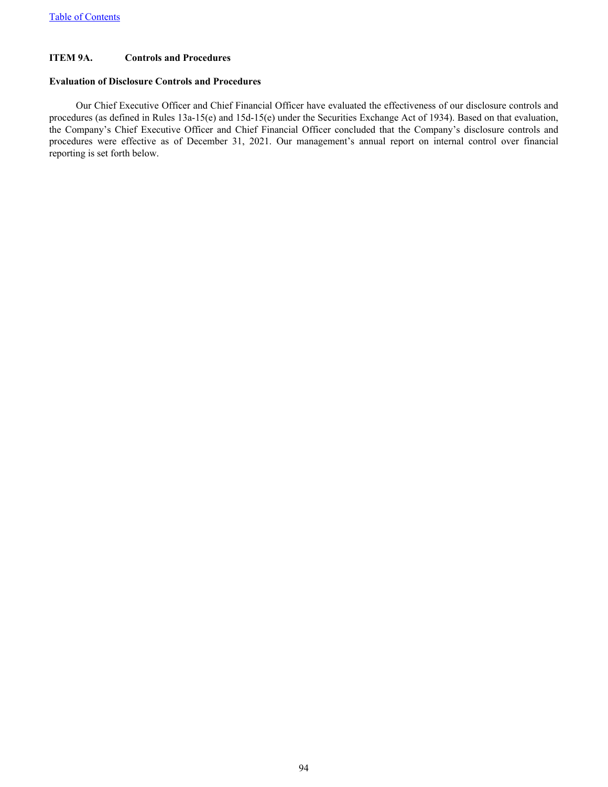# **ITEM 9A. Controls and Procedures**

# **Evaluation of Disclosure Controls and Procedures**

Our Chief Executive Officer and Chief Financial Officer have evaluated the effectiveness of our disclosure controls and procedures (as defined in Rules 13a-15(e) and 15d-15(e) under the Securities Exchange Act of 1934). Based on that evaluation, the Company's Chief Executive Officer and Chief Financial Officer concluded that the Company's disclosure controls and procedures were effective as of December 31, 2021. Our management's annual report on internal control over financial reporting is set forth below.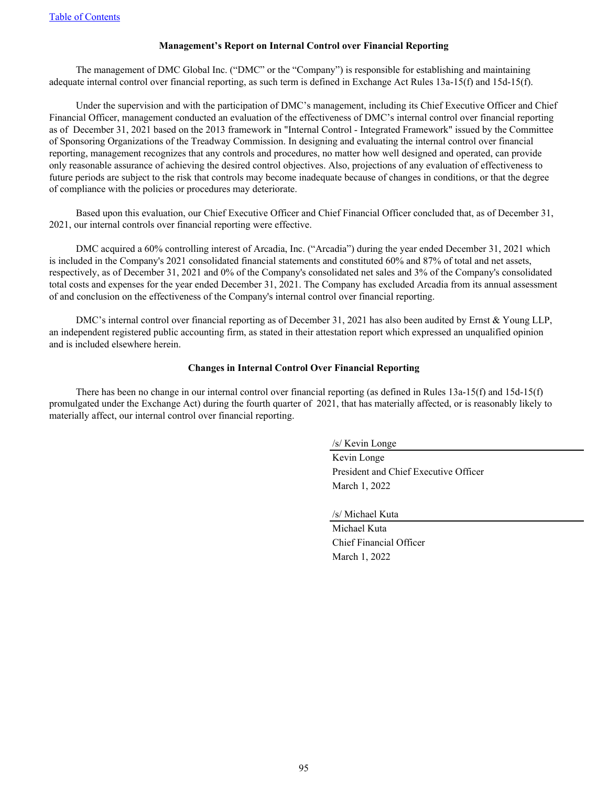# **Management's Report on Internal Control over Financial Reporting**

The management of DMC Global Inc. ("DMC" or the "Company") is responsible for establishing and maintaining adequate internal control over financial reporting, as such term is defined in Exchange Act Rules 13a-15(f) and 15d-15(f).

Under the supervision and with the participation of DMC's management, including its Chief Executive Officer and Chief Financial Officer, management conducted an evaluation of the effectiveness of DMC's internal control over financial reporting as of December 31, 2021 based on the 2013 framework in "Internal Control - Integrated Framework" issued by the Committee of Sponsoring Organizations of the Treadway Commission. In designing and evaluating the internal control over financial reporting, management recognizes that any controls and procedures, no matter how well designed and operated, can provide only reasonable assurance of achieving the desired control objectives. Also, projections of any evaluation of effectiveness to future periods are subject to the risk that controls may become inadequate because of changes in conditions, or that the degree of compliance with the policies or procedures may deteriorate.

Based upon this evaluation, our Chief Executive Officer and Chief Financial Officer concluded that, as of December 31, 2021, our internal controls over financial reporting were effective.

DMC acquired a 60% controlling interest of Arcadia, Inc. ("Arcadia") during the year ended December 31, 2021 which is included in the Company's 2021 consolidated financial statements and constituted 60% and 87% of total and net assets, respectively, as of December 31, 2021 and 0% of the Company's consolidated net sales and 3% of the Company's consolidated total costs and expenses for the year ended December 31, 2021. The Company has excluded Arcadia from its annual assessment of and conclusion on the effectiveness of the Company's internal control over financial reporting.

DMC's internal control over financial reporting as of December 31, 2021 has also been audited by Ernst & Young LLP, an independent registered public accounting firm, as stated in their attestation report which expressed an unqualified opinion and is included elsewhere herein.

#### **Changes in Internal Control Over Financial Reporting**

There has been no change in our internal control over financial reporting (as defined in Rules 13a-15(f) and 15d-15(f) promulgated under the Exchange Act) during the fourth quarter of 2021, that has materially affected, or is reasonably likely to materially affect, our internal control over financial reporting.

/s/ Kevin Longe

Kevin Longe President and Chief Executive Officer March 1, 2022

/s/ Michael Kuta

Michael Kuta Chief Financial Officer March 1, 2022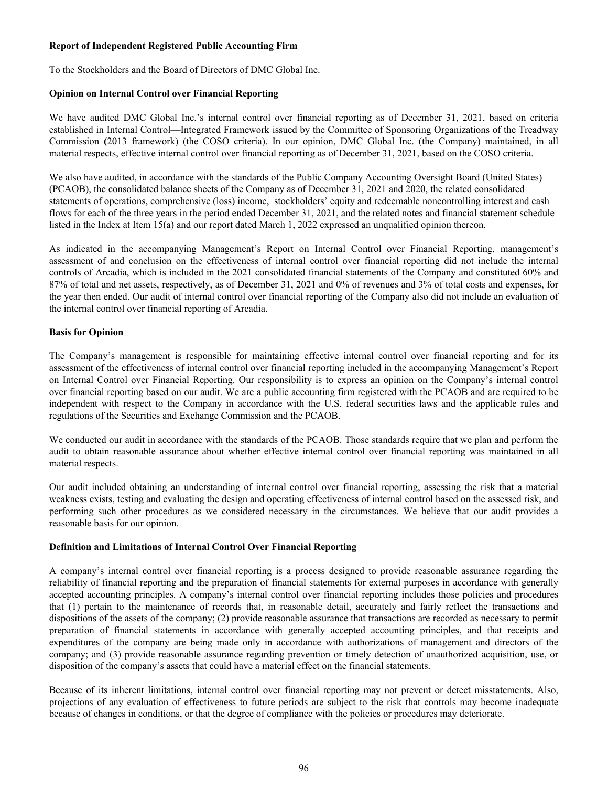# **Report of Independent Registered Public Accounting Firm**

To the Stockholders and the Board of Directors of DMC Global Inc.

# **Opinion on Internal Control over Financial Reporting**

We have audited DMC Global Inc.'s internal control over financial reporting as of December 31, 2021, based on criteria established in Internal Control—Integrated Framework issued by the Committee of Sponsoring Organizations of the Treadway Commission **(**2013 framework) (the COSO criteria). In our opinion, DMC Global Inc. (the Company) maintained, in all material respects, effective internal control over financial reporting as of December 31, 2021, based on the COSO criteria.

We also have audited, in accordance with the standards of the Public Company Accounting Oversight Board (United States) (PCAOB), the consolidated balance sheets of the Company as of December 31, 2021 and 2020, the related consolidated statements of operations, comprehensive (loss) income, stockholders' equity and redeemable noncontrolling interest and cash flows for each of the three years in the period ended December 31, 2021, and the related notes and financial statement schedule listed in the Index at Item 15(a) and our report dated March 1, 2022 expressed an unqualified opinion thereon.

As indicated in the accompanying Management's Report on Internal Control over Financial Reporting, management's assessment of and conclusion on the effectiveness of internal control over financial reporting did not include the internal controls of Arcadia, which is included in the 2021 consolidated financial statements of the Company and constituted 60% and 87% of total and net assets, respectively, as of December 31, 2021 and 0% of revenues and 3% of total costs and expenses, for the year then ended. Our audit of internal control over financial reporting of the Company also did not include an evaluation of the internal control over financial reporting of Arcadia.

# **Basis for Opinion**

The Company's management is responsible for maintaining effective internal control over financial reporting and for its assessment of the effectiveness of internal control over financial reporting included in the accompanying Management's Report on Internal Control over Financial Reporting. Our responsibility is to express an opinion on the Company's internal control over financial reporting based on our audit. We are a public accounting firm registered with the PCAOB and are required to be independent with respect to the Company in accordance with the U.S. federal securities laws and the applicable rules and regulations of the Securities and Exchange Commission and the PCAOB.

We conducted our audit in accordance with the standards of the PCAOB. Those standards require that we plan and perform the audit to obtain reasonable assurance about whether effective internal control over financial reporting was maintained in all material respects.

Our audit included obtaining an understanding of internal control over financial reporting, assessing the risk that a material weakness exists, testing and evaluating the design and operating effectiveness of internal control based on the assessed risk, and performing such other procedures as we considered necessary in the circumstances. We believe that our audit provides a reasonable basis for our opinion.

# **Definition and Limitations of Internal Control Over Financial Reporting**

A company's internal control over financial reporting is a process designed to provide reasonable assurance regarding the reliability of financial reporting and the preparation of financial statements for external purposes in accordance with generally accepted accounting principles. A company's internal control over financial reporting includes those policies and procedures that (1) pertain to the maintenance of records that, in reasonable detail, accurately and fairly reflect the transactions and dispositions of the assets of the company; (2) provide reasonable assurance that transactions are recorded as necessary to permit preparation of financial statements in accordance with generally accepted accounting principles, and that receipts and expenditures of the company are being made only in accordance with authorizations of management and directors of the company; and (3) provide reasonable assurance regarding prevention or timely detection of unauthorized acquisition, use, or disposition of the company's assets that could have a material effect on the financial statements.

Because of its inherent limitations, internal control over financial reporting may not prevent or detect misstatements. Also, projections of any evaluation of effectiveness to future periods are subject to the risk that controls may become inadequate because of changes in conditions, or that the degree of compliance with the policies or procedures may deteriorate.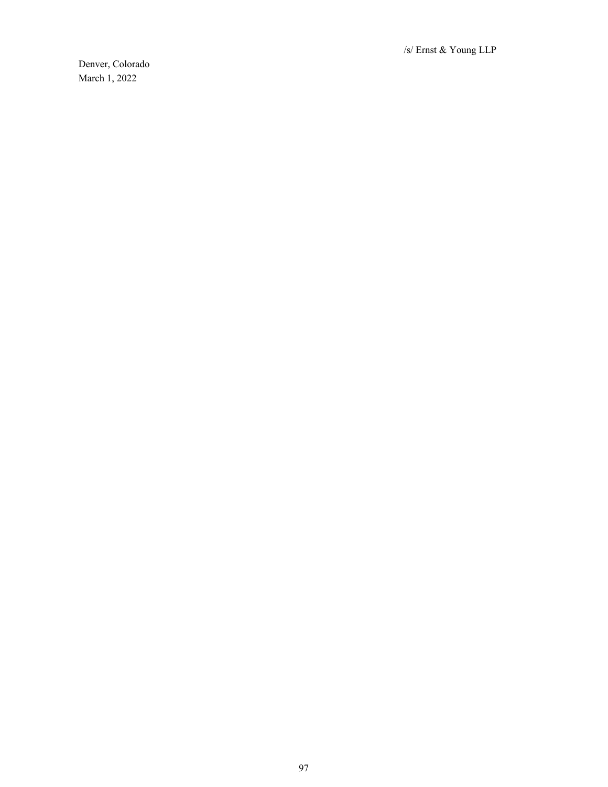/s/ Ernst & Young LLP

Denver, Colorado March 1, 2022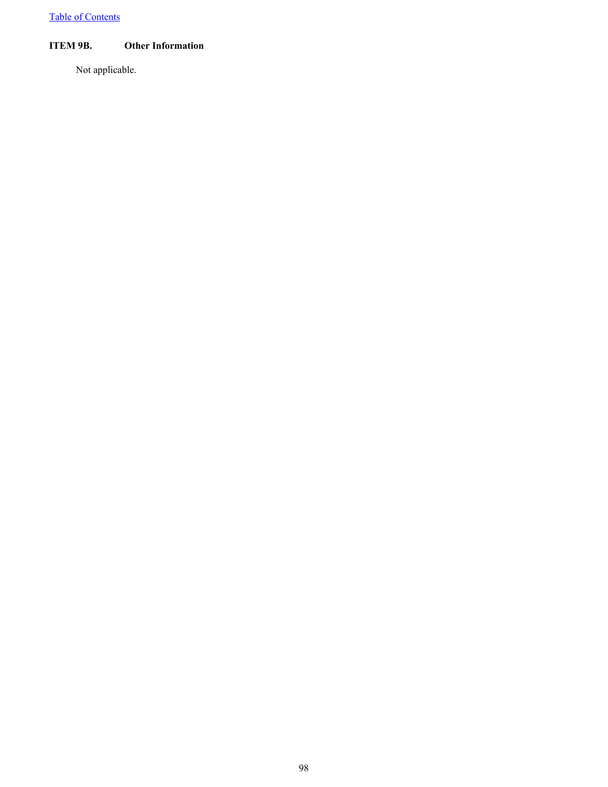# **ITEM 9B. Other Information**

Not applicable.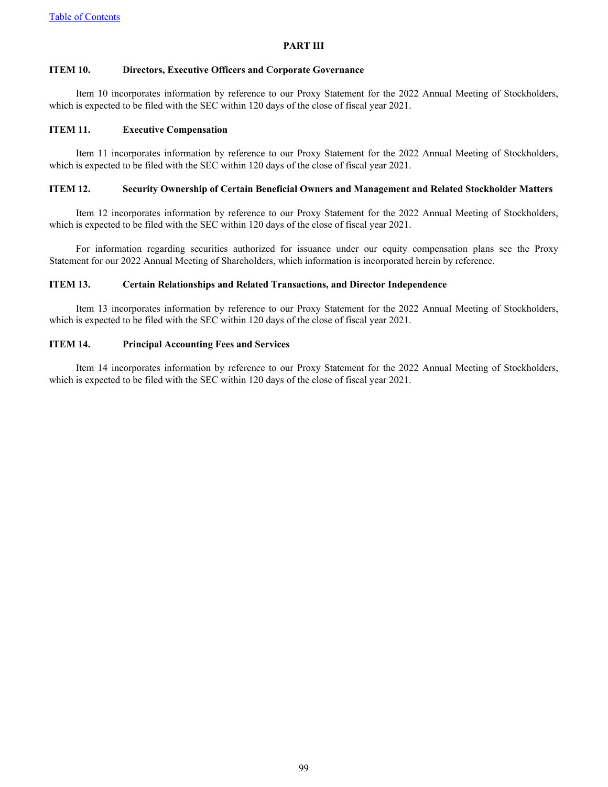# **PART III**

# **ITEM 10. Directors, Executive Officers and Corporate Governance**

Item 10 incorporates information by reference to our Proxy Statement for the 2022 Annual Meeting of Stockholders, which is expected to be filed with the SEC within 120 days of the close of fiscal year 2021.

# **ITEM 11. Executive Compensation**

Item 11 incorporates information by reference to our Proxy Statement for the 2022 Annual Meeting of Stockholders, which is expected to be filed with the SEC within 120 days of the close of fiscal year 2021.

### **ITEM 12. Security Ownership of Certain Beneficial Owners and Management and Related Stockholder Matters**

Item 12 incorporates information by reference to our Proxy Statement for the 2022 Annual Meeting of Stockholders, which is expected to be filed with the SEC within 120 days of the close of fiscal year 2021.

For information regarding securities authorized for issuance under our equity compensation plans see the Proxy Statement for our 2022 Annual Meeting of Shareholders, which information is incorporated herein by reference.

## **ITEM 13. Certain Relationships and Related Transactions, and Director Independence**

Item 13 incorporates information by reference to our Proxy Statement for the 2022 Annual Meeting of Stockholders, which is expected to be filed with the SEC within 120 days of the close of fiscal year 2021.

### **ITEM 14. Principal Accounting Fees and Services**

Item 14 incorporates information by reference to our Proxy Statement for the 2022 Annual Meeting of Stockholders, which is expected to be filed with the SEC within 120 days of the close of fiscal year 2021.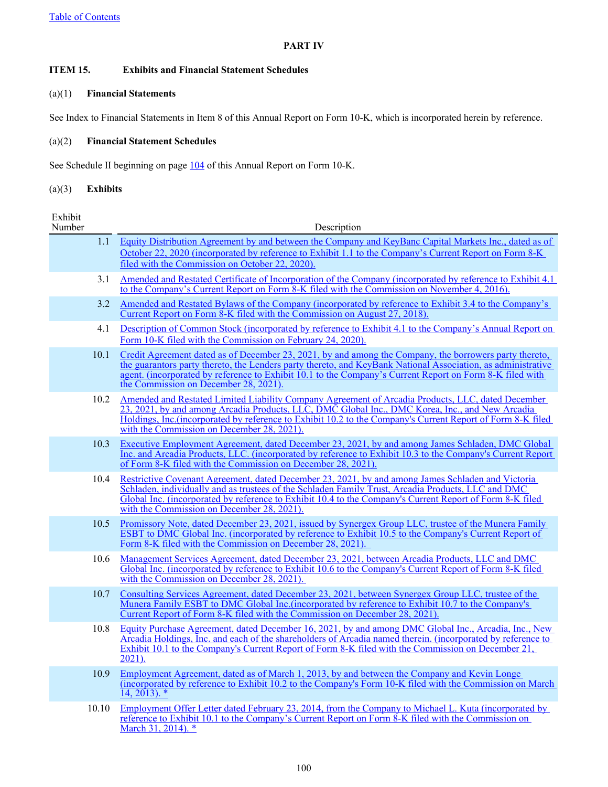# **PART IV**

# **ITEM 15. Exhibits and Financial Statement Schedules**

# (a)(1) **Financial Statements**

See Index to Financial Statements in Item 8 of this Annual Report on Form 10-K, which is incorporated herein by reference.

# (a)(2) **Financial Statement Schedules**

See Schedule II beginning on page [104](#page-106-0) of this Annual Report on Form 10-K.

# (a)(3) **Exhibits**

Exhibit

| Number | Description                                                                                                                                                                                                                                                                                                                                                                 |
|--------|-----------------------------------------------------------------------------------------------------------------------------------------------------------------------------------------------------------------------------------------------------------------------------------------------------------------------------------------------------------------------------|
| 1.1    | Equity Distribution Agreement by and between the Company and KeyBanc Capital Markets Inc., dated as of<br>October 22, 2020 (incorporated by reference to Exhibit 1.1 to the Company's Current Report on Form 8-K<br>filed with the Commission on October 22, 2020).                                                                                                         |
| 3.1    | Amended and Restated Certificate of Incorporation of the Company (incorporated by reference to Exhibit 4.1)<br>to the Company's Current Report on Form 8-K filed with the Commission on November 4, 2016).                                                                                                                                                                  |
| 3.2    | Amended and Restated Bylaws of the Company (incorporated by reference to Exhibit 3.4 to the Company's<br>Current Report on Form 8-K filed with the Commission on August 27, 2018).                                                                                                                                                                                          |
| 4.1    | Description of Common Stock (incorporated by reference to Exhibit 4.1 to the Company's Annual Report on<br>Form 10-K filed with the Commission on February 24, 2020).                                                                                                                                                                                                       |
| 10.1   | Credit Agreement dated as of December 23, 2021, by and among the Company, the borrowers party thereto,<br>the guarantors party thereto, the Lenders party thereto, and KeyBank National Association, as administrative<br>agent. (incorporated by reference to Exhibit 10.1 to the Company's Current Report on Form 8-K filed with<br>the Commission on December 28, 2021). |
| 10.2   | Amended and Restated Limited Liability Company Agreement of Arcadia Products, LLC, dated December<br>23, 2021, by and among Arcadia Products, LLC, DMC Global Inc., DMC Korea, Inc., and New Arcadia<br>Holdings, Inc. (incorporated by reference to Exhibit 10.2 to the Company's Current Report of Form 8-K filed<br>with the Commission on December 28, 2021).           |
| 10.3   | Executive Employment Agreement, dated December 23, 2021, by and among James Schladen, DMC Global<br>Inc. and Arcadia Products, LLC. (incorporated by reference to Exhibit 10.3 to the Company's Current Report<br>of Form 8-K filed with the Commission on December 28, 2021).                                                                                              |
| 10.4   | Restrictive Covenant Agreement, dated December 23, 2021, by and among James Schladen and Victoria<br>Schladen, individually and as trustees of the Schladen Family Trust, Arcadia Products, LLC and DMC<br>Global Inc. (incorporated by reference to Exhibit 10.4 to the Company's Current Report of Form 8-K filed<br>with the Commission on December 28, 2021).           |
| 10.5   | Promissory Note, dated December 23, 2021, issued by Synergex Group LLC, trustee of the Munera Family<br>ESBT to DMC Global Inc. (incorporated by reference to Exhibit 10.5 to the Company's Current Report of<br>Form 8-K filed with the Commission on December 28, 2021).                                                                                                  |
| 10.6   | Management Services Agreement, dated December 23, 2021, between Arcadia Products, LLC and DMC<br>Global Inc. (incorporated by reference to Exhibit 10.6 to the Company's Current Report of Form 8-K filed<br>with the Commission on December 28, 2021).                                                                                                                     |
| 10.7   | Consulting Services Agreement, dated December 23, 2021, between Synergex Group LLC, trustee of the<br>Munera Family ESBT to DMC Global Inc. (incorporated by reference to Exhibit 10.7 to the Company's<br>Current Report of Form 8-K filed with the Commission on December 28, 2021).                                                                                      |
| 10.8   | Equity Purchase Agreement, dated December 16, 2021, by and among DMC Global Inc., Arcadia, Inc., New<br>Arcadia Holdings, Inc. and each of the shareholders of Arcadia named therein. (incorporated by reference to<br>Exhibit 10.1 to the Company's Current Report of Form 8-K filed with the Commission on December 21,<br>$2021$ ).                                      |
| 10.9   | Employment Agreement, dated as of March 1, 2013, by and between the Company and Kevin Longe<br>(incorporated by reference to Exhibit 10.2 to the Company's Form 10-K filed with the Commission on March<br>$14, 2013$ . *                                                                                                                                                   |
| 10.10  | Employment Offer Letter dated February 23, 2014, from the Company to Michael L. Kuta (incorporated by<br>reference to Exhibit 10.1 to the Company's Current Report on Form 8-K filed with the Commission on<br>March 31, 2014). *                                                                                                                                           |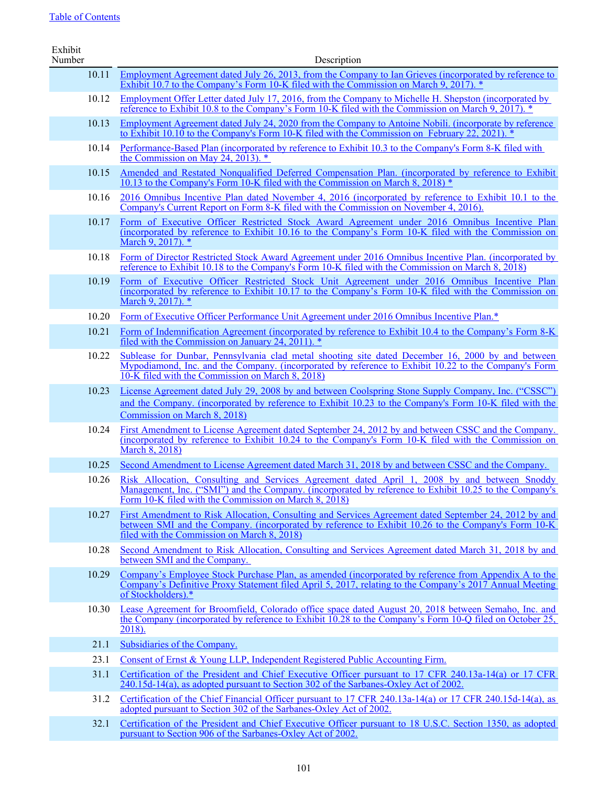| Exhibit<br>Number | Description                                                                                                                                                                                                                                                            |
|-------------------|------------------------------------------------------------------------------------------------------------------------------------------------------------------------------------------------------------------------------------------------------------------------|
| 10.11             | Employment Agreement dated July 26, 2013, from the Company to Ian Grieves (incorporated by reference to                                                                                                                                                                |
|                   | Exhibit 10.7 to the Company's Form 10-K filed with the Commission on March 9, 2017). *                                                                                                                                                                                 |
| 10.12             | Employment Offer Letter dated July 17, 2016, from the Company to Michelle H. Shepston (incorporated by<br>reference to Exhibit 10.8 to the Company's Form 10-K filed with the Commission on March 9, 2017).                                                            |
| 10.13             | Employment Agreement dated July 24, 2020 from the Company to Antoine Nobili. (incorporate by reference<br>to Exhibit 10.10 to the Company's Form 10-K filed with the Commission on February 22, 2021).                                                                 |
| 10.14             | Performance-Based Plan (incorporated by reference to Exhibit 10.3 to the Company's Form 8-K filed with<br>the Commission on May 24, 2013). $*$                                                                                                                         |
| 10.15             | Amended and Restated Nonqualified Deferred Compensation Plan. (incorporated by reference to Exhibit<br>10.13 to the Company's Form 10-K filed with the Commission on March 8, 2018) *                                                                                  |
| 10.16             | 2016 Omnibus Incentive Plan dated November 4, 2016 (incorporated by reference to Exhibit 10.1 to the<br>Company's Current Report on Form 8-K filed with the Commission on November 4, 2016).                                                                           |
| 10.17             | Form of Executive Officer Restricted Stock Award Agreement under 2016 Omnibus Incentive Plan<br>(incorporated by reference to Exhibit 10.16 to the Company's Form 10-K filed with the Commission on<br>March 9, 2017). *                                               |
| 10.18             | Form of Director Restricted Stock Award Agreement under 2016 Omnibus Incentive Plan. (incorporated by<br>reference to Exhibit 10.18 to the Company's Form 10-K filed with the Commission on March 8, 2018)                                                             |
| 10.19             | Form of Executive Officer Restricted Stock Unit Agreement under 2016 Omnibus Incentive Plan<br>(incorporated by reference to Exhibit 10.17 to the Company's Form 10-K filed with the Commission on<br>March 9, 2017). *                                                |
| 10.20             | Form of Executive Officer Performance Unit Agreement under 2016 Omnibus Incentive Plan.*                                                                                                                                                                               |
| 10.21             | Form of Indemnification Agreement (incorporated by reference to Exhibit 10.4 to the Company's Form 8-K<br>filed with the Commission on January 24, 2011).                                                                                                              |
| 10.22             | Sublease for Dunbar, Pennsylvania clad metal shooting site dated December 16, 2000 by and between<br>Mypodiamond, Inc. and the Company. (incorporated by reference to Exhibit 10.22 to the Company's Form<br>10-K filed with the Commission on March 8, 2018)          |
| 10.23             | License Agreement dated July 29, 2008 by and between Coolspring Stone Supply Company, Inc. ("CSSC")                                                                                                                                                                    |
|                   | and the Company. (incorporated by reference to Exhibit 10.23 to the Company's Form 10-K filed with the<br>Commission on March 8, 2018)                                                                                                                                 |
| 10.24             | First Amendment to License Agreement dated September 24, 2012 by and between CSSC and the Company.<br>(incorporated by reference to Exhibit 10.24 to the Company's Form 10-K filed with the Commission on<br>March 8, 2018)                                            |
| 10.25             | Second Amendment to License Agreement dated March 31, 2018 by and between CSSC and the Company.                                                                                                                                                                        |
| 10.26             | Risk Allocation, Consulting and Services Agreement dated April 1, 2008 by and between Snoddy<br><u>Management, Inc. ("SMI") and the Company. (incorporated by reference to Exhibit 10.25 to the Company's</u><br>Form 10-K filed with the Commission on March 8, 2018) |
| 10.27             | First Amendment to Risk Allocation, Consulting and Services Agreement dated September 24, 2012 by and<br>between SMI and the Company. (incorporated by reference to Exhibit 10.26 to the Company's Form 10-K<br>filed with the Commission on March 8, 2018)            |
| 10.28             | Second Amendment to Risk Allocation, Consulting and Services Agreement dated March 31, 2018 by and<br>between SMI and the Company.                                                                                                                                     |
| 10.29             | Company's Employee Stock Purchase Plan, as amended (incorporated by reference from Appendix A to the<br>Company's Definitive Proxy Statement filed April 5, 2017, relating to the Company's 2017 Annual Meeting<br>of Stockholders).*                                  |
| 10.30             | Lease Agreement for Broomfield, Colorado office space dated August 20, 2018 between Semaho, Inc. and<br>the Company (incorporated by reference to Exhibit 10.28 to the Company's Form 10-Q filed on October 25,<br>$2018$ ).                                           |
| 21.1              | Subsidiaries of the Company.                                                                                                                                                                                                                                           |
| 23.1              | Consent of Ernst & Young LLP, Independent Registered Public Accounting Firm.                                                                                                                                                                                           |
| 31.1              | Certification of the President and Chief Executive Officer pursuant to 17 CFR 240.13a-14(a) or 17 CFR<br>240.15d-14(a), as adopted pursuant to Section 302 of the Sarbanes-Oxley Act of 2002.                                                                          |
| 31.2              | Certification of the Chief Financial Officer pursuant to 17 CFR 240.13a-14(a) or 17 CFR 240.15d-14(a), as<br>adopted pursuant to Section 302 of the Sarbanes-Oxley Act of 2002.                                                                                        |
| 32.1              | Certification of the President and Chief Executive Officer pursuant to 18 U.S.C. Section 1350, as adopted<br>pursuant to Section 906 of the Sarbanes-Oxley Act of 2002.                                                                                                |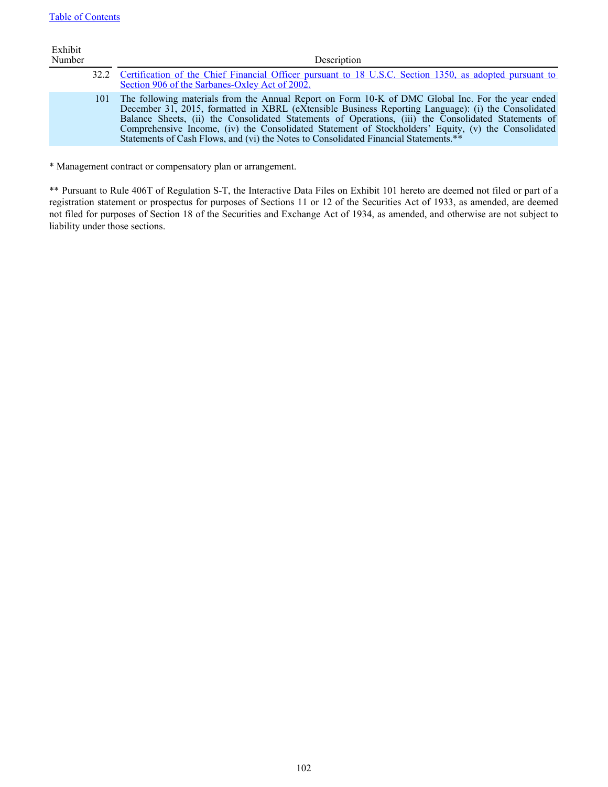| Exhibit<br>Number |     | Description                                                                                                                                                                                                                                                                                                                                                                                                                                                                                                     |
|-------------------|-----|-----------------------------------------------------------------------------------------------------------------------------------------------------------------------------------------------------------------------------------------------------------------------------------------------------------------------------------------------------------------------------------------------------------------------------------------------------------------------------------------------------------------|
|                   |     | 32.2 Certification of the Chief Financial Officer pursuant to 18 U.S.C. Section 1350, as adopted pursuant to<br>Section 906 of the Sarbanes-Oxley Act of 2002.                                                                                                                                                                                                                                                                                                                                                  |
|                   | 101 | The following materials from the Annual Report on Form 10-K of DMC Global Inc. For the year ended<br>December 31, 2015, formatted in XBRL (eXtensible Business Reporting Language): (i) the Consolidated<br>Balance Sheets, (ii) the Consolidated Statements of Operations, (iii) the Consolidated Statements of<br>Comprehensive Income, (iv) the Consolidated Statement of Stockholders' Equity, (v) the Consolidated<br>Statements of Cash Flows, and (vi) the Notes to Consolidated Financial Statements.** |
|                   |     |                                                                                                                                                                                                                                                                                                                                                                                                                                                                                                                 |

\* Management contract or compensatory plan or arrangement.

\*\* Pursuant to Rule 406T of Regulation S-T, the Interactive Data Files on Exhibit 101 hereto are deemed not filed or part of a registration statement or prospectus for purposes of Sections 11 or 12 of the Securities Act of 1933, as amended, are deemed not filed for purposes of Section 18 of the Securities and Exchange Act of 1934, as amended, and otherwise are not subject to liability under those sections.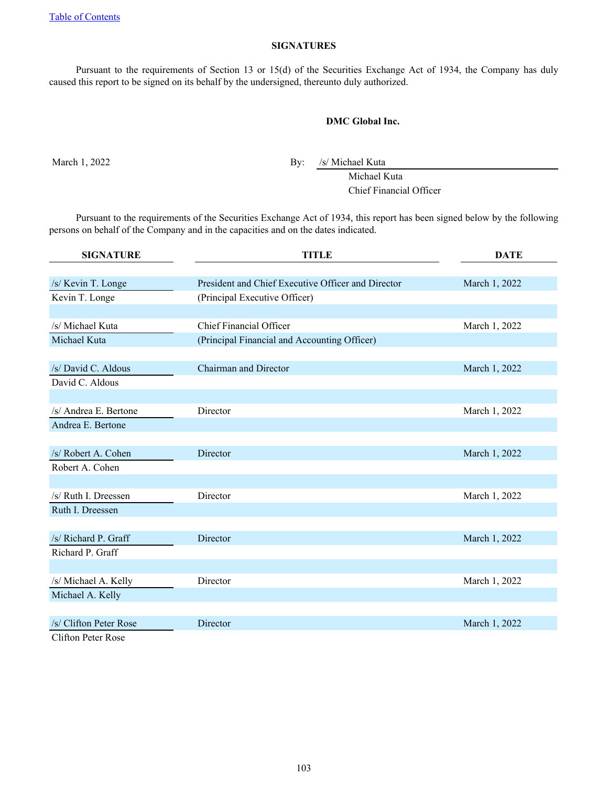# **SIGNATURES**

Pursuant to the requirements of Section 13 or 15(d) of the Securities Exchange Act of 1934, the Company has duly caused this report to be signed on its behalf by the undersigned, thereunto duly authorized.

# **DMC Global Inc.**

March 1, 2022 By: /s/ Michael Kuta

Michael Kuta Chief Financial Officer

Pursuant to the requirements of the Securities Exchange Act of 1934, this report has been signed below by the following persons on behalf of the Company and in the capacities and on the dates indicated.

| <b>SIGNATURE</b>          | <b>TITLE</b>                                       | <b>DATE</b>   |  |
|---------------------------|----------------------------------------------------|---------------|--|
|                           |                                                    |               |  |
| /s/ Kevin T. Longe        | President and Chief Executive Officer and Director | March 1, 2022 |  |
| Kevin T. Longe            | (Principal Executive Officer)                      |               |  |
|                           |                                                    |               |  |
| /s/ Michael Kuta          | <b>Chief Financial Officer</b>                     | March 1, 2022 |  |
| Michael Kuta              | (Principal Financial and Accounting Officer)       |               |  |
|                           |                                                    |               |  |
| /s/ David C. Aldous       | Chairman and Director                              | March 1, 2022 |  |
| David C. Aldous           |                                                    |               |  |
|                           |                                                    |               |  |
| /s/ Andrea E. Bertone     | Director                                           | March 1, 2022 |  |
| Andrea E. Bertone         |                                                    |               |  |
|                           |                                                    |               |  |
| /s/ Robert A. Cohen       | Director                                           | March 1, 2022 |  |
| Robert A. Cohen           |                                                    |               |  |
|                           |                                                    |               |  |
| /s/ Ruth I. Dreessen      | Director                                           | March 1, 2022 |  |
| Ruth I. Dreessen          |                                                    |               |  |
|                           |                                                    |               |  |
| /s/ Richard P. Graff      | Director                                           | March 1, 2022 |  |
| Richard P. Graff          |                                                    |               |  |
|                           |                                                    |               |  |
| /s/ Michael A. Kelly      | Director                                           | March 1, 2022 |  |
| Michael A. Kelly          |                                                    |               |  |
|                           |                                                    |               |  |
| /s/ Clifton Peter Rose    | Director                                           | March 1, 2022 |  |
| <b>Clifton Peter Rose</b> |                                                    |               |  |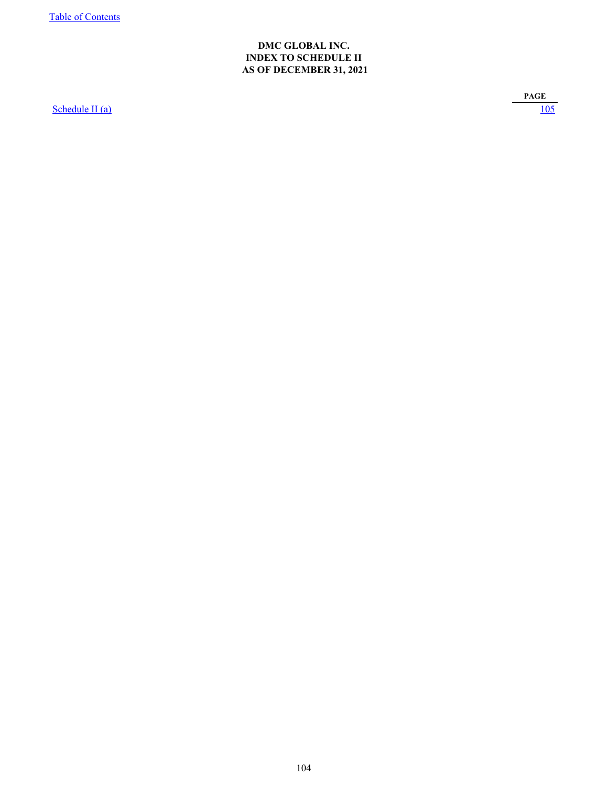# **DMC GLOBAL INC. INDEX TO SCHEDULE II AS OF DECEMBER 31, 2021**

<span id="page-106-0"></span>[Schedule II \(a\)](#page-107-0) [105](#page-107-0)

**PAGE**